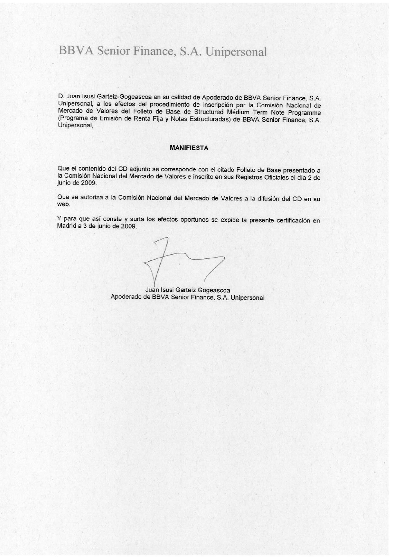# BBVA Senior Finance, S.A. Unipersonal

D. Juan Isusi Garteiz-Gogeascoa en su calidad de Apoderado de BBVA Senior Finance, S.A. Unipersonal, a los efectos del procedimiento de inscripción por la Comisión Nacional de Mercado de Valores del Folleto de Base de Structured Médium Term Note Programme (Programa de Emisión de Renta Fija y Notas Estructuradas) de BBVA Senior Finance, S.A. Unipersonal,

#### **MANIFIESTA**

Que el contenido del CD adjunto se corresponde con el citado Folleto de Base presentado a la Comisión Nacional del Mercado de Valores e inscrito en sus Registros Oficiales el día 2 de junio de 2009.

Que se autoriza a la Comisión Nacional del Mercado de Valores a la difusión del CD en su web.

Y para que así conste y surta los efectos oportunos se expide la presente certificación en Madrid a 3 de junio de 2009.

Juan Isusi Garteiz Gogeascoa Apoderado de BBVA Senior Finance, S.A. Unipersonal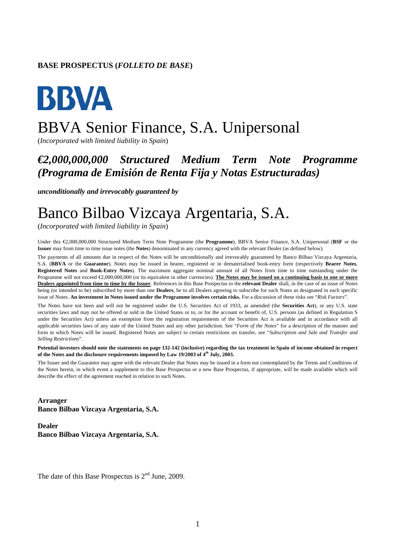# **BASE PROSPECTUS (***FOLLETO DE BASE***)**



# BBVA Senior Finance, S.A. Unipersonal

(*Incorporated with limited liability in Spain*)

# *€2,000,000,000 Structured Medium Term Note Programme (Programa de Emisión de Renta Fija y Notas Estructuradas)*

*unconditionally and irrevocably guaranteed by*

# Banco Bilbao Vizcaya Argentaria, S.A.

(*Incorporated with limited liability in Spain*)

Under this €2,000,000,000 Structured Medium Term Note Programme (the **Programme**), BBVA Senior Finance, S.A. Unipersonal (**BSF** or the **Issuer** may from time to time issue notes (the **Notes**) denominated in any currency agreed with the relevant Dealer (as defined below).

The payments of all amounts due in respect of the Notes will be unconditionally and irrevocably guaranteed by Banco Bilbao Vizcaya Argentaria, S.A. (**BBVA** or the **Guarantor**). Notes may be issued in bearer, registered or in dematerialised book-entry form (respectively **Bearer Notes**, **Registered Notes** and **Book-Entry Notes**). The maximum aggregate nominal amount of all Notes from time to time outstanding under the Programme will not exceed €2,000,000,000 (or its equivalent in other currencies). The Notes may be issued on a continuing basis to one or more **Dealers appointed from time to time by the Issuer**. References in this Base Prospectus to the **relevant Dealer** shall, in the case of an issue of Notes being (or intended to be) subscribed by more than one **Dealers**, be to all Dealers agreeing to subscribe for such Notes as designated in each specific issue of Notes. **An investment in Notes issued under the Programme involves certain risks.** For a discussion of these risks see "*Risk Factors*".

The Notes have not been and will not be registered under the U.S. Securities Act of 1933, as amended (the **Securities Act**), or any U.S. state securities laws and may not be offered or sold in the United States or to, or for the account or benefit of, U.S. persons (as defined in Regulation S under the Securities Act) unless an exemption from the registration requirements of the Securities Act is available and in accordance with all applicable securities laws of any state of the United States and any other jurisdiction. See "*Form of the Notes*" for a description of the manner and form in which Notes will be issued. Registered Notes are subject to certain restrictions on transfer, see "*Subscription and Sale and Transfer and Selling Restrictions*".

**Potential investors should note the statements on page 132-142 (inclusive) regarding the tax treatment in Spain of income obtained in respect of the Notes and the disclosure requirements imposed by Law 19/2003 of 4th July, 2003.**

The Issuer and the Guarantor may agree with the relevant Dealer that Notes may be issued in a form not contemplated by the Terms and Conditions of the Notes herein, in which event a supplement to this Base Prospectus or a new Base Prospectus, if appropriate, will be made available which will describe the effect of the agreement reached in relation to such Notes.

**Arranger Banco Bilbao Vizcaya Argentaria, S.A.** 

**Dealer Banco Bilbao Vizcaya Argentaria, S.A.** 

The date of this Base Prospectus is  $2<sup>nd</sup>$  June, 2009.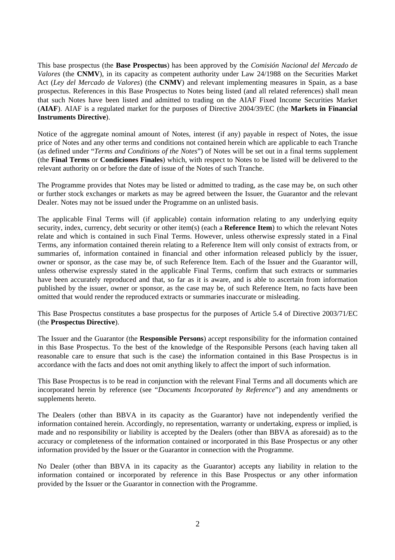This base prospectus (the **Base Prospectus**) has been approved by the *Comisión Nacional del Mercado de Valores* (the **CNMV**), in its capacity as competent authority under Law 24/1988 on the Securities Market Act (*Ley del Mercado de Valores*) (the **CNMV**) and relevant implementing measures in Spain, as a base prospectus. References in this Base Prospectus to Notes being listed (and all related references) shall mean that such Notes have been listed and admitted to trading on the AIAF Fixed Income Securities Market (**AIAF**). AIAF is a regulated market for the purposes of Directive 2004/39/EC (the **Markets in Financial Instruments Directive**).

Notice of the aggregate nominal amount of Notes, interest (if any) payable in respect of Notes, the issue price of Notes and any other terms and conditions not contained herein which are applicable to each Tranche (as defined under "*Terms and Conditions of the Notes*") of Notes will be set out in a final terms supplement (the **Final Terms** or **Condiciones Finales**) which, with respect to Notes to be listed will be delivered to the relevant authority on or before the date of issue of the Notes of such Tranche.

The Programme provides that Notes may be listed or admitted to trading, as the case may be, on such other or further stock exchanges or markets as may be agreed between the Issuer, the Guarantor and the relevant Dealer. Notes may not be issued under the Programme on an unlisted basis.

The applicable Final Terms will (if applicable) contain information relating to any underlying equity security, index, currency, debt security or other item(s) (each a **Reference Item**) to which the relevant Notes relate and which is contained in such Final Terms. However, unless otherwise expressly stated in a Final Terms, any information contained therein relating to a Reference Item will only consist of extracts from, or summaries of, information contained in financial and other information released publicly by the issuer, owner or sponsor, as the case may be, of such Reference Item. Each of the Issuer and the Guarantor will, unless otherwise expressly stated in the applicable Final Terms, confirm that such extracts or summaries have been accurately reproduced and that, so far as it is aware, and is able to ascertain from information published by the issuer, owner or sponsor, as the case may be, of such Reference Item, no facts have been omitted that would render the reproduced extracts or summaries inaccurate or misleading.

This Base Prospectus constitutes a base prospectus for the purposes of Article 5.4 of Directive 2003/71/EC (the **Prospectus Directive**).

The Issuer and the Guarantor (the **Responsible Persons**) accept responsibility for the information contained in this Base Prospectus. To the best of the knowledge of the Responsible Persons (each having taken all reasonable care to ensure that such is the case) the information contained in this Base Prospectus is in accordance with the facts and does not omit anything likely to affect the import of such information.

This Base Prospectus is to be read in conjunction with the relevant Final Terms and all documents which are incorporated herein by reference (see "*Documents Incorporated by Reference*") and any amendments or supplements hereto.

The Dealers (other than BBVA in its capacity as the Guarantor) have not independently verified the information contained herein. Accordingly, no representation, warranty or undertaking, express or implied, is made and no responsibility or liability is accepted by the Dealers (other than BBVA as aforesaid) as to the accuracy or completeness of the information contained or incorporated in this Base Prospectus or any other information provided by the Issuer or the Guarantor in connection with the Programme.

No Dealer (other than BBVA in its capacity as the Guarantor) accepts any liability in relation to the information contained or incorporated by reference in this Base Prospectus or any other information provided by the Issuer or the Guarantor in connection with the Programme.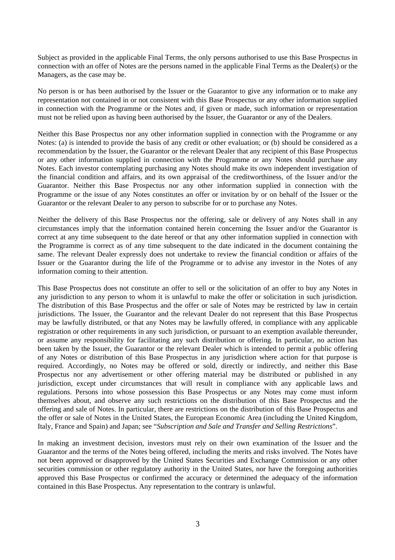Subject as provided in the applicable Final Terms, the only persons authorised to use this Base Prospectus in connection with an offer of Notes are the persons named in the applicable Final Terms as the Dealer(s) or the Managers, as the case may be.

No person is or has been authorised by the Issuer or the Guarantor to give any information or to make any representation not contained in or not consistent with this Base Prospectus or any other information supplied in connection with the Programme or the Notes and, if given or made, such information or representation must not be relied upon as having been authorised by the Issuer, the Guarantor or any of the Dealers.

Neither this Base Prospectus nor any other information supplied in connection with the Programme or any Notes: (a) is intended to provide the basis of any credit or other evaluation; or (b) should be considered as a recommendation by the Issuer, the Guarantor or the relevant Dealer that any recipient of this Base Prospectus or any other information supplied in connection with the Programme or any Notes should purchase any Notes. Each investor contemplating purchasing any Notes should make its own independent investigation of the financial condition and affairs, and its own appraisal of the creditworthiness, of the Issuer and/or the Guarantor. Neither this Base Prospectus nor any other information supplied in connection with the Programme or the issue of any Notes constitutes an offer or invitation by or on behalf of the Issuer or the Guarantor or the relevant Dealer to any person to subscribe for or to purchase any Notes.

Neither the delivery of this Base Prospectus nor the offering, sale or delivery of any Notes shall in any circumstances imply that the information contained herein concerning the Issuer and/or the Guarantor is correct at any time subsequent to the date hereof or that any other information supplied in connection with the Programme is correct as of any time subsequent to the date indicated in the document containing the same. The relevant Dealer expressly does not undertake to review the financial condition or affairs of the Issuer or the Guarantor during the life of the Programme or to advise any investor in the Notes of any information coming to their attention.

This Base Prospectus does not constitute an offer to sell or the solicitation of an offer to buy any Notes in any jurisdiction to any person to whom it is unlawful to make the offer or solicitation in such jurisdiction. The distribution of this Base Prospectus and the offer or sale of Notes may be restricted by law in certain jurisdictions. The Issuer, the Guarantor and the relevant Dealer do not represent that this Base Prospectus may be lawfully distributed, or that any Notes may be lawfully offered, in compliance with any applicable registration or other requirements in any such jurisdiction, or pursuant to an exemption available thereunder, or assume any responsibility for facilitating any such distribution or offering. In particular, no action has been taken by the Issuer, the Guarantor or the relevant Dealer which is intended to permit a public offering of any Notes or distribution of this Base Prospectus in any jurisdiction where action for that purpose is required. Accordingly, no Notes may be offered or sold, directly or indirectly, and neither this Base Prospectus nor any advertisement or other offering material may be distributed or published in any jurisdiction, except under circumstances that will result in compliance with any applicable laws and regulations. Persons into whose possession this Base Prospectus or any Notes may come must inform themselves about, and observe any such restrictions on the distribution of this Base Prospectus and the offering and sale of Notes. In particular, there are restrictions on the distribution of this Base Prospectus and the offer or sale of Notes in the United States, the European Economic Area (including the United Kingdom, Italy, France and Spain) and Japan; see "*Subscription and Sale and Transfer and Selling Restrictions*".

In making an investment decision, investors must rely on their own examination of the Issuer and the Guarantor and the terms of the Notes being offered, including the merits and risks involved. The Notes have not been approved or disapproved by the United States Securities and Exchange Commission or any other securities commission or other regulatory authority in the United States, nor have the foregoing authorities approved this Base Prospectus or confirmed the accuracy or determined the adequacy of the information contained in this Base Prospectus. Any representation to the contrary is unlawful.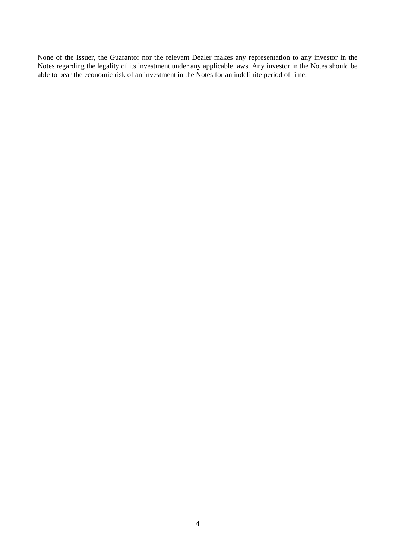None of the Issuer, the Guarantor nor the relevant Dealer makes any representation to any investor in the Notes regarding the legality of its investment under any applicable laws. Any investor in the Notes should be able to bear the economic risk of an investment in the Notes for an indefinite period of time.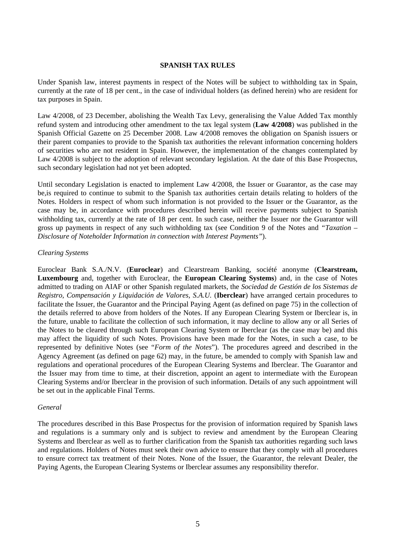#### **SPANISH TAX RULES**

Under Spanish law, interest payments in respect of the Notes will be subject to withholding tax in Spain, currently at the rate of 18 per cent., in the case of individual holders (as defined herein) who are resident for tax purposes in Spain.

Law 4/2008, of 23 December, abolishing the Wealth Tax Levy, generalising the Value Added Tax monthly refund system and introducing other amendment to the tax legal system (**Law 4/2008**) was published in the Spanish Official Gazette on 25 December 2008. Law 4/2008 removes the obligation on Spanish issuers or their parent companies to provide to the Spanish tax authorities the relevant information concerning holders of securities who are not resident in Spain. However, the implementation of the changes contemplated by Law 4/2008 is subject to the adoption of relevant secondary legislation. At the date of this Base Prospectus, such secondary legislation had not yet been adopted.

Until secondary Legislation is enacted to implement Law  $4/2008$ , the Issuer or Guarantor, as the case may be,is required to continue to submit to the Spanish tax authorities certain details relating to holders of the Notes. Holders in respect of whom such information is not provided to the Issuer or the Guarantor, as the case may be, in accordance with procedures described herein will receive payments subject to Spanish withholding tax, currently at the rate of 18 per cent. In such case, neither the Issuer nor the Guarantor will gross up payments in respect of any such withholding tax (see Condition 9 of the Notes and *"Taxation – Disclosure of Noteholder Information in connection with Interest Payments"*).

#### *Clearing Systems*

Euroclear Bank S.A./N.V. (**Euroclear**) and Clearstream Banking, société anonyme (**Clearstream, Luxembourg** and, together with Euroclear, the **European Clearing Systems**) and, in the case of Notes admitted to trading on AIAF or other Spanish regulated markets, the *Sociedad de Gestión de los Sistemas de Registro, Compensación y Liquidación de Valores, S.A.U.* (**Iberclear**) have arranged certain procedures to facilitate the Issuer, the Guarantor and the Principal Paying Agent (as defined on page 75) in the collection of the details referred to above from holders of the Notes. If any European Clearing System or Iberclear is, in the future, unable to facilitate the collection of such information, it may decline to allow any or all Series of the Notes to be cleared through such European Clearing System or Iberclear (as the case may be) and this may affect the liquidity of such Notes. Provisions have been made for the Notes, in such a case, to be represented by definitive Notes (see "*Form of the Notes*"). The procedures agreed and described in the Agency Agreement (as defined on page 62) may, in the future, be amended to comply with Spanish law and regulations and operational procedures of the European Clearing Systems and Iberclear. The Guarantor and the Issuer may from time to time, at their discretion, appoint an agent to intermediate with the European Clearing Systems and/or Iberclear in the provision of such information. Details of any such appointment will be set out in the applicable Final Terms.

#### *General*

The procedures described in this Base Prospectus for the provision of information required by Spanish laws and regulations is a summary only and is subject to review and amendment by the European Clearing Systems and Iberclear as well as to further clarification from the Spanish tax authorities regarding such laws and regulations. Holders of Notes must seek their own advice to ensure that they comply with all procedures to ensure correct tax treatment of their Notes. None of the Issuer, the Guarantor, the relevant Dealer, the Paying Agents, the European Clearing Systems or Iberclear assumes any responsibility therefor.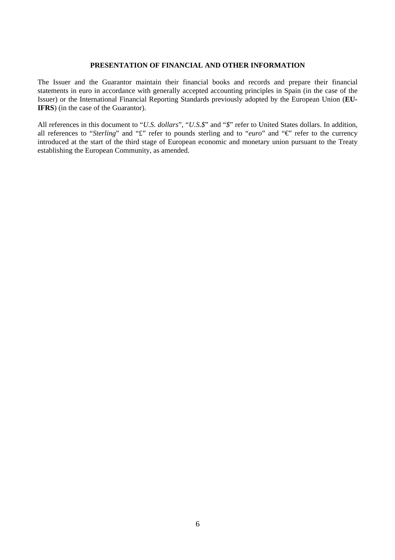#### **PRESENTATION OF FINANCIAL AND OTHER INFORMATION**

The Issuer and the Guarantor maintain their financial books and records and prepare their financial statements in euro in accordance with generally accepted accounting principles in Spain (in the case of the Issuer) or the International Financial Reporting Standards previously adopted by the European Union (**EU-IFRS**) (in the case of the Guarantor).

All references in this document to "*U.S. dollars*", "*U.S.\$*" and "*\$*" refer to United States dollars. In addition, all references to "*Sterling*" and "£" refer to pounds sterling and to "*euro*" and "€" refer to the currency introduced at the start of the third stage of European economic and monetary union pursuant to the Treaty establishing the European Community, as amended.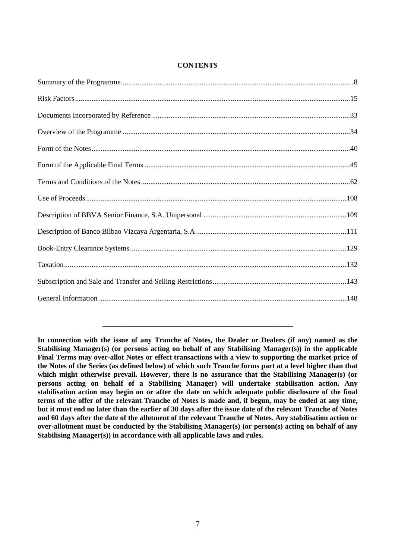# **CONTENTS**

**In connection with the issue of any Tranche of Notes, the Dealer or Dealers (if any) named as the Stabilising Manager(s) (or persons acting on behalf of any Stabilising Manager(s)) in the applicable Final Terms may over-allot Notes or effect transactions with a view to supporting the market price of the Notes of the Series (as defined below) of which such Tranche forms part at a level higher than that which might otherwise prevail. However, there is no assurance that the Stabilising Manager(s) (or persons acting on behalf of a Stabilising Manager) will undertake stabilisation action. Any stabilisation action may begin on or after the date on which adequate public disclosure of the final terms of the offer of the relevant Tranche of Notes is made and, if begun, may be ended at any time, but it must end no later than the earlier of 30 days after the issue date of the relevant Tranche of Notes and 60 days after the date of the allotment of the relevant Tranche of Notes. Any stabilisation action or over-allotment must be conducted by the Stabilising Manager(s) (or person(s) acting on behalf of any Stabilising Manager(s)) in accordance with all applicable laws and rules.**

**\_\_\_\_\_\_\_\_\_\_\_\_\_\_\_\_\_\_\_\_\_\_\_\_\_\_\_\_\_\_\_\_\_\_\_\_\_\_\_\_\_\_\_\_\_\_\_\_\_\_\_\_**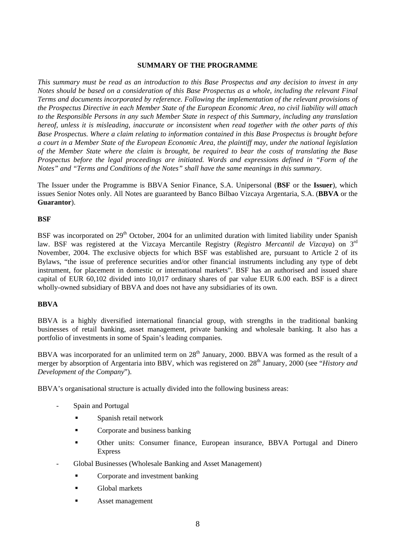#### **SUMMARY OF THE PROGRAMME**

*This summary must be read as an introduction to this Base Prospectus and any decision to invest in any Notes should be based on a consideration of this Base Prospectus as a whole, including the relevant Final Terms and documents incorporated by reference. Following the implementation of the relevant provisions of the Prospectus Directive in each Member State of the European Economic Area, no civil liability will attach to the Responsible Persons in any such Member State in respect of this Summary, including any translation hereof, unless it is misleading, inaccurate or inconsistent when read together with the other parts of this Base Prospectus. Where a claim relating to information contained in this Base Prospectus is brought before a court in a Member State of the European Economic Area, the plaintiff may, under the national legislation of the Member State where the claim is brought, be required to bear the costs of translating the Base Prospectus before the legal proceedings are initiated. Words and expressions defined in "Form of the Notes" and "Terms and Conditions of the Notes" shall have the same meanings in this summary.*

The Issuer under the Programme is BBVA Senior Finance, S.A. Unipersonal (**BSF** or the **Issuer**), which issues Senior Notes only. All Notes are guaranteed by Banco Bilbao Vizcaya Argentaria, S.A. (**BBVA** or the **Guarantor**).

#### **BSF**

BSF was incorporated on  $29<sup>th</sup>$  October, 2004 for an unlimited duration with limited liability under Spanish law. BSF was registered at the Vizcaya Mercantile Registry (*Registro Mercantil de Vizcaya*) on 3rd November, 2004. The exclusive objects for which BSF was established are, pursuant to Article 2 of its Bylaws, "the issue of preference securities and/or other financial instruments including any type of debt instrument, for placement in domestic or international markets". BSF has an authorised and issued share capital of EUR 60,102 divided into 10,017 ordinary shares of par value EUR 6.00 each. BSF is a direct wholly-owned subsidiary of BBVA and does not have any subsidiaries of its own.

#### **BBVA**

BBVA is a highly diversified international financial group, with strengths in the traditional banking businesses of retail banking, asset management, private banking and wholesale banking. It also has a portfolio of investments in some of Spain's leading companies.

BBVA was incorporated for an unlimited term on 28<sup>th</sup> January, 2000. BBVA was formed as the result of a merger by absorption of Argentaria into BBV, which was registered on 28<sup>th</sup> January, 2000 (see "*History and Development of the Company*").

BBVA's organisational structure is actually divided into the following business areas:

- Spain and Portugal
	- Spanish retail network
	- **Corporate and business banking**
	- Other units: Consumer finance, European insurance, BBVA Portugal and Dinero Express
- Global Businesses (Wholesale Banking and Asset Management)
	- **Corporate and investment banking**
	- **Global markets**
	- **Asset management**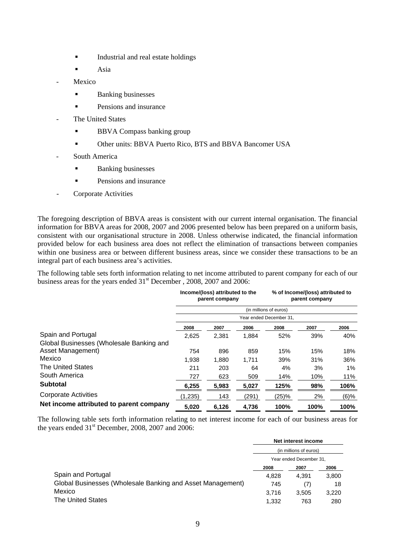- Industrial and real estate holdings
- $\blacksquare$  Asia
- Mexico
	- **Banking businesses**
	- Pensions and insurance
- The United States
	- **BBVA Compass banking group**
	- Other units: BBVA Puerto Rico, BTS and BBVA Bancomer USA
- South America
	- **Banking businesses**
	- **Pensions and insurance**
- Corporate Activities

The foregoing description of BBVA areas is consistent with our current internal organisation. The financial information for BBVA areas for 2008, 2007 and 2006 presented below has been prepared on a uniform basis, consistent with our organisational structure in 2008. Unless otherwise indicated, the financial information provided below for each business area does not reflect the elimination of transactions between companies within one business area or between different business areas, since we consider these transactions to be an integral part of each business area's activities.

The following table sets forth information relating to net income attributed to parent company for each of our business areas for the years ended 31<sup>st</sup> December, 2008, 2007 and 2006:

|                                          | Income/(loss) attributed to the<br>parent company |       | % of Income/(loss) attributed to<br>parent company |       |      |         |
|------------------------------------------|---------------------------------------------------|-------|----------------------------------------------------|-------|------|---------|
|                                          | (in millions of euros)                            |       |                                                    |       |      |         |
|                                          | Year ended December 31.                           |       |                                                    |       |      |         |
|                                          | 2008                                              | 2007  | 2006                                               | 2008  | 2007 | 2006    |
| Spain and Portugal                       | 2,625                                             | 2,381 | 1,884                                              | 52%   | 39%  | 40%     |
| Global Businesses (Wholesale Banking and |                                                   |       |                                                    |       |      |         |
| Asset Management)                        | 754                                               | 896   | 859                                                | 15%   | 15%  | 18%     |
| Mexico                                   | 1,938                                             | 1,880 | 1,711                                              | 39%   | 31%  | 36%     |
| The United States                        | 211                                               | 203   | 64                                                 | 4%    | 3%   | $1\%$   |
| South America                            | 727                                               | 623   | 509                                                | 14%   | 10%  | 11%     |
| <b>Subtotal</b>                          | 6,255                                             | 5,983 | 5,027                                              | 125%  | 98%  | 106%    |
| <b>Corporate Activities</b>              | (1,235)                                           | 143   | (291)                                              | (25)% | 2%   | $(6)\%$ |
| Net income attributed to parent company  | 5,020                                             | 6,126 | 4.736                                              | 100%  | 100% | 100%    |

The following table sets forth information relating to net interest income for each of our business areas for the years ended  $31<sup>st</sup>$  December, 2008, 2007 and 2006:

|                                                            | Net interest income<br>(in millions of euros)<br>Year ended December 31. |       |       |
|------------------------------------------------------------|--------------------------------------------------------------------------|-------|-------|
|                                                            |                                                                          |       |       |
|                                                            |                                                                          |       |       |
|                                                            | 2008                                                                     | 2007  | 2006  |
| Spain and Portugal                                         | 4.828                                                                    | 4.391 | 3,800 |
| Global Businesses (Wholesale Banking and Asset Management) | 745                                                                      | (7)   | 18    |
| Mexico                                                     | 3.716                                                                    | 3.505 | 3.220 |
| <b>The United States</b>                                   | 1.332                                                                    | 763   | 280   |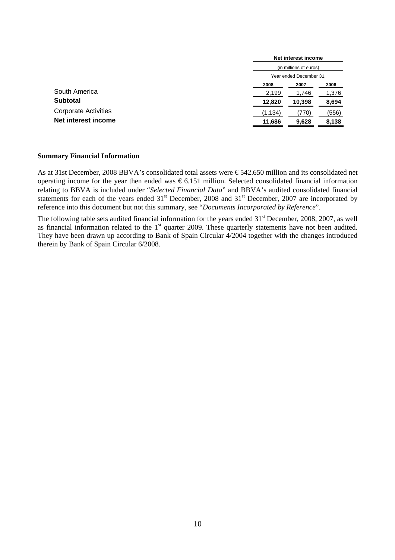|                                                    |          | Net interest income<br>(in millions of euros)<br>Year ended December 31, |       |  |
|----------------------------------------------------|----------|--------------------------------------------------------------------------|-------|--|
|                                                    |          |                                                                          |       |  |
|                                                    |          |                                                                          |       |  |
|                                                    | 2008     | 2007                                                                     | 2006  |  |
| South America                                      | 2,199    | 1,746                                                                    | 1,376 |  |
| <b>Subtotal</b>                                    | 12,820   | 10,398                                                                   | 8,694 |  |
| <b>Corporate Activities</b><br>Net interest income | (1, 134) | (770)                                                                    | (556) |  |
|                                                    | 11,686   | 9,628                                                                    | 8,138 |  |

#### **Summary Financial Information**

As at 31st December, 2008 BBVA's consolidated total assets were  $\epsilon$  542.650 million and its consolidated net operating income for the year then ended was  $\epsilon$  6.151 million. Selected consolidated financial information relating to BBVA is included under "*Selected Financial Data*" and BBVA's audited consolidated financial statements for each of the years ended 31<sup>st</sup> December, 2008 and 31<sup>st</sup> December, 2007 are incorporated by reference into this document but not this summary, see "*Documents Incorporated by Reference*".

The following table sets audited financial information for the years ended 31<sup>st</sup> December, 2008, 2007, as well as financial information related to the 1<sup>st</sup> quarter 2009. These quarterly statements have not been audited. They have been drawn up according to Bank of Spain Circular 4/2004 together with the changes introduced therein by Bank of Spain Circular 6/2008.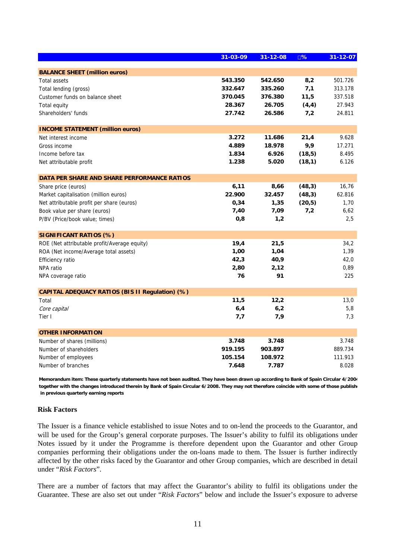|                                                          | 31-03-09 | $31 - 12 - 08$ | 0%      | $31 - 12 - 07$ |
|----------------------------------------------------------|----------|----------------|---------|----------------|
|                                                          |          |                |         |                |
| <b>BALANCE SHEET (million euros)</b>                     |          |                |         |                |
| <b>Total assets</b>                                      | 543.350  | 542.650        | 8,2     | 501.726        |
| Total lending (gross)                                    | 332.647  | 335.260        | 7,1     | 313.178        |
| Customer funds on balance sheet                          | 370.045  | 376.380        | 11,5    | 337.518        |
| Total equity                                             | 28.367   | 26.705         | (4,4)   | 27.943         |
| Shareholders' funds                                      | 27.742   | 26.586         | 7,2     | 24.811         |
| <b>INCOME STATEMENT (million euros)</b>                  |          |                |         |                |
| Net interest income                                      | 3.272    | 11.686         | 21,4    | 9.628          |
| Gross income                                             | 4.889    | 18.978         | 9,9     | 17.271         |
| Income before tax                                        | 1.834    | 6.926          | (18, 5) | 8.495          |
| Net attributable profit                                  | 1.238    | 5.020          | (18,1)  | 6.126          |
|                                                          |          |                |         |                |
| DATA PER SHARE AND SHARE PERFORMANCE RATIOS              |          |                |         |                |
| Share price (euros)                                      | 6,11     | 8,66           | (48, 3) | 16,76          |
| Market capitalisation (million euros)                    | 22.900   | 32.457         | (48, 3) | 62.816         |
| Net attributable profit per share (euros)                | 0,34     | 1,35           | (20, 5) | 1,70           |
| Book value per share (euros)                             | 7,40     | 7,09           | 7,2     | 6,62           |
| P/BV (Price/book value; times)                           | 0,8      | 1,2            |         | 2,5            |
| SIGNIFICANT RATIOS (%)                                   |          |                |         |                |
| ROE (Net attributable profit/Average equity)             | 19,4     | 21,5           |         | 34,2           |
| ROA (Net income/Average total assets)                    | 1,00     | 1,04           |         | 1,39           |
| Efficiency ratio                                         | 42,3     | 40,9           |         | 42,0           |
| NPA ratio                                                | 2,80     | 2,12           |         | 0,89           |
| NPA coverage ratio                                       | 76       | 91             |         | 225            |
|                                                          |          |                |         |                |
| CAPITAL ADEQUACY RATIOS (BIS II Regulation) (%)<br>Total | 11,5     | 12,2           |         | 13,0           |
|                                                          |          |                |         |                |
| Core capital                                             | 6,4      | 6,2            |         | 5,8            |
| Tier I                                                   | 7,7      | 7,9            |         | 7,3            |
| <b>OTHER INFORMATION</b>                                 |          |                |         |                |
| Number of shares (millions)                              | 3.748    | 3.748          |         | 3.748          |
| Number of shareholders                                   | 919.195  | 903.897        |         | 889.734        |
| Number of employees                                      | 105.154  | 108.972        |         | 111.913        |
| Number of branches                                       | 7.648    | 7.787          |         | 8.028          |

**Memorandum item: These quarterly statements have not been audited. They have been drawn up according to Bank of Spain Circular 4/2004 together with the changes introduced therein by Bank of Spain Circular 6/2008. They may not therefore coincide with some of those publishe in previous quarterly earning reports**

#### **Risk Factors**

The Issuer is a finance vehicle established to issue Notes and to on-lend the proceeds to the Guarantor, and will be used for the Group's general corporate purposes. The Issuer's ability to fulfil its obligations under Notes issued by it under the Programme is therefore dependent upon the Guarantor and other Group companies performing their obligations under the on-loans made to them. The Issuer is further indirectly affected by the other risks faced by the Guarantor and other Group companies, which are described in detail under "*Risk Factors*".

There are a number of factors that may affect the Guarantor's ability to fulfil its obligations under the Guarantee. These are also set out under "*Risk Factors*" below and include the Issuer's exposure to adverse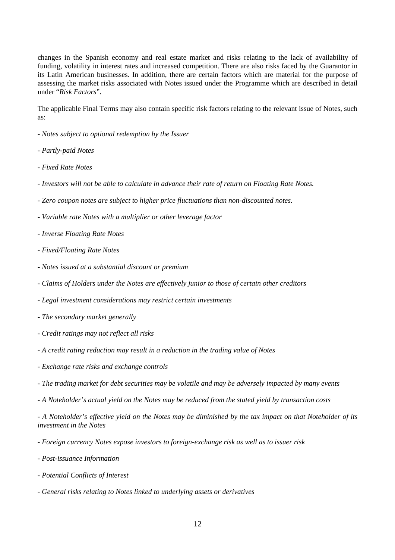changes in the Spanish economy and real estate market and risks relating to the lack of availability of funding, volatility in interest rates and increased competition. There are also risks faced by the Guarantor in its Latin American businesses. In addition, there are certain factors which are material for the purpose of assessing the market risks associated with Notes issued under the Programme which are described in detail under "*Risk Factors*".

The applicable Final Terms may also contain specific risk factors relating to the relevant issue of Notes, such as:

- *Notes subject to optional redemption by the Issuer*
- *Partly-paid Notes*
- *Fixed Rate Notes*
- *Investors will not be able to calculate in advance their rate of return on Floating Rate Notes.*
- *Zero coupon notes are subject to higher price fluctuations than non-discounted notes.*
- *Variable rate Notes with a multiplier or other leverage factor*
- *Inverse Floating Rate Notes*
- *Fixed/Floating Rate Notes*
- *Notes issued at a substantial discount or premium*
- *Claims of Holders under the Notes are effectively junior to those of certain other creditors*
- *Legal investment considerations may restrict certain investments*
- *The secondary market generally*
- *Credit ratings may not reflect all risks*
- *A credit rating reduction may result in a reduction in the trading value of Notes*
- *Exchange rate risks and exchange controls*
- *The trading market for debt securities may be volatile and may be adversely impacted by many events*
- *A Noteholder's actual yield on the Notes may be reduced from the stated yield by transaction costs*

*- A Noteholder's effective yield on the Notes may be diminished by the tax impact on that Noteholder of its investment in the Notes* 

- *Foreign currency Notes expose investors to foreign-exchange risk as well as to issuer risk*
- *Post-issuance Information*
- *Potential Conflicts of Interest*
- *General risks relating to Notes linked to underlying assets or derivatives*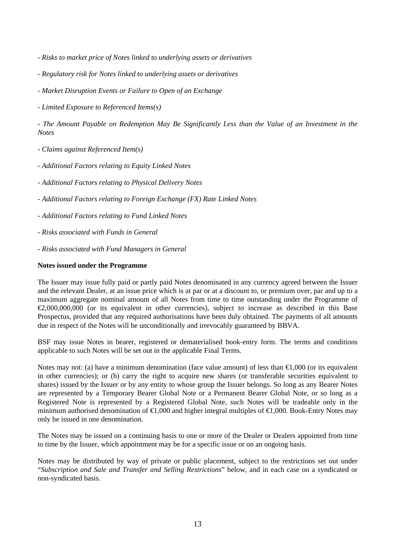- *Risks to market price of Notes linked to underlying assets or derivatives*
- *Regulatory risk for Notes linked to underlying assets or derivatives*
- *Market Disruption Events or Failure to Open of an Exchange*
- *Limited Exposure to Referenced Items(s)*

*- The Amount Payable on Redemption May Be Significantly Less than the Value of an Investment in the Notes* 

- *Claims against Referenced Item(s)*
- *Additional Factors relating to Equity Linked Notes*
- *Additional Factors relating to Physical Delivery Notes*
- *Additional Factors relating to Foreign Exchange (FX) Rate Linked Notes*
- *Additional Factors relating to Fund Linked Notes*
- *Risks associated with Funds in General*
- *Risks associated with Fund Managers in General*

#### **Notes issued under the Programme**

The Issuer may issue fully paid or partly paid Notes denominated in any currency agreed between the Issuer and the relevant Dealer, at an issue price which is at par or at a discount to, or premium over, par and up to a maximum aggregate nominal amount of all Notes from time to time outstanding under the Programme of €2,000,000,000 (or its equivalent in other currencies), subject to increase as described in this Base Prospectus, provided that any required authorisations have been duly obtained. The payments of all amounts due in respect of the Notes will be unconditionally and irrevocably guaranteed by BBVA.

BSF may issue Notes in bearer, registered or dematerialised book-entry form. The terms and conditions applicable to such Notes will be set out in the applicable Final Terms.

Notes may not: (a) have a minimum denomination (face value amount) of less than  $\bigoplus$ ,000 (or its equivalent in other currencies); or (b) carry the right to acquire new shares (or transferable securities equivalent to shares) issued by the Issuer or by any entity to whose group the Issuer belongs. So long as any Bearer Notes are represented by a Temporary Bearer Global Note or a Permanent Bearer Global Note, or so long as a Registered Note is represented by a Registered Global Note, such Notes will be tradeable only in the minimum authorised denomination of €1,000 and higher integral multiples of €1,000. Book-Entry Notes may only be issued in one denomination.

The Notes may be issued on a continuing basis to one or more of the Dealer or Dealers appointed from time to time by the Issuer, which appointment may be for a specific issue or on an ongoing basis.

Notes may be distributed by way of private or public placement, subject to the restrictions set out under "*Subscription and Sale and Transfer and Selling Restrictions*" below, and in each case on a syndicated or non-syndicated basis.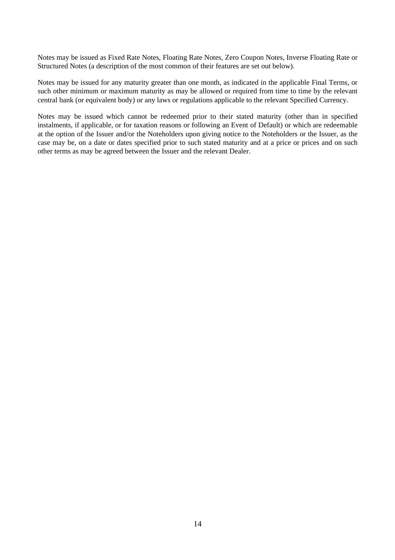Notes may be issued as Fixed Rate Notes, Floating Rate Notes, Zero Coupon Notes, Inverse Floating Rate or Structured Notes (a description of the most common of their features are set out below).

Notes may be issued for any maturity greater than one month, as indicated in the applicable Final Terms, or such other minimum or maximum maturity as may be allowed or required from time to time by the relevant central bank (or equivalent body) or any laws or regulations applicable to the relevant Specified Currency.

Notes may be issued which cannot be redeemed prior to their stated maturity (other than in specified instalments, if applicable, or for taxation reasons or following an Event of Default) or which are redeemable at the option of the Issuer and/or the Noteholders upon giving notice to the Noteholders or the Issuer, as the case may be, on a date or dates specified prior to such stated maturity and at a price or prices and on such other terms as may be agreed between the Issuer and the relevant Dealer.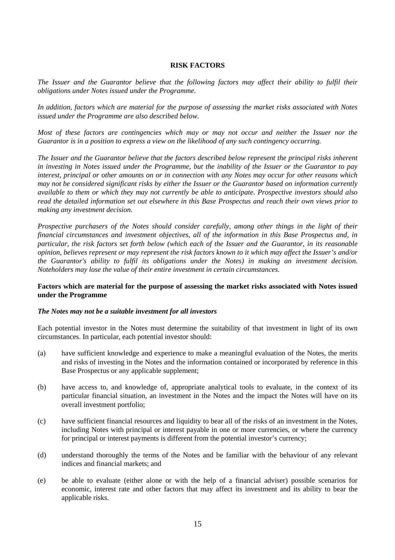#### **RISK FACTORS**

*The Issuer and the Guarantor believe that the following factors may affect their ability to fulfil their obligations under Notes issued under the Programme.* 

*In addition, factors which are material for the purpose of assessing the market risks associated with Notes issued under the Programme are also described below.* 

*Most of these factors are contingencies which may or may not occur and neither the Issuer nor the Guarantor is in a position to express a view on the likelihood of any such contingency occurring.*

*The Issuer and the Guarantor believe that the factors described below represent the principal risks inherent in investing in Notes issued under the Programme, but the inability of the Issuer or the Guarantor to pay interest, principal or other amounts on or in connection with any Notes may occur for other reasons which may not be considered significant risks by either the Issuer or the Guarantor based on information currently available to them or which they may not currently be able to anticipate. Prospective investors should also read the detailed information set out elsewhere in this Base Prospectus and reach their own views prior to making any investment decision.* 

*Prospective purchasers of the Notes should consider carefully, among other things in the light of their financial circumstances and investment objectives, all of the information in this Base Prospectus and, in particular, the risk factors set forth below (which each of the Issuer and the Guarantor, in its reasonable opinion, believes represent or may represent the risk factors known to it which may affect the Issuer's and/or the Guarantor's ability to fulfil its obligations under the Notes) in making an investment decision. Noteholders may lose the value of their entire investment in certain circumstances.* 

# **Factors which are material for the purpose of assessing the market risks associated with Notes issued under the Programme**

#### *The Notes may not be a suitable investment for all investors*

Each potential investor in the Notes must determine the suitability of that investment in light of its own circumstances. In particular, each potential investor should:

- (a) have sufficient knowledge and experience to make a meaningful evaluation of the Notes, the merits and risks of investing in the Notes and the information contained or incorporated by reference in this Base Prospectus or any applicable supplement;
- (b) have access to, and knowledge of, appropriate analytical tools to evaluate, in the context of its particular financial situation, an investment in the Notes and the impact the Notes will have on its overall investment portfolio;
- (c) have sufficient financial resources and liquidity to bear all of the risks of an investment in the Notes, including Notes with principal or interest payable in one or more currencies, or where the currency for principal or interest payments is different from the potential investor's currency;
- (d) understand thoroughly the terms of the Notes and be familiar with the behaviour of any relevant indices and financial markets; and
- (e) be able to evaluate (either alone or with the help of a financial adviser) possible scenarios for economic, interest rate and other factors that may affect its investment and its ability to bear the applicable risks.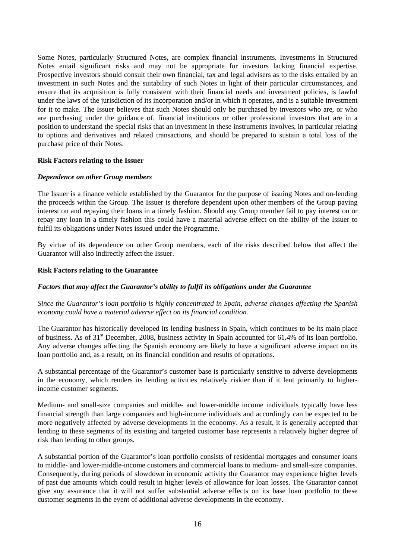Some Notes, particularly Structured Notes, are complex financial instruments. Investments in Structured Notes entail significant risks and may not be appropriate for investors lacking financial expertise. Prospective investors should consult their own financial, tax and legal advisers as to the risks entailed by an investment in such Notes and the suitability of such Notes in light of their particular circumstances, and ensure that its acquisition is fully consistent with their financial needs and investment policies, is lawful under the laws of the jurisdiction of its incorporation and/or in which it operates, and is a suitable investment for it to make. The Issuer believes that such Notes should only be purchased by investors who are, or who are purchasing under the guidance of, financial institutions or other professional investors that are in a position to understand the special risks that an investment in these instruments involves, in particular relating to options and derivatives and related transactions, and should be prepared to sustain a total loss of the purchase price of their Notes.

#### **Risk Factors relating to the Issuer**

#### *Dependence on other Group members*

The Issuer is a finance vehicle established by the Guarantor for the purpose of issuing Notes and on-lending the proceeds within the Group. The Issuer is therefore dependent upon other members of the Group paying interest on and repaying their loans in a timely fashion. Should any Group member fail to pay interest on or repay any loan in a timely fashion this could have a material adverse effect on the ability of the Issuer to fulfil its obligations under Notes issued under the Programme.

By virtue of its dependence on other Group members, each of the risks described below that affect the Guarantor will also indirectly affect the Issuer.

#### **Risk Factors relating to the Guarantee**

#### *Factors that may affect the Guarantor's ability to fulfil its obligations under the Guarantee*

*Since the Guarantor's loan portfolio is highly concentrated in Spain, adverse changes affecting the Spanish economy could have a material adverse effect on its financial condition.* 

The Guarantor has historically developed its lending business in Spain, which continues to be its main place of business. As of 31st December, 2008, business activity in Spain accounted for 61.4% of its loan portfolio. Any adverse changes affecting the Spanish economy are likely to have a significant adverse impact on its loan portfolio and, as a result, on its financial condition and results of operations.

A substantial percentage of the Guarantor's customer base is particularly sensitive to adverse developments in the economy, which renders its lending activities relatively riskier than if it lent primarily to higherincome customer segments.

Medium- and small-size companies and middle- and lower-middle income individuals typically have less financial strength than large companies and high-income individuals and accordingly can be expected to be more negatively affected by adverse developments in the economy. As a result, it is generally accepted that lending to these segments of its existing and targeted customer base represents a relatively higher degree of risk than lending to other groups.

A substantial portion of the Guarantor's loan portfolio consists of residential mortgages and consumer loans to middle- and lower-middle-income customers and commercial loans to medium- and small-size companies. Consequently, during periods of slowdown in economic activity the Guarantor may experience higher levels of past due amounts which could result in higher levels of allowance for loan losses. The Guarantor cannot give any assurance that it will not suffer substantial adverse effects on its base loan portfolio to these customer segments in the event of additional adverse developments in the economy.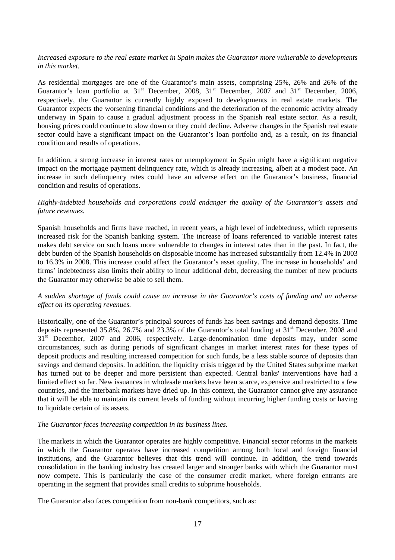#### *Increased exposure to the real estate market in Spain makes the Guarantor more vulnerable to developments in this market.*

As residential mortgages are one of the Guarantor's main assets, comprising 25%, 26% and 26% of the Guarantor's loan portfolio at  $31<sup>st</sup>$  December, 2008,  $31<sup>st</sup>$  December, 2007 and  $31<sup>st</sup>$  December, 2006, respectively, the Guarantor is currently highly exposed to developments in real estate markets. The Guarantor expects the worsening financial conditions and the deterioration of the economic activity already underway in Spain to cause a gradual adjustment process in the Spanish real estate sector. As a result, housing prices could continue to slow down or they could decline. Adverse changes in the Spanish real estate sector could have a significant impact on the Guarantor's loan portfolio and, as a result, on its financial condition and results of operations.

In addition, a strong increase in interest rates or unemployment in Spain might have a significant negative impact on the mortgage payment delinquency rate, which is already increasing, albeit at a modest pace. An increase in such delinquency rates could have an adverse effect on the Guarantor's business, financial condition and results of operations.

#### *Highly-indebted households and corporations could endanger the quality of the Guarantor's assets and future revenues.*

Spanish households and firms have reached, in recent years, a high level of indebtedness, which represents increased risk for the Spanish banking system. The increase of loans referenced to variable interest rates makes debt service on such loans more vulnerable to changes in interest rates than in the past. In fact, the debt burden of the Spanish households on disposable income has increased substantially from 12.4% in 2003 to 16.3% in 2008. This increase could affect the Guarantor's asset quality. The increase in households' and firms' indebtedness also limits their ability to incur additional debt, decreasing the number of new products the Guarantor may otherwise be able to sell them.

#### *A sudden shortage of funds could cause an increase in the Guarantor's costs of funding and an adverse effect on its operating revenues.*

Historically, one of the Guarantor's principal sources of funds has been savings and demand deposits. Time deposits represented 35.8%, 26.7% and 23.3% of the Guarantor's total funding at 31<sup>st</sup> December, 2008 and  $31<sup>st</sup>$  December, 2007 and 2006, respectively. Large-denomination time deposits may, under some circumstances, such as during periods of significant changes in market interest rates for these types of deposit products and resulting increased competition for such funds, be a less stable source of deposits than savings and demand deposits. In addition, the liquidity crisis triggered by the United States subprime market has turned out to be deeper and more persistent than expected. Central banks' interventions have had a limited effect so far. New issuances in wholesale markets have been scarce, expensive and restricted to a few countries, and the interbank markets have dried up. In this context, the Guarantor cannot give any assurance that it will be able to maintain its current levels of funding without incurring higher funding costs or having to liquidate certain of its assets.

#### *The Guarantor faces increasing competition in its business lines.*

The markets in which the Guarantor operates are highly competitive. Financial sector reforms in the markets in which the Guarantor operates have increased competition among both local and foreign financial institutions, and the Guarantor believes that this trend will continue. In addition, the trend towards consolidation in the banking industry has created larger and stronger banks with which the Guarantor must now compete. This is particularly the case of the consumer credit market, where foreign entrants are operating in the segment that provides small credits to subprime households.

The Guarantor also faces competition from non-bank competitors, such as: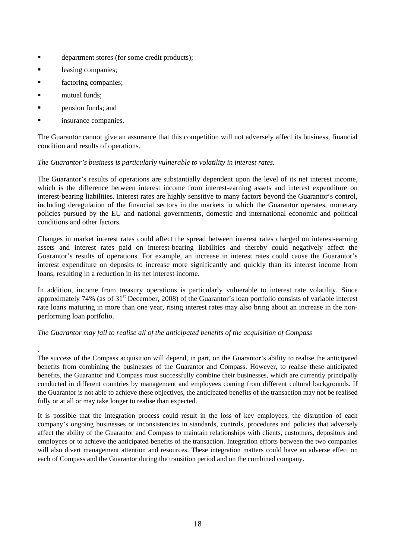- **department stores (for some credit products);**
- **Leasing companies;**
- **factoring companies;**
- **u** mutual funds:

*.* 

- **Pension funds; and**
- insurance companies.

The Guarantor cannot give an assurance that this competition will not adversely affect its business, financial condition and results of operations.

#### *The Guarantor's business is particularly vulnerable to volatility in interest rates.*

The Guarantor's results of operations are substantially dependent upon the level of its net interest income, which is the difference between interest income from interest-earning assets and interest expenditure on interest-bearing liabilities. Interest rates are highly sensitive to many factors beyond the Guarantor's control, including deregulation of the financial sectors in the markets in which the Guarantor operates, monetary policies pursued by the EU and national governments, domestic and international economic and political conditions and other factors.

Changes in market interest rates could affect the spread between interest rates charged on interest-earning assets and interest rates paid on interest-bearing liabilities and thereby could negatively affect the Guarantor's results of operations. For example, an increase in interest rates could cause the Guarantor's interest expenditure on deposits to increase more significantly and quickly than its interest income from loans, resulting in a reduction in its net interest income.

In addition, income from treasury operations is particularly vulnerable to interest rate volatility. Since approximately 74% (as of 31st December, 2008) of the Guarantor's loan portfolio consists of variable interest rate loans maturing in more than one year, rising interest rates may also bring about an increase in the nonperforming loan portfolio.

# *The Guarantor may fail to realise all of the anticipated benefits of the acquisition of Compass*

The success of the Compass acquisition will depend, in part, on the Guarantor's ability to realise the anticipated benefits from combining the businesses of the Guarantor and Compass. However, to realise these anticipated benefits, the Guarantor and Compass must successfully combine their businesses, which are currently principally conducted in different countries by management and employees coming from different cultural backgrounds. If the Guarantor is not able to achieve these objectives, the anticipated benefits of the transaction may not be realised fully or at all or may take longer to realise than expected.

It is possible that the integration process could result in the loss of key employees, the disruption of each company's ongoing businesses or inconsistencies in standards, controls, procedures and policies that adversely affect the ability of the Guarantor and Compass to maintain relationships with clients, customers, depositors and employees or to achieve the anticipated benefits of the transaction. Integration efforts between the two companies will also divert management attention and resources. These integration matters could have an adverse effect on each of Compass and the Guarantor during the transition period and on the combined company.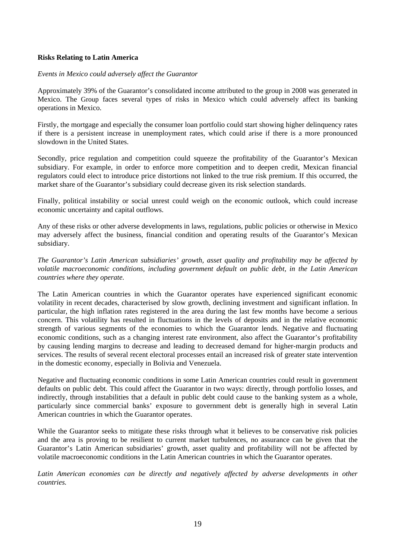# **Risks Relating to Latin America**

#### *Events in Mexico could adversely affect the Guarantor*

Approximately 39% of the Guarantor's consolidated income attributed to the group in 2008 was generated in Mexico. The Group faces several types of risks in Mexico which could adversely affect its banking operations in Mexico.

Firstly, the mortgage and especially the consumer loan portfolio could start showing higher delinquency rates if there is a persistent increase in unemployment rates, which could arise if there is a more pronounced slowdown in the United States.

Secondly, price regulation and competition could squeeze the profitability of the Guarantor's Mexican subsidiary. For example, in order to enforce more competition and to deepen credit, Mexican financial regulators could elect to introduce price distortions not linked to the true risk premium. If this occurred, the market share of the Guarantor's subsidiary could decrease given its risk selection standards.

Finally, political instability or social unrest could weigh on the economic outlook, which could increase economic uncertainty and capital outflows.

Any of these risks or other adverse developments in laws, regulations, public policies or otherwise in Mexico may adversely affect the business, financial condition and operating results of the Guarantor's Mexican subsidiary.

*The Guarantor's Latin American subsidiaries' growth, asset quality and profitability may be affected by volatile macroeconomic conditions, including government default on public debt, in the Latin American countries where they operate.* 

The Latin American countries in which the Guarantor operates have experienced significant economic volatility in recent decades, characterised by slow growth, declining investment and significant inflation. In particular, the high inflation rates registered in the area during the last few months have become a serious concern. This volatility has resulted in fluctuations in the levels of deposits and in the relative economic strength of various segments of the economies to which the Guarantor lends. Negative and fluctuating economic conditions, such as a changing interest rate environment, also affect the Guarantor's profitability by causing lending margins to decrease and leading to decreased demand for higher-margin products and services. The results of several recent electoral processes entail an increased risk of greater state intervention in the domestic economy, especially in Bolivia and Venezuela.

Negative and fluctuating economic conditions in some Latin American countries could result in government defaults on public debt. This could affect the Guarantor in two ways: directly, through portfolio losses, and indirectly, through instabilities that a default in public debt could cause to the banking system as a whole, particularly since commercial banks' exposure to government debt is generally high in several Latin American countries in which the Guarantor operates.

While the Guarantor seeks to mitigate these risks through what it believes to be conservative risk policies and the area is proving to be resilient to current market turbulences, no assurance can be given that the Guarantor's Latin American subsidiaries' growth, asset quality and profitability will not be affected by volatile macroeconomic conditions in the Latin American countries in which the Guarantor operates.

*Latin American economies can be directly and negatively affected by adverse developments in other countries.*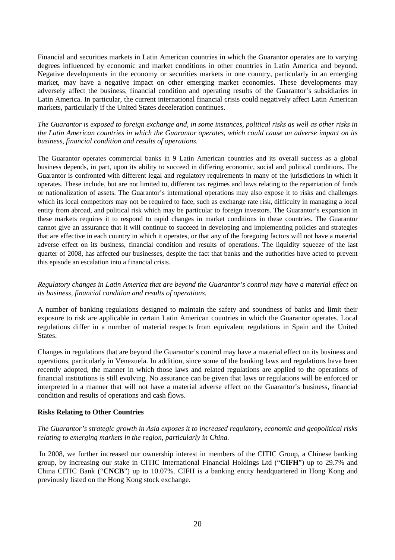Financial and securities markets in Latin American countries in which the Guarantor operates are to varying degrees influenced by economic and market conditions in other countries in Latin America and beyond. Negative developments in the economy or securities markets in one country, particularly in an emerging market, may have a negative impact on other emerging market economies. These developments may adversely affect the business, financial condition and operating results of the Guarantor's subsidiaries in Latin America. In particular, the current international financial crisis could negatively affect Latin American markets, particularly if the United States deceleration continues.

*The Guarantor is exposed to foreign exchange and, in some instances, political risks as well as other risks in the Latin American countries in which the Guarantor operates, which could cause an adverse impact on its business, financial condition and results of operations.* 

The Guarantor operates commercial banks in 9 Latin American countries and its overall success as a global business depends, in part, upon its ability to succeed in differing economic, social and political conditions. The Guarantor is confronted with different legal and regulatory requirements in many of the jurisdictions in which it operates. These include, but are not limited to, different tax regimes and laws relating to the repatriation of funds or nationalization of assets. The Guarantor's international operations may also expose it to risks and challenges which its local competitors may not be required to face, such as exchange rate risk, difficulty in managing a local entity from abroad, and political risk which may be particular to foreign investors. The Guarantor's expansion in these markets requires it to respond to rapid changes in market conditions in these countries. The Guarantor cannot give an assurance that it will continue to succeed in developing and implementing policies and strategies that are effective in each country in which it operates, or that any of the foregoing factors will not have a material adverse effect on its business, financial condition and results of operations. The liquidity squeeze of the last quarter of 2008, has affected our businesses, despite the fact that banks and the authorities have acted to prevent this episode an escalation into a financial crisis.

*Regulatory changes in Latin America that are beyond the Guarantor's control may have a material effect on its business, financial condition and results of operations.* 

A number of banking regulations designed to maintain the safety and soundness of banks and limit their exposure to risk are applicable in certain Latin American countries in which the Guarantor operates. Local regulations differ in a number of material respects from equivalent regulations in Spain and the United States.

Changes in regulations that are beyond the Guarantor's control may have a material effect on its business and operations, particularly in Venezuela. In addition, since some of the banking laws and regulations have been recently adopted, the manner in which those laws and related regulations are applied to the operations of financial institutions is still evolving. No assurance can be given that laws or regulations will be enforced or interpreted in a manner that will not have a material adverse effect on the Guarantor's business, financial condition and results of operations and cash flows.

#### **Risks Relating to Other Countries**

# *The Guarantor's strategic growth in Asia exposes it to increased regulatory, economic and geopolitical risks relating to emerging markets in the region, particularly in China.*

In 2008, we further increased our ownership interest in members of the CITIC Group, a Chinese banking group, by increasing our stake in CITIC International Financial Holdings Ltd ("**CIFH**") up to 29.7% and China CITIC Bank ("**CNCB**") up to 10.07%. CIFH is a banking entity headquartered in Hong Kong and previously listed on the Hong Kong stock exchange.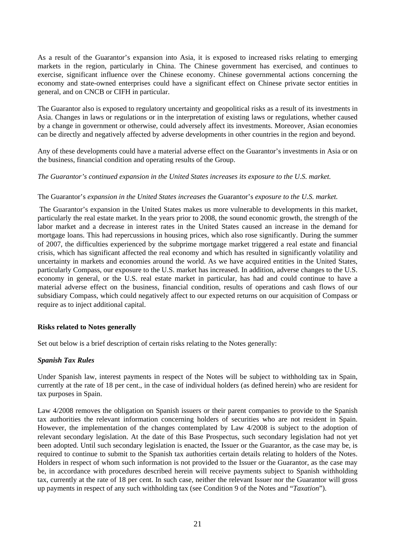As a result of the Guarantor's expansion into Asia, it is exposed to increased risks relating to emerging markets in the region, particularly in China. The Chinese government has exercised, and continues to exercise, significant influence over the Chinese economy. Chinese governmental actions concerning the economy and state-owned enterprises could have a significant effect on Chinese private sector entities in general, and on CNCB or CIFH in particular.

The Guarantor also is exposed to regulatory uncertainty and geopolitical risks as a result of its investments in Asia. Changes in laws or regulations or in the interpretation of existing laws or regulations, whether caused by a change in government or otherwise, could adversely affect its investments. Moreover, Asian economies can be directly and negatively affected by adverse developments in other countries in the region and beyond.

Any of these developments could have a material adverse effect on the Guarantor's investments in Asia or on the business, financial condition and operating results of the Group.

# *The Guarantor's continued expansion in the United States increases its exposure to the U.S. market.*

#### The Guarantor's *expansion in the United States increases t*he Guarantor's *exposure to the U.S. market.*

 The Guarantor's expansion in the United States makes us more vulnerable to developments in this market, particularly the real estate market. In the years prior to 2008, the sound economic growth, the strength of the labor market and a decrease in interest rates in the United States caused an increase in the demand for mortgage loans. This had repercussions in housing prices, which also rose significantly. During the summer of 2007, the difficulties experienced by the subprime mortgage market triggered a real estate and financial crisis, which has significant affected the real economy and which has resulted in significantly volatility and uncertainty in markets and economies around the world. As we have acquired entities in the United States, particularly Compass, our exposure to the U.S. market has increased. In addition, adverse changes to the U.S. economy in general, or the U.S. real estate market in particular, has had and could continue to have a material adverse effect on the business, financial condition, results of operations and cash flows of our subsidiary Compass, which could negatively affect to our expected returns on our acquisition of Compass or require as to inject additional capital.

#### **Risks related to Notes generally**

Set out below is a brief description of certain risks relating to the Notes generally:

#### *Spanish Tax Rules*

Under Spanish law, interest payments in respect of the Notes will be subject to withholding tax in Spain, currently at the rate of 18 per cent., in the case of individual holders (as defined herein) who are resident for tax purposes in Spain.

Law 4/2008 removes the obligation on Spanish issuers or their parent companies to provide to the Spanish tax authorities the relevant information concerning holders of securities who are not resident in Spain. However, the implementation of the changes contemplated by Law 4/2008 is subject to the adoption of relevant secondary legislation. At the date of this Base Prospectus, such secondary legislation had not yet been adopted. Until such secondary legislation is enacted, the Issuer or the Guarantor, as the case may be, is required to continue to submit to the Spanish tax authorities certain details relating to holders of the Notes. Holders in respect of whom such information is not provided to the Issuer or the Guarantor, as the case may be, in accordance with procedures described herein will receive payments subject to Spanish withholding tax, currently at the rate of 18 per cent. In such case, neither the relevant Issuer nor the Guarantor will gross up payments in respect of any such withholding tax (see Condition 9 of the Notes and "*Taxation*").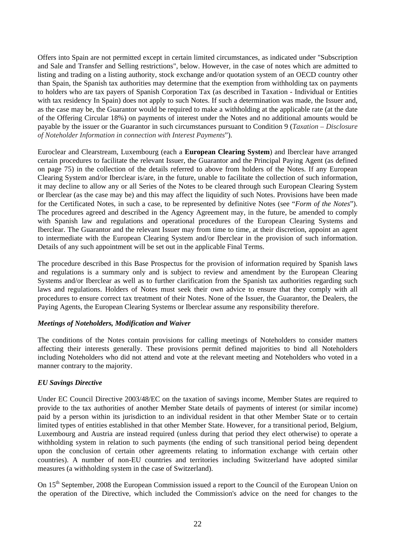Offers into Spain are not permitted except in certain limited circumstances, as indicated under "Subscription and Sale and Transfer and Selling restrictions", below. However, in the case of notes which are admitted to listing and trading on a listing authority, stock exchange and/or quotation system of an OECD country other than Spain, the Spanish tax authorities may determine that the exemption from withholding tax on payments to holders who are tax payers of Spanish Corporation Tax (as described in Taxation - Individual or Entities with tax residency In Spain) does not apply to such Notes. If such a determination was made, the Issuer and, as the case may be, the Guarantor would be required to make a withholding at the applicable rate (at the date of the Offering Circular 18%) on payments of interest under the Notes and no additional amounts would be payable by the issuer or the Guarantor in such circumstances pursuant to Condition 9 (*Taxation – Disclosure of Noteholder Information in connection with Interest Payments*").

Euroclear and Clearstream, Luxembourg (each a **European Clearing System**) and Iberclear have arranged certain procedures to facilitate the relevant Issuer, the Guarantor and the Principal Paying Agent (as defined on page 75) in the collection of the details referred to above from holders of the Notes. If any European Clearing System and/or Iberclear is/are, in the future, unable to facilitate the collection of such information, it may decline to allow any or all Series of the Notes to be cleared through such European Clearing System or Iberclear (as the case may be) and this may affect the liquidity of such Notes. Provisions have been made for the Certificated Notes, in such a case, to be represented by definitive Notes (see "*Form of the Notes*"). The procedures agreed and described in the Agency Agreement may, in the future, be amended to comply with Spanish law and regulations and operational procedures of the European Clearing Systems and Iberclear. The Guarantor and the relevant Issuer may from time to time, at their discretion, appoint an agent to intermediate with the European Clearing System and/or Iberclear in the provision of such information. Details of any such appointment will be set out in the applicable Final Terms.

The procedure described in this Base Prospectus for the provision of information required by Spanish laws and regulations is a summary only and is subject to review and amendment by the European Clearing Systems and/or Iberclear as well as to further clarification from the Spanish tax authorities regarding such laws and regulations. Holders of Notes must seek their own advice to ensure that they comply with all procedures to ensure correct tax treatment of their Notes. None of the Issuer, the Guarantor, the Dealers, the Paying Agents, the European Clearing Systems or Iberclear assume any responsibility therefore.

#### *Meetings of Noteholders, Modification and Waiver*

The conditions of the Notes contain provisions for calling meetings of Noteholders to consider matters affecting their interests generally. These provisions permit defined majorities to bind all Noteholders including Noteholders who did not attend and vote at the relevant meeting and Noteholders who voted in a manner contrary to the majority.

#### *EU Savings Directive*

Under EC Council Directive 2003/48/EC on the taxation of savings income, Member States are required to provide to the tax authorities of another Member State details of payments of interest (or similar income) paid by a person within its jurisdiction to an individual resident in that other Member State or to certain limited types of entities established in that other Member State. However, for a transitional period, Belgium, Luxembourg and Austria are instead required (unless during that period they elect otherwise) to operate a withholding system in relation to such payments (the ending of such transitional period being dependent upon the conclusion of certain other agreements relating to information exchange with certain other countries). A number of non-EU countries and territories including Switzerland have adopted similar measures (a withholding system in the case of Switzerland).

On 15<sup>th</sup> September, 2008 the European Commission issued a report to the Council of the European Union on the operation of the Directive, which included the Commission's advice on the need for changes to the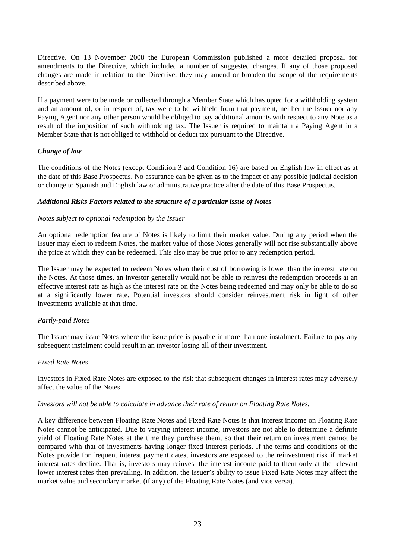Directive. On 13 November 2008 the European Commission published a more detailed proposal for amendments to the Directive, which included a number of suggested changes. If any of those proposed changes are made in relation to the Directive, they may amend or broaden the scope of the requirements described above.

If a payment were to be made or collected through a Member State which has opted for a withholding system and an amount of, or in respect of, tax were to be withheld from that payment, neither the Issuer nor any Paying Agent nor any other person would be obliged to pay additional amounts with respect to any Note as a result of the imposition of such withholding tax. The Issuer is required to maintain a Paying Agent in a Member State that is not obliged to withhold or deduct tax pursuant to the Directive.

# *Change of law*

The conditions of the Notes (except Condition 3 and Condition 16) are based on English law in effect as at the date of this Base Prospectus. No assurance can be given as to the impact of any possible judicial decision or change to Spanish and English law or administrative practice after the date of this Base Prospectus.

# *Additional Risks Factors related to the structure of a particular issue of Notes*

# *Notes subject to optional redemption by the Issuer*

An optional redemption feature of Notes is likely to limit their market value. During any period when the Issuer may elect to redeem Notes, the market value of those Notes generally will not rise substantially above the price at which they can be redeemed. This also may be true prior to any redemption period.

The Issuer may be expected to redeem Notes when their cost of borrowing is lower than the interest rate on the Notes. At those times, an investor generally would not be able to reinvest the redemption proceeds at an effective interest rate as high as the interest rate on the Notes being redeemed and may only be able to do so at a significantly lower rate. Potential investors should consider reinvestment risk in light of other investments available at that time.

#### *Partly-paid Notes*

The Issuer may issue Notes where the issue price is payable in more than one instalment. Failure to pay any subsequent instalment could result in an investor losing all of their investment.

#### *Fixed Rate Notes*

Investors in Fixed Rate Notes are exposed to the risk that subsequent changes in interest rates may adversely affect the value of the Notes.

#### *Investors will not be able to calculate in advance their rate of return on Floating Rate Notes.*

A key difference between Floating Rate Notes and Fixed Rate Notes is that interest income on Floating Rate Notes cannot be anticipated. Due to varying interest income, investors are not able to determine a definite yield of Floating Rate Notes at the time they purchase them, so that their return on investment cannot be compared with that of investments having longer fixed interest periods. If the terms and conditions of the Notes provide for frequent interest payment dates, investors are exposed to the reinvestment risk if market interest rates decline. That is, investors may reinvest the interest income paid to them only at the relevant lower interest rates then prevailing. In addition, the Issuer's ability to issue Fixed Rate Notes may affect the market value and secondary market (if any) of the Floating Rate Notes (and vice versa).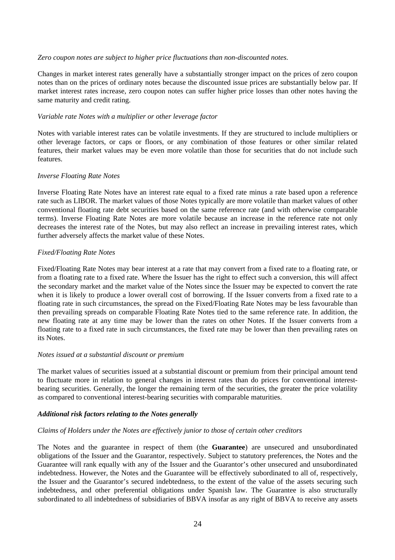#### *Zero coupon notes are subject to higher price fluctuations than non-discounted notes.*

Changes in market interest rates generally have a substantially stronger impact on the prices of zero coupon notes than on the prices of ordinary notes because the discounted issue prices are substantially below par. If market interest rates increase, zero coupon notes can suffer higher price losses than other notes having the same maturity and credit rating.

#### *Variable rate Notes with a multiplier or other leverage factor*

Notes with variable interest rates can be volatile investments. If they are structured to include multipliers or other leverage factors, or caps or floors, or any combination of those features or other similar related features, their market values may be even more volatile than those for securities that do not include such features.

#### *Inverse Floating Rate Notes*

Inverse Floating Rate Notes have an interest rate equal to a fixed rate minus a rate based upon a reference rate such as LIBOR. The market values of those Notes typically are more volatile than market values of other conventional floating rate debt securities based on the same reference rate (and with otherwise comparable terms). Inverse Floating Rate Notes are more volatile because an increase in the reference rate not only decreases the interest rate of the Notes, but may also reflect an increase in prevailing interest rates, which further adversely affects the market value of these Notes.

#### *Fixed/Floating Rate Notes*

Fixed/Floating Rate Notes may bear interest at a rate that may convert from a fixed rate to a floating rate, or from a floating rate to a fixed rate. Where the Issuer has the right to effect such a conversion, this will affect the secondary market and the market value of the Notes since the Issuer may be expected to convert the rate when it is likely to produce a lower overall cost of borrowing. If the Issuer converts from a fixed rate to a floating rate in such circumstances, the spread on the Fixed/Floating Rate Notes may be less favourable than then prevailing spreads on comparable Floating Rate Notes tied to the same reference rate. In addition, the new floating rate at any time may be lower than the rates on other Notes. If the Issuer converts from a floating rate to a fixed rate in such circumstances, the fixed rate may be lower than then prevailing rates on its Notes.

#### *Notes issued at a substantial discount or premium*

The market values of securities issued at a substantial discount or premium from their principal amount tend to fluctuate more in relation to general changes in interest rates than do prices for conventional interestbearing securities. Generally, the longer the remaining term of the securities, the greater the price volatility as compared to conventional interest-bearing securities with comparable maturities.

#### *Additional risk factors relating to the Notes generally*

#### *Claims of Holders under the Notes are effectively junior to those of certain other creditors*

The Notes and the guarantee in respect of them (the **Guarantee**) are unsecured and unsubordinated obligations of the Issuer and the Guarantor, respectively. Subject to statutory preferences, the Notes and the Guarantee will rank equally with any of the Issuer and the Guarantor's other unsecured and unsubordinated indebtedness. However, the Notes and the Guarantee will be effectively subordinated to all of, respectively, the Issuer and the Guarantor's secured indebtedness, to the extent of the value of the assets securing such indebtedness, and other preferential obligations under Spanish law. The Guarantee is also structurally subordinated to all indebtedness of subsidiaries of BBVA insofar as any right of BBVA to receive any assets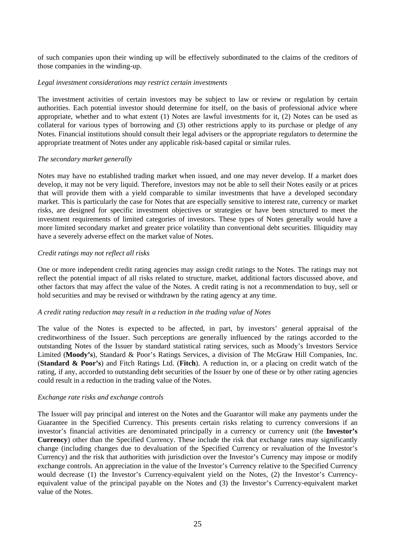of such companies upon their winding up will be effectively subordinated to the claims of the creditors of those companies in the winding-up.

#### *Legal investment considerations may restrict certain investments*

The investment activities of certain investors may be subject to law or review or regulation by certain authorities. Each potential investor should determine for itself, on the basis of professional advice where appropriate, whether and to what extent (1) Notes are lawful investments for it, (2) Notes can be used as collateral for various types of borrowing and (3) other restrictions apply to its purchase or pledge of any Notes. Financial institutions should consult their legal advisers or the appropriate regulators to determine the appropriate treatment of Notes under any applicable risk-based capital or similar rules.

#### *The secondary market generally*

Notes may have no established trading market when issued, and one may never develop. If a market does develop, it may not be very liquid. Therefore, investors may not be able to sell their Notes easily or at prices that will provide them with a yield comparable to similar investments that have a developed secondary market. This is particularly the case for Notes that are especially sensitive to interest rate, currency or market risks, are designed for specific investment objectives or strategies or have been structured to meet the investment requirements of limited categories of investors. These types of Notes generally would have a more limited secondary market and greater price volatility than conventional debt securities. Illiquidity may have a severely adverse effect on the market value of Notes.

#### *Credit ratings may not reflect all risks*

One or more independent credit rating agencies may assign credit ratings to the Notes. The ratings may not reflect the potential impact of all risks related to structure, market, additional factors discussed above, and other factors that may affect the value of the Notes. A credit rating is not a recommendation to buy, sell or hold securities and may be revised or withdrawn by the rating agency at any time.

#### *A credit rating reduction may result in a reduction in the trading value of Notes*

The value of the Notes is expected to be affected, in part, by investors' general appraisal of the creditworthiness of the Issuer. Such perceptions are generally influenced by the ratings accorded to the outstanding Notes of the Issuer by standard statistical rating services, such as Moody's Investors Service Limited (**Moody's**), Standard & Poor's Ratings Services, a division of The McGraw Hill Companies, Inc. (**Standard & Poor's**) and Fitch Ratings Ltd. (**Fitch**). A reduction in, or a placing on credit watch of the rating, if any, accorded to outstanding debt securities of the Issuer by one of these or by other rating agencies could result in a reduction in the trading value of the Notes.

#### *Exchange rate risks and exchange controls*

The Issuer will pay principal and interest on the Notes and the Guarantor will make any payments under the Guarantee in the Specified Currency. This presents certain risks relating to currency conversions if an investor's financial activities are denominated principally in a currency or currency unit (the **Investor's Currency**) other than the Specified Currency. These include the risk that exchange rates may significantly change (including changes due to devaluation of the Specified Currency or revaluation of the Investor's Currency) and the risk that authorities with jurisdiction over the Investor's Currency may impose or modify exchange controls. An appreciation in the value of the Investor's Currency relative to the Specified Currency would decrease (1) the Investor's Currency-equivalent yield on the Notes, (2) the Investor's Currencyequivalent value of the principal payable on the Notes and (3) the Investor's Currency-equivalent market value of the Notes.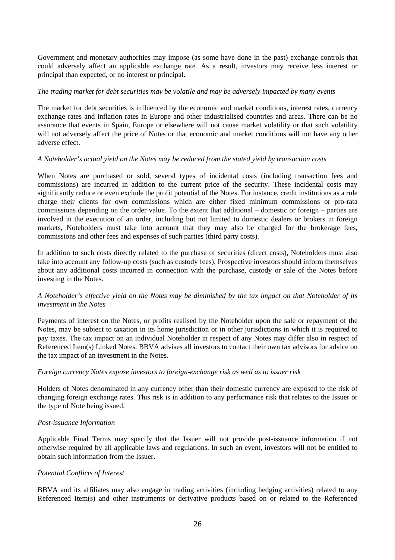Government and monetary authorities may impose (as some have done in the past) exchange controls that could adversely affect an applicable exchange rate. As a result, investors may receive less interest or principal than expected, or no interest or principal.

#### *The trading market for debt securities may be volatile and may be adversely impacted by many events*

The market for debt securities is influenced by the economic and market conditions, interest rates, currency exchange rates and inflation rates in Europe and other industrialised countries and areas. There can be no assurance that events in Spain, Europe or elsewhere will not cause market volatility or that such volatility will not adversely affect the price of Notes or that economic and market conditions will not have any other adverse effect.

# *A Noteholder's actual yield on the Notes may be reduced from the stated yield by transaction costs*

When Notes are purchased or sold, several types of incidental costs (including transaction fees and commissions) are incurred in addition to the current price of the security. These incidental costs may significantly reduce or even exclude the profit potential of the Notes. For instance, credit institutions as a rule charge their clients for own commissions which are either fixed minimum commissions or pro-rata commissions depending on the order value. To the extent that additional – domestic or foreign – parties are involved in the execution of an order, including but not limited to domestic dealers or brokers in foreign markets, Noteholders must take into account that they may also be charged for the brokerage fees, commissions and other fees and expenses of such parties (third party costs).

In addition to such costs directly related to the purchase of securities (direct costs), Noteholders must also take into account any follow-up costs (such as custody fees). Prospective investors should inform themselves about any additional costs incurred in connection with the purchase, custody or sale of the Notes before investing in the Notes.

# *A Noteholder's effective yield on the Notes may be diminished by the tax impact on that Noteholder of its investment in the Notes*

Payments of interest on the Notes, or profits realised by the Noteholder upon the sale or repayment of the Notes, may be subject to taxation in its home jurisdiction or in other jurisdictions in which it is required to pay taxes. The tax impact on an individual Noteholder in respect of any Notes may differ also in respect of Referenced Item(s) Linked Notes. BBVA advises all investors to contact their own tax advisors for advice on the tax impact of an investment in the Notes.

#### *Foreign currency Notes expose investors to foreign-exchange risk as well as to issuer risk*

Holders of Notes denominated in any currency other than their domestic currency are exposed to the risk of changing foreign exchange rates. This risk is in addition to any performance risk that relates to the Issuer or the type of Note being issued.

#### *Post-issuance Information*

Applicable Final Terms may specify that the Issuer will not provide post-issuance information if not otherwise required by all applicable laws and regulations. In such an event, investors will not be entitled to obtain such information from the Issuer.

#### *Potential Conflicts of Interest*

BBVA and its affiliates may also engage in trading activities (including hedging activities) related to any Referenced Item(s) and other instruments or derivative products based on or related to the Referenced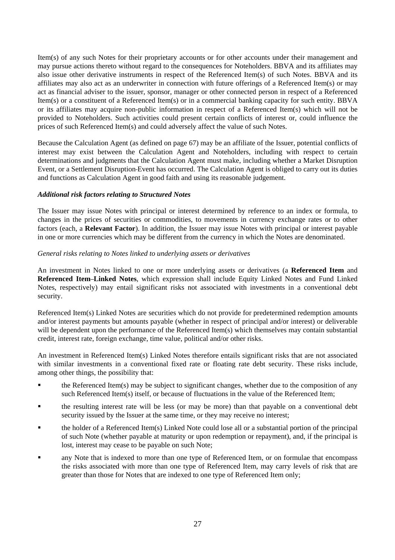Item(s) of any such Notes for their proprietary accounts or for other accounts under their management and may pursue actions thereto without regard to the consequences for Noteholders. BBVA and its affiliates may also issue other derivative instruments in respect of the Referenced Item(s) of such Notes. BBVA and its affiliates may also act as an underwriter in connection with future offerings of a Referenced Item(s) or may act as financial adviser to the issuer, sponsor, manager or other connected person in respect of a Referenced Item(s) or a constituent of a Referenced Item(s) or in a commercial banking capacity for such entity. BBVA or its affiliates may acquire non-public information in respect of a Referenced Item(s) which will not be provided to Noteholders. Such activities could present certain conflicts of interest or, could influence the prices of such Referenced Item(s) and could adversely affect the value of such Notes.

Because the Calculation Agent (as defined on page 67) may be an affiliate of the Issuer, potential conflicts of interest may exist between the Calculation Agent and Noteholders, including with respect to certain determinations and judgments that the Calculation Agent must make, including whether a Market Disruption Event, or a Settlement Disruption Event has occurred. The Calculation Agent is obliged to carry out its duties and functions as Calculation Agent in good faith and using its reasonable judgement.

#### *Additional risk factors relating to Structured Notes*

The Issuer may issue Notes with principal or interest determined by reference to an index or formula, to changes in the prices of securities or commodities, to movements in currency exchange rates or to other factors (each, a **Relevant Factor**). In addition, the Issuer may issue Notes with principal or interest payable in one or more currencies which may be different from the currency in which the Notes are denominated.

# *General risks relating to Notes linked to underlying assets or derivatives*

An investment in Notes linked to one or more underlying assets or derivatives (a **Referenced Item** and **Referenced Item Linked Notes**, which expression shall include Equity Linked Notes and Fund Linked Notes, respectively) may entail significant risks not associated with investments in a conventional debt security.

Referenced Item(s) Linked Notes are securities which do not provide for predetermined redemption amounts and/or interest payments but amounts payable (whether in respect of principal and/or interest) or deliverable will be dependent upon the performance of the Referenced Item(s) which themselves may contain substantial credit, interest rate, foreign exchange, time value, political and/or other risks.

An investment in Referenced Item(s) Linked Notes therefore entails significant risks that are not associated with similar investments in a conventional fixed rate or floating rate debt security. These risks include, among other things, the possibility that:

- the Referenced Item(s) may be subject to significant changes, whether due to the composition of any such Referenced Item(s) itself, or because of fluctuations in the value of the Referenced Item;
- the resulting interest rate will be less (or may be more) than that payable on a conventional debt security issued by the Issuer at the same time, or they may receive no interest;
- the holder of a Referenced Item(s) Linked Note could lose all or a substantial portion of the principal of such Note (whether payable at maturity or upon redemption or repayment), and, if the principal is lost, interest may cease to be payable on such Note;
- any Note that is indexed to more than one type of Referenced Item, or on formulae that encompass the risks associated with more than one type of Referenced Item, may carry levels of risk that are greater than those for Notes that are indexed to one type of Referenced Item only;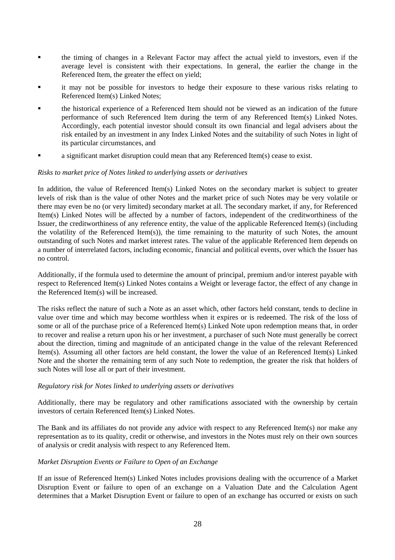- the timing of changes in a Relevant Factor may affect the actual yield to investors, even if the average level is consistent with their expectations. In general, the earlier the change in the Referenced Item, the greater the effect on yield;
- it may not be possible for investors to hedge their exposure to these various risks relating to Referenced Item(s) Linked Notes;
- the historical experience of a Referenced Item should not be viewed as an indication of the future performance of such Referenced Item during the term of any Referenced Item(s) Linked Notes. Accordingly, each potential investor should consult its own financial and legal advisers about the risk entailed by an investment in any Index Linked Notes and the suitability of such Notes in light of its particular circumstances, and
- a significant market disruption could mean that any Referenced Item(s) cease to exist.

#### *Risks to market price of Notes linked to underlying assets or derivatives*

In addition, the value of Referenced Item(s) Linked Notes on the secondary market is subject to greater levels of risk than is the value of other Notes and the market price of such Notes may be very volatile or there may even be no (or very limited) secondary market at all. The secondary market, if any, for Referenced Item(s) Linked Notes will be affected by a number of factors, independent of the creditworthiness of the Issuer, the creditworthiness of any reference entity, the value of the applicable Referenced Item(s) (including the volatility of the Referenced Item(s)), the time remaining to the maturity of such Notes, the amount outstanding of such Notes and market interest rates. The value of the applicable Referenced Item depends on a number of interrelated factors, including economic, financial and political events, over which the Issuer has no control.

Additionally, if the formula used to determine the amount of principal, premium and/or interest payable with respect to Referenced Item(s) Linked Notes contains a Weight or leverage factor, the effect of any change in the Referenced Item(s) will be increased.

The risks reflect the nature of such a Note as an asset which, other factors held constant, tends to decline in value over time and which may become worthless when it expires or is redeemed. The risk of the loss of some or all of the purchase price of a Referenced Item(s) Linked Note upon redemption means that, in order to recover and realise a return upon his or her investment, a purchaser of such Note must generally be correct about the direction, timing and magnitude of an anticipated change in the value of the relevant Referenced Item(s). Assuming all other factors are held constant, the lower the value of an Referenced Item(s) Linked Note and the shorter the remaining term of any such Note to redemption, the greater the risk that holders of such Notes will lose all or part of their investment.

#### *Regulatory risk for Notes linked to underlying assets or derivatives*

Additionally, there may be regulatory and other ramifications associated with the ownership by certain investors of certain Referenced Item(s) Linked Notes.

The Bank and its affiliates do not provide any advice with respect to any Referenced Item(s) nor make any representation as to its quality, credit or otherwise, and investors in the Notes must rely on their own sources of analysis or credit analysis with respect to any Referenced Item.

# *Market Disruption Events or Failure to Open of an Exchange*

If an issue of Referenced Item(s) Linked Notes includes provisions dealing with the occurrence of a Market Disruption Event or failure to open of an exchange on a Valuation Date and the Calculation Agent determines that a Market Disruption Event or failure to open of an exchange has occurred or exists on such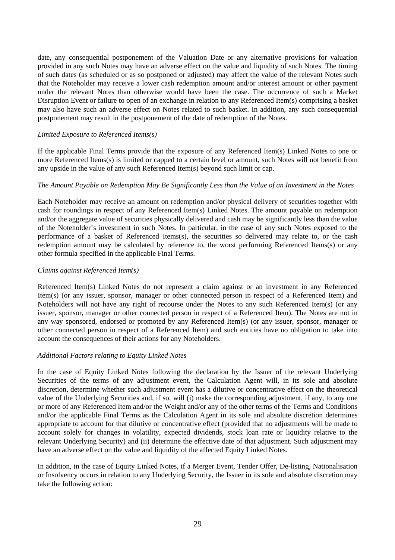date, any consequential postponement of the Valuation Date or any alternative provisions for valuation provided in any such Notes may have an adverse effect on the value and liquidity of such Notes. The timing of such dates (as scheduled or as so postponed or adjusted) may affect the value of the relevant Notes such that the Noteholder may receive a lower cash redemption amount and/or interest amount or other payment under the relevant Notes than otherwise would have been the case. The occurrence of such a Market Disruption Event or failure to open of an exchange in relation to any Referenced Item(s) comprising a basket may also have such an adverse effect on Notes related to such basket. In addition, any such consequential postponement may result in the postponement of the date of redemption of the Notes.

#### *Limited Exposure to Referenced Items(s)*

If the applicable Final Terms provide that the exposure of any Referenced Item(s) Linked Notes to one or more Referenced Items(s) is limited or capped to a certain level or amount, such Notes will not benefit from any upside in the value of any such Referenced Item(s) beyond such limit or cap.

# *The Amount Payable on Redemption May Be Significantly Less than the Value of an Investment in the Notes*

Each Noteholder may receive an amount on redemption and/or physical delivery of securities together with cash for roundings in respect of any Referenced Item(s) Linked Notes. The amount payable on redemption and/or the aggregate value of securities physically delivered and cash may be significantly less than the value of the Noteholder's investment in such Notes. In particular, in the case of any such Notes exposed to the performance of a basket of Referenced Items(s), the securities so delivered may relate to, or the cash redemption amount may be calculated by reference to, the worst performing Referenced Items(s) or any other formula specified in the applicable Final Terms.

# *Claims against Referenced Item(s)*

Referenced Item(s) Linked Notes do not represent a claim against or an investment in any Referenced Item(s) (or any issuer, sponsor, manager or other connected person in respect of a Referenced Item) and Noteholders will not have any right of recourse under the Notes to any such Referenced Item(s) (or any issuer, sponsor, manager or other connected person in respect of a Referenced Item). The Notes are not in any way sponsored, endorsed or promoted by any Referenced Item(s) (or any issuer, sponsor, manager or other connected person in respect of a Referenced Item) and such entities have no obligation to take into account the consequences of their actions for any Noteholders.

#### *Additional Factors relating to Equity Linked Notes*

In the case of Equity Linked Notes following the declaration by the Issuer of the relevant Underlying Securities of the terms of any adjustment event, the Calculation Agent will, in its sole and absolute discretion, determine whether such adjustment event has a dilutive or concentrative effect on the theoretical value of the Underlying Securities and, if so, will (i) make the corresponding adjustment, if any, to any one or more of any Referenced Item and/or the Weight and/or any of the other terms of the Terms and Conditions and/or the applicable Final Terms as the Calculation Agent in its sole and absolute discretion determines appropriate to account for that dilutive or concentrative effect (provided that no adjustments will be made to account solely for changes in volatility, expected dividends, stock loan rate or liquidity relative to the relevant Underlying Security) and (ii) determine the effective date of that adjustment. Such adjustment may have an adverse effect on the value and liquidity of the affected Equity Linked Notes.

In addition, in the case of Equity Linked Notes, if a Merger Event, Tender Offer, De-listing, Nationalisation or Insolvency occurs in relation to any Underlying Security, the Issuer in its sole and absolute discretion may take the following action: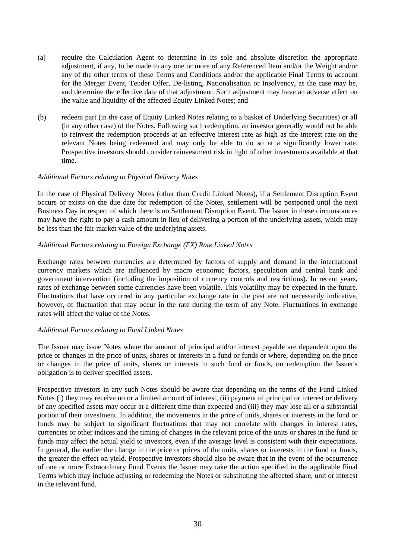- (a) require the Calculation Agent to determine in its sole and absolute discretion the appropriate adjustment, if any, to be made to any one or more of any Referenced Item and/or the Weight and/or any of the other terms of these Terms and Conditions and/or the applicable Final Terms to account for the Merger Event, Tender Offer, De-listing, Nationalisation or Insolvency, as the case may be, and determine the effective date of that adjustment. Such adjustment may have an adverse effect on the value and liquidity of the affected Equity Linked Notes; and
- (b) redeem part (in the case of Equity Linked Notes relating to a basket of Underlying Securities) or all (in any other case) of the Notes. Following such redemption, an investor generally would not be able to reinvest the redemption proceeds at an effective interest rate as high as the interest rate on the relevant Notes being redeemed and may only be able to do so at a significantly lower rate. Prospective investors should consider reinvestment risk in light of other investments available at that time.

#### *Additional Factors relating to Physical Delivery Notes*

In the case of Physical Delivery Notes (other than Credit Linked Notes), if a Settlement Disruption Event occurs or exists on the due date for redemption of the Notes, settlement will be postponed until the next Business Day in respect of which there is no Settlement Disruption Event. The Issuer in these circumstances may have the right to pay a cash amount in lieu of delivering a portion of the underlying assets, which may be less than the fair market value of the underlying assets.

# *Additional Factors relating to Foreign Exchange (FX) Rate Linked Notes*

Exchange rates between currencies are determined by factors of supply and demand in the international currency markets which are influenced by macro economic factors, speculation and central bank and government intervention (including the imposition of currency controls and restrictions). In recent years, rates of exchange between some currencies have been volatile. This volatility may be expected in the future. Fluctuations that have occurred in any particular exchange rate in the past are not necessarily indicative, however, of fluctuation that may occur in the rate during the term of any Note. Fluctuations in exchange rates will affect the value of the Notes.

#### *Additional Factors relating to Fund Linked Notes*

The Issuer may issue Notes where the amount of principal and/or interest payable are dependent upon the price or changes in the price of units, shares or interests in a fund or funds or where, depending on the price or changes in the price of units, shares or interests in such fund or funds, on redemption the Issuer's obligation is to deliver specified assets.

Prospective investors in any such Notes should be aware that depending on the terms of the Fund Linked Notes (i) they may receive no or a limited amount of interest, (ii) payment of principal or interest or delivery of any specified assets may occur at a different time than expected and (iii) they may lose all or a substantial portion of their investment. In addition, the movements in the price of units, shares or interests in the fund or funds may be subject to significant fluctuations that may not correlate with changes in interest rates, currencies or other indices and the timing of changes in the relevant price of the units or shares in the fund or funds may affect the actual yield to investors, even if the average level is consistent with their expectations. In general, the earlier the change in the price or prices of the units, shares or interests in the fund or funds, the greater the effect on yield. Prospective investors should also be aware that in the event of the occurrence of one or more Extraordinary Fund Events the Issuer may take the action specified in the applicable Final Terms which may include adjusting or redeeming the Notes or substituting the affected share, unit or interest in the relevant fund.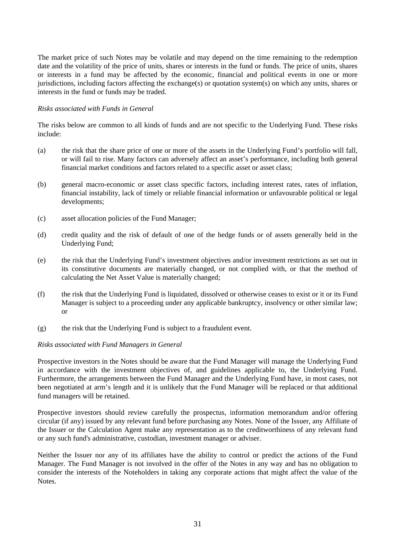The market price of such Notes may be volatile and may depend on the time remaining to the redemption date and the volatility of the price of units, shares or interests in the fund or funds. The price of units, shares or interests in a fund may be affected by the economic, financial and political events in one or more jurisdictions, including factors affecting the exchange(s) or quotation system(s) on which any units, shares or interests in the fund or funds may be traded.

#### *Risks associated with Funds in General*

The risks below are common to all kinds of funds and are not specific to the Underlying Fund. These risks include:

- (a) the risk that the share price of one or more of the assets in the Underlying Fund's portfolio will fall, or will fail to rise. Many factors can adversely affect an asset's performance, including both general financial market conditions and factors related to a specific asset or asset class;
- (b) general macro-economic or asset class specific factors, including interest rates, rates of inflation, financial instability, lack of timely or reliable financial information or unfavourable political or legal developments;
- (c) asset allocation policies of the Fund Manager;
- (d) credit quality and the risk of default of one of the hedge funds or of assets generally held in the Underlying Fund;
- (e) the risk that the Underlying Fund's investment objectives and/or investment restrictions as set out in its constitutive documents are materially changed, or not complied with, or that the method of calculating the Net Asset Value is materially changed;
- (f) the risk that the Underlying Fund is liquidated, dissolved or otherwise ceases to exist or it or its Fund Manager is subject to a proceeding under any applicable bankruptcy, insolvency or other similar law; or
- (g) the risk that the Underlying Fund is subject to a fraudulent event.

#### *Risks associated with Fund Managers in General*

Prospective investors in the Notes should be aware that the Fund Manager will manage the Underlying Fund in accordance with the investment objectives of, and guidelines applicable to, the Underlying Fund. Furthermore, the arrangements between the Fund Manager and the Underlying Fund have, in most cases, not been negotiated at arm's length and it is unlikely that the Fund Manager will be replaced or that additional fund managers will be retained.

Prospective investors should review carefully the prospectus, information memorandum and/or offering circular (if any) issued by any relevant fund before purchasing any Notes. None of the Issuer, any Affiliate of the Issuer or the Calculation Agent make any representation as to the creditworthiness of any relevant fund or any such fund's administrative, custodian, investment manager or adviser.

Neither the Issuer nor any of its affiliates have the ability to control or predict the actions of the Fund Manager. The Fund Manager is not involved in the offer of the Notes in any way and has no obligation to consider the interests of the Noteholders in taking any corporate actions that might affect the value of the Notes.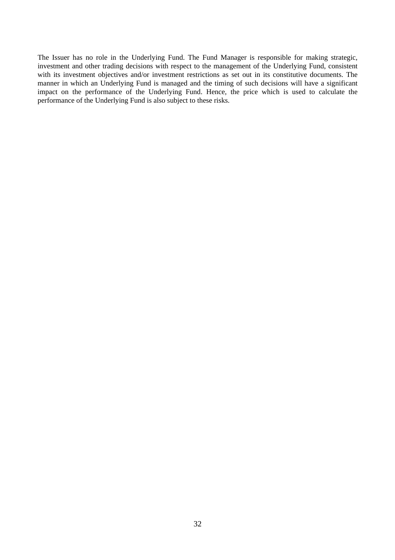The Issuer has no role in the Underlying Fund. The Fund Manager is responsible for making strategic, investment and other trading decisions with respect to the management of the Underlying Fund, consistent with its investment objectives and/or investment restrictions as set out in its constitutive documents. The manner in which an Underlying Fund is managed and the timing of such decisions will have a significant impact on the performance of the Underlying Fund. Hence, the price which is used to calculate the performance of the Underlying Fund is also subject to these risks.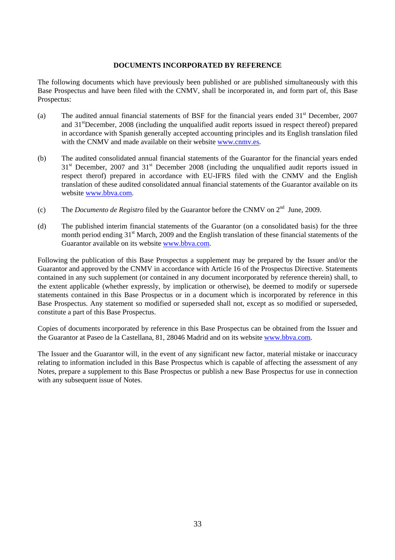#### **DOCUMENTS INCORPORATED BY REFERENCE**

The following documents which have previously been published or are published simultaneously with this Base Prospectus and have been filed with the CNMV, shall be incorporated in, and form part of, this Base Prospectus:

- (a) The audited annual financial statements of BSF for the financial years ended  $31<sup>st</sup>$  December, 2007 and 31stDecember, 2008 (including the unqualified audit reports issued in respect thereof) prepared in accordance with Spanish generally accepted accounting principles and its English translation filed with the CNMV and made available on their website [www.cnmv.es](http://www.cnmv.es/).
- (b) The audited consolidated annual financial statements of the Guarantor for the financial years ended  $31<sup>st</sup>$  December, 2007 and  $31<sup>st</sup>$  December 2008 (including the unqualified audit reports issued in respect therof) prepared in accordance with EU-IFRS filed with the CNMV and the English translation of these audited consolidated annual financial statements of the Guarantor available on its website [www.bbva.com.](http://www.bbva.com/)
- (c) The *Documento de Registro* filed by the Guarantor before the CNMV on 2nd June, 2009.
- (d) The published interim financial statements of the Guarantor (on a consolidated basis) for the three month period ending  $31<sup>st</sup>$  March, 2009 and the English translation of these financial statements of the Guarantor available on its website [www.bbva.com](http://www.bbva.com/).

Following the publication of this Base Prospectus a supplement may be prepared by the Issuer and/or the Guarantor and approved by the CNMV in accordance with Article 16 of the Prospectus Directive. Statements contained in any such supplement (or contained in any document incorporated by reference therein) shall, to the extent applicable (whether expressly, by implication or otherwise), be deemed to modify or supersede statements contained in this Base Prospectus or in a document which is incorporated by reference in this Base Prospectus. Any statement so modified or superseded shall not, except as so modified or superseded, constitute a part of this Base Prospectus.

Copies of documents incorporated by reference in this Base Prospectus can be obtained from the Issuer and the Guarantor at Paseo de la Castellana, 81, 28046 Madrid and on its website [www.bbva.com.](http://www.bbva.com/)

The Issuer and the Guarantor will, in the event of any significant new factor, material mistake or inaccuracy relating to information included in this Base Prospectus which is capable of affecting the assessment of any Notes, prepare a supplement to this Base Prospectus or publish a new Base Prospectus for use in connection with any subsequent issue of Notes.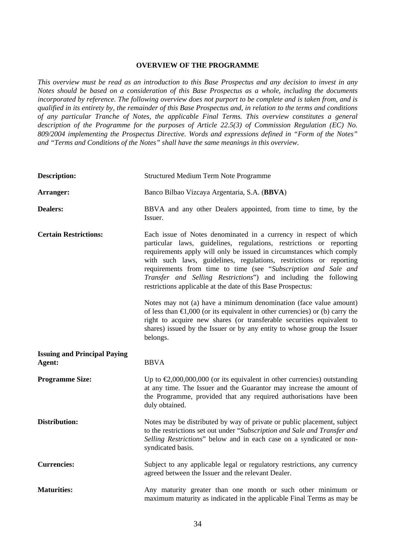#### **OVERVIEW OF THE PROGRAMME**

*This overview must be read as an introduction to this Base Prospectus and any decision to invest in any Notes should be based on a consideration of this Base Prospectus as a whole, including the documents incorporated by reference. The following overview does not purport to be complete and is taken from, and is qualified in its entirety by, the remainder of this Base Prospectus and, in relation to the terms and conditions of any particular Tranche of Notes, the applicable Final Terms. This overview constitutes a general description of the Programme for the purposes of Article 22.5(3) of Commission Regulation (EC) No. 809/2004 implementing the Prospectus Directive. Words and expressions defined in "Form of the Notes" and "Terms and Conditions of the Notes" shall have the same meanings in this overview.*

| <b>Description:</b>                           | Structured Medium Term Note Programme                                                                                                                                                                                                                                                                                                                                                                                                                                                       |
|-----------------------------------------------|---------------------------------------------------------------------------------------------------------------------------------------------------------------------------------------------------------------------------------------------------------------------------------------------------------------------------------------------------------------------------------------------------------------------------------------------------------------------------------------------|
| Arranger:                                     | Banco Bilbao Vizcaya Argentaria, S.A. (BBVA)                                                                                                                                                                                                                                                                                                                                                                                                                                                |
| <b>Dealers:</b>                               | BBVA and any other Dealers appointed, from time to time, by the<br>Issuer.                                                                                                                                                                                                                                                                                                                                                                                                                  |
| <b>Certain Restrictions:</b>                  | Each issue of Notes denominated in a currency in respect of which<br>particular laws, guidelines, regulations, restrictions or reporting<br>requirements apply will only be issued in circumstances which comply<br>with such laws, guidelines, regulations, restrictions or reporting<br>requirements from time to time (see "Subscription and Sale and<br>Transfer and Selling Restrictions") and including the following<br>restrictions applicable at the date of this Base Prospectus: |
|                                               | Notes may not (a) have a minimum denomination (face value amount)<br>of less than $\in$ ,000 (or its equivalent in other currencies) or (b) carry the<br>right to acquire new shares (or transferable securities equivalent to<br>shares) issued by the Issuer or by any entity to whose group the Issuer<br>belongs.                                                                                                                                                                       |
| <b>Issuing and Principal Paying</b><br>Agent: | <b>BBVA</b>                                                                                                                                                                                                                                                                                                                                                                                                                                                                                 |
| <b>Programme Size:</b>                        | Up to $\epsilon$ ,000,000,000 (or its equivalent in other currencies) outstanding<br>at any time. The Issuer and the Guarantor may increase the amount of<br>the Programme, provided that any required authorisations have been<br>duly obtained.                                                                                                                                                                                                                                           |
| Distribution:                                 | Notes may be distributed by way of private or public placement, subject<br>to the restrictions set out under "Subscription and Sale and Transfer and<br>Selling Restrictions" below and in each case on a syndicated or non-<br>syndicated basis.                                                                                                                                                                                                                                           |
| <b>Currencies:</b>                            | Subject to any applicable legal or regulatory restrictions, any currency<br>agreed between the Issuer and the relevant Dealer.                                                                                                                                                                                                                                                                                                                                                              |
| <b>Maturities:</b>                            | Any maturity greater than one month or such other minimum or<br>maximum maturity as indicated in the applicable Final Terms as may be                                                                                                                                                                                                                                                                                                                                                       |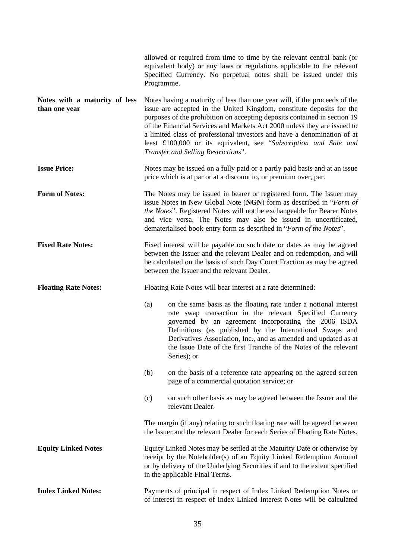|                                                | Programme.                                                                                                                                                                                                                                                                                                                                                                                                                                                                                         | allowed or required from time to time by the relevant central bank (or<br>equivalent body) or any laws or regulations applicable to the relevant<br>Specified Currency. No perpetual notes shall be issued under this                                                                                                                                                                                  |  |
|------------------------------------------------|----------------------------------------------------------------------------------------------------------------------------------------------------------------------------------------------------------------------------------------------------------------------------------------------------------------------------------------------------------------------------------------------------------------------------------------------------------------------------------------------------|--------------------------------------------------------------------------------------------------------------------------------------------------------------------------------------------------------------------------------------------------------------------------------------------------------------------------------------------------------------------------------------------------------|--|
| Notes with a maturity of less<br>than one year | Notes having a maturity of less than one year will, if the proceeds of the<br>issue are accepted in the United Kingdom, constitute deposits for the<br>purposes of the prohibition on accepting deposits contained in section 19<br>of the Financial Services and Markets Act 2000 unless they are issued to<br>a limited class of professional investors and have a denomination of at<br>least £100,000 or its equivalent, see "Subscription and Sale and<br>Transfer and Selling Restrictions". |                                                                                                                                                                                                                                                                                                                                                                                                        |  |
| <b>Issue Price:</b>                            | Notes may be issued on a fully paid or a partly paid basis and at an issue<br>price which is at par or at a discount to, or premium over, par.                                                                                                                                                                                                                                                                                                                                                     |                                                                                                                                                                                                                                                                                                                                                                                                        |  |
| <b>Form of Notes:</b>                          | The Notes may be issued in bearer or registered form. The Issuer may<br>issue Notes in New Global Note (NGN) form as described in "Form of<br>the Notes". Registered Notes will not be exchangeable for Bearer Notes<br>and vice versa. The Notes may also be issued in uncertificated,<br>dematerialised book-entry form as described in "Form of the Notes".                                                                                                                                     |                                                                                                                                                                                                                                                                                                                                                                                                        |  |
| <b>Fixed Rate Notes:</b>                       | Fixed interest will be payable on such date or dates as may be agreed<br>between the Issuer and the relevant Dealer and on redemption, and will<br>be calculated on the basis of such Day Count Fraction as may be agreed<br>between the Issuer and the relevant Dealer.                                                                                                                                                                                                                           |                                                                                                                                                                                                                                                                                                                                                                                                        |  |
| <b>Floating Rate Notes:</b>                    |                                                                                                                                                                                                                                                                                                                                                                                                                                                                                                    | Floating Rate Notes will bear interest at a rate determined:                                                                                                                                                                                                                                                                                                                                           |  |
|                                                | (a)                                                                                                                                                                                                                                                                                                                                                                                                                                                                                                | on the same basis as the floating rate under a notional interest<br>rate swap transaction in the relevant Specified Currency<br>governed by an agreement incorporating the 2006 ISDA<br>Definitions (as published by the International Swaps and<br>Derivatives Association, Inc., and as amended and updated as at<br>the Issue Date of the first Tranche of the Notes of the relevant<br>Series); or |  |
|                                                | (b)                                                                                                                                                                                                                                                                                                                                                                                                                                                                                                | on the basis of a reference rate appearing on the agreed screen<br>page of a commercial quotation service; or                                                                                                                                                                                                                                                                                          |  |
|                                                | (c)                                                                                                                                                                                                                                                                                                                                                                                                                                                                                                | on such other basis as may be agreed between the Issuer and the<br>relevant Dealer.                                                                                                                                                                                                                                                                                                                    |  |
|                                                |                                                                                                                                                                                                                                                                                                                                                                                                                                                                                                    | The margin (if any) relating to such floating rate will be agreed between<br>the Issuer and the relevant Dealer for each Series of Floating Rate Notes.                                                                                                                                                                                                                                                |  |
| <b>Equity Linked Notes</b>                     | Equity Linked Notes may be settled at the Maturity Date or otherwise by<br>receipt by the Noteholder(s) of an Equity Linked Redemption Amount<br>or by delivery of the Underlying Securities if and to the extent specified<br>in the applicable Final Terms.                                                                                                                                                                                                                                      |                                                                                                                                                                                                                                                                                                                                                                                                        |  |
| <b>Index Linked Notes:</b>                     | Payments of principal in respect of Index Linked Redemption Notes or<br>of interest in respect of Index Linked Interest Notes will be calculated                                                                                                                                                                                                                                                                                                                                                   |                                                                                                                                                                                                                                                                                                                                                                                                        |  |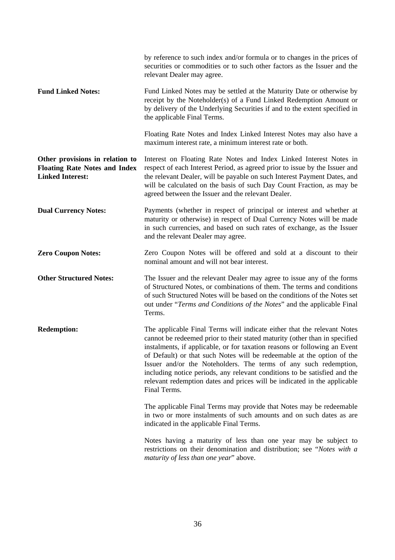|                                                                                                    | by reference to such index and/or formula or to changes in the prices of<br>securities or commodities or to such other factors as the Issuer and the<br>relevant Dealer may agree.                                                                                                                                                                                                                                                                                                                                                                        |  |
|----------------------------------------------------------------------------------------------------|-----------------------------------------------------------------------------------------------------------------------------------------------------------------------------------------------------------------------------------------------------------------------------------------------------------------------------------------------------------------------------------------------------------------------------------------------------------------------------------------------------------------------------------------------------------|--|
| <b>Fund Linked Notes:</b>                                                                          | Fund Linked Notes may be settled at the Maturity Date or otherwise by<br>receipt by the Noteholder(s) of a Fund Linked Redemption Amount or<br>by delivery of the Underlying Securities if and to the extent specified in<br>the applicable Final Terms.                                                                                                                                                                                                                                                                                                  |  |
|                                                                                                    | Floating Rate Notes and Index Linked Interest Notes may also have a<br>maximum interest rate, a minimum interest rate or both.                                                                                                                                                                                                                                                                                                                                                                                                                            |  |
| Other provisions in relation to<br><b>Floating Rate Notes and Index</b><br><b>Linked Interest:</b> | Interest on Floating Rate Notes and Index Linked Interest Notes in<br>respect of each Interest Period, as agreed prior to issue by the Issuer and<br>the relevant Dealer, will be payable on such Interest Payment Dates, and<br>will be calculated on the basis of such Day Count Fraction, as may be<br>agreed between the Issuer and the relevant Dealer.                                                                                                                                                                                              |  |
| <b>Dual Currency Notes:</b>                                                                        | Payments (whether in respect of principal or interest and whether at<br>maturity or otherwise) in respect of Dual Currency Notes will be made<br>in such currencies, and based on such rates of exchange, as the Issuer<br>and the relevant Dealer may agree.                                                                                                                                                                                                                                                                                             |  |
| <b>Zero Coupon Notes:</b>                                                                          | Zero Coupon Notes will be offered and sold at a discount to their<br>nominal amount and will not bear interest.                                                                                                                                                                                                                                                                                                                                                                                                                                           |  |
| <b>Other Structured Notes:</b>                                                                     | The Issuer and the relevant Dealer may agree to issue any of the forms<br>of Structured Notes, or combinations of them. The terms and conditions<br>of such Structured Notes will be based on the conditions of the Notes set<br>out under "Terms and Conditions of the Notes" and the applicable Final<br>Terms.                                                                                                                                                                                                                                         |  |
| <b>Redemption:</b>                                                                                 | The applicable Final Terms will indicate either that the relevant Notes<br>cannot be redeemed prior to their stated maturity (other than in specified<br>instalments, if applicable, or for taxation reasons or following an Event<br>of Default) or that such Notes will be redeemable at the option of the<br>Issuer and/or the Noteholders. The terms of any such redemption,<br>including notice periods, any relevant conditions to be satisfied and the<br>relevant redemption dates and prices will be indicated in the applicable<br>Final Terms. |  |
|                                                                                                    | The applicable Final Terms may provide that Notes may be redeemable<br>in two or more instalments of such amounts and on such dates as are<br>indicated in the applicable Final Terms.                                                                                                                                                                                                                                                                                                                                                                    |  |
|                                                                                                    | Notes having a maturity of less than one year may be subject to<br>restrictions on their denomination and distribution; see "Notes with a<br><i>maturity of less than one year</i> " above.                                                                                                                                                                                                                                                                                                                                                               |  |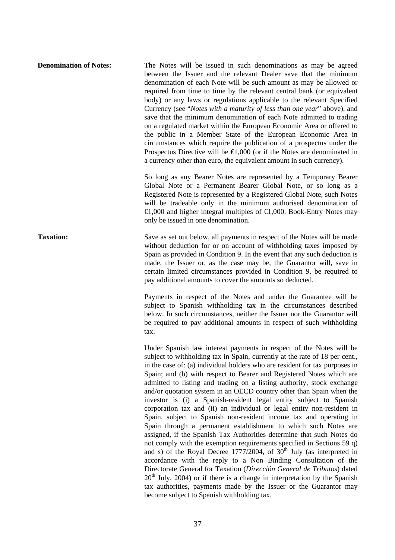**Denomination of Notes:** The Notes will be issued in such denominations as may be agreed between the Issuer and the relevant Dealer save that the minimum denomination of each Note will be such amount as may be allowed or required from time to time by the relevant central bank (or equivalent body) or any laws or regulations applicable to the relevant Specified Currency (see "*Notes with a maturity of less than one year*" above), and save that the minimum denomination of each Note admitted to trading on a regulated market within the European Economic Area or offered to the public in a Member State of the European Economic Area in circumstances which require the publication of a prospectus under the Prospectus Directive will be  $\in$ 1,000 (or if the Notes are denominated in a currency other than euro, the equivalent amount in such currency).

> So long as any Bearer Notes are represented by a Temporary Bearer Global Note or a Permanent Bearer Global Note, or so long as a Registered Note is represented by a Registered Global Note, such Notes will be tradeable only in the minimum authorised denomination of  $\epsilon$ 1,000 and higher integral multiples of  $\epsilon$ 1,000. Book-Entry Notes may only be issued in one denomination.

**Taxation:** Save as set out below, all payments in respect of the Notes will be made without deduction for or on account of withholding taxes imposed by Spain as provided in Condition 9. In the event that any such deduction is made, the Issuer or, as the case may be, the Guarantor will, save in certain limited circumstances provided in Condition 9, be required to pay additional amounts to cover the amounts so deducted.

> Payments in respect of the Notes and under the Guarantee will be subject to Spanish withholding tax in the circumstances described below. In such circumstances, neither the Issuer nor the Guarantor will be required to pay additional amounts in respect of such withholding tax.

> Under Spanish law interest payments in respect of the Notes will be subject to withholding tax in Spain, currently at the rate of 18 per cent., in the case of: (a) individual holders who are resident for tax purposes in Spain; and (b) with respect to Bearer and Registered Notes which are admitted to listing and trading on a listing authority, stock exchange and/or quotation system in an OECD country other than Spain when the investor is (i) a Spanish-resident legal entity subject to Spanish corporation tax and (ii) an individual or legal entity non-resident in Spain, subject to Spanish non-resident income tax and operating in Spain through a permanent establishment to which such Notes are assigned, if the Spanish Tax Authorities determine that such Notes do not comply with the exemption requirements specified in Sections 59 q) and s) of the Royal Decree  $1777/2004$ , of  $30<sup>th</sup>$  July (as interpreted in accordance with the reply to a Non Binding Consultation of the Directorate General for Taxation (*Dirección General de Tributos*) dated  $20<sup>th</sup>$  July, 2004) or if there is a change in interpretation by the Spanish tax authorities, payments made by the Issuer or the Guarantor may become subject to Spanish withholding tax.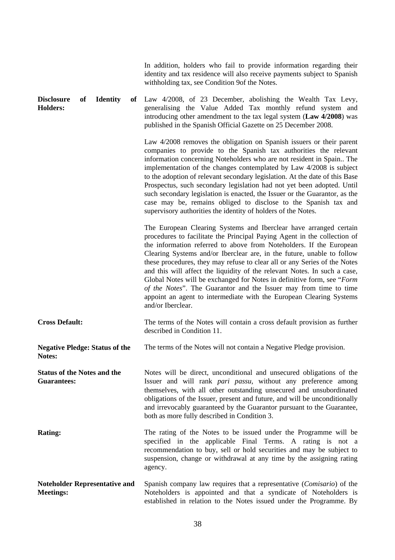|                                                                     | In addition, holders who fail to provide information regarding their<br>identity and tax residence will also receive payments subject to Spanish<br>withholding tax, see Condition 9of the Notes.                                                                                                                                                                                                                                                                                                                                                                                                                                                                                                    |
|---------------------------------------------------------------------|------------------------------------------------------------------------------------------------------------------------------------------------------------------------------------------------------------------------------------------------------------------------------------------------------------------------------------------------------------------------------------------------------------------------------------------------------------------------------------------------------------------------------------------------------------------------------------------------------------------------------------------------------------------------------------------------------|
| <b>Disclosure</b><br><b>Identity</b><br>of<br>of<br><b>Holders:</b> | Law 4/2008, of 23 December, abolishing the Wealth Tax Levy,<br>generalising the Value Added Tax monthly refund system and<br>introducing other amendment to the tax legal system (Law 4/2008) was<br>published in the Spanish Official Gazette on 25 December 2008.                                                                                                                                                                                                                                                                                                                                                                                                                                  |
|                                                                     | Law 4/2008 removes the obligation on Spanish issuers or their parent<br>companies to provide to the Spanish tax authorities the relevant<br>information concerning Noteholders who are not resident in Spain The<br>implementation of the changes contemplated by Law 4/2008 is subject<br>to the adoption of relevant secondary legislation. At the date of this Base<br>Prospectus, such secondary legislation had not yet been adopted. Until<br>such secondary legislation is enacted, the Issuer or the Guarantor, as the<br>case may be, remains obliged to disclose to the Spanish tax and<br>supervisory authorities the identity of holders of the Notes.                                   |
|                                                                     | The European Clearing Systems and Iberclear have arranged certain<br>procedures to facilitate the Principal Paying Agent in the collection of<br>the information referred to above from Noteholders. If the European<br>Clearing Systems and/or Iberclear are, in the future, unable to follow<br>these procedures, they may refuse to clear all or any Series of the Notes<br>and this will affect the liquidity of the relevant Notes. In such a case,<br>Global Notes will be exchanged for Notes in definitive form, see "Form"<br>of the Notes". The Guarantor and the Issuer may from time to time<br>appoint an agent to intermediate with the European Clearing Systems<br>and/or Iberclear. |
| <b>Cross Default:</b>                                               | The terms of the Notes will contain a cross default provision as further<br>described in Condition 11.                                                                                                                                                                                                                                                                                                                                                                                                                                                                                                                                                                                               |
| <b>Negative Pledge: Status of the</b><br>Notes:                     | The terms of the Notes will not contain a Negative Pledge provision.                                                                                                                                                                                                                                                                                                                                                                                                                                                                                                                                                                                                                                 |
| <b>Status of the Notes and the</b><br><b>Guarantees:</b>            | Notes will be direct, unconditional and unsecured obligations of the<br>Issuer and will rank pari passu, without any preference among<br>themselves, with all other outstanding unsecured and unsubordinated<br>obligations of the Issuer, present and future, and will be unconditionally<br>and irrevocably guaranteed by the Guarantor pursuant to the Guarantee,<br>both as more fully described in Condition 3.                                                                                                                                                                                                                                                                                 |
| <b>Rating:</b>                                                      | The rating of the Notes to be issued under the Programme will be<br>specified in the applicable Final Terms. A rating is not a<br>recommendation to buy, sell or hold securities and may be subject to<br>suspension, change or withdrawal at any time by the assigning rating<br>agency.                                                                                                                                                                                                                                                                                                                                                                                                            |
| <b>Noteholder Representative and</b><br><b>Meetings:</b>            | Spanish company law requires that a representative ( <i>Comisario</i> ) of the<br>Noteholders is appointed and that a syndicate of Noteholders is<br>established in relation to the Notes issued under the Programme. By                                                                                                                                                                                                                                                                                                                                                                                                                                                                             |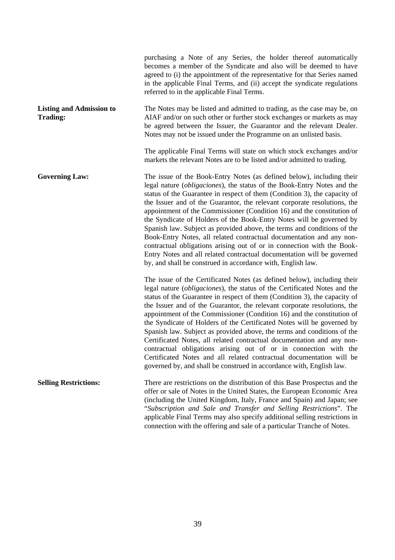|                                                    | purchasing a Note of any Series, the holder thereof automatically<br>becomes a member of the Syndicate and also will be deemed to have<br>agreed to (i) the appointment of the representative for that Series named<br>in the applicable Final Terms, and (ii) accept the syndicate regulations<br>referred to in the applicable Final Terms.                                                                                                                                                                                                                                                                                                                                                                                                                                                                                              |  |  |
|----------------------------------------------------|--------------------------------------------------------------------------------------------------------------------------------------------------------------------------------------------------------------------------------------------------------------------------------------------------------------------------------------------------------------------------------------------------------------------------------------------------------------------------------------------------------------------------------------------------------------------------------------------------------------------------------------------------------------------------------------------------------------------------------------------------------------------------------------------------------------------------------------------|--|--|
| <b>Listing and Admission to</b><br><b>Trading:</b> | The Notes may be listed and admitted to trading, as the case may be, on<br>AIAF and/or on such other or further stock exchanges or markets as may<br>be agreed between the Issuer, the Guarantor and the relevant Dealer.<br>Notes may not be issued under the Programme on an unlisted basis.                                                                                                                                                                                                                                                                                                                                                                                                                                                                                                                                             |  |  |
|                                                    | The applicable Final Terms will state on which stock exchanges and/or<br>markets the relevant Notes are to be listed and/or admitted to trading.                                                                                                                                                                                                                                                                                                                                                                                                                                                                                                                                                                                                                                                                                           |  |  |
| <b>Governing Law:</b>                              | The issue of the Book-Entry Notes (as defined below), including their<br>legal nature (obligaciones), the status of the Book-Entry Notes and the<br>status of the Guarantee in respect of them (Condition 3), the capacity of<br>the Issuer and of the Guarantor, the relevant corporate resolutions, the<br>appointment of the Commissioner (Condition 16) and the constitution of<br>the Syndicate of Holders of the Book-Entry Notes will be governed by<br>Spanish law. Subject as provided above, the terms and conditions of the<br>Book-Entry Notes, all related contractual documentation and any non-<br>contractual obligations arising out of or in connection with the Book-<br>Entry Notes and all related contractual documentation will be governed<br>by, and shall be construed in accordance with, English law.          |  |  |
|                                                    | The issue of the Certificated Notes (as defined below), including their<br>legal nature (obligaciones), the status of the Certificated Notes and the<br>status of the Guarantee in respect of them (Condition 3), the capacity of<br>the Issuer and of the Guarantor, the relevant corporate resolutions, the<br>appointment of the Commissioner (Condition 16) and the constitution of<br>the Syndicate of Holders of the Certificated Notes will be governed by<br>Spanish law. Subject as provided above, the terms and conditions of the<br>Certificated Notes, all related contractual documentation and any non-<br>contractual obligations arising out of or in connection with the<br>Certificated Notes and all related contractual documentation will be<br>governed by, and shall be construed in accordance with, English law. |  |  |
| <b>Selling Restrictions:</b>                       | There are restrictions on the distribution of this Base Prospectus and the<br>offer or sale of Notes in the United States, the European Economic Area<br>(including the United Kingdom, Italy, France and Spain) and Japan; see<br>"Subscription and Sale and Transfer and Selling Restrictions". The<br>applicable Final Terms may also specify additional selling restrictions in<br>connection with the offering and sale of a particular Tranche of Notes.                                                                                                                                                                                                                                                                                                                                                                             |  |  |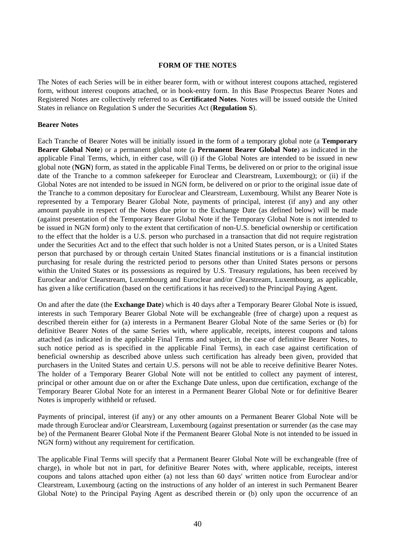#### **FORM OF THE NOTES**

The Notes of each Series will be in either bearer form, with or without interest coupons attached, registered form, without interest coupons attached, or in book-entry form. In this Base Prospectus Bearer Notes and Registered Notes are collectively referred to as **Certificated Notes**. Notes will be issued outside the United States in reliance on Regulation S under the Securities Act (**Regulation S**).

#### **Bearer Notes**

Each Tranche of Bearer Notes will be initially issued in the form of a temporary global note (a **Temporary Bearer Global Note**) or a permanent global note (a **Permanent Bearer Global Note**) as indicated in the applicable Final Terms, which, in either case, will (i) if the Global Notes are intended to be issued in new global note (**NGN**) form, as stated in the applicable Final Terms, be delivered on or prior to the original issue date of the Tranche to a common safekeeper for Euroclear and Clearstream, Luxembourg); or (ii) if the Global Notes are not intended to be issued in NGN form, be delivered on or prior to the original issue date of the Tranche to a common depositary for Euroclear and Clearstream, Luxembourg. Whilst any Bearer Note is represented by a Temporary Bearer Global Note, payments of principal, interest (if any) and any other amount payable in respect of the Notes due prior to the Exchange Date (as defined below) will be made (against presentation of the Temporary Bearer Global Note if the Temporary Global Note is not intended to be issued in NGN form) only to the extent that certification of non-U.S. beneficial ownership or certification to the effect that the holder is a U.S. person who purchased in a transaction that did not require registration under the Securities Act and to the effect that such holder is not a United States person, or is a United States person that purchased by or through certain United States financial institutions or is a financial institution purchasing for resale during the restricted period to persons other than United States persons or persons within the United States or its possessions as required by U.S. Treasury regulations, has been received by Euroclear and/or Clearstream, Luxembourg and Euroclear and/or Clearstream, Luxembourg, as applicable, has given a like certification (based on the certifications it has received) to the Principal Paying Agent.

On and after the date (the **Exchange Date**) which is 40 days after a Temporary Bearer Global Note is issued, interests in such Temporary Bearer Global Note will be exchangeable (free of charge) upon a request as described therein either for (a) interests in a Permanent Bearer Global Note of the same Series or (b) for definitive Bearer Notes of the same Series with, where applicable, receipts, interest coupons and talons attached (as indicated in the applicable Final Terms and subject, in the case of definitive Bearer Notes, to such notice period as is specified in the applicable Final Terms), in each case against certification of beneficial ownership as described above unless such certification has already been given, provided that purchasers in the United States and certain U.S. persons will not be able to receive definitive Bearer Notes. The holder of a Temporary Bearer Global Note will not be entitled to collect any payment of interest, principal or other amount due on or after the Exchange Date unless, upon due certification, exchange of the Temporary Bearer Global Note for an interest in a Permanent Bearer Global Note or for definitive Bearer Notes is improperly withheld or refused.

Payments of principal, interest (if any) or any other amounts on a Permanent Bearer Global Note will be made through Euroclear and/or Clearstream, Luxembourg (against presentation or surrender (as the case may be) of the Permanent Bearer Global Note if the Permanent Bearer Global Note is not intended to be issued in NGN form) without any requirement for certification.

The applicable Final Terms will specify that a Permanent Bearer Global Note will be exchangeable (free of charge), in whole but not in part, for definitive Bearer Notes with, where applicable, receipts, interest coupons and talons attached upon either (a) not less than 60 days' written notice from Euroclear and/or Clearstream, Luxembourg (acting on the instructions of any holder of an interest in such Permanent Bearer Global Note) to the Principal Paying Agent as described therein or (b) only upon the occurrence of an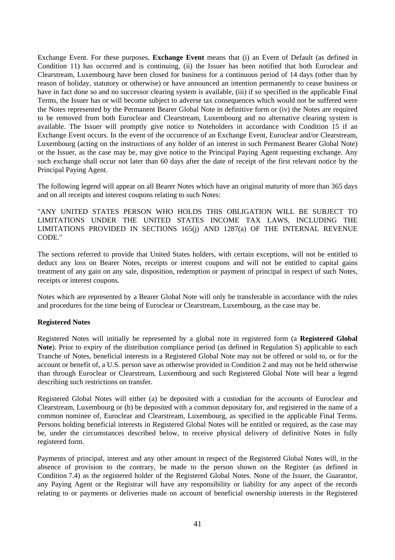Exchange Event. For these purposes, **Exchange Event** means that (i) an Event of Default (as defined in Condition 11) has occurred and is continuing, (ii) the Issuer has been notified that both Euroclear and Clearstream, Luxembourg have been closed for business for a continuous period of 14 days (other than by reason of holiday, statutory or otherwise) or have announced an intention permanently to cease business or have in fact done so and no successor clearing system is available, (iii) if so specified in the applicable Final Terms, the Issuer has or will become subject to adverse tax consequences which would not be suffered were the Notes represented by the Permanent Bearer Global Note in definitive form or (iv) the Notes are required to be removed from both Euroclear and Clearstream, Luxembourg and no alternative clearing system is available. The Issuer will promptly give notice to Noteholders in accordance with Condition 15 if an Exchange Event occurs. In the event of the occurrence of an Exchange Event, Euroclear and/or Clearstream, Luxembourg (acting on the instructions of any holder of an interest in such Permanent Bearer Global Note) or the Issuer, as the case may be, may give notice to the Principal Paying Agent requesting exchange. Any such exchange shall occur not later than 60 days after the date of receipt of the first relevant notice by the Principal Paying Agent.

The following legend will appear on all Bearer Notes which have an original maturity of more than 365 days and on all receipts and interest coupons relating to such Notes:

"ANY UNITED STATES PERSON WHO HOLDS THIS OBLIGATION WILL BE SUBJECT TO LIMITATIONS UNDER THE UNITED STATES INCOME TAX LAWS, INCLUDING THE LIMITATIONS PROVIDED IN SECTIONS 165(j) AND 1287(a) OF THE INTERNAL REVENUE CODE."

The sections referred to provide that United States holders, with certain exceptions, will not be entitled to deduct any loss on Bearer Notes, receipts or interest coupons and will not be entitled to capital gains treatment of any gain on any sale, disposition, redemption or payment of principal in respect of such Notes, receipts or interest coupons.

Notes which are represented by a Bearer Global Note will only be transferable in accordance with the rules and procedures for the time being of Euroclear or Clearstream, Luxembourg, as the case may be.

# **Registered Notes**

Registered Notes will initially be represented by a global note in registered form (a **Registered Global Note**). Prior to expiry of the distribution compliance period (as defined in Regulation S) applicable to each Tranche of Notes, beneficial interests in a Registered Global Note may not be offered or sold to, or for the account or benefit of, a U.S. person save as otherwise provided in Condition 2 and may not be held otherwise than through Euroclear or Clearstream, Luxembourg and such Registered Global Note will bear a legend describing such restrictions on transfer.

Registered Global Notes will either (a) be deposited with a custodian for the accounts of Euroclear and Clearstream, Luxembourg or (b) be deposited with a common depositary for, and registered in the name of a common nominee of, Euroclear and Clearstream, Luxembourg, as specified in the applicable Final Terms. Persons holding beneficial interests in Registered Global Notes will be entitled or required, as the case may be, under the circumstances described below, to receive physical delivery of definitive Notes in fully registered form.

Payments of principal, interest and any other amount in respect of the Registered Global Notes will, in the absence of provision to the contrary, be made to the person shown on the Register (as defined in Condition 7.4) as the registered holder of the Registered Global Notes. None of the Issuer, the Guarantor, any Paying Agent or the Registrar will have any responsibility or liability for any aspect of the records relating to or payments or deliveries made on account of beneficial ownership interests in the Registered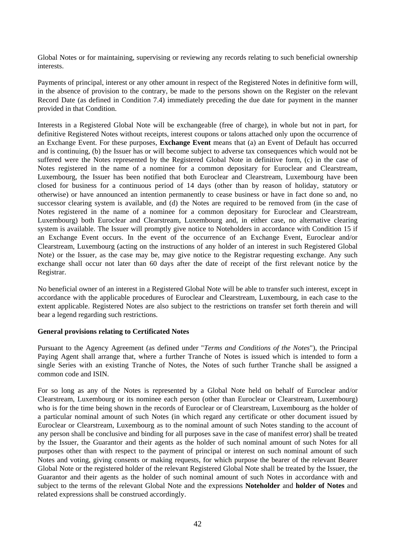Global Notes or for maintaining, supervising or reviewing any records relating to such beneficial ownership interests.

Payments of principal, interest or any other amount in respect of the Registered Notes in definitive form will, in the absence of provision to the contrary, be made to the persons shown on the Register on the relevant Record Date (as defined in Condition 7.4) immediately preceding the due date for payment in the manner provided in that Condition.

Interests in a Registered Global Note will be exchangeable (free of charge), in whole but not in part, for definitive Registered Notes without receipts, interest coupons or talons attached only upon the occurrence of an Exchange Event. For these purposes, **Exchange Event** means that (a) an Event of Default has occurred and is continuing, (b) the Issuer has or will become subject to adverse tax consequences which would not be suffered were the Notes represented by the Registered Global Note in definitive form, (c) in the case of Notes registered in the name of a nominee for a common depositary for Euroclear and Clearstream, Luxembourg, the Issuer has been notified that both Euroclear and Clearstream, Luxembourg have been closed for business for a continuous period of 14 days (other than by reason of holiday, statutory or otherwise) or have announced an intention permanently to cease business or have in fact done so and, no successor clearing system is available, and (d) the Notes are required to be removed from (in the case of Notes registered in the name of a nominee for a common depositary for Euroclear and Clearstream, Luxembourg) both Euroclear and Clearstream, Luxembourg and, in either case, no alternative clearing system is available. The Issuer will promptly give notice to Noteholders in accordance with Condition 15 if an Exchange Event occurs. In the event of the occurrence of an Exchange Event, Euroclear and/or Clearstream, Luxembourg (acting on the instructions of any holder of an interest in such Registered Global Note) or the Issuer, as the case may be, may give notice to the Registrar requesting exchange. Any such exchange shall occur not later than 60 days after the date of receipt of the first relevant notice by the Registrar.

No beneficial owner of an interest in a Registered Global Note will be able to transfer such interest, except in accordance with the applicable procedures of Euroclear and Clearstream, Luxembourg, in each case to the extent applicable. Registered Notes are also subject to the restrictions on transfer set forth therein and will bear a legend regarding such restrictions.

#### **General provisions relating to Certificated Notes**

Pursuant to the Agency Agreement (as defined under "*Terms and Conditions of the Notes*"), the Principal Paying Agent shall arrange that, where a further Tranche of Notes is issued which is intended to form a single Series with an existing Tranche of Notes, the Notes of such further Tranche shall be assigned a common code and ISIN.

For so long as any of the Notes is represented by a Global Note held on behalf of Euroclear and/or Clearstream, Luxembourg or its nominee each person (other than Euroclear or Clearstream, Luxembourg) who is for the time being shown in the records of Euroclear or of Clearstream, Luxembourg as the holder of a particular nominal amount of such Notes (in which regard any certificate or other document issued by Euroclear or Clearstream, Luxembourg as to the nominal amount of such Notes standing to the account of any person shall be conclusive and binding for all purposes save in the case of manifest error) shall be treated by the Issuer, the Guarantor and their agents as the holder of such nominal amount of such Notes for all purposes other than with respect to the payment of principal or interest on such nominal amount of such Notes and voting, giving consents or making requests, for which purpose the bearer of the relevant Bearer Global Note or the registered holder of the relevant Registered Global Note shall be treated by the Issuer, the Guarantor and their agents as the holder of such nominal amount of such Notes in accordance with and subject to the terms of the relevant Global Note and the expressions **Noteholder** and **holder of Notes** and related expressions shall be construed accordingly.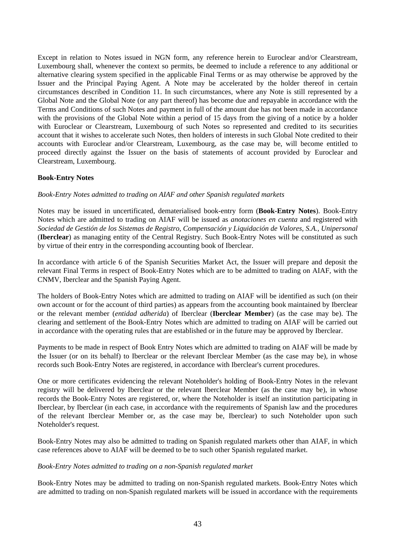Except in relation to Notes issued in NGN form, any reference herein to Euroclear and/or Clearstream, Luxembourg shall, whenever the context so permits, be deemed to include a reference to any additional or alternative clearing system specified in the applicable Final Terms or as may otherwise be approved by the Issuer and the Principal Paying Agent. A Note may be accelerated by the holder thereof in certain circumstances described in Condition 11. In such circumstances, where any Note is still represented by a Global Note and the Global Note (or any part thereof) has become due and repayable in accordance with the Terms and Conditions of such Notes and payment in full of the amount due has not been made in accordance with the provisions of the Global Note within a period of 15 days from the giving of a notice by a holder with Euroclear or Clearstream, Luxembourg of such Notes so represented and credited to its securities account that it wishes to accelerate such Notes, then holders of interests in such Global Note credited to their accounts with Euroclear and/or Clearstream, Luxembourg, as the case may be, will become entitled to proceed directly against the Issuer on the basis of statements of account provided by Euroclear and Clearstream, Luxembourg.

# **Book-Entry Notes**

#### *Book-Entry Notes admitted to trading on AIAF and other Spanish regulated markets*

Notes may be issued in uncertificated, dematerialised book-entry form (**Book-Entry Notes**). Book-Entry Notes which are admitted to trading on AIAF will be issued as *anotaciones en cuenta* and registered with *Sociedad de Gestión de los Sistemas de Registro, Compensación y Liquidación de Valores, S.A., Unipersonal* (**Iberclear**) as managing entity of the Central Registry. Such Book-Entry Notes will be constituted as such by virtue of their entry in the corresponding accounting book of Iberclear.

In accordance with article 6 of the Spanish Securities Market Act, the Issuer will prepare and deposit the relevant Final Terms in respect of Book-Entry Notes which are to be admitted to trading on AIAF, with the CNMV, Iberclear and the Spanish Paying Agent.

The holders of Book-Entry Notes which are admitted to trading on AIAF will be identified as such (on their own account or for the account of third parties) as appears from the accounting book maintained by Iberclear or the relevant member (*entidad adherida*) of Iberclear (**Iberclear Member**) (as the case may be). The clearing and settlement of the Book-Entry Notes which are admitted to trading on AIAF will be carried out in accordance with the operating rules that are established or in the future may be approved by Iberclear.

Payments to be made in respect of Book Entry Notes which are admitted to trading on AIAF will be made by the Issuer (or on its behalf) to Iberclear or the relevant Iberclear Member (as the case may be), in whose records such Book-Entry Notes are registered, in accordance with Iberclear's current procedures.

One or more certificates evidencing the relevant Noteholder's holding of Book-Entry Notes in the relevant registry will be delivered by Iberclear or the relevant Iberclear Member (as the case may be), in whose records the Book-Entry Notes are registered, or, where the Noteholder is itself an institution participating in Iberclear, by Iberclear (in each case, in accordance with the requirements of Spanish law and the procedures of the relevant Iberclear Member or, as the case may be, Iberclear) to such Noteholder upon such Noteholder's request.

Book-Entry Notes may also be admitted to trading on Spanish regulated markets other than AIAF, in which case references above to AIAF will be deemed to be to such other Spanish regulated market.

#### *Book-Entry Notes admitted to trading on a non-Spanish regulated market*

Book-Entry Notes may be admitted to trading on non-Spanish regulated markets. Book-Entry Notes which are admitted to trading on non-Spanish regulated markets will be issued in accordance with the requirements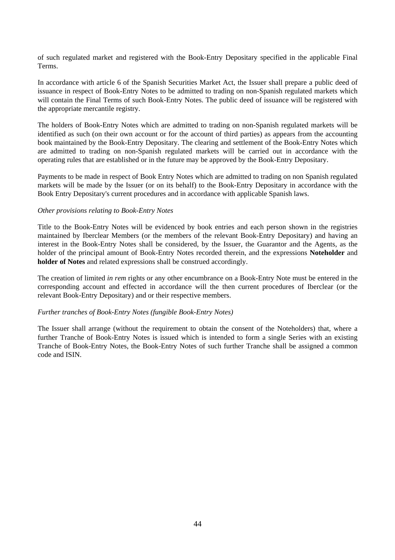of such regulated market and registered with the Book-Entry Depositary specified in the applicable Final Terms.

In accordance with article 6 of the Spanish Securities Market Act, the Issuer shall prepare a public deed of issuance in respect of Book-Entry Notes to be admitted to trading on non-Spanish regulated markets which will contain the Final Terms of such Book-Entry Notes. The public deed of issuance will be registered with the appropriate mercantile registry.

The holders of Book-Entry Notes which are admitted to trading on non-Spanish regulated markets will be identified as such (on their own account or for the account of third parties) as appears from the accounting book maintained by the Book-Entry Depositary. The clearing and settlement of the Book-Entry Notes which are admitted to trading on non-Spanish regulated markets will be carried out in accordance with the operating rules that are established or in the future may be approved by the Book-Entry Depositary.

Payments to be made in respect of Book Entry Notes which are admitted to trading on non Spanish regulated markets will be made by the Issuer (or on its behalf) to the Book-Entry Depositary in accordance with the Book Entry Depositary's current procedures and in accordance with applicable Spanish laws.

#### *Other provisions relating to Book-Entry Notes*

Title to the Book-Entry Notes will be evidenced by book entries and each person shown in the registries maintained by Iberclear Members (or the members of the relevant Book-Entry Depositary) and having an interest in the Book-Entry Notes shall be considered, by the Issuer, the Guarantor and the Agents, as the holder of the principal amount of Book-Entry Notes recorded therein, and the expressions **Noteholder** and **holder of Notes** and related expressions shall be construed accordingly.

The creation of limited *in rem* rights or any other encumbrance on a Book-Entry Note must be entered in the corresponding account and effected in accordance will the then current procedures of Iberclear (or the relevant Book-Entry Depositary) and or their respective members.

# *Further tranches of Book-Entry Notes (fungible Book-Entry Notes)*

The Issuer shall arrange (without the requirement to obtain the consent of the Noteholders) that, where a further Tranche of Book-Entry Notes is issued which is intended to form a single Series with an existing Tranche of Book-Entry Notes, the Book-Entry Notes of such further Tranche shall be assigned a common code and ISIN.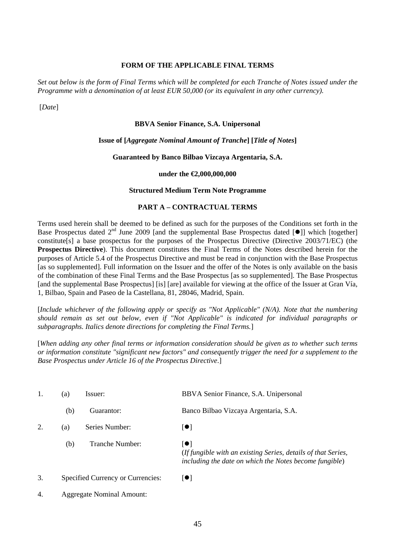#### **FORM OF THE APPLICABLE FINAL TERMS**

*Set out below is the form of Final Terms which will be completed for each Tranche of Notes issued under the Programme with a denomination of at least EUR 50,000 (or its equivalent in any other currency).*

[*Date*]

#### **BBVA Senior Finance, S.A. Unipersonal**

#### **Issue of [***Aggregate Nominal Amount of Tranche***] [***Title of Notes***]**

#### **Guaranteed by Banco Bilbao Vizcaya Argentaria, S.A.**

#### **under the €2,000,000,000**

#### **Structured Medium Term Note Programme**

#### **PART A – CONTRACTUAL TERMS**

Terms used herein shall be deemed to be defined as such for the purposes of the Conditions set forth in the Base Prospectus dated  $2^{nd}$  June 2009 [and the supplemental Base Prospectus dated  $\lceil \bullet \rceil$ ] which [together] constitute[s] a base prospectus for the purposes of the Prospectus Directive (Directive 2003/71/EC) (the **Prospectus Directive**). This document constitutes the Final Terms of the Notes described herein for the purposes of Article 5.4 of the Prospectus Directive and must be read in conjunction with the Base Prospectus [as so supplemented]. Full information on the Issuer and the offer of the Notes is only available on the basis of the combination of these Final Terms and the Base Prospectus [as so supplemented]. The Base Prospectus [and the supplemental Base Prospectus] [is] [are] available for viewing at the office of the Issuer at Gran Vía, 1, Bilbao, Spain and Paseo de la Castellana, 81, 28046, Madrid, Spain.

[*Include whichever of the following apply or specify as "Not Applicable" (N/A). Note that the numbering should remain as set out below, even if "Not Applicable" is indicated for individual paragraphs or subparagraphs. Italics denote directions for completing the Final Terms.*]

[*When adding any other final terms or information consideration should be given as to whether such terms or information constitute "significant new factors" and consequently trigger the need for a supplement to the Base Prospectus under Article 16 of the Prospectus Directive*.]

|    | (a) | Issuer:                           | BBVA Senior Finance, S.A. Unipersonal                                                                                                              |
|----|-----|-----------------------------------|----------------------------------------------------------------------------------------------------------------------------------------------------|
|    | (b) | Guarantor:                        | Banco Bilbao Vizcaya Argentaria, S.A.                                                                                                              |
| 2. | (a) | Series Number:                    | $\lceil \bullet \rceil$                                                                                                                            |
|    | (b) | Tranche Number:                   | $\lceil \bullet \rceil$<br>(If fungible with an existing Series, details of that Series,<br>including the date on which the Notes become fungible) |
| 3. |     | Specified Currency or Currencies: | $\lceil \bullet \rceil$                                                                                                                            |
| 4. |     | <b>Aggregate Nominal Amount:</b>  |                                                                                                                                                    |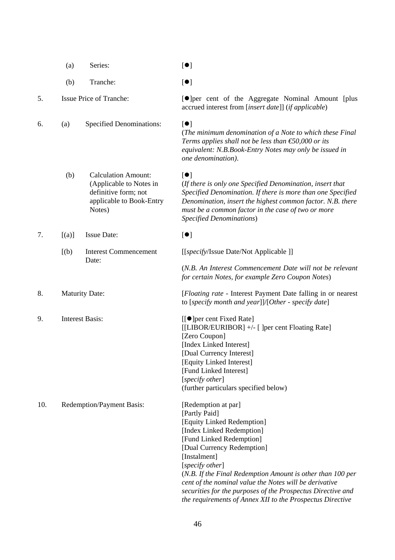| (a) | Series: | $[\bullet]$ |
|-----|---------|-------------|
|     |         |             |

(b) Tranche:  $\lceil \bullet \rceil$ 

(Applicable to Notes in definitive form; not applicable to Book-Entry

6. (a) Specified Denominations:  $\lceil \bullet \rceil$ 

Notes)

Date:

[(b) Interest Commencement

5. Issue Price of Tranche:  $\Box$  [O] per cent of the Aggregate Nominal Amount [plus] accrued interest from [*insert date*]] (*if applicable*)

 (*The minimum denomination of a Note to which these Final Terms applies shall not be less than €50,000 or its equivalent: N.B.Book-Entry Notes may only be issued in one denomination)*.

#### (b) Calculation Amount:  $\lceil \bullet \rceil$

(*If there is only one Specified Denomination, insert that Specified Denomination. If there is more than one Specified Denomination, insert the highest common factor. N.B. there must be a common factor in the case of two or more Specified Denominations*)

# 7.  $[(a)]$  Issue Date:  $[①]$

[[*specify*/Issue Date/Not Applicable ]]

(*N.B. An Interest Commencement Date will not be relevant for certain Notes, for example Zero Coupon Notes*)

8. Maturity Date: [*Floating rate* - Interest Payment Date falling in or nearest to [*specify month and year*]]/[*Other - specify date*]

9. Interest Basis: [[O] per cent Fixed Rate] [[LIBOR/EURIBOR] +/- [ ]per cent Floating Rate] [Zero Coupon] [Index Linked Interest] [Dual Currency Interest] [Equity Linked Interest] [Fund Linked Interest] [*specify other*] (further particulars specified below)

10. Redemption/Payment Basis: [Redemption at par] [Partly Paid] [Equity Linked Redemption] [Index Linked Redemption] [Fund Linked Redemption] [Dual Currency Redemption] [Instalment] [*specify other*] (*N.B. If the Final Redemption Amount is other than 100 per cent of the nominal value the Notes will be derivative securities for the purposes of the Prospectus Directive and the requirements of Annex XII to the Prospectus Directive*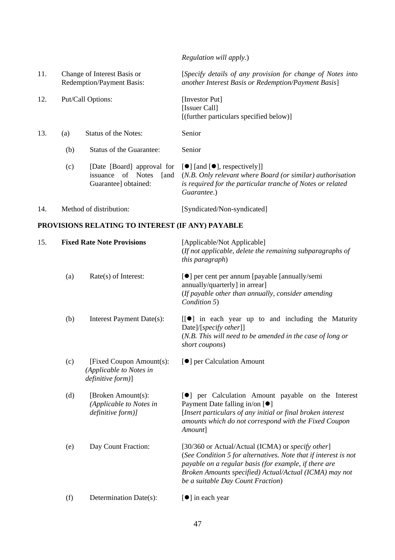|     |     |                                                                                 | <i>Regulation will apply.)</i>                                                                                                                                                                                   |
|-----|-----|---------------------------------------------------------------------------------|------------------------------------------------------------------------------------------------------------------------------------------------------------------------------------------------------------------|
| 11. |     | Change of Interest Basis or<br>Redemption/Payment Basis:                        | [Specify details of any provision for change of Notes into<br>another Interest Basis or Redemption/Payment Basis]                                                                                                |
| 12. |     | Put/Call Options:                                                               | [Investor Put]<br>[Issuer Call]<br>[(further particulars specified below)]                                                                                                                                       |
| 13. | (a) | Status of the Notes:                                                            | Senior                                                                                                                                                                                                           |
|     | (b) | Status of the Guarantee:                                                        | Senior                                                                                                                                                                                                           |
|     | (c) | [Date [Board] approval for<br>issuance of Notes<br>[and<br>Guarantee] obtained: | $\lceil \bullet \rceil$ [and $\lceil \bullet \rceil$ , respectively]]<br>(N.B. Only relevant where Board (or similar) authorisation<br>is required for the particular tranche of Notes or related<br>Guarantee.) |
| 14. |     | Method of distribution:                                                         | [Syndicated/Non-syndicated]                                                                                                                                                                                      |

# **PROVISIONS RELATING TO INTEREST (IF ANY) PAYABLE**

| 15. |     | <b>Fixed Rate Note Provisions</b>                                        | [Applicable/Not Applicable]<br>(If not applicable, delete the remaining subparagraphs of<br>this paragraph)                                                                                                                                                                  |  |  |
|-----|-----|--------------------------------------------------------------------------|------------------------------------------------------------------------------------------------------------------------------------------------------------------------------------------------------------------------------------------------------------------------------|--|--|
|     | (a) | $Rate(s)$ of Interest:                                                   | [ <sup>•</sup> ] per cent per annum [payable [annually/semi<br>annually/quarterly] in arrear]<br>(If payable other than annually, consider amending<br>Condition 5)                                                                                                          |  |  |
|     | (b) | Interest Payment Date(s):                                                | $[$ $\bullet$ $]$ in each year up to and including the Maturity<br>Date]/[specify other]]<br>(N.B. This will need to be amended in the case of long or<br>short coupons)                                                                                                     |  |  |
|     | (c) | [Fixed Coupon Amount(s):<br>(Applicable to Notes in<br>definitive form)] | [ <sup>•</sup> ] per Calculation Amount                                                                                                                                                                                                                                      |  |  |
|     | (d) | [Broken Amount(s):<br>(Applicable to Notes in<br>definitive form)]       | [ <sup>o</sup> ] per Calculation Amount payable on the Interest<br>Payment Date falling in/on [ $\bullet$ ]<br>[Insert particulars of any initial or final broken interest<br>amounts which do not correspond with the Fixed Coupon<br>Amount]                               |  |  |
|     | (e) | Day Count Fraction:                                                      | [30/360 or Actual/Actual (ICMA) or specify other]<br>(See Condition 5 for alternatives. Note that if interest is not<br>payable on a regular basis (for example, if there are<br>Broken Amounts specified) Actual/Actual (ICMA) may not<br>be a suitable Day Count Fraction) |  |  |
|     | (f) | Determination Date(s):                                                   | [ <sup>●</sup> ] in each year                                                                                                                                                                                                                                                |  |  |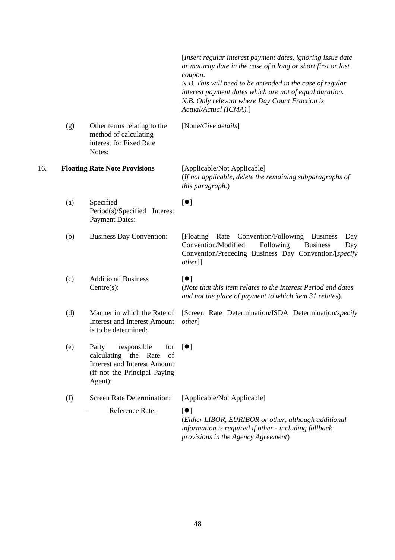|     |     |                                                                                                                                                   | [Insert regular interest payment dates, ignoring issue date<br>or maturity date in the case of a long or short first or last<br>coupon.<br>N.B. This will need to be amended in the case of regular<br>interest payment dates which are not of equal duration.<br>N.B. Only relevant where Day Count Fraction is<br>Actual/Actual (ICMA).] |
|-----|-----|---------------------------------------------------------------------------------------------------------------------------------------------------|--------------------------------------------------------------------------------------------------------------------------------------------------------------------------------------------------------------------------------------------------------------------------------------------------------------------------------------------|
|     | (g) | Other terms relating to the<br>method of calculating<br>interest for Fixed Rate<br>Notes:                                                         | [None/Give details]                                                                                                                                                                                                                                                                                                                        |
| 16. |     | <b>Floating Rate Note Provisions</b>                                                                                                              | [Applicable/Not Applicable]<br>(If not applicable, delete the remaining subparagraphs of<br>this paragraph.)                                                                                                                                                                                                                               |
|     | (a) | Specified<br>Period(s)/Specified Interest<br><b>Payment Dates:</b>                                                                                | [•]                                                                                                                                                                                                                                                                                                                                        |
|     | (b) | <b>Business Day Convention:</b>                                                                                                                   | Convention/Following<br>[Floating]<br>Rate<br><b>Business</b><br>Day<br>Convention/Modified<br>Following<br><b>Business</b><br>Day<br>Convention/Preceding Business Day Convention/[specify<br><i>other</i> ]]                                                                                                                             |
|     | (c) | <b>Additional Business</b><br>$Centre(s)$ :                                                                                                       | $\lceil \bullet \rceil$<br>(Note that this item relates to the Interest Period end dates<br>and not the place of payment to which item 31 relates).                                                                                                                                                                                        |
|     | (d) | Manner in which the Rate of<br><b>Interest and Interest Amount</b><br>is to be determined:                                                        | [Screen Rate Determination/ISDA Determination/specify<br><i>other</i> ]                                                                                                                                                                                                                                                                    |
|     | (e) | responsible<br>for<br>Party<br>calculating<br>the<br>Rate<br>of<br><b>Interest and Interest Amount</b><br>(if not the Principal Paying<br>Agent): | ●                                                                                                                                                                                                                                                                                                                                          |
|     | (f) | <b>Screen Rate Determination:</b>                                                                                                                 | [Applicable/Not Applicable]                                                                                                                                                                                                                                                                                                                |
|     |     | Reference Rate:                                                                                                                                   | $\lceil \bullet \rceil$<br>(Either LIBOR, EURIBOR or other, although additional<br>information is required if other - including fallback<br>provisions in the Agency Agreement)                                                                                                                                                            |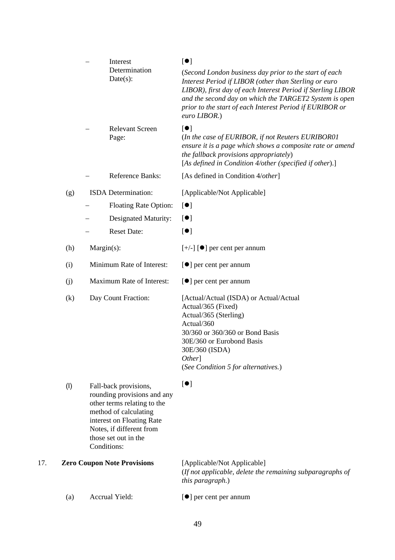|     |     |                           | Interest<br>Determination<br>Date(s):                                                                                                                                                                        | [•]<br>(Second London business day prior to the start of each<br>Interest Period if LIBOR (other than Sterling or euro<br>LIBOR), first day of each Interest Period if Sterling LIBOR<br>and the second day on which the TARGET2 System is open<br>prior to the start of each Interest Period if EURIBOR or<br>euro LIBOR.) |
|-----|-----|---------------------------|--------------------------------------------------------------------------------------------------------------------------------------------------------------------------------------------------------------|-----------------------------------------------------------------------------------------------------------------------------------------------------------------------------------------------------------------------------------------------------------------------------------------------------------------------------|
|     |     |                           | <b>Relevant Screen</b><br>Page:                                                                                                                                                                              | $\lbrack \bullet \rbrack$<br>(In the case of EURIBOR, if not Reuters EURIBOR01<br>ensure it is a page which shows a composite rate or amend<br>the fallback provisions appropriately)<br>[As defined in Condition 4/other (specified if other).]                                                                            |
|     |     |                           | Reference Banks:                                                                                                                                                                                             | [As defined in Condition 4/other]                                                                                                                                                                                                                                                                                           |
|     | (g) |                           | ISDA Determination:                                                                                                                                                                                          | [Applicable/Not Applicable]                                                                                                                                                                                                                                                                                                 |
|     |     |                           | <b>Floating Rate Option:</b>                                                                                                                                                                                 | [•]                                                                                                                                                                                                                                                                                                                         |
|     |     |                           | Designated Maturity:                                                                                                                                                                                         | [•]                                                                                                                                                                                                                                                                                                                         |
|     |     |                           | <b>Reset Date:</b>                                                                                                                                                                                           | [•]                                                                                                                                                                                                                                                                                                                         |
|     | (h) | $Margin(s)$ :             |                                                                                                                                                                                                              | $[+/$ ] [ $\bullet$ ] per cent per annum                                                                                                                                                                                                                                                                                    |
|     | (i) | Minimum Rate of Interest: |                                                                                                                                                                                                              | $\left[\bullet\right]$ per cent per annum                                                                                                                                                                                                                                                                                   |
|     | (j) | Maximum Rate of Interest: |                                                                                                                                                                                                              | [●] per cent per annum                                                                                                                                                                                                                                                                                                      |
|     | (k) |                           | Day Count Fraction:                                                                                                                                                                                          | [Actual/Actual (ISDA) or Actual/Actual<br>Actual/365 (Fixed)<br>Actual/365 (Sterling)<br>Actual/360<br>30/360 or 360/360 or Bond Basis<br>30E/360 or Eurobond Basis<br>30E/360 (ISDA)<br>Other]<br>(See Condition 5 for alternatives.)                                                                                      |
|     | (1) |                           | Fall-back provisions,<br>rounding provisions and any<br>other terms relating to the<br>method of calculating<br>interest on Floating Rate<br>Notes, if different from<br>those set out in the<br>Conditions: | [•]                                                                                                                                                                                                                                                                                                                         |
| 17. |     |                           | <b>Zero Coupon Note Provisions</b>                                                                                                                                                                           | [Applicable/Not Applicable]<br>(If not applicable, delete the remaining subparagraphs of<br>this paragraph.)                                                                                                                                                                                                                |
|     | (a) |                           | Accrual Yield:                                                                                                                                                                                               | [●] per cent per annum                                                                                                                                                                                                                                                                                                      |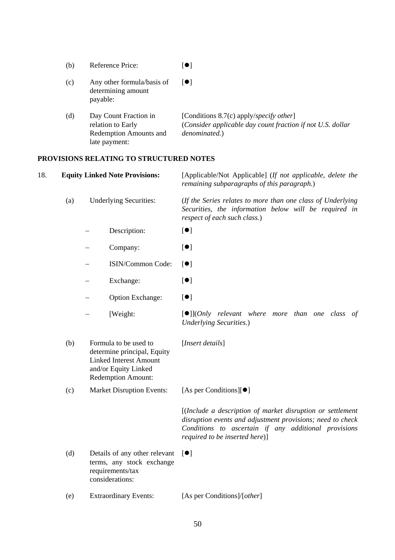|     | (b) |          | Reference Price:                                                                                                                           | [•]                                                                                                                                                                                                                |
|-----|-----|----------|--------------------------------------------------------------------------------------------------------------------------------------------|--------------------------------------------------------------------------------------------------------------------------------------------------------------------------------------------------------------------|
|     | (c) | payable: | Any other formula/basis of<br>determining amount                                                                                           | [•]                                                                                                                                                                                                                |
|     | (d) |          | Day Count Fraction in<br>relation to Early<br>Redemption Amounts and<br>late payment:                                                      | [Conditions 8.7(c) apply/specify other]<br>(Consider applicable day count fraction if not U.S. dollar<br>denominated.)                                                                                             |
|     |     |          | PROVISIONS RELATING TO STRUCTURED NOTES                                                                                                    |                                                                                                                                                                                                                    |
| 18. |     |          | <b>Equity Linked Note Provisions:</b>                                                                                                      | [Applicable/Not Applicable] (If not applicable, delete the<br>remaining subparagraphs of this paragraph.)                                                                                                          |
|     | (a) |          | <b>Underlying Securities:</b>                                                                                                              | (If the Series relates to more than one class of Underlying<br>Securities, the information below will be required in<br>respect of each such class.)                                                               |
|     |     |          | Description:                                                                                                                               | [•]                                                                                                                                                                                                                |
|     |     |          | Company:                                                                                                                                   | [•]                                                                                                                                                                                                                |
|     |     |          | ISIN/Common Code:                                                                                                                          | [•]                                                                                                                                                                                                                |
|     |     |          | Exchange:                                                                                                                                  | [•]                                                                                                                                                                                                                |
|     |     |          | Option Exchange:                                                                                                                           | [•]                                                                                                                                                                                                                |
|     |     |          | [Weight:                                                                                                                                   | $[•]$ ]( <i>Only relevant where more than one class</i><br>of<br><b>Underlying Securities.)</b>                                                                                                                    |
|     | (b) |          | Formula to be used to<br>determine principal, Equity<br><b>Linked Interest Amount</b><br>and/or Equity Linked<br><b>Redemption Amount:</b> | [Insert details]                                                                                                                                                                                                   |
|     | (c) |          | <b>Market Disruption Events:</b>                                                                                                           | [As per Conditions][ <sup>0</sup> ]                                                                                                                                                                                |
|     |     |          |                                                                                                                                            | [(Include a description of market disruption or settlement<br>disruption events and adjustment provisions; need to check<br>Conditions to ascertain if any additional provisions<br>required to be inserted here)] |
|     | (d) |          | Details of any other relevant<br>terms, any stock exchange<br>requirements/tax<br>considerations:                                          | [•]                                                                                                                                                                                                                |
|     | (e) |          | <b>Extraordinary Events:</b>                                                                                                               | [As per Conditions]/[other]                                                                                                                                                                                        |
|     |     |          |                                                                                                                                            |                                                                                                                                                                                                                    |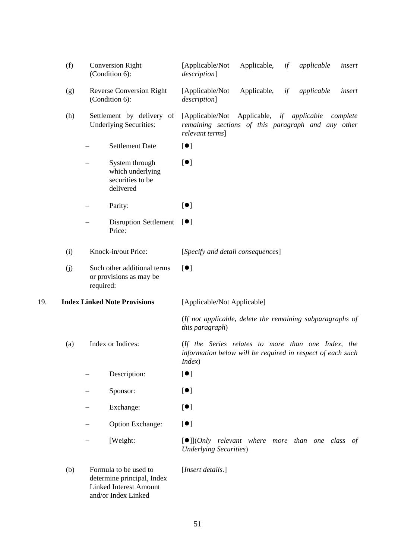|     | (f)                    | <b>Conversion Right</b><br>(Condition 6):                                                                   |                              | [Applicable/Not<br>description]                                                                                            | Applicable,               | if | applicable | insert   |
|-----|------------------------|-------------------------------------------------------------------------------------------------------------|------------------------------|----------------------------------------------------------------------------------------------------------------------------|---------------------------|----|------------|----------|
|     | (g)                    | <b>Reverse Conversion Right</b><br>(Condition 6):                                                           |                              | [Applicable/Not<br>description]                                                                                            | Applicable,               | if | applicable | insert   |
|     | (h)                    | Settlement by delivery of<br><b>Underlying Securities:</b>                                                  |                              | [Applicable/Not<br>remaining sections of this paragraph and any other<br>relevant terms]                                   | Applicable, if applicable |    |            | complete |
|     | <b>Settlement Date</b> |                                                                                                             |                              | [•]                                                                                                                        |                           |    |            |          |
|     |                        | System through<br>securities to be<br>delivered                                                             | which underlying             | [•]                                                                                                                        |                           |    |            |          |
|     |                        | Parity:                                                                                                     |                              | $[\bullet]$                                                                                                                |                           |    |            |          |
|     |                        | Price:                                                                                                      | <b>Disruption Settlement</b> | $\lbrack \bullet \rbrack$                                                                                                  |                           |    |            |          |
|     | (i)                    | Knock-in/out Price:                                                                                         |                              | [Specify and detail consequences]                                                                                          |                           |    |            |          |
|     | (j)                    | Such other additional terms<br>or provisions as may be<br>required:                                         |                              | [•]                                                                                                                        |                           |    |            |          |
| 19. |                        | <b>Index Linked Note Provisions</b>                                                                         |                              | [Applicable/Not Applicable]                                                                                                |                           |    |            |          |
|     |                        |                                                                                                             |                              | (If not applicable, delete the remaining subparagraphs of<br>this paragraph)                                               |                           |    |            |          |
|     | (a)                    | Index or Indices:                                                                                           |                              | (If the Series relates to more than one Index, the<br>information below will be required in respect of each such<br>Index) |                           |    |            |          |
|     |                        | Description:                                                                                                |                              | [•]                                                                                                                        |                           |    |            |          |
|     |                        | Sponsor:                                                                                                    |                              | [•]                                                                                                                        |                           |    |            |          |
|     |                        | Exchange:                                                                                                   |                              | [•]                                                                                                                        |                           |    |            |          |
|     |                        |                                                                                                             | Option Exchange:             | [•]                                                                                                                        |                           |    |            |          |
|     |                        | [Weight:                                                                                                    |                              | $[•]$ ]( <i>Only relevant where more than one class</i><br><b>Underlying Securities</b> )                                  |                           |    |            | of       |
|     | (b)                    | Formula to be used to<br>determine principal, Index<br><b>Linked Interest Amount</b><br>and/or Index Linked |                              | [Insert details.]                                                                                                          |                           |    |            |          |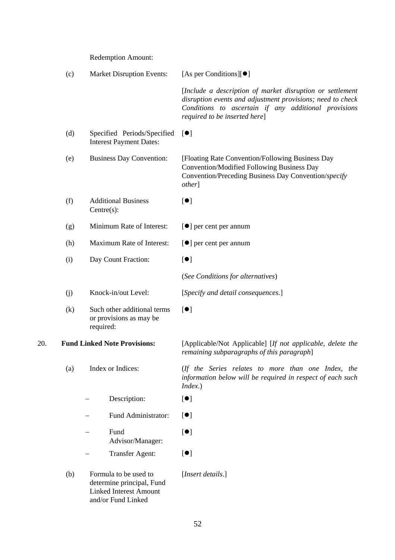Redemption Amount:

|     | (c) | <b>Market Disruption Events:</b>                                                                          | [As per Conditions][ $\bullet$ ]                                                                                                                                                                                 |
|-----|-----|-----------------------------------------------------------------------------------------------------------|------------------------------------------------------------------------------------------------------------------------------------------------------------------------------------------------------------------|
|     |     |                                                                                                           | [Include a description of market disruption or settlement<br>disruption events and adjustment provisions; need to check<br>Conditions to ascertain if any additional provisions<br>required to be inserted here] |
|     | (d) | Specified Periods/Specified<br><b>Interest Payment Dates:</b>                                             | $\lceil \bullet \rceil$                                                                                                                                                                                          |
|     | (e) | <b>Business Day Convention:</b>                                                                           | [Floating Rate Convention/Following Business Day<br>Convention/Modified Following Business Day<br>Convention/Preceding Business Day Convention/specify<br><i>other</i> ]                                         |
|     | (f) | <b>Additional Business</b><br>$Centre(s)$ :                                                               | [•]                                                                                                                                                                                                              |
|     | (g) | Minimum Rate of Interest:                                                                                 | $\left[\bullet\right]$ per cent per annum                                                                                                                                                                        |
|     | (h) | Maximum Rate of Interest:                                                                                 | $\left[\bullet\right]$ per cent per annum                                                                                                                                                                        |
|     | (i) | Day Count Fraction:                                                                                       | $\lbrack \bullet \rbrack$                                                                                                                                                                                        |
|     |     |                                                                                                           | (See Conditions for alternatives)                                                                                                                                                                                |
|     | (j) | Knock-in/out Level:                                                                                       | [Specify and detail consequences.]                                                                                                                                                                               |
|     | (k) | Such other additional terms<br>or provisions as may be<br>required:                                       | [•]                                                                                                                                                                                                              |
| 20. |     | <b>Fund Linked Note Provisions:</b>                                                                       | [Applicable/Not Applicable] [If not applicable, delete the<br>remaining subparagraphs of this paragraph]                                                                                                         |
|     | (a) | Index or Indices:                                                                                         | (If the Series relates to more than one Index, the<br>information below will be required in respect of each such<br>Index.)                                                                                      |
|     |     | Description:                                                                                              | [•]                                                                                                                                                                                                              |
|     |     | Fund Administrator:                                                                                       | [•]                                                                                                                                                                                                              |
|     |     | Fund<br>Advisor/Manager:                                                                                  | [•]                                                                                                                                                                                                              |
|     |     | <b>Transfer Agent:</b>                                                                                    | [•]                                                                                                                                                                                                              |
|     | (b) | Formula to be used to<br>determine principal, Fund<br><b>Linked Interest Amount</b><br>and/or Fund Linked | [Insert details.]                                                                                                                                                                                                |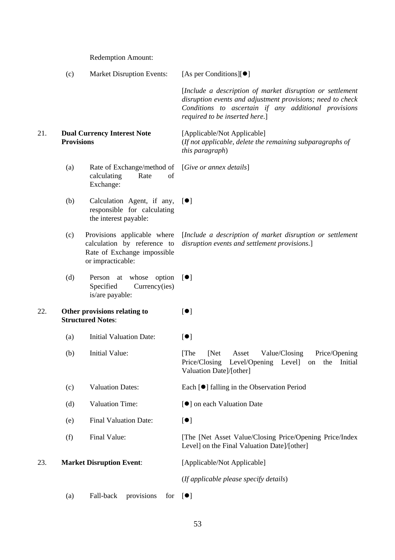Redemption Amount:

|     | (c)               | <b>Market Disruption Events:</b>                                                                               | [As per Conditions][ $\bullet$ ]                                                                                                                                                                                  |
|-----|-------------------|----------------------------------------------------------------------------------------------------------------|-------------------------------------------------------------------------------------------------------------------------------------------------------------------------------------------------------------------|
|     |                   |                                                                                                                | [Include a description of market disruption or settlement<br>disruption events and adjustment provisions; need to check<br>Conditions to ascertain if any additional provisions<br>required to be inserted here.] |
| 21. | <b>Provisions</b> | <b>Dual Currency Interest Note</b>                                                                             | [Applicable/Not Applicable]<br>(If not applicable, delete the remaining subparagraphs of<br>this paragraph)                                                                                                       |
|     | (a)               | Rate of Exchange/method of [Give or annex details]<br>calculating<br>Rate<br>of<br>Exchange:                   |                                                                                                                                                                                                                   |
|     | (b)               | Calculation Agent, if any,<br>responsible for calculating<br>the interest payable:                             | $\lbrack \bullet \rbrack$                                                                                                                                                                                         |
|     | (c)               | Provisions applicable where<br>calculation by reference to<br>Rate of Exchange impossible<br>or impracticable: | [Include a description of market disruption or settlement<br>disruption events and settlement provisions.]                                                                                                        |
|     | (d)               | Person at whose option<br>Specified<br>Currency(ies)<br>is/are payable:                                        | $\lbrack \bullet \rbrack$                                                                                                                                                                                         |
| 22. |                   | Other provisions relating to<br><b>Structured Notes:</b>                                                       | [•]                                                                                                                                                                                                               |
|     | (a)               | <b>Initial Valuation Date:</b>                                                                                 | [•]                                                                                                                                                                                                               |
|     | (b)               | <b>Initial Value:</b>                                                                                          | Value/Closing<br>[The]<br>[Net]<br>Price/Opening<br>Asset<br>Price/Closing<br>Level/Opening Level]<br>Initial<br>the<br>on<br>Valuation Date]/[other]                                                             |
|     | (c)               | <b>Valuation Dates:</b>                                                                                        | Each $[\bullet]$ falling in the Observation Period                                                                                                                                                                |
|     | (d)               | Valuation Time:                                                                                                | [ <sup>o</sup> ] on each Valuation Date                                                                                                                                                                           |
|     | (e)               | Final Valuation Date:                                                                                          | [•]                                                                                                                                                                                                               |
|     | (f)               | Final Value:                                                                                                   | [The [Net Asset Value/Closing Price/Opening Price/Index<br>Level] on the Final Valuation Date]/[other]                                                                                                            |
| 23. |                   | <b>Market Disruption Event:</b>                                                                                | [Applicable/Not Applicable]                                                                                                                                                                                       |
|     |                   |                                                                                                                | (If applicable please specify details)                                                                                                                                                                            |
|     | (a)               | Fall-back<br>provisions<br>for                                                                                 | [•]                                                                                                                                                                                                               |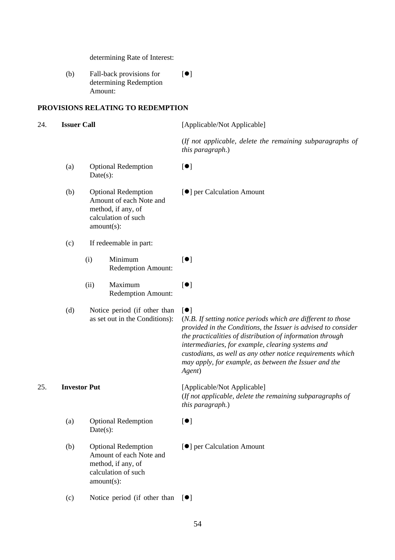determining Rate of Interest:

(b) Fall-back provisions for determining Redemption Amount:  $[•]$ 

# **PROVISIONS RELATING TO REDEMPTION**

24. **Issuer Call** [Applicable/Not Applicable]

[ $\bullet$ ] per Calculation Amount

 (*If not applicable, delete the remaining subparagraphs of this paragraph*.)

- (a) Optional Redemption Date(s):
- (b) Optional Redemption Amount of each Note and method, if any, of calculation of such amount(s):
	-

 $[•]$ 

- (c) If redeemable in part:
	- (i) Minimum Redemption Amount:  $[•]$
	- (ii) Maximum Redemption Amount:
- (d) Notice period (if other than  $[\bullet]$

 $[$   $\bullet$   $]$ 

 $[•]$ 

as set out in the Conditions): (*N.B. If setting notice periods which are different to those provided in the Conditions, the Issuer is advised to consider the practicalities of distribution of information through intermediaries, for example, clearing systems and custodians, as well as any other notice requirements which may apply, for example, as between the Issuer and the Agent*)

### 25. **Investor Put** [Applicable/Not Applicable]

 (*If not applicable, delete the remaining subparagraphs of this paragraph.*)

- (a) Optional Redemption Date(s):
- (b) Optional Redemption Amount of each Note and method, if any, of calculation of such amount(s): [ $\bullet$ ] per Calculation Amount
- (c) Notice period (if other than  $[\bullet]$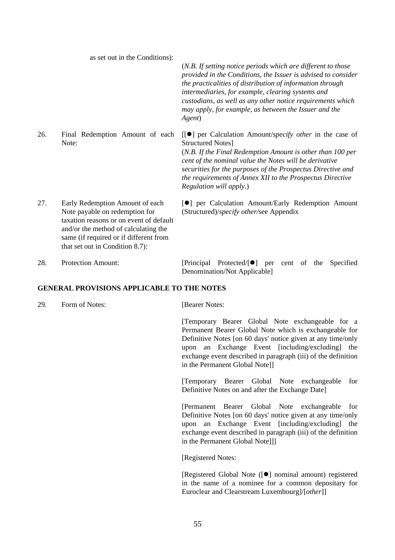as set out in the Conditions):

 (*N.B. If setting notice periods which are different to those provided in the Conditions, the Issuer is advised to consider the practicalities of distribution of information through intermediaries, for example, clearing systems and custodians, as well as any other notice requirements which may apply, for example, as between the Issuer and the Agent*)

26. Final Redemption Amount of each Note:

[[z] per Calculation Amount/*specify other* in the case of Structured Notes] (*N.B. If the Final Redemption Amount is other than 100 per* 

*cent of the nominal value the Notes will be derivative securities for the purposes of the Prospectus Directive and the requirements of Annex XII to the Prospectus Directive Regulation will apply*.)

27. Early Redemption Amount of each Note payable on redemption for taxation reasons or on event of default and/or the method of calculating the same (if required or if different from that set out in Condition 8.7):

[ $\bullet$ ] per Calculation Amount/Early Redemption Amount (Structured)/*specify other/*see Appendix

28. Protection Amount: [Principal Protected/[ $\bullet$ ] per cent of the Specified Denomination/Not Applicable]

# **GENERAL PROVISIONS APPLICABLE TO THE NOTES**

29. Form of Notes: [Bearer Notes:

 [Temporary Bearer Global Note exchangeable for a Permanent Bearer Global Note which is exchangeable for Definitive Notes [on 60 days' notice given at any time/only upon an Exchange Event [including/excluding] the exchange event described in paragraph (iii) of the definition in the Permanent Global Note]]

 [Temporary Bearer Global Note exchangeable for Definitive Notes on and after the Exchange Date]

 [Permanent Bearer Global Note exchangeable for Definitive Notes [on 60 days' notice given at any time/only upon an Exchange Event [including/excluding] the exchange event described in paragraph (iii) of the definition in the Permanent Global Note]]]

[Registered Notes:

[Registered Global Note ([ $\bullet$ ] nominal amount) registered in the name of a nominee for a common depositary for Euroclear and Clearstream Luxembourg]/[*other*]]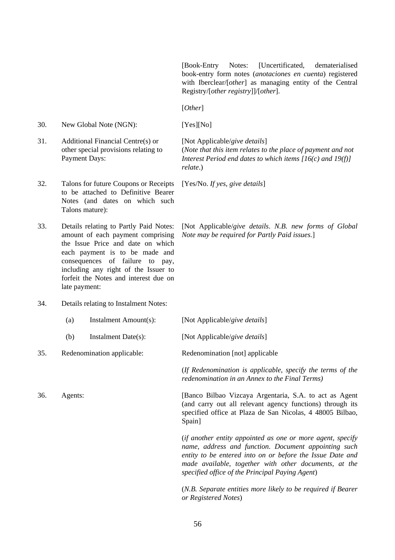[Book-Entry Notes: [Uncertificated, dematerialised book-entry form notes (*anotaciones en cuenta*) registered with Iberclear/[*other*] as managing entity of the Central Registry/[*other registry*]]/[*other*].

(*Note that this item relates to the place of payment and not Interest Period end dates to which items [16(c) and 19(f)]* 

[*Other*]

*relate*.)

[Yes/No. *If yes, give details*]

30. New Global Note (NGN): [Yes][No]

- 31. Additional Financial Centre(s) or [Not Applicable/*give details*] other special provisions relating to Payment Days:
- 32. Talons for future Coupons or Receipts to be attached to Definitive Bearer Notes (and dates on which such Talons mature):
- 33. Details relating to Partly Paid Notes: amount of each payment comprising the Issue Price and date on which each payment is to be made and consequences of failure to pay, including any right of the Issuer to forfeit the Notes and interest due on late payment:
- 34. Details relating to Instalment Notes:
- (a) Instalment Amount(s): [Not Applicable/*give details*] (b) Instalment Date(s): [Not Applicable/*give details*] 35. Redenomination applicable: Redenomination [not] applicable (*If Redenomination is applicable, specify the terms of the redenomination in an Annex to the Final Terms)* 36. Agents: [Banco Bilbao Vizcaya Argentaria, S.A. to act as Agent (and carry out all relevant agency functions) through its specified office at Plaza de San Nicolas, 4 48005 Bilbao, Spain] (*if another entity appointed as one or more agent, specify*

*name, address and function. Document appointing such entity to be entered into on or before the Issue Date and made available, together with other documents, at the specified office of the Principal Paying Agent*)

 (*N.B. Separate entities more likely to be required if Bearer or Registered Notes*)

*Note may be required for Partly Paid issues.*]

[Not Applicable/*give details*. *N.B. new forms of Global*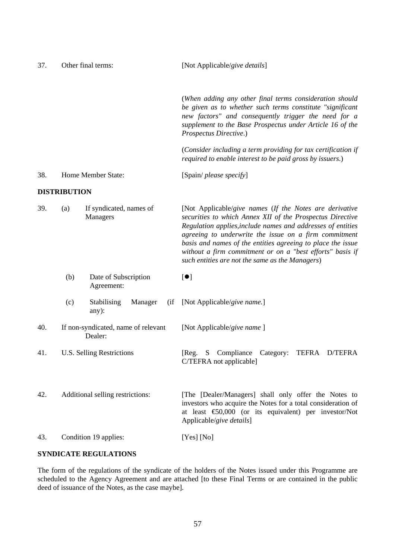| 37. |                     | Other final terms:                  | [Not Applicable/give details]                                                                                                                                                                                                                                                                                                                                                                                               |  |  |  |  |  |  |  |  |
|-----|---------------------|-------------------------------------|-----------------------------------------------------------------------------------------------------------------------------------------------------------------------------------------------------------------------------------------------------------------------------------------------------------------------------------------------------------------------------------------------------------------------------|--|--|--|--|--|--|--|--|
|     |                     |                                     | (When adding any other final terms consideration should<br>be given as to whether such terms constitute "significant<br>new factors" and consequently trigger the need for a<br>supplement to the Base Prospectus under Article 16 of the<br>Prospectus Directive.)                                                                                                                                                         |  |  |  |  |  |  |  |  |
|     |                     |                                     | (Consider including a term providing for tax certification if<br>required to enable interest to be paid gross by issuers.)                                                                                                                                                                                                                                                                                                  |  |  |  |  |  |  |  |  |
| 38. |                     | Home Member State:                  | [Spain/ <i>please specify</i> ]                                                                                                                                                                                                                                                                                                                                                                                             |  |  |  |  |  |  |  |  |
|     | <b>DISTRIBUTION</b> |                                     |                                                                                                                                                                                                                                                                                                                                                                                                                             |  |  |  |  |  |  |  |  |
| 39. | (a)                 | If syndicated, names of<br>Managers | [Not Applicable/give names (If the Notes are derivative<br>securities to which Annex XII of the Prospectus Directive<br>Regulation applies, include names and addresses of entities<br>agreeing to underwrite the issue on a firm commitment<br>basis and names of the entities agreeing to place the issue<br>without a firm commitment or on a "best efforts" basis if<br>such entities are not the same as the Managers) |  |  |  |  |  |  |  |  |

|     | (b) | Date of Subscription<br>Agreement:             |         |       | $\lceil \bullet \rceil$ |    |                                                      |  |               |
|-----|-----|------------------------------------------------|---------|-------|-------------------------|----|------------------------------------------------------|--|---------------|
|     | (c) | Stabilising<br>any $)$ :                       | Manager | (i f) |                         |    | [Not Applicable/give name.]                          |  |               |
| 40. |     | If non-syndicated, name of relevant<br>Dealer: |         |       |                         |    | [Not Applicable/give name]                           |  |               |
| 41. |     | U.S. Selling Restrictions                      |         |       | [Reg.                   | S. | Compliance Category:<br>C/TEFRA not applicable]      |  | TEFRA D/TEFRA |
| 42. |     | Additional selling restrictions:               |         |       |                         |    | [The [Dealer/Managers] shall only offer the Notes to |  |               |

investors who acquire the Notes for a total consideration of at least  $\epsilon$ 50,000 (or its equivalent) per investor/Not Applicable/*give details*]

43. Condition 19 applies: [Yes] [No]

# **SYNDICATE REGULATIONS**

The form of the regulations of the syndicate of the holders of the Notes issued under this Programme are scheduled to the Agency Agreement and are attached [to these Final Terms or are contained in the public deed of issuance of the Notes, as the case maybe].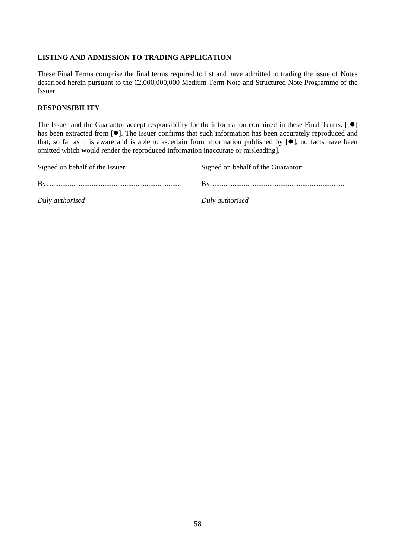# **LISTING AND ADMISSION TO TRADING APPLICATION**

These Final Terms comprise the final terms required to list and have admitted to trading the issue of Notes described herein pursuant to the €2,000,000,000 Medium Term Note and Structured Note Programme of the Issuer.

# **RESPONSIBILITY**

The Issuer and the Guarantor accept responsibility for the information contained in these Final Terms.  $[[\bullet]$ has been extracted from [ $\bullet$ ]. The Issuer confirms that such information has been accurately reproduced and that, so far as it is aware and is able to ascertain from information published by  $[•]$ , no facts have been omitted which would render the reproduced information inaccurate or misleading].

Signed on behalf of the Issuer: Signed on behalf of the Guarantor:

By: ....................................................................... By:........................................................................

*Duly authorised Duly authorised*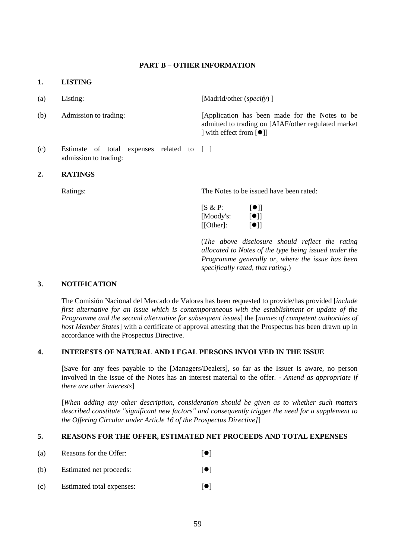# **PART B – OTHER INFORMATION**

- <span id="page-59-0"></span>**1. LISTING**
- (a) Listing: [Madrid/other (*specify*) ]
- 

(b) Admission to trading: [Application has been made for the Notes to be admitted to trading on [AIAF/other regulated market  $\vert$  with effect from  $\vert \bullet \vert$ 

(c) Estimate of total expenses related to [ ] admission to trading:

# **2. RATINGS**

Ratings: The Notes to be issued have been rated:

| $[S \& P:$ | $\lceil \bullet \rceil$ |
|------------|-------------------------|
| [Moody's:  | [•]                     |
| [[Other]:  | $[\bullet]]$            |

 (*The above disclosure should reflect the rating allocated to Notes of the type being issued under the Programme generally or, where the issue has been specifically rated, that rating.*)

# **3. NOTIFICATION**

The Comisión Nacional del Mercado de Valores has been requested to provide/has provided [*include first alternative for an issue which is contemporaneous with the establishment or update of the Programme and the second alternative for subsequent issues*] the [*names of competent authorities of host Member States*] with a certificate of approval attesting that the Prospectus has been drawn up in accordance with the Prospectus Directive.

# **4. INTERESTS OF NATURAL AND LEGAL PERSONS INVOLVED IN THE ISSUE**

[Save for any fees payable to the [Managers/Dealers], so far as the Issuer is aware, no person involved in the issue of the Notes has an interest material to the offer. - *Amend as appropriate if there are other interests*]

[*When adding any other description, consideration should be given as to whether such matters described constitute "significant new factors" and consequently trigger the need for a supplement to the Offering Circular under Article 16 of the Prospectus Directive]*]

# **5. REASONS FOR THE OFFER, ESTIMATED NET PROCEEDS AND TOTAL EXPENSES**

- (a) Reasons for the Offer:  $\lceil \bullet \rceil$
- (b) Estimated net proceeds:  $\lceil \bullet \rceil$
- (c) Estimated total expenses:  $\lceil \bullet \rceil$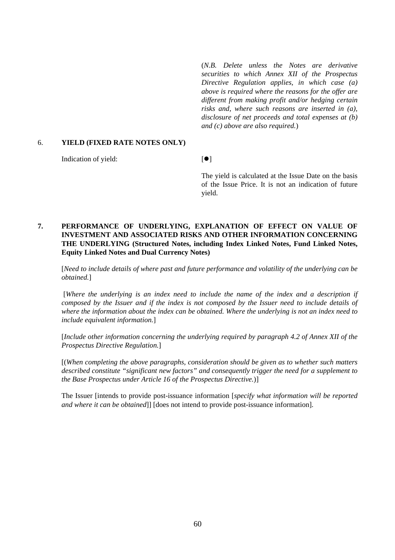(*N.B. Delete unless the Notes are derivative securities to which Annex XII of the Prospectus Directive Regulation applies, in which case [\(a\)](#page-59-0)  [above](#page-59-0) is required where the reasons for the offer are different from making profit and/or hedging certain risks and, where such reasons are inserted in [\(a\),](#page-59-0) disclosure of net proceeds and total expenses at [\(b\)](#page-59-0)  and [\(c\) above](#page-59-0) are also required.*)

### 6. **YIELD (FIXED RATE NOTES ONLY)**

Indication of yield:  $[$ 

 The yield is calculated at the Issue Date on the basis of the Issue Price. It is not an indication of future yield.

# **7. PERFORMANCE OF UNDERLYING, EXPLANATION OF EFFECT ON VALUE OF INVESTMENT AND ASSOCIATED RISKS AND OTHER INFORMATION CONCERNING THE UNDERLYING (Structured Notes, including Index Linked Notes, Fund Linked Notes, Equity Linked Notes and Dual Currency Notes)**

[*Need to include details of where past and future performance and volatility of the underlying can be obtained.*]

 [*Where the underlying is an index need to include the name of the index and a description if composed by the Issuer and if the index is not composed by the Issuer need to include details of where the information about the index can be obtained. Where the underlying is not an index need to include equivalent information.*]

[*Include other information concerning the underlying required by paragraph 4.2 of Annex XII of the Prospectus Directive Regulation.*]

[(*When completing the above paragraphs, consideration should be given as to whether such matters described constitute "significant new factors" and consequently trigger the need for a supplement to the Base Prospectus under Article 16 of the Prospectus Directive.*)]

The Issuer [intends to provide post-issuance information [*specify what information will be reported and where it can be obtained*]] [does not intend to provide post-issuance information].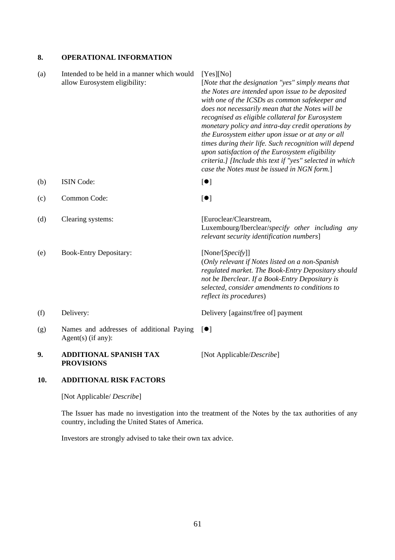# **8. OPERATIONAL INFORMATION**

| (a) | Intended to be held in a manner which would<br>allow Eurosystem eligibility: | [Yes][No]<br>[Note that the designation "yes" simply means that<br>the Notes are intended upon issue to be deposited<br>with one of the ICSDs as common safekeeper and<br>does not necessarily mean that the Notes will be<br>recognised as eligible collateral for Eurosystem<br>monetary policy and intra-day credit operations by<br>the Eurosystem either upon issue or at any or all<br>times during their life. Such recognition will depend<br>upon satisfaction of the Eurosystem eligibility<br>criteria.] [Include this text if "yes" selected in which<br>case the Notes must be issued in NGN form.] |
|-----|------------------------------------------------------------------------------|------------------------------------------------------------------------------------------------------------------------------------------------------------------------------------------------------------------------------------------------------------------------------------------------------------------------------------------------------------------------------------------------------------------------------------------------------------------------------------------------------------------------------------------------------------------------------------------------------------------|
| (b) | <b>ISIN Code:</b>                                                            | $\lbrack \bullet \rbrack$                                                                                                                                                                                                                                                                                                                                                                                                                                                                                                                                                                                        |
| (c) | Common Code:                                                                 | [•]                                                                                                                                                                                                                                                                                                                                                                                                                                                                                                                                                                                                              |
| (d) | Clearing systems:                                                            | [Euroclear/Clearstream,<br>Luxembourg/Iberclear/specify other including any<br>relevant security identification numbers]                                                                                                                                                                                                                                                                                                                                                                                                                                                                                         |
| (e) | <b>Book-Entry Depositary:</b>                                                | [None/[Specify]]<br>(Only relevant if Notes listed on a non-Spanish<br>regulated market. The Book-Entry Depositary should<br>not be Iberclear. If a Book-Entry Depositary is<br>selected, consider amendments to conditions to<br>reflect its procedures)                                                                                                                                                                                                                                                                                                                                                        |
| (f) | Delivery:                                                                    | Delivery [against/free of] payment                                                                                                                                                                                                                                                                                                                                                                                                                                                                                                                                                                               |
| (g) | Names and addresses of additional Paying<br>Agent $(s)$ (if any):            | $\lceil \bullet \rceil$                                                                                                                                                                                                                                                                                                                                                                                                                                                                                                                                                                                          |
| 9.  | <b>ADDITIONAL SPANISH TAX</b><br><b>PROVISIONS</b>                           | [Not Applicable/Describe]                                                                                                                                                                                                                                                                                                                                                                                                                                                                                                                                                                                        |

# **10. ADDITIONAL RISK FACTORS**

[Not Applicable/ *Describe*]

The Issuer has made no investigation into the treatment of the Notes by the tax authorities of any country, including the United States of America.

Investors are strongly advised to take their own tax advice.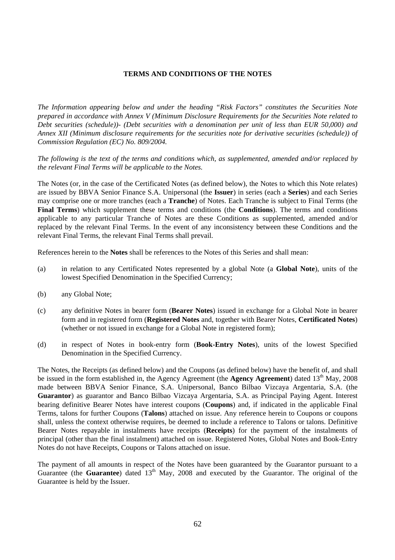# **TERMS AND CONDITIONS OF THE NOTES**

*The Information appearing below and under the heading "Risk Factors" constitutes the Securities Note prepared in accordance with Annex V (Minimum Disclosure Requirements for the Securities Note related to Debt securities (schedule))- (Debt securities with a denomination per unit of less than EUR 50,000) and Annex XII (Minimum disclosure requirements for the securities note for derivative securities (schedule)) of Commission Regulation (EC) No. 809/2004.* 

*The following is the text of the terms and conditions which, as supplemented, amended and/or replaced by the relevant Final Terms will be applicable to the Notes.* 

The Notes (or, in the case of the Certificated Notes (as defined below), the Notes to which this Note relates) are issued by BBVA Senior Finance S.A. Unipersonal (the **Issuer**) in series (each a **Series**) and each Series may comprise one or more tranches (each a **Tranche**) of Notes. Each Tranche is subject to Final Terms (the **Final Terms**) which supplement these terms and conditions (the **Conditions**). The terms and conditions applicable to any particular Tranche of Notes are these Conditions as supplemented, amended and/or replaced by the relevant Final Terms. In the event of any inconsistency between these Conditions and the relevant Final Terms, the relevant Final Terms shall prevail.

References herein to the **Notes** shall be references to the Notes of this Series and shall mean:

- (a) in relation to any Certificated Notes represented by a global Note (a **Global Note**), units of the lowest Specified Denomination in the Specified Currency;
- (b) any Global Note;
- (c) any definitive Notes in bearer form (**Bearer Notes**) issued in exchange for a Global Note in bearer form and in registered form (**Registered Notes** and, together with Bearer Notes, **Certificated Notes**) (whether or not issued in exchange for a Global Note in registered form);
- (d) in respect of Notes in book-entry form (**Book-Entry Notes**), units of the lowest Specified Denomination in the Specified Currency.

The Notes, the Receipts (as defined below) and the Coupons (as defined below) have the benefit of, and shall be issued in the form established in, the Agency Agreement (the **Agency Agreement**) dated 13<sup>th</sup> May, 2008 made between BBVA Senior Finance, S.A. Unipersonal, Banco Bilbao Vizcaya Argentaria, S.A. (the **Guarantor**) as guarantor and Banco Bilbao Vizcaya Argentaria, S.A. as Principal Paying Agent. Interest bearing definitive Bearer Notes have interest coupons (**Coupons**) and, if indicated in the applicable Final Terms, talons for further Coupons (**Talons**) attached on issue. Any reference herein to Coupons or coupons shall, unless the context otherwise requires, be deemed to include a reference to Talons or talons. Definitive Bearer Notes repayable in instalments have receipts (**Receipts**) for the payment of the instalments of principal (other than the final instalment) attached on issue. Registered Notes, Global Notes and Book-Entry Notes do not have Receipts, Coupons or Talons attached on issue.

The payment of all amounts in respect of the Notes have been guaranteed by the Guarantor pursuant to a Guarantee (the **Guarantee**) dated 13<sup>th</sup> May, 2008 and executed by the Guarantor. The original of the Guarantee is held by the Issuer.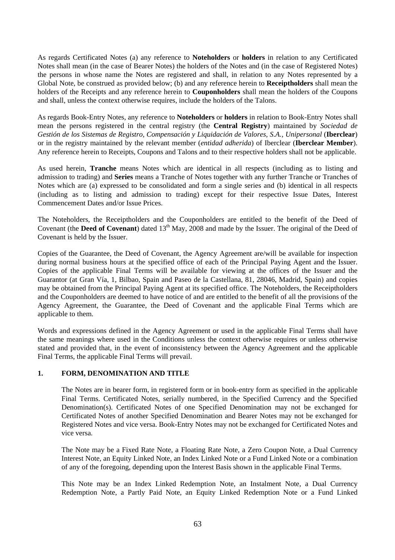As regards Certificated Notes (a) any reference to **Noteholders** or **holders** in relation to any Certificated Notes shall mean (in the case of Bearer Notes) the holders of the Notes and (in the case of Registered Notes) the persons in whose name the Notes are registered and shall, in relation to any Notes represented by a Global Note, be construed as provided below; (b) and any reference herein to **Receiptholders** shall mean the holders of the Receipts and any reference herein to **Couponholders** shall mean the holders of the Coupons and shall, unless the context otherwise requires, include the holders of the Talons.

As regards Book-Entry Notes, any reference to **Noteholders** or **holders** in relation to Book-Entry Notes shall mean the persons registered in the central registry (the **Central Registry**) maintained by *Sociedad de Gestión de los Sistemas de Registro, Compensación y Liquidación de Valores, S.A., Unipersonal* (**Iberclear**) or in the registry maintained by the relevant member (*entidad adherida*) of Iberclear (**Iberclear Member**). Any reference herein to Receipts, Coupons and Talons and to their respective holders shall not be applicable.

As used herein, **Tranche** means Notes which are identical in all respects (including as to listing and admission to trading) and **Series** means a Tranche of Notes together with any further Tranche or Tranches of Notes which are (a) expressed to be consolidated and form a single series and (b) identical in all respects (including as to listing and admission to trading) except for their respective Issue Dates, Interest Commencement Dates and/or Issue Prices.

The Noteholders, the Receiptholders and the Couponholders are entitled to the benefit of the Deed of Covenant (the **Deed of Covenant**) dated 13<sup>th</sup> May, 2008 and made by the Issuer. The original of the Deed of Covenant is held by the Issuer.

Copies of the Guarantee, the Deed of Covenant, the Agency Agreement are/will be available for inspection during normal business hours at the specified office of each of the Principal Paying Agent and the Issuer. Copies of the applicable Final Terms will be available for viewing at the offices of the Issuer and the Guarantor (at Gran Vía, 1, Bilbao, Spain and Paseo de la Castellana, 81, 28046, Madrid, Spain) and copies may be obtained from the Principal Paying Agent at its specified office. The Noteholders, the Receiptholders and the Couponholders are deemed to have notice of and are entitled to the benefit of all the provisions of the Agency Agreement, the Guarantee, the Deed of Covenant and the applicable Final Terms which are applicable to them.

Words and expressions defined in the Agency Agreement or used in the applicable Final Terms shall have the same meanings where used in the Conditions unless the context otherwise requires or unless otherwise stated and provided that, in the event of inconsistency between the Agency Agreement and the applicable Final Terms, the applicable Final Terms will prevail.

# **1. FORM, DENOMINATION AND TITLE**

The Notes are in bearer form, in registered form or in book-entry form as specified in the applicable Final Terms. Certificated Notes, serially numbered, in the Specified Currency and the Specified Denomination(s). Certificated Notes of one Specified Denomination may not be exchanged for Certificated Notes of another Specified Denomination and Bearer Notes may not be exchanged for Registered Notes and vice versa. Book-Entry Notes may not be exchanged for Certificated Notes and vice versa.

The Note may be a Fixed Rate Note, a Floating Rate Note, a Zero Coupon Note, a Dual Currency Interest Note, an Equity Linked Note, an Index Linked Note or a Fund Linked Note or a combination of any of the foregoing, depending upon the Interest Basis shown in the applicable Final Terms.

This Note may be an Index Linked Redemption Note, an Instalment Note, a Dual Currency Redemption Note, a Partly Paid Note, an Equity Linked Redemption Note or a Fund Linked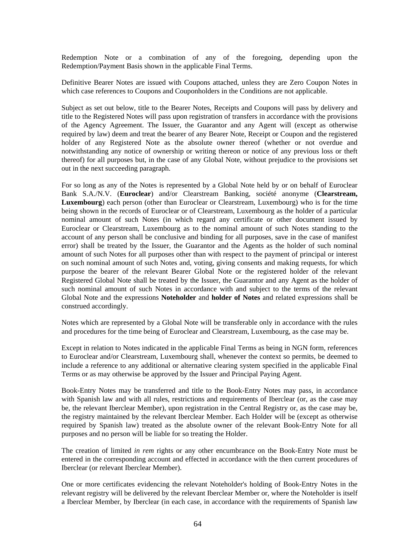Redemption Note or a combination of any of the foregoing, depending upon the Redemption/Payment Basis shown in the applicable Final Terms.

Definitive Bearer Notes are issued with Coupons attached, unless they are Zero Coupon Notes in which case references to Coupons and Couponholders in the Conditions are not applicable.

Subject as set out below, title to the Bearer Notes, Receipts and Coupons will pass by delivery and title to the Registered Notes will pass upon registration of transfers in accordance with the provisions of the Agency Agreement. The Issuer, the Guarantor and any Agent will (except as otherwise required by law) deem and treat the bearer of any Bearer Note, Receipt or Coupon and the registered holder of any Registered Note as the absolute owner thereof (whether or not overdue and notwithstanding any notice of ownership or writing thereon or notice of any previous loss or theft thereof) for all purposes but, in the case of any Global Note, without prejudice to the provisions set out in the next succeeding paragraph.

For so long as any of the Notes is represented by a Global Note held by or on behalf of Euroclear Bank S.A./N.V. (**Euroclear**) and/or Clearstream Banking, société anonyme (**Clearstream, Luxembourg**) each person (other than Euroclear or Clearstream, Luxembourg) who is for the time being shown in the records of Euroclear or of Clearstream, Luxembourg as the holder of a particular nominal amount of such Notes (in which regard any certificate or other document issued by Euroclear or Clearstream, Luxembourg as to the nominal amount of such Notes standing to the account of any person shall be conclusive and binding for all purposes, save in the case of manifest error) shall be treated by the Issuer, the Guarantor and the Agents as the holder of such nominal amount of such Notes for all purposes other than with respect to the payment of principal or interest on such nominal amount of such Notes and, voting, giving consents and making requests, for which purpose the bearer of the relevant Bearer Global Note or the registered holder of the relevant Registered Global Note shall be treated by the Issuer, the Guarantor and any Agent as the holder of such nominal amount of such Notes in accordance with and subject to the terms of the relevant Global Note and the expressions **Noteholder** and **holder of Notes** and related expressions shall be construed accordingly.

Notes which are represented by a Global Note will be transferable only in accordance with the rules and procedures for the time being of Euroclear and Clearstream, Luxembourg, as the case may be.

Except in relation to Notes indicated in the applicable Final Terms as being in NGN form, references to Euroclear and/or Clearstream, Luxembourg shall, whenever the context so permits, be deemed to include a reference to any additional or alternative clearing system specified in the applicable Final Terms or as may otherwise be approved by the Issuer and Principal Paying Agent.

Book-Entry Notes may be transferred and title to the Book-Entry Notes may pass, in accordance with Spanish law and with all rules, restrictions and requirements of Iberclear (or, as the case may be, the relevant Iberclear Member), upon registration in the Central Registry or, as the case may be, the registry maintained by the relevant Iberclear Member. Each Holder will be (except as otherwise required by Spanish law) treated as the absolute owner of the relevant Book-Entry Note for all purposes and no person will be liable for so treating the Holder.

The creation of limited *in rem* rights or any other encumbrance on the Book-Entry Note must be entered in the corresponding account and effected in accordance with the then current procedures of Iberclear (or relevant Iberclear Member).

One or more certificates evidencing the relevant Noteholder's holding of Book-Entry Notes in the relevant registry will be delivered by the relevant Iberclear Member or, where the Noteholder is itself a Iberclear Member, by Iberclear (in each case, in accordance with the requirements of Spanish law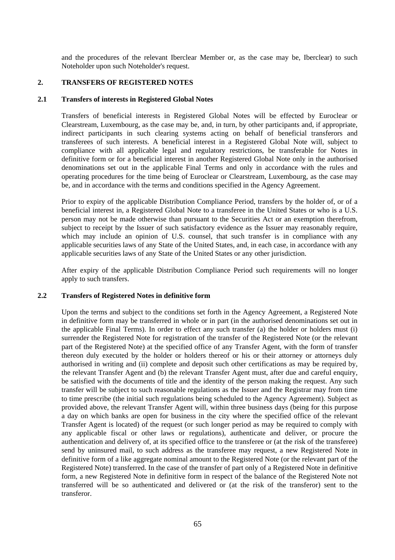and the procedures of the relevant Iberclear Member or, as the case may be, Iberclear) to such Noteholder upon such Noteholder's request.

#### **2. TRANSFERS OF REGISTERED NOTES**

#### **2.1 Transfers of interests in Registered Global Notes**

Transfers of beneficial interests in Registered Global Notes will be effected by Euroclear or Clearstream, Luxembourg, as the case may be, and, in turn, by other participants and, if appropriate, indirect participants in such clearing systems acting on behalf of beneficial transferors and transferees of such interests. A beneficial interest in a Registered Global Note will, subject to compliance with all applicable legal and regulatory restrictions, be transferable for Notes in definitive form or for a beneficial interest in another Registered Global Note only in the authorised denominations set out in the applicable Final Terms and only in accordance with the rules and operating procedures for the time being of Euroclear or Clearstream, Luxembourg, as the case may be, and in accordance with the terms and conditions specified in the Agency Agreement.

Prior to expiry of the applicable Distribution Compliance Period, transfers by the holder of, or of a beneficial interest in, a Registered Global Note to a transferee in the United States or who is a U.S. person may not be made otherwise than pursuant to the Securities Act or an exemption therefrom, subject to receipt by the Issuer of such satisfactory evidence as the Issuer may reasonably require, which may include an opinion of U.S. counsel, that such transfer is in compliance with any applicable securities laws of any State of the United States, and, in each case, in accordance with any applicable securities laws of any State of the United States or any other jurisdiction.

After expiry of the applicable Distribution Compliance Period such requirements will no longer apply to such transfers.

#### **2.2 Transfers of Registered Notes in definitive form**

Upon the terms and subject to the conditions set forth in the Agency Agreement, a Registered Note in definitive form may be transferred in whole or in part (in the authorised denominations set out in the applicable Final Terms). In order to effect any such transfer (a) the holder or holders must (i) surrender the Registered Note for registration of the transfer of the Registered Note (or the relevant part of the Registered Note) at the specified office of any Transfer Agent, with the form of transfer thereon duly executed by the holder or holders thereof or his or their attorney or attorneys duly authorised in writing and (ii) complete and deposit such other certifications as may be required by, the relevant Transfer Agent and (b) the relevant Transfer Agent must, after due and careful enquiry, be satisfied with the documents of title and the identity of the person making the request. Any such transfer will be subject to such reasonable regulations as the Issuer and the Registrar may from time to time prescribe (the initial such regulations being scheduled to the Agency Agreement). Subject as provided above, the relevant Transfer Agent will, within three business days (being for this purpose a day on which banks are open for business in the city where the specified office of the relevant Transfer Agent is located) of the request (or such longer period as may be required to comply with any applicable fiscal or other laws or regulations), authenticate and deliver, or procure the authentication and delivery of, at its specified office to the transferee or (at the risk of the transferee) send by uninsured mail, to such address as the transferee may request, a new Registered Note in definitive form of a like aggregate nominal amount to the Registered Note (or the relevant part of the Registered Note) transferred. In the case of the transfer of part only of a Registered Note in definitive form, a new Registered Note in definitive form in respect of the balance of the Registered Note not transferred will be so authenticated and delivered or (at the risk of the transferor) sent to the transferor.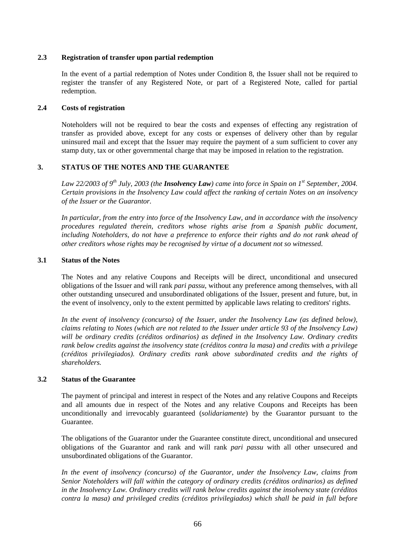# **2.3 Registration of transfer upon partial redemption**

In the event of a partial redemption of Notes under Condition 8, the Issuer shall not be required to register the transfer of any Registered Note, or part of a Registered Note, called for partial redemption.

# **2.4 Costs of registration**

Noteholders will not be required to bear the costs and expenses of effecting any registration of transfer as provided above, except for any costs or expenses of delivery other than by regular uninsured mail and except that the Issuer may require the payment of a sum sufficient to cover any stamp duty, tax or other governmental charge that may be imposed in relation to the registration.

# **3. STATUS OF THE NOTES AND THE GUARANTEE**

*Law 22/2003 of 9th July, 2003 (the Insolvency Law) came into force in Spain on 1st September, 2004. Certain provisions in the Insolvency Law could affect the ranking of certain Notes on an insolvency of the Issuer or the Guarantor.* 

*In particular, from the entry into force of the Insolvency Law, and in accordance with the insolvency procedures regulated therein, creditors whose rights arise from a Spanish public document, including Noteholders, do not have a preference to enforce their rights and do not rank ahead of other creditors whose rights may be recognised by virtue of a document not so witnessed.* 

# **3.1 Status of the Notes**

The Notes and any relative Coupons and Receipts will be direct, unconditional and unsecured obligations of the Issuer and will rank *pari passu*, without any preference among themselves, with all other outstanding unsecured and unsubordinated obligations of the Issuer, present and future, but, in the event of insolvency, only to the extent permitted by applicable laws relating to creditors' rights.

*In the event of insolvency (concurso) of the Issuer, under the Insolvency Law (as defined below), claims relating to Notes (which are not related to the Issuer under article 93 of the Insolvency Law) will be ordinary credits (créditos ordinarios) as defined in the Insolvency Law. Ordinary credits rank below credits against the insolvency state (créditos contra la masa) and credits with a privilege (créditos privilegiados). Ordinary credits rank above subordinated credits and the rights of shareholders.* 

# **3.2 Status of the Guarantee**

The payment of principal and interest in respect of the Notes and any relative Coupons and Receipts and all amounts due in respect of the Notes and any relative Coupons and Receipts has been unconditionally and irrevocably guaranteed (*solidariamente*) by the Guarantor pursuant to the Guarantee.

The obligations of the Guarantor under the Guarantee constitute direct, unconditional and unsecured obligations of the Guarantor and rank and will rank *pari passu* with all other unsecured and unsubordinated obligations of the Guarantor.

*In the event of insolvency (concurso) of the Guarantor, under the Insolvency Law, claims from Senior Noteholders will fall within the category of ordinary credits (créditos ordinarios) as defined in the Insolvency Law. Ordinary credits will rank below credits against the insolvency state (créditos contra la masa) and privileged credits (créditos privilegiados) which shall be paid in full before*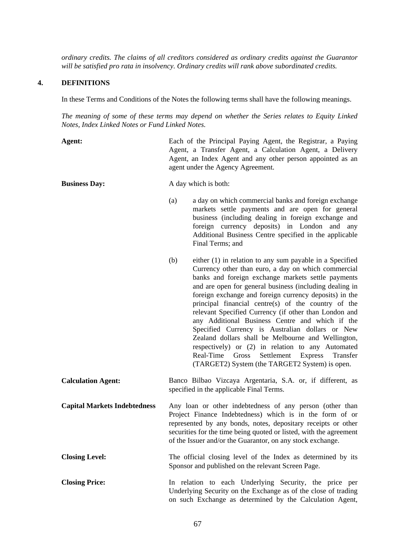*ordinary credits. The claims of all creditors considered as ordinary credits against the Guarantor will be satisfied pro rata in insolvency. Ordinary credits will rank above subordinated credits.* 

#### **4. DEFINITIONS**

In these Terms and Conditions of the Notes the following terms shall have the following meanings.

*The meaning of some of these terms may depend on whether the Series relates to Equity Linked Notes, Index Linked Notes or Fund Linked Notes.* 

| Agent:                              | Each of the Principal Paying Agent, the Registrar, a Paying<br>Agent, a Transfer Agent, a Calculation Agent, a Delivery<br>Agent, an Index Agent and any other person appointed as an<br>agent under the Agency Agreement.                                                                                                                                                                                                                                                                                                                                                                                                                                                                                                                      |  |  |  |  |  |  |  |  |
|-------------------------------------|-------------------------------------------------------------------------------------------------------------------------------------------------------------------------------------------------------------------------------------------------------------------------------------------------------------------------------------------------------------------------------------------------------------------------------------------------------------------------------------------------------------------------------------------------------------------------------------------------------------------------------------------------------------------------------------------------------------------------------------------------|--|--|--|--|--|--|--|--|
| <b>Business Day:</b>                | A day which is both:                                                                                                                                                                                                                                                                                                                                                                                                                                                                                                                                                                                                                                                                                                                            |  |  |  |  |  |  |  |  |
|                                     | (a)<br>a day on which commercial banks and foreign exchange<br>markets settle payments and are open for general<br>business (including dealing in foreign exchange and<br>foreign currency deposits) in London and<br>any<br>Additional Business Centre specified in the applicable<br>Final Terms; and                                                                                                                                                                                                                                                                                                                                                                                                                                         |  |  |  |  |  |  |  |  |
|                                     | (b)<br>either (1) in relation to any sum payable in a Specified<br>Currency other than euro, a day on which commercial<br>banks and foreign exchange markets settle payments<br>and are open for general business (including dealing in<br>foreign exchange and foreign currency deposits) in the<br>principal financial centre(s) of the country of the<br>relevant Specified Currency (if other than London and<br>any Additional Business Centre and which if the<br>Specified Currency is Australian dollars or New<br>Zealand dollars shall be Melbourne and Wellington,<br>respectively) or (2) in relation to any Automated<br>Gross<br>Settlement<br>Real-Time<br>Express<br>Transfer<br>(TARGET2) System (the TARGET2 System) is open. |  |  |  |  |  |  |  |  |
| <b>Calculation Agent:</b>           | Banco Bilbao Vizcaya Argentaria, S.A. or, if different, as<br>specified in the applicable Final Terms.                                                                                                                                                                                                                                                                                                                                                                                                                                                                                                                                                                                                                                          |  |  |  |  |  |  |  |  |
| <b>Capital Markets Indebtedness</b> | Any loan or other indebtedness of any person (other than<br>Project Finance Indebtedness) which is in the form of or<br>represented by any bonds, notes, depositary receipts or other<br>securities for the time being quoted or listed, with the agreement<br>of the Issuer and/or the Guarantor, on any stock exchange.                                                                                                                                                                                                                                                                                                                                                                                                                       |  |  |  |  |  |  |  |  |
| <b>Closing Level:</b>               | The official closing level of the Index as determined by its<br>Sponsor and published on the relevant Screen Page.                                                                                                                                                                                                                                                                                                                                                                                                                                                                                                                                                                                                                              |  |  |  |  |  |  |  |  |
| <b>Closing Price:</b>               | In relation to each Underlying Security, the price per<br>Underlying Security on the Exchange as of the close of trading                                                                                                                                                                                                                                                                                                                                                                                                                                                                                                                                                                                                                        |  |  |  |  |  |  |  |  |

on such Exchange as determined by the Calculation Agent,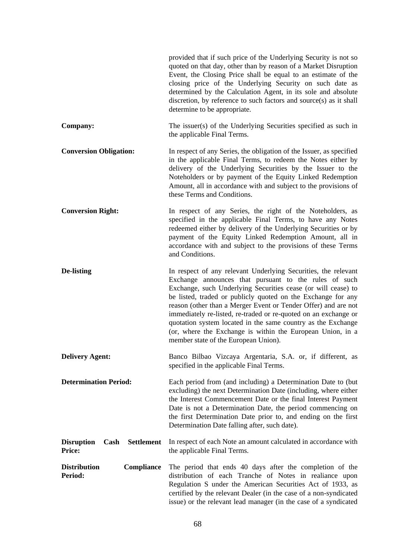|                                                                 | provided that if such price of the Underlying Security is not so<br>quoted on that day, other than by reason of a Market Disruption<br>Event, the Closing Price shall be equal to an estimate of the<br>closing price of the Underlying Security on such date as<br>determined by the Calculation Agent, in its sole and absolute<br>discretion, by reference to such factors and source(s) as it shall<br>determine to be appropriate.                                                                                                                             |
|-----------------------------------------------------------------|---------------------------------------------------------------------------------------------------------------------------------------------------------------------------------------------------------------------------------------------------------------------------------------------------------------------------------------------------------------------------------------------------------------------------------------------------------------------------------------------------------------------------------------------------------------------|
| Company:                                                        | The issuer(s) of the Underlying Securities specified as such in<br>the applicable Final Terms.                                                                                                                                                                                                                                                                                                                                                                                                                                                                      |
| <b>Conversion Obligation:</b>                                   | In respect of any Series, the obligation of the Issuer, as specified<br>in the applicable Final Terms, to redeem the Notes either by<br>delivery of the Underlying Securities by the Issuer to the<br>Noteholders or by payment of the Equity Linked Redemption<br>Amount, all in accordance with and subject to the provisions of<br>these Terms and Conditions.                                                                                                                                                                                                   |
| <b>Conversion Right:</b>                                        | In respect of any Series, the right of the Noteholders, as<br>specified in the applicable Final Terms, to have any Notes<br>redeemed either by delivery of the Underlying Securities or by<br>payment of the Equity Linked Redemption Amount, all in<br>accordance with and subject to the provisions of these Terms<br>and Conditions.                                                                                                                                                                                                                             |
| De-listing                                                      | In respect of any relevant Underlying Securities, the relevant<br>Exchange announces that pursuant to the rules of such<br>Exchange, such Underlying Securities cease (or will cease) to<br>be listed, traded or publicly quoted on the Exchange for any<br>reason (other than a Merger Event or Tender Offer) and are not<br>immediately re-listed, re-traded or re-quoted on an exchange or<br>quotation system located in the same country as the Exchange<br>(or, where the Exchange is within the European Union, in a<br>member state of the European Union). |
| <b>Delivery Agent:</b>                                          | Banco Bilbao Vizcaya Argentaria, S.A. or, if different, as<br>specified in the applicable Final Terms.                                                                                                                                                                                                                                                                                                                                                                                                                                                              |
| <b>Determination Period:</b>                                    | Each period from (and including) a Determination Date to (but<br>excluding) the next Determination Date (including, where either<br>the Interest Commencement Date or the final Interest Payment<br>Date is not a Determination Date, the period commencing on<br>the first Determination Date prior to, and ending on the first<br>Determination Date falling after, such date).                                                                                                                                                                                   |
| <b>Settlement</b><br><b>Disruption</b><br>Cash<br><b>Price:</b> | In respect of each Note an amount calculated in accordance with<br>the applicable Final Terms.                                                                                                                                                                                                                                                                                                                                                                                                                                                                      |
| <b>Distribution</b><br>Compliance<br>Period:                    | The period that ends 40 days after the completion of the<br>distribution of each Tranche of Notes in realiance upon<br>Regulation S under the American Securities Act of 1933, as<br>certified by the relevant Dealer (in the case of a non-syndicated<br>issue) or the relevant lead manager (in the case of a syndicated                                                                                                                                                                                                                                          |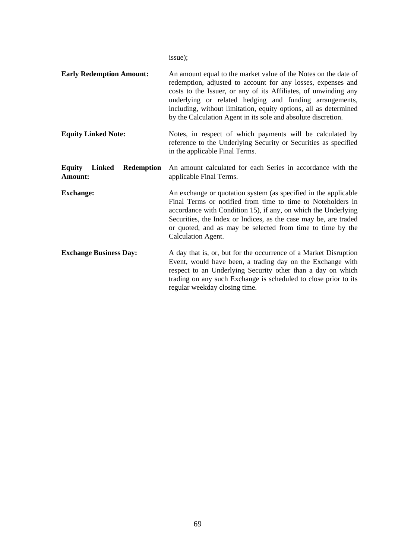issue);

| <b>Early Redemption Amount:</b> | An amount equal to the market value of the Notes on the date of<br>redemption, adjusted to account for any losses, expenses and<br>costs to the Issuer, or any of its Affiliates, of unwinding any<br>underlying or related hedging and funding arrangements, |
|---------------------------------|---------------------------------------------------------------------------------------------------------------------------------------------------------------------------------------------------------------------------------------------------------------|
|                                 | including, without limitation, equity options, all as determined<br>by the Calculation Agent in its sole and absolute discretion.                                                                                                                             |

**Equity Linked Note:** Notes, in respect of which payments will be calculated by reference to the Underlying Security or Securities as specified in the applicable Final Terms.

**Equity Linked Redemption Amount:**  An amount calculated for each Series in accordance with the applicable Final Terms.

- **Exchange:** An exchange or quotation system (as specified in the applicable Final Terms or notified from time to time to Noteholders in accordance with Condition [15](#page-100-0)), if any, on which the Underlying Securities, the Index or Indices, as the case may be, are traded or quoted, and as may be selected from time to time by the Calculation Agent.
- **Exchange Business Day:** A day that is, or, but for the occurrence of a Market Disruption Event, would have been, a trading day on the Exchange with respect to an Underlying Security other than a day on which trading on any such Exchange is scheduled to close prior to its regular weekday closing time.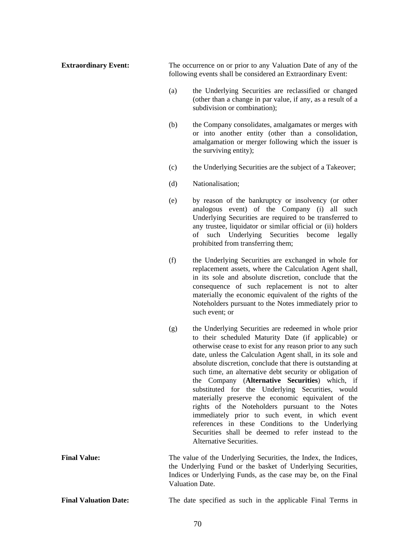**Extraordinary Event:** The occurrence on or prior to any Valuation Date of any of the following events shall be considered an Extraordinary Event:

- (a) the Underlying Securities are reclassified or changed (other than a change in par value, if any, as a result of a subdivision or combination);
- (b) the Company consolidates, amalgamates or merges with or into another entity (other than a consolidation, amalgamation or merger following which the issuer is the surviving entity);
- (c) the Underlying Securities are the subject of a Takeover;
- (d) Nationalisation;
- (e) by reason of the bankruptcy or insolvency (or other analogous event) of the Company (i) all such Underlying Securities are required to be transferred to any trustee, liquidator or similar official or (ii) holders of such Underlying Securities become legally prohibited from transferring them;
- (f) the Underlying Securities are exchanged in whole for replacement assets, where the Calculation Agent shall, in its sole and absolute discretion, conclude that the consequence of such replacement is not to alter materially the economic equivalent of the rights of the Noteholders pursuant to the Notes immediately prior to such event; or
- (g) the Underlying Securities are redeemed in whole prior to their scheduled Maturity Date (if applicable) or otherwise cease to exist for any reason prior to any such date, unless the Calculation Agent shall, in its sole and absolute discretion, conclude that there is outstanding at such time, an alternative debt security or obligation of the Company (**Alternative Securities**) which, if substituted for the Underlying Securities, would materially preserve the economic equivalent of the rights of the Noteholders pursuant to the Notes immediately prior to such event, in which event references in these Conditions to the Underlying Securities shall be deemed to refer instead to the Alternative Securities.

**Final Value:** The value of the Underlying Securities, the Index, the Indices, the Underlying Fund or the basket of Underlying Securities, Indices or Underlying Funds, as the case may be, on the Final Valuation Date.

**Final Valuation Date:** The date specified as such in the applicable Final Terms in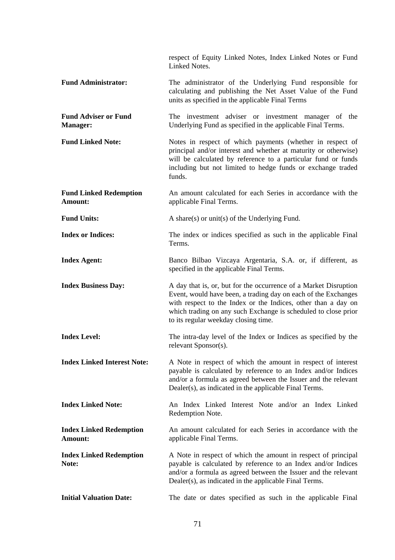|                                                | respect of Equity Linked Notes, Index Linked Notes or Fund<br>Linked Notes.                                                                                                                                                                                                                                   |
|------------------------------------------------|---------------------------------------------------------------------------------------------------------------------------------------------------------------------------------------------------------------------------------------------------------------------------------------------------------------|
| <b>Fund Administrator:</b>                     | The administrator of the Underlying Fund responsible for<br>calculating and publishing the Net Asset Value of the Fund<br>units as specified in the applicable Final Terms                                                                                                                                    |
| <b>Fund Adviser or Fund</b><br><b>Manager:</b> | The investment adviser or investment manager of the<br>Underlying Fund as specified in the applicable Final Terms.                                                                                                                                                                                            |
| <b>Fund Linked Note:</b>                       | Notes in respect of which payments (whether in respect of<br>principal and/or interest and whether at maturity or otherwise)<br>will be calculated by reference to a particular fund or funds<br>including but not limited to hedge funds or exchange traded<br>funds.                                        |
| <b>Fund Linked Redemption</b><br>Amount:       | An amount calculated for each Series in accordance with the<br>applicable Final Terms.                                                                                                                                                                                                                        |
| <b>Fund Units:</b>                             | A share(s) or unit(s) of the Underlying Fund.                                                                                                                                                                                                                                                                 |
| <b>Index or Indices:</b>                       | The index or indices specified as such in the applicable Final<br>Terms.                                                                                                                                                                                                                                      |
| <b>Index Agent:</b>                            | Banco Bilbao Vizcaya Argentaria, S.A. or, if different, as<br>specified in the applicable Final Terms.                                                                                                                                                                                                        |
| <b>Index Business Day:</b>                     | A day that is, or, but for the occurrence of a Market Disruption<br>Event, would have been, a trading day on each of the Exchanges<br>with respect to the Index or the Indices, other than a day on<br>which trading on any such Exchange is scheduled to close prior<br>to its regular weekday closing time. |
| <b>Index Level:</b>                            | The intra-day level of the Index or Indices as specified by the<br>relevant Sponsor(s).                                                                                                                                                                                                                       |
| <b>Index Linked Interest Note:</b>             | A Note in respect of which the amount in respect of interest<br>payable is calculated by reference to an Index and/or Indices<br>and/or a formula as agreed between the Issuer and the relevant<br>Dealer(s), as indicated in the applicable Final Terms.                                                     |
| <b>Index Linked Note:</b>                      | An Index Linked Interest Note and/or an Index Linked<br>Redemption Note.                                                                                                                                                                                                                                      |
| <b>Index Linked Redemption</b><br>Amount:      | An amount calculated for each Series in accordance with the<br>applicable Final Terms.                                                                                                                                                                                                                        |
| <b>Index Linked Redemption</b><br>Note:        | A Note in respect of which the amount in respect of principal<br>payable is calculated by reference to an Index and/or Indices<br>and/or a formula as agreed between the Issuer and the relevant<br>Dealer(s), as indicated in the applicable Final Terms.                                                    |
| <b>Initial Valuation Date:</b>                 | The date or dates specified as such in the applicable Final                                                                                                                                                                                                                                                   |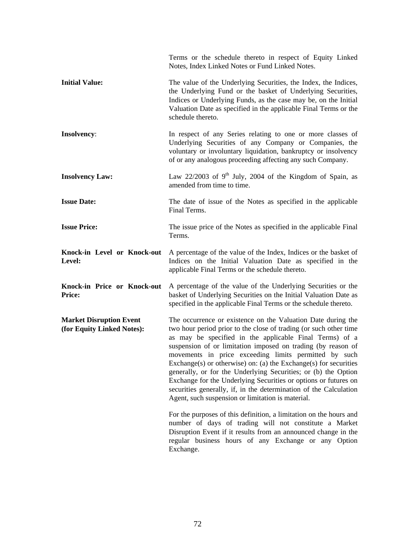|                                                              | Terms or the schedule thereto in respect of Equity Linked<br>Notes, Index Linked Notes or Fund Linked Notes.                                                                                                                                                                                                                                                                                                                                                                                                                                                                                                                                             |
|--------------------------------------------------------------|----------------------------------------------------------------------------------------------------------------------------------------------------------------------------------------------------------------------------------------------------------------------------------------------------------------------------------------------------------------------------------------------------------------------------------------------------------------------------------------------------------------------------------------------------------------------------------------------------------------------------------------------------------|
| <b>Initial Value:</b>                                        | The value of the Underlying Securities, the Index, the Indices,<br>the Underlying Fund or the basket of Underlying Securities,<br>Indices or Underlying Funds, as the case may be, on the Initial<br>Valuation Date as specified in the applicable Final Terms or the<br>schedule thereto.                                                                                                                                                                                                                                                                                                                                                               |
| <b>Insolvency:</b>                                           | In respect of any Series relating to one or more classes of<br>Underlying Securities of any Company or Companies, the<br>voluntary or involuntary liquidation, bankruptcy or insolvency<br>of or any analogous proceeding affecting any such Company.                                                                                                                                                                                                                                                                                                                                                                                                    |
| <b>Insolvency Law:</b>                                       | Law 22/2003 of $9th$ July, 2004 of the Kingdom of Spain, as<br>amended from time to time.                                                                                                                                                                                                                                                                                                                                                                                                                                                                                                                                                                |
| <b>Issue Date:</b>                                           | The date of issue of the Notes as specified in the applicable<br>Final Terms.                                                                                                                                                                                                                                                                                                                                                                                                                                                                                                                                                                            |
| <b>Issue Price:</b>                                          | The issue price of the Notes as specified in the applicable Final<br>Terms.                                                                                                                                                                                                                                                                                                                                                                                                                                                                                                                                                                              |
| Knock-in Level or Knock-out<br>Level:                        | A percentage of the value of the Index, Indices or the basket of<br>Indices on the Initial Valuation Date as specified in the<br>applicable Final Terms or the schedule thereto.                                                                                                                                                                                                                                                                                                                                                                                                                                                                         |
| Knock-in Price or Knock-out<br><b>Price:</b>                 | A percentage of the value of the Underlying Securities or the<br>basket of Underlying Securities on the Initial Valuation Date as<br>specified in the applicable Final Terms or the schedule thereto.                                                                                                                                                                                                                                                                                                                                                                                                                                                    |
| <b>Market Disruption Event</b><br>(for Equity Linked Notes): | The occurrence or existence on the Valuation Date during the<br>two hour period prior to the close of trading (or such other time<br>as may be specified in the applicable Final Terms) of a<br>suspension of or limitation imposed on trading (by reason of<br>movements in price exceeding limits permitted by such<br>Exchange(s) or otherwise) on: (a) the Exchange(s) for securities<br>generally, or for the Underlying Securities; or (b) the Option<br>Exchange for the Underlying Securities or options or futures on<br>securities generally, if, in the determination of the Calculation<br>Agent, such suspension or limitation is material. |
|                                                              | For the purposes of this definition, a limitation on the hours and<br>number of days of trading will not constitute a Market<br>Disruption Event if it results from an announced change in the<br>regular business hours of any Exchange or any Option                                                                                                                                                                                                                                                                                                                                                                                                   |

Exchange.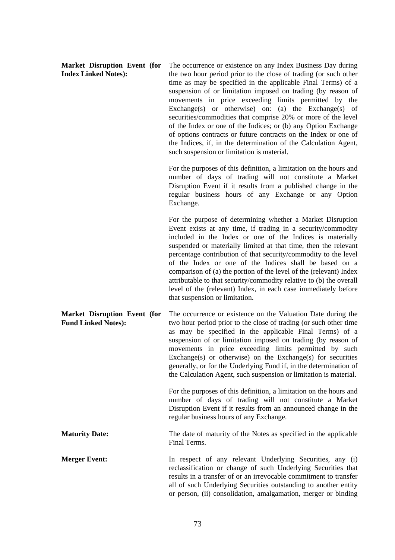| <b>Market Disruption Event (for</b><br><b>Index Linked Notes):</b> | The occurrence or existence on any Index Business Day during<br>the two hour period prior to the close of trading (or such other<br>time as may be specified in the applicable Final Terms) of a<br>suspension of or limitation imposed on trading (by reason of<br>movements in price exceeding limits permitted by the<br>Exchange(s) or otherwise) on: (a) the Exchange(s) of<br>securities/commodities that comprise 20% or more of the level<br>of the Index or one of the Indices; or (b) any Option Exchange<br>of options contracts or future contracts on the Index or one of<br>the Indices, if, in the determination of the Calculation Agent,<br>such suspension or limitation is material. |
|--------------------------------------------------------------------|---------------------------------------------------------------------------------------------------------------------------------------------------------------------------------------------------------------------------------------------------------------------------------------------------------------------------------------------------------------------------------------------------------------------------------------------------------------------------------------------------------------------------------------------------------------------------------------------------------------------------------------------------------------------------------------------------------|
|                                                                    | For the purposes of this definition, a limitation on the hours and<br>number of days of trading will not constitute a Market<br>Disruption Event if it results from a published change in the<br>regular business hours of any Exchange or any Option<br>Exchange.                                                                                                                                                                                                                                                                                                                                                                                                                                      |
|                                                                    | For the purpose of determining whether a Market Disruption<br>Event exists at any time, if trading in a security/commodity<br>included in the Index or one of the Indices is materially<br>suspended or materially limited at that time, then the relevant<br>percentage contribution of that security/commodity to the level<br>of the Index or one of the Indices shall be based on a<br>comparison of (a) the portion of the level of the (relevant) Index<br>attributable to that security/commodity relative to (b) the overall<br>level of the (relevant) Index, in each case immediately before<br>that suspension or limitation.                                                                |
| <b>Market Disruption Event (for</b><br><b>Fund Linked Notes):</b>  | The occurrence or existence on the Valuation Date during the<br>two hour period prior to the close of trading (or such other time<br>as may be specified in the applicable Final Terms) of a<br>suspension of or limitation imposed on trading (by reason of<br>movements in price exceeding limits permitted by such<br>Exchange(s) or otherwise) on the Exchange(s) for securities<br>generally, or for the Underlying Fund if, in the determination of<br>the Calculation Agent, such suspension or limitation is material.                                                                                                                                                                          |
|                                                                    | For the purposes of this definition, a limitation on the hours and<br>number of days of trading will not constitute a Market<br>Disruption Event if it results from an announced change in the<br>regular business hours of any Exchange.                                                                                                                                                                                                                                                                                                                                                                                                                                                               |
| <b>Maturity Date:</b>                                              | The date of maturity of the Notes as specified in the applicable<br>Final Terms.                                                                                                                                                                                                                                                                                                                                                                                                                                                                                                                                                                                                                        |
| <b>Merger Event:</b>                                               | In respect of any relevant Underlying Securities, any (i)<br>reclassification or change of such Underlying Securities that<br>results in a transfer of or an irrevocable commitment to transfer<br>all of such Underlying Securities outstanding to another entity<br>or person, (ii) consolidation, amalgamation, merger or binding                                                                                                                                                                                                                                                                                                                                                                    |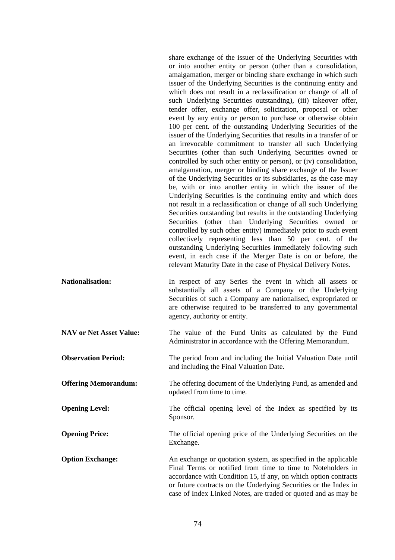share exchange of the issuer of the Underlying Securities with or into another entity or person (other than a consolidation, amalgamation, merger or binding share exchange in which such issuer of the Underlying Securities is the continuing entity and which does not result in a reclassification or change of all of such Underlying Securities outstanding), (iii) takeover offer, tender offer, exchange offer, solicitation, proposal or other event by any entity or person to purchase or otherwise obtain 100 per cent. of the outstanding Underlying Securities of the issuer of the Underlying Securities that results in a transfer of or an irrevocable commitment to transfer all such Underlying Securities (other than such Underlying Securities owned or controlled by such other entity or person), or (iv) consolidation, amalgamation, merger or binding share exchange of the Issuer of the Underlying Securities or its subsidiaries, as the case may be, with or into another entity in which the issuer of the Underlying Securities is the continuing entity and which does not result in a reclassification or change of all such Underlying Securities outstanding but results in the outstanding Underlying Securities (other than Underlying Securities owned or controlled by such other entity) immediately prior to such event collectively representing less than 50 per cent. of the outstanding Underlying Securities immediately following such event, in each case if the Merger Date is on or before, the relevant Maturity Date in the case of Physical Delivery Notes.

- **Nationalisation:** In respect of any Series the event in which all assets or substantially all assets of a Company or the Underlying Securities of such a Company are nationalised, expropriated or are otherwise required to be transferred to any governmental agency, authority or entity.
- **NAV or Net Asset Value:** The value of the Fund Units as calculated by the Fund Administrator in accordance with the Offering Memorandum.

**Observation Period:** The period from and including the Initial Valuation Date until and including the Final Valuation Date.

**Offering Memorandum:** The offering document of the Underlying Fund, as amended and updated from time to time.

**Opening Level:** The official opening level of the Index as specified by its Sponsor.

# **Opening Price:** The official opening price of the Underlying Securities on the Exchange.

**Option Exchange:** An exchange or quotation system, as specified in the applicable Final Terms or notified from time to time to Noteholders in accordance with Condition [15](#page-100-0), if any, on which option contracts or future contracts on the Underlying Securities or the Index in case of Index Linked Notes, are traded or quoted and as may be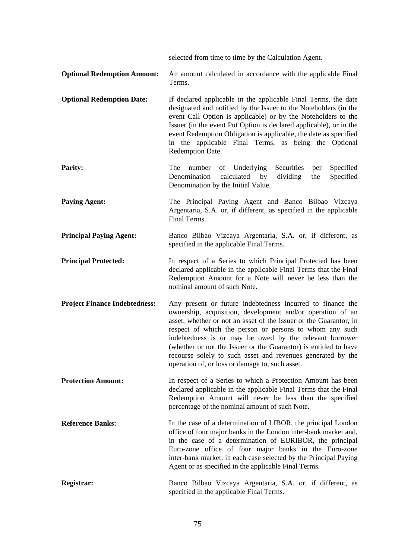|                                      | selected from time to time by the Calculation Agent.                                                                                                                                                                                                                                                                                                                                                                                                                                                      |
|--------------------------------------|-----------------------------------------------------------------------------------------------------------------------------------------------------------------------------------------------------------------------------------------------------------------------------------------------------------------------------------------------------------------------------------------------------------------------------------------------------------------------------------------------------------|
| <b>Optional Redemption Amount:</b>   | An amount calculated in accordance with the applicable Final<br>Terms.                                                                                                                                                                                                                                                                                                                                                                                                                                    |
| <b>Optional Redemption Date:</b>     | If declared applicable in the applicable Final Terms, the date<br>designated and notified by the Issuer to the Noteholders (in the<br>event Call Option is applicable) or by the Noteholders to the<br>Issuer (in the event Put Option is declared applicable), or in the<br>event Redemption Obligation is applicable, the date as specified<br>in the applicable Final Terms, as being the Optional<br>Redemption Date.                                                                                 |
| <b>Parity:</b>                       | The<br>number of Underlying<br>Securities<br>Specified<br>per<br>Denomination<br>calculated by<br>dividing<br>Specified<br>the<br>Denomination by the Initial Value.                                                                                                                                                                                                                                                                                                                                      |
| <b>Paying Agent:</b>                 | The Principal Paying Agent and Banco Bilbao Vizcaya<br>Argentaria, S.A. or, if different, as specified in the applicable<br>Final Terms.                                                                                                                                                                                                                                                                                                                                                                  |
| <b>Principal Paying Agent:</b>       | Banco Bilbao Vizcaya Argentaria, S.A. or, if different, as<br>specified in the applicable Final Terms.                                                                                                                                                                                                                                                                                                                                                                                                    |
| <b>Principal Protected:</b>          | In respect of a Series to which Principal Protected has been<br>declared applicable in the applicable Final Terms that the Final<br>Redemption Amount for a Note will never be less than the<br>nominal amount of such Note.                                                                                                                                                                                                                                                                              |
| <b>Project Finance Indebtedness:</b> | Any present or future indebtedness incurred to finance the<br>ownership, acquisition, development and/or operation of an<br>asset, whether or not an asset of the Issuer or the Guarantor, in<br>respect of which the person or persons to whom any such<br>indebtedness is or may be owed by the relevant borrower<br>(whether or not the Issuer or the Guarantor) is entitled to have<br>recourse solely to such asset and revenues generated by the<br>operation of, or loss or damage to, such asset. |
| <b>Protection Amount:</b>            | In respect of a Series to which a Protection Amount has been<br>declared applicable in the applicable Final Terms that the Final<br>Redemption Amount will never be less than the specified<br>percentage of the nominal amount of such Note.                                                                                                                                                                                                                                                             |
| <b>Reference Banks:</b>              | In the case of a determination of LIBOR, the principal London<br>office of four major banks in the London inter-bank market and,<br>in the case of a determination of EURIBOR, the principal<br>Euro-zone office of four major banks in the Euro-zone<br>inter-bank market, in each case selected by the Principal Paying<br>Agent or as specified in the applicable Final Terms.                                                                                                                         |
| <b>Registrar:</b>                    | Banco Bilbao Vizcaya Argentaria, S.A. or, if different, as<br>specified in the applicable Final Terms.                                                                                                                                                                                                                                                                                                                                                                                                    |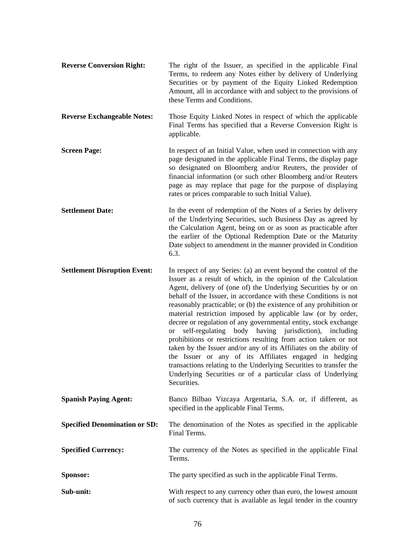| <b>Reverse Conversion Right:</b>     | The right of the Issuer, as specified in the applicable Final<br>Terms, to redeem any Notes either by delivery of Underlying<br>Securities or by payment of the Equity Linked Redemption<br>Amount, all in accordance with and subject to the provisions of<br>these Terms and Conditions.                                                                                                                                                                                                                                                                                                                                                                                                                                                                                                                                                                                                                     |
|--------------------------------------|----------------------------------------------------------------------------------------------------------------------------------------------------------------------------------------------------------------------------------------------------------------------------------------------------------------------------------------------------------------------------------------------------------------------------------------------------------------------------------------------------------------------------------------------------------------------------------------------------------------------------------------------------------------------------------------------------------------------------------------------------------------------------------------------------------------------------------------------------------------------------------------------------------------|
| <b>Reverse Exchangeable Notes:</b>   | Those Equity Linked Notes in respect of which the applicable<br>Final Terms has specified that a Reverse Conversion Right is<br>applicable.                                                                                                                                                                                                                                                                                                                                                                                                                                                                                                                                                                                                                                                                                                                                                                    |
| <b>Screen Page:</b>                  | In respect of an Initial Value, when used in connection with any<br>page designated in the applicable Final Terms, the display page<br>so designated on Bloomberg and/or Reuters, the provider of<br>financial information (or such other Bloomberg and/or Reuters<br>page as may replace that page for the purpose of displaying<br>rates or prices comparable to such Initial Value).                                                                                                                                                                                                                                                                                                                                                                                                                                                                                                                        |
| <b>Settlement Date:</b>              | In the event of redemption of the Notes of a Series by delivery<br>of the Underlying Securities, such Business Day as agreed by<br>the Calculation Agent, being on or as soon as practicable after<br>the earlier of the Optional Redemption Date or the Maturity<br>Date subject to amendment in the manner provided in Condition<br>6.3.                                                                                                                                                                                                                                                                                                                                                                                                                                                                                                                                                                     |
| <b>Settlement Disruption Event:</b>  | In respect of any Series: (a) an event beyond the control of the<br>Issuer as a result of which, in the opinion of the Calculation<br>Agent, delivery of (one of) the Underlying Securities by or on<br>behalf of the Issuer, in accordance with these Conditions is not<br>reasonably practicable; or (b) the existence of any prohibition or<br>material restriction imposed by applicable law (or by order,<br>decree or regulation of any governmental entity, stock exchange<br>self-regulating body having jurisdiction), including<br><b>or</b><br>prohibitions or restrictions resulting from action taken or not<br>taken by the Issuer and/or any of its Affiliates on the ability of<br>the Issuer or any of its Affiliates engaged in hedging<br>transactions relating to the Underlying Securities to transfer the<br>Underlying Securities or of a particular class of Underlying<br>Securities. |
| <b>Spanish Paying Agent:</b>         | Banco Bilbao Vizcaya Argentaria, S.A. or, if different, as<br>specified in the applicable Final Terms.                                                                                                                                                                                                                                                                                                                                                                                                                                                                                                                                                                                                                                                                                                                                                                                                         |
| <b>Specified Denomination or SD:</b> | The denomination of the Notes as specified in the applicable<br>Final Terms.                                                                                                                                                                                                                                                                                                                                                                                                                                                                                                                                                                                                                                                                                                                                                                                                                                   |
| <b>Specified Currency:</b>           | The currency of the Notes as specified in the applicable Final<br>Terms.                                                                                                                                                                                                                                                                                                                                                                                                                                                                                                                                                                                                                                                                                                                                                                                                                                       |
| Sponsor:                             | The party specified as such in the applicable Final Terms.                                                                                                                                                                                                                                                                                                                                                                                                                                                                                                                                                                                                                                                                                                                                                                                                                                                     |
| Sub-unit:                            | With respect to any currency other than euro, the lowest amount<br>of such currency that is available as legal tender in the country                                                                                                                                                                                                                                                                                                                                                                                                                                                                                                                                                                                                                                                                                                                                                                           |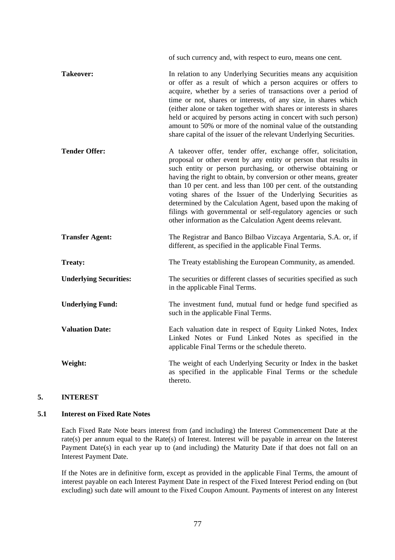<span id="page-77-0"></span>

|                               | of such currency and, with respect to euro, means one cent.                                                                                                                                                                                                                                                                                                                                                                                                                                                                                                                                             |
|-------------------------------|---------------------------------------------------------------------------------------------------------------------------------------------------------------------------------------------------------------------------------------------------------------------------------------------------------------------------------------------------------------------------------------------------------------------------------------------------------------------------------------------------------------------------------------------------------------------------------------------------------|
| <b>Takeover:</b>              | In relation to any Underlying Securities means any acquisition<br>or offer as a result of which a person acquires or offers to<br>acquire, whether by a series of transactions over a period of<br>time or not, shares or interests, of any size, in shares which<br>(either alone or taken together with shares or interests in shares<br>held or acquired by persons acting in concert with such person)<br>amount to 50% or more of the nominal value of the outstanding<br>share capital of the issuer of the relevant Underlying Securities.                                                       |
| <b>Tender Offer:</b>          | A takeover offer, tender offer, exchange offer, solicitation,<br>proposal or other event by any entity or person that results in<br>such entity or person purchasing, or otherwise obtaining or<br>having the right to obtain, by conversion or other means, greater<br>than 10 per cent. and less than 100 per cent. of the outstanding<br>voting shares of the Issuer of the Underlying Securities as<br>determined by the Calculation Agent, based upon the making of<br>filings with governmental or self-regulatory agencies or such<br>other information as the Calculation Agent deems relevant. |
| <b>Transfer Agent:</b>        | The Registrar and Banco Bilbao Vizcaya Argentaria, S.A. or, if<br>different, as specified in the applicable Final Terms.                                                                                                                                                                                                                                                                                                                                                                                                                                                                                |
| <b>Treaty:</b>                | The Treaty establishing the European Community, as amended.                                                                                                                                                                                                                                                                                                                                                                                                                                                                                                                                             |
| <b>Underlying Securities:</b> | The securities or different classes of securities specified as such<br>in the applicable Final Terms.                                                                                                                                                                                                                                                                                                                                                                                                                                                                                                   |
| <b>Underlying Fund:</b>       | The investment fund, mutual fund or hedge fund specified as<br>such in the applicable Final Terms.                                                                                                                                                                                                                                                                                                                                                                                                                                                                                                      |
| <b>Valuation Date:</b>        | Each valuation date in respect of Equity Linked Notes, Index<br>Linked Notes or Fund Linked Notes as specified in the<br>applicable Final Terms or the schedule thereto.                                                                                                                                                                                                                                                                                                                                                                                                                                |
| Weight:                       | The weight of each Underlying Security or Index in the basket<br>as specified in the applicable Final Terms or the schedule<br>thereto.                                                                                                                                                                                                                                                                                                                                                                                                                                                                 |

# **5. INTEREST**

# **5.1 Interest on Fixed Rate Notes**

Each Fixed Rate Note bears interest from (and including) the Interest Commencement Date at the rate(s) per annum equal to the Rate(s) of Interest. Interest will be payable in arrear on the Interest Payment Date(s) in each year up to (and including) the Maturity Date if that does not fall on an Interest Payment Date.

If the Notes are in definitive form, except as provided in the applicable Final Terms, the amount of interest payable on each Interest Payment Date in respect of the Fixed Interest Period ending on (but excluding) such date will amount to the Fixed Coupon Amount. Payments of interest on any Interest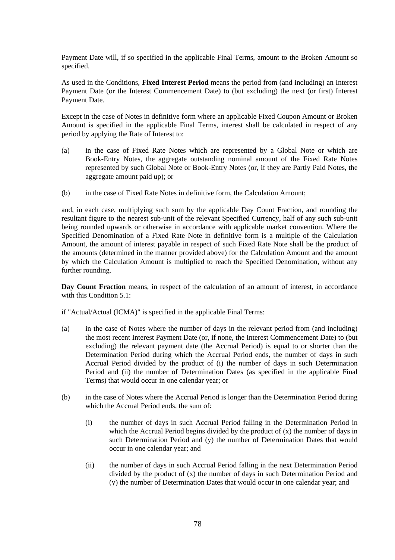Payment Date will, if so specified in the applicable Final Terms, amount to the Broken Amount so specified.

As used in the Conditions, **Fixed Interest Period** means the period from (and including) an Interest Payment Date (or the Interest Commencement Date) to (but excluding) the next (or first) Interest Payment Date.

Except in the case of Notes in definitive form where an applicable Fixed Coupon Amount or Broken Amount is specified in the applicable Final Terms, interest shall be calculated in respect of any period by applying the Rate of Interest to:

- (a) in the case of Fixed Rate Notes which are represented by a Global Note or which are Book-Entry Notes, the aggregate outstanding nominal amount of the Fixed Rate Notes represented by such Global Note or Book-Entry Notes (or, if they are Partly Paid Notes, the aggregate amount paid up); or
- (b) in the case of Fixed Rate Notes in definitive form, the Calculation Amount;

and, in each case, multiplying such sum by the applicable Day Count Fraction, and rounding the resultant figure to the nearest sub-unit of the relevant Specified Currency, half of any such sub-unit being rounded upwards or otherwise in accordance with applicable market convention. Where the Specified Denomination of a Fixed Rate Note in definitive form is a multiple of the Calculation Amount, the amount of interest payable in respect of such Fixed Rate Note shall be the product of the amounts (determined in the manner provided above) for the Calculation Amount and the amount by which the Calculation Amount is multiplied to reach the Specified Denomination, without any further rounding.

**Day Count Fraction** means, in respect of the calculation of an amount of interest, in accordance with this Condition [5.1](#page-77-0):

if "Actual/Actual (ICMA)" is specified in the applicable Final Terms:

- (a) in the case of Notes where the number of days in the relevant period from (and including) the most recent Interest Payment Date (or, if none, the Interest Commencement Date) to (but excluding) the relevant payment date (the Accrual Period) is equal to or shorter than the Determination Period during which the Accrual Period ends, the number of days in such Accrual Period divided by the product of (i) the number of days in such Determination Period and (ii) the number of Determination Dates (as specified in the applicable Final Terms) that would occur in one calendar year; or
- (b) in the case of Notes where the Accrual Period is longer than the Determination Period during which the Accrual Period ends, the sum of:
	- (i) the number of days in such Accrual Period falling in the Determination Period in which the Accrual Period begins divided by the product of (x) the number of days in such Determination Period and (y) the number of Determination Dates that would occur in one calendar year; and
	- (ii) the number of days in such Accrual Period falling in the next Determination Period divided by the product of  $(x)$  the number of days in such Determination Period and (y) the number of Determination Dates that would occur in one calendar year; and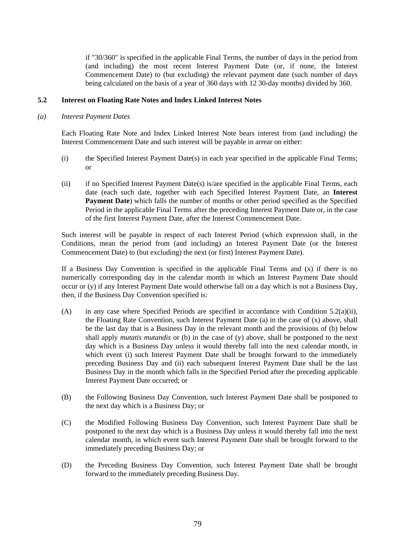<span id="page-79-0"></span>if "30/360" is specified in the applicable Final Terms, the number of days in the period from (and including) the most recent Interest Payment Date (or, if none, the Interest Commencement Date) to (but excluding) the relevant payment date (such number of days being calculated on the basis of a year of 360 days with 12 30-day months) divided by 360.

## **5.2 Interest on Floating Rate Notes and Index Linked Interest Notes**

### *(a) Interest Payment Dates*

Each Floating Rate Note and Index Linked Interest Note bears interest from (and including) the Interest Commencement Date and such interest will be payable in arrear on either:

- (i) the Specified Interest Payment Date(s) in each year specified in the applicable Final Terms; or
- (ii) if no Specified Interest Payment Date(s) is/are specified in the applicable Final Terms, each date (each such date, together with each Specified Interest Payment Date, an **Interest Payment Date**) which falls the number of months or other period specified as the Specified Period in the applicable Final Terms after the preceding Interest Payment Date or, in the case of the first Interest Payment Date, after the Interest Commencement Date.

Such interest will be payable in respect of each Interest Period (which expression shall, in the Conditions, mean the period from (and including) an Interest Payment Date (or the Interest Commencement Date) to (but excluding) the next (or first) Interest Payment Date).

If a Business Day Convention is specified in the applicable Final Terms and (x) if there is no numerically corresponding day in the calendar month in which an Interest Payment Date should occur or (y) if any Interest Payment Date would otherwise fall on a day which is not a Business Day, then, if the Business Day Convention specified is:

- (A) in any case where Specified Periods are specified in accordance with Condition  $5.2(a)(ii)$ , the Floating Rate Convention, such Interest Payment Date (a) in the case of (x) above, shall be the last day that is a Business Day in the relevant month and the provisions of [\(b\) below](#page-80-0)  shall apply *mutatis mutandis* or (b) in the case of (y) above, shall be postponed to the next day which is a Business Day unless it would thereby fall into the next calendar month, in which event (i) such Interest Payment Date shall be brought forward to the immediately preceding Business Day and (ii) each subsequent Interest Payment Date shall be the last Business Day in the month which falls in the Specified Period after the preceding applicable Interest Payment Date occurred; or
- (B) the Following Business Day Convention, such Interest Payment Date shall be postponed to the next day which is a Business Day; or
- (C) the Modified Following Business Day Convention, such Interest Payment Date shall be postponed to the next day which is a Business Day unless it would thereby fall into the next calendar month, in which event such Interest Payment Date shall be brought forward to the immediately preceding Business Day; or
- (D) the Preceding Business Day Convention, such Interest Payment Date shall be brought forward to the immediately preceding Business Day.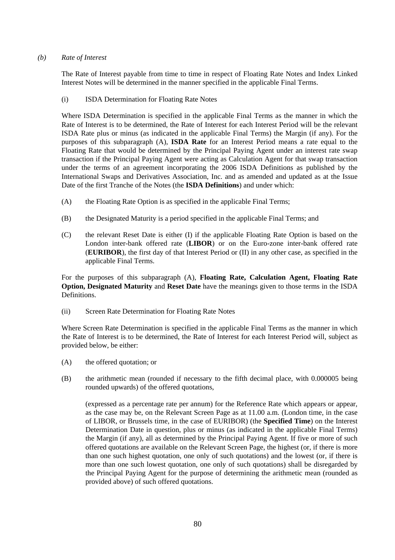# <span id="page-80-0"></span>*(b) Rate of Interest*

The Rate of Interest payable from time to time in respect of Floating Rate Notes and Index Linked Interest Notes will be determined in the manner specified in the applicable Final Terms.

(i) ISDA Determination for Floating Rate Notes

Where ISDA Determination is specified in the applicable Final Terms as the manner in which the Rate of Interest is to be determined, the Rate of Interest for each Interest Period will be the relevant ISDA Rate plus or minus (as indicated in the applicable Final Terms) the Margin (if any). For the purposes of this subparagraph [\(A\)](#page-80-0), **ISDA Rate** for an Interest Period means a rate equal to the Floating Rate that would be determined by the Principal Paying Agent under an interest rate swap transaction if the Principal Paying Agent were acting as Calculation Agent for that swap transaction under the terms of an agreement incorporating the 2006 ISDA Definitions as published by the International Swaps and Derivatives Association, Inc. and as amended and updated as at the Issue Date of the first Tranche of the Notes (the **ISDA Definitions**) and under which:

- (A) the Floating Rate Option is as specified in the applicable Final Terms;
- (B) the Designated Maturity is a period specified in the applicable Final Terms; and
- (C) the relevant Reset Date is either (I) if the applicable Floating Rate Option is based on the London inter-bank offered rate (**LIBOR**) or on the Euro-zone inter-bank offered rate (**EURIBOR**), the first day of that Interest Period or (II) in any other case, as specified in the applicable Final Terms.

For the purposes of this subparagraph [\(A\),](#page-80-0) **Floating Rate, Calculation Agent, Floating Rate Option, Designated Maturity** and **Reset Date** have the meanings given to those terms in the ISDA Definitions.

(ii) Screen Rate Determination for Floating Rate Notes

Where Screen Rate Determination is specified in the applicable Final Terms as the manner in which the Rate of Interest is to be determined, the Rate of Interest for each Interest Period will, subject as provided below, be either:

- (A) the offered quotation; or
- (B) the arithmetic mean (rounded if necessary to the fifth decimal place, with 0.000005 being rounded upwards) of the offered quotations,

(expressed as a percentage rate per annum) for the Reference Rate which appears or appear, as the case may be, on the Relevant Screen Page as at 11.00 a.m. (London time, in the case of LIBOR, or Brussels time, in the case of EURIBOR) (the **Specified Time**) on the Interest Determination Date in question, plus or minus (as indicated in the applicable Final Terms) the Margin (if any), all as determined by the Principal Paying Agent. If five or more of such offered quotations are available on the Relevant Screen Page, the highest (or, if there is more than one such highest quotation, one only of such quotations) and the lowest (or, if there is more than one such lowest quotation, one only of such quotations) shall be disregarded by the Principal Paying Agent for the purpose of determining the arithmetic mean (rounded as provided above) of such offered quotations.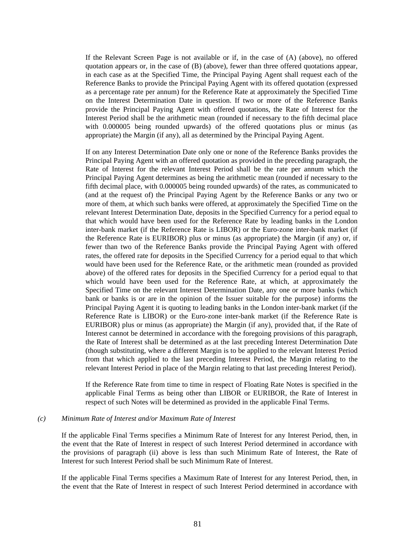If the Relevant Screen Page is not available or if, in the case of [\(A\)](#page-80-0) (above), no offered quotation appears or, in the case of [\(B\)](#page-80-0) (above), fewer than three offered quotations appear, in each case as at the Specified Time, the Principal Paying Agent shall request each of the Reference Banks to provide the Principal Paying Agent with its offered quotation (expressed as a percentage rate per annum) for the Reference Rate at approximately the Specified Time on the Interest Determination Date in question. If two or more of the Reference Banks provide the Principal Paying Agent with offered quotations, the Rate of Interest for the Interest Period shall be the arithmetic mean (rounded if necessary to the fifth decimal place with 0.000005 being rounded upwards) of the offered quotations plus or minus (as appropriate) the Margin (if any), all as determined by the Principal Paying Agent.

If on any Interest Determination Date only one or none of the Reference Banks provides the Principal Paying Agent with an offered quotation as provided in the preceding paragraph, the Rate of Interest for the relevant Interest Period shall be the rate per annum which the Principal Paying Agent determines as being the arithmetic mean (rounded if necessary to the fifth decimal place, with 0.000005 being rounded upwards) of the rates, as communicated to (and at the request of) the Principal Paying Agent by the Reference Banks or any two or more of them, at which such banks were offered, at approximately the Specified Time on the relevant Interest Determination Date, deposits in the Specified Currency for a period equal to that which would have been used for the Reference Rate by leading banks in the London inter-bank market (if the Reference Rate is LIBOR) or the Euro-zone inter-bank market (if the Reference Rate is EURIBOR) plus or minus (as appropriate) the Margin (if any) or, if fewer than two of the Reference Banks provide the Principal Paying Agent with offered rates, the offered rate for deposits in the Specified Currency for a period equal to that which would have been used for the Reference Rate, or the arithmetic mean (rounded as provided above) of the offered rates for deposits in the Specified Currency for a period equal to that which would have been used for the Reference Rate, at which, at approximately the Specified Time on the relevant Interest Determination Date, any one or more banks (which bank or banks is or are in the opinion of the Issuer suitable for the purpose) informs the Principal Paying Agent it is quoting to leading banks in the London inter-bank market (if the Reference Rate is LIBOR) or the Euro-zone inter-bank market (if the Reference Rate is EURIBOR) plus or minus (as appropriate) the Margin (if any), provided that, if the Rate of Interest cannot be determined in accordance with the foregoing provisions of this paragraph, the Rate of Interest shall be determined as at the last preceding Interest Determination Date (though substituting, where a different Margin is to be applied to the relevant Interest Period from that which applied to the last preceding Interest Period, the Margin relating to the relevant Interest Period in place of the Margin relating to that last preceding Interest Period).

If the Reference Rate from time to time in respect of Floating Rate Notes is specified in the applicable Final Terms as being other than LIBOR or EURIBOR, the Rate of Interest in respect of such Notes will be determined as provided in the applicable Final Terms.

#### *(c) Minimum Rate of Interest and/or Maximum Rate of Interest*

If the applicable Final Terms specifies a Minimum Rate of Interest for any Interest Period, then, in the event that the Rate of Interest in respect of such Interest Period determined in accordance with the provisions of paragraph [\(ii\) above](#page-80-0) is less than such Minimum Rate of Interest, the Rate of Interest for such Interest Period shall be such Minimum Rate of Interest.

If the applicable Final Terms specifies a Maximum Rate of Interest for any Interest Period, then, in the event that the Rate of Interest in respect of such Interest Period determined in accordance with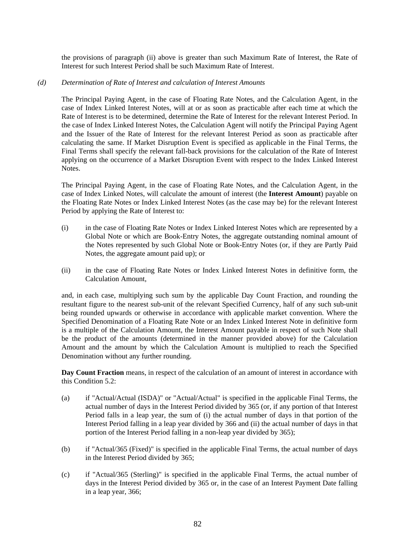the provisions of paragraph [\(ii\) above](#page-80-0) is greater than such Maximum Rate of Interest, the Rate of Interest for such Interest Period shall be such Maximum Rate of Interest.

#### *(d) Determination of Rate of Interest and calculation of Interest Amounts*

The Principal Paying Agent, in the case of Floating Rate Notes, and the Calculation Agent, in the case of Index Linked Interest Notes, will at or as soon as practicable after each time at which the Rate of Interest is to be determined, determine the Rate of Interest for the relevant Interest Period. In the case of Index Linked Interest Notes, the Calculation Agent will notify the Principal Paying Agent and the Issuer of the Rate of Interest for the relevant Interest Period as soon as practicable after calculating the same. If Market Disruption Event is specified as applicable in the Final Terms, the Final Terms shall specify the relevant fall-back provisions for the calculation of the Rate of Interest applying on the occurrence of a Market Disruption Event with respect to the Index Linked Interest Notes.

The Principal Paying Agent, in the case of Floating Rate Notes, and the Calculation Agent, in the case of Index Linked Notes, will calculate the amount of interest (the **Interest Amount**) payable on the Floating Rate Notes or Index Linked Interest Notes (as the case may be) for the relevant Interest Period by applying the Rate of Interest to:

- (i) in the case of Floating Rate Notes or Index Linked Interest Notes which are represented by a Global Note or which are Book-Entry Notes, the aggregate outstanding nominal amount of the Notes represented by such Global Note or Book-Entry Notes (or, if they are Partly Paid Notes, the aggregate amount paid up); or
- (ii) in the case of Floating Rate Notes or Index Linked Interest Notes in definitive form, the Calculation Amount,

and, in each case, multiplying such sum by the applicable Day Count Fraction, and rounding the resultant figure to the nearest sub-unit of the relevant Specified Currency, half of any such sub-unit being rounded upwards or otherwise in accordance with applicable market convention. Where the Specified Denomination of a Floating Rate Note or an Index Linked Interest Note in definitive form is a multiple of the Calculation Amount, the Interest Amount payable in respect of such Note shall be the product of the amounts (determined in the manner provided above) for the Calculation Amount and the amount by which the Calculation Amount is multiplied to reach the Specified Denomination without any further rounding.

**Day Count Fraction** means, in respect of the calculation of an amount of interest in accordance with this Condition [5.2:](#page-79-0)

- (a) if "Actual/Actual (ISDA)" or "Actual/Actual" is specified in the applicable Final Terms, the actual number of days in the Interest Period divided by 365 (or, if any portion of that Interest Period falls in a leap year, the sum of (i) the actual number of days in that portion of the Interest Period falling in a leap year divided by 366 and (ii) the actual number of days in that portion of the Interest Period falling in a non-leap year divided by 365);
- (b) if "Actual/365 (Fixed)" is specified in the applicable Final Terms, the actual number of days in the Interest Period divided by 365;
- (c) if "Actual/365 (Sterling)" is specified in the applicable Final Terms, the actual number of days in the Interest Period divided by 365 or, in the case of an Interest Payment Date falling in a leap year, 366;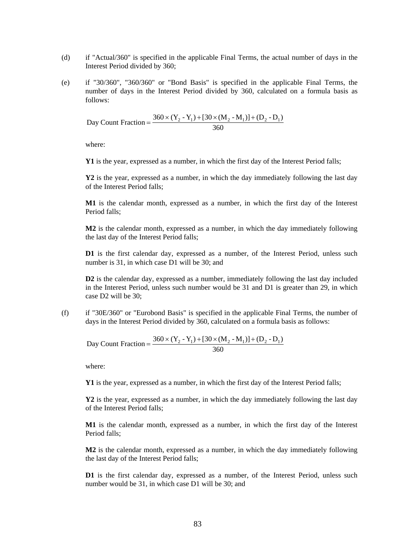- (d) if "Actual/360" is specified in the applicable Final Terms, the actual number of days in the Interest Period divided by 360;
- (e) if "30/360", "360/360" or "Bond Basis" is specified in the applicable Final Terms, the number of days in the Interest Period divided by 360, calculated on a formula basis as follows:

360 Day Count Fraction =  $\frac{360 \times (Y_2 - Y_1) + [30 \times (M_2 - M_1)] + (D_2 - D_1)}{250}$ 

where:

**Y1** is the year, expressed as a number, in which the first day of the Interest Period falls;

**Y2** is the year, expressed as a number, in which the day immediately following the last day of the Interest Period falls;

**M1** is the calendar month, expressed as a number, in which the first day of the Interest Period falls;

**M2** is the calendar month, expressed as a number, in which the day immediately following the last day of the Interest Period falls;

**D1** is the first calendar day, expressed as a number, of the Interest Period, unless such number is 31, in which case D1 will be 30; and

**D2** is the calendar day, expressed as a number, immediately following the last day included in the Interest Period, unless such number would be 31 and D1 is greater than 29, in which case D2 will be 30;

(f) if "30E/360" or "Eurobond Basis" is specified in the applicable Final Terms, the number of days in the Interest Period divided by 360, calculated on a formula basis as follows:

Day Count Fraction = 
$$
\frac{360 \times (Y_2 - Y_1) + [30 \times (M_2 - M_1)] + (D_2 - D_1)}{360}
$$

where:

**Y1** is the year, expressed as a number, in which the first day of the Interest Period falls;

**Y2** is the year, expressed as a number, in which the day immediately following the last day of the Interest Period falls;

**M1** is the calendar month, expressed as a number, in which the first day of the Interest Period falls;

**M2** is the calendar month, expressed as a number, in which the day immediately following the last day of the Interest Period falls;

**D1** is the first calendar day, expressed as a number, of the Interest Period, unless such number would be 31, in which case D1 will be 30; and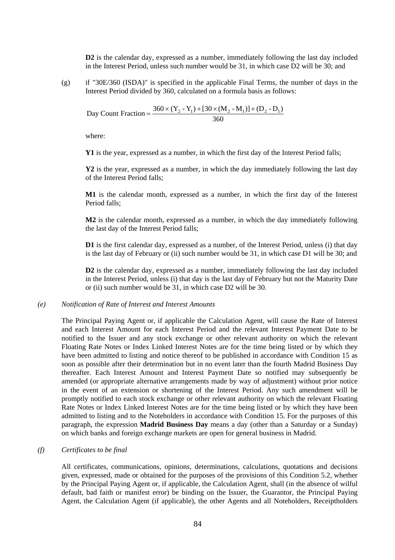**D2** is the calendar day, expressed as a number, immediately following the last day included in the Interest Period, unless such number would be 31, in which case D2 will be 30; and

(g) if "30E/360 (ISDA)" is specified in the applicable Final Terms, the number of days in the Interest Period divided by 360, calculated on a formula basis as follows:

Day Count Fraction = 
$$
\frac{360 \times (Y_2 - Y_1) + [30 \times (M_2 - M_1)] + (D_2 - D_1)}{360}
$$

where:

**Y1** is the year, expressed as a number, in which the first day of the Interest Period falls;

**Y2** is the year, expressed as a number, in which the day immediately following the last day of the Interest Period falls;

**M1** is the calendar month, expressed as a number, in which the first day of the Interest Period falls;

**M2** is the calendar month, expressed as a number, in which the day immediately following the last day of the Interest Period falls;

**D1** is the first calendar day, expressed as a number, of the Interest Period, unless (i) that day is the last day of February or (ii) such number would be 31, in which case D1 will be 30; and

**D2** is the calendar day, expressed as a number, immediately following the last day included in the Interest Period, unless (i) that day is the last day of February but not the Maturity Date or (ii) such number would be 31, in which case D2 will be 30.

#### *(e) Notification of Rate of Interest and Interest Amounts*

The Principal Paying Agent or, if applicable the Calculation Agent, will cause the Rate of Interest and each Interest Amount for each Interest Period and the relevant Interest Payment Date to be notified to the Issuer and any stock exchange or other relevant authority on which the relevant Floating Rate Notes or Index Linked Interest Notes are for the time being listed or by which they have been admitted to listing and notice thereof to be published in accordance with Condition [15](#page-100-0) as soon as possible after their determination but in no event later than the fourth Madrid Business Day thereafter. Each Interest Amount and Interest Payment Date so notified may subsequently be amended (or appropriate alternative arrangements made by way of adjustment) without prior notice in the event of an extension or shortening of the Interest Period. Any such amendment will be promptly notified to each stock exchange or other relevant authority on which the relevant Floating Rate Notes or Index Linked Interest Notes are for the time being listed or by which they have been admitted to listing and to the Noteholders in accordance with Condition [15.](#page-100-0) For the purposes of this paragraph, the expression **Madrid Business Day** means a day (other than a Saturday or a Sunday) on which banks and foreign exchange markets are open for general business in Madrid.

#### *(f) Certificates to be final*

All certificates, communications, opinions, determinations, calculations, quotations and decisions given, expressed, made or obtained for the purposes of the provisions of this Condition [5.2](#page-79-0), whether by the Principal Paying Agent or, if applicable, the Calculation Agent, shall (in the absence of wilful default, bad faith or manifest error) be binding on the Issuer, the Guarantor, the Principal Paying Agent, the Calculation Agent (if applicable), the other Agents and all Noteholders, Receiptholders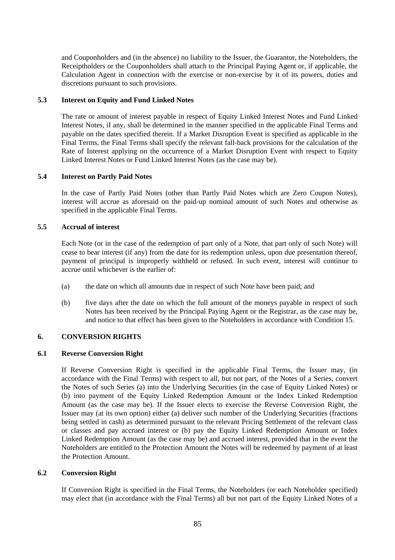and Couponholders and (in the absence) no liability to the Issuer, the Guarantor, the Noteholders, the Receiptholders or the Couponholders shall attach to the Principal Paying Agent or, if applicable, the Calculation Agent in connection with the exercise or non-exercise by it of its powers, duties and discretions pursuant to such provisions.

# **5.3 Interest on Equity and Fund Linked Notes**

The rate or amount of interest payable in respect of Equity Linked Interest Notes and Fund Linked Interest Notes, if any, shall be determined in the manner specified in the applicable Final Terms and payable on the dates specified therein. If a Market Disruption Event is specified as applicable in the Final Terms, the Final Terms shall specify the relevant fall-back provisions for the calculation of the Rate of Interest applying on the occurrence of a Market Disruption Event with respect to Equity Linked Interest Notes or Fund Linked Interest Notes (as the case may be).

#### **5.4 Interest on Partly Paid Notes**

In the case of Partly Paid Notes (other than Partly Paid Notes which are Zero Coupon Notes), interest will accrue as aforesaid on the paid-up nominal amount of such Notes and otherwise as specified in the applicable Final Terms.

#### **5.5 Accrual of interest**

Each Note (or in the case of the redemption of part only of a Note, that part only of such Note) will cease to bear interest (if any) from the date for its redemption unless, upon due presentation thereof, payment of principal is improperly withheld or refused. In such event, interest will continue to accrue until whichever is the earlier of:

- (a) the date on which all amounts due in respect of such Note have been paid; and
- (b) five days after the date on which the full amount of the moneys payable in respect of such Notes has been received by the Principal Paying Agent or the Registrar, as the case may be, and notice to that effect has been given to the Noteholders in accordance with Condition [15](#page-100-0).

### **6. CONVERSION RIGHTS**

#### **6.1 Reverse Conversion Right**

If Reverse Conversion Right is specified in the applicable Final Terms, the Issuer may, (in accordance with the Final Terms) with respect to all, but not part, of the Notes of a Series, convert the Notes of such Series (a) into the Underlying Securities (in the case of Equity Linked Notes) or (b) into payment of the Equity Linked Redemption Amount or the Index Linked Redemption Amount (as the case may be). If the Issuer elects to exercise the Reverse Conversion Right, the Issuer may (at its own option) either (a) deliver such number of the Underlying Securities (fractions being settled in cash) as determined pursuant to the relevant Pricing Settlement of the relevant class or classes and pay accrued interest or (b) pay the Equity Linked Redemption Amount or Index Linked Redemption Amount (as the case may be) and accrued interest, provided that in the event the Noteholders are entitled to the Protection Amount the Notes will be redeemed by payment of at least the Protection Amount.

### **6.2 Conversion Right**

If Conversion Right is specified in the Final Terms, the Noteholders (or each Noteholder specified) may elect that (in accordance with the Final Terms) all but not part of the Equity Linked Notes of a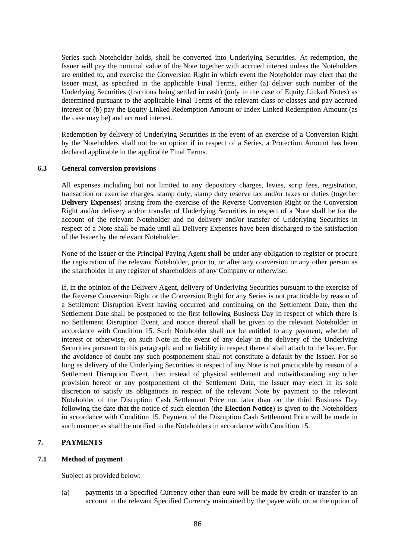<span id="page-86-0"></span>Series such Noteholder holds, shall be converted into Underlying Securities. At redemption, the Issuer will pay the nominal value of the Note together with accrued interest unless the Noteholders are entitled to, and exercise the Conversion Right in which event the Noteholder may elect that the Issuer must, as specified in the applicable Final Terms, either (a) deliver such number of the Underlying Securities (fractions being settled in cash) (only in the case of Equity Linked Notes) as determined pursuant to the applicable Final Terms of the relevant class or classes and pay accrued interest or (b) pay the Equity Linked Redemption Amount or Index Linked Redemption Amount (as the case may be) and accrued interest.

Redemption by delivery of Underlying Securities in the event of an exercise of a Conversion Right by the Noteholders shall not be an option if in respect of a Series, a Protection Amount has been declared applicable in the applicable Final Terms.

#### **6.3 General conversion provisions**

All expenses including but not limited to any depository charges, levies, scrip fees, registration, transaction or exercise charges, stamp duty, stamp duty reserve tax and/or taxes or duties (together **Delivery Expenses**) arising from the exercise of the Reverse Conversion Right or the Conversion Right and/or delivery and/or transfer of Underlying Securities in respect of a Note shall be for the account of the relevant Noteholder and no delivery and/or transfer of Underlying Securities in respect of a Note shall be made until all Delivery Expenses have been discharged to the satisfaction of the Issuer by the relevant Noteholder.

None of the Issuer or the Principal Paying Agent shall be under any obligation to register or procure the registration of the relevant Noteholder, prior to, or after any conversion or any other person as the shareholder in any register of shareholders of any Company or otherwise.

If, in the opinion of the Delivery Agent, delivery of Underlying Securities pursuant to the exercise of the Reverse Conversion Right or the Conversion Right for any Series is not practicable by reason of a Settlement Disruption Event having occurred and continuing on the Settlement Date, then the Settlement Date shall be postponed to the first following Business Day in respect of which there is no Settlement Disruption Event, and notice thereof shall be given to the relevant Noteholder in accordance with Condition [15.](#page-100-0) Such Noteholder shall not be entitled to any payment, whether of interest or otherwise, on such Note in the event of any delay in the delivery of the Underlying Securities pursuant to this paragraph, and no liability in respect thereof shall attach to the Issuer. For the avoidance of doubt any such postponement shall not constitute a default by the Issuer. For so long as delivery of the Underlying Securities in respect of any Note is not practicable by reason of a Settlement Disruption Event, then instead of physical settlement and notwithstanding any other provision hereof or any postponement of the Settlement Date, the Issuer may elect in its sole discretion to satisfy its obligations in respect of the relevant Note by payment to the relevant Noteholder of the Disruption Cash Settlement Price not later than on the third Business Day following the date that the notice of such election (the **Election Notice**) is given to the Noteholders in accordance with Condition [15.](#page-100-0) Payment of the Disruption Cash Settlement Price will be made in such manner as shall be notified to the Noteholders in accordance with Condition [15](#page-100-0).

### **7. PAYMENTS**

### **7.1 Method of payment**

Subject as provided below:

(a) payments in a Specified Currency other than euro will be made by credit or transfer to an account in the relevant Specified Currency maintained by the payee with, or, at the option of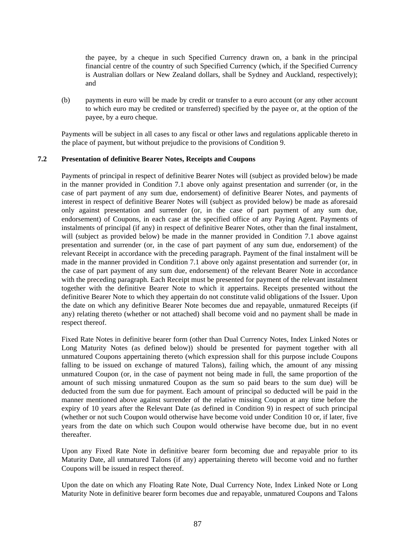<span id="page-87-0"></span>the payee, by a cheque in such Specified Currency drawn on, a bank in the principal financial centre of the country of such Specified Currency (which, if the Specified Currency is Australian dollars or New Zealand dollars, shall be Sydney and Auckland, respectively); and

(b) payments in euro will be made by credit or transfer to a euro account (or any other account to which euro may be credited or transferred) specified by the payee or, at the option of the payee, by a euro cheque.

Payments will be subject in all cases to any fiscal or other laws and regulations applicable thereto in the place of payment, but without prejudice to the provisions of Condition [9](#page-96-0).

### **7.2 Presentation of definitive Bearer Notes, Receipts and Coupons**

Payments of principal in respect of definitive Bearer Notes will (subject as provided below) be made in the manner provided in Condition [7.1 above](#page-86-0) only against presentation and surrender (or, in the case of part payment of any sum due, endorsement) of definitive Bearer Notes, and payments of interest in respect of definitive Bearer Notes will (subject as provided below) be made as aforesaid only against presentation and surrender (or, in the case of part payment of any sum due, endorsement) of Coupons, in each case at the specified office of any Paying Agent. Payments of instalments of principal (if any) in respect of definitive Bearer Notes, other than the final instalment, will (subject as provided below) be made in the manner provided in Condition [7.1 above](#page-86-0) against presentation and surrender (or, in the case of part payment of any sum due, endorsement) of the relevant Receipt in accordance with the preceding paragraph. Payment of the final instalment will be made in the manner provided in Condition [7.1 above](#page-86-0) only against presentation and surrender (or, in the case of part payment of any sum due, endorsement) of the relevant Bearer Note in accordance with the preceding paragraph. Each Receipt must be presented for payment of the relevant instalment together with the definitive Bearer Note to which it appertains. Receipts presented without the definitive Bearer Note to which they appertain do not constitute valid obligations of the Issuer. Upon the date on which any definitive Bearer Note becomes due and repayable, unmatured Receipts (if any) relating thereto (whether or not attached) shall become void and no payment shall be made in respect thereof.

Fixed Rate Notes in definitive bearer form (other than Dual Currency Notes, Index Linked Notes or Long Maturity Notes (as defined below)) should be presented for payment together with all unmatured Coupons appertaining thereto (which expression shall for this purpose include Coupons falling to be issued on exchange of matured Talons), failing which, the amount of any missing unmatured Coupon (or, in the case of payment not being made in full, the same proportion of the amount of such missing unmatured Coupon as the sum so paid bears to the sum due) will be deducted from the sum due for payment. Each amount of principal so deducted will be paid in the manner mentioned above against surrender of the relative missing Coupon at any time before the expiry of 10 years after the Relevant Date (as defined in Condition [9\)](#page-96-0) in respect of such principal (whether or not such Coupon would otherwise have become void under Condition [10](#page-97-0) or, if later, five years from the date on which such Coupon would otherwise have become due, but in no event thereafter.

Upon any Fixed Rate Note in definitive bearer form becoming due and repayable prior to its Maturity Date, all unmatured Talons (if any) appertaining thereto will become void and no further Coupons will be issued in respect thereof.

Upon the date on which any Floating Rate Note, Dual Currency Note, Index Linked Note or Long Maturity Note in definitive bearer form becomes due and repayable, unmatured Coupons and Talons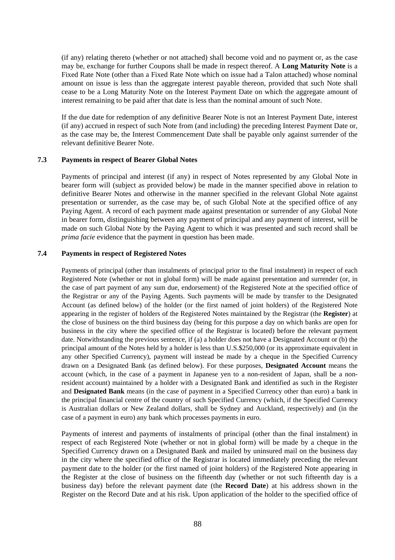(if any) relating thereto (whether or not attached) shall become void and no payment or, as the case may be, exchange for further Coupons shall be made in respect thereof. A **Long Maturity Note** is a Fixed Rate Note (other than a Fixed Rate Note which on issue had a Talon attached) whose nominal amount on issue is less than the aggregate interest payable thereon, provided that such Note shall cease to be a Long Maturity Note on the Interest Payment Date on which the aggregate amount of interest remaining to be paid after that date is less than the nominal amount of such Note.

If the due date for redemption of any definitive Bearer Note is not an Interest Payment Date, interest (if any) accrued in respect of such Note from (and including) the preceding Interest Payment Date or, as the case may be, the Interest Commencement Date shall be payable only against surrender of the relevant definitive Bearer Note.

#### **7.3 Payments in respect of Bearer Global Notes**

Payments of principal and interest (if any) in respect of Notes represented by any Global Note in bearer form will (subject as provided below) be made in the manner specified above in relation to definitive Bearer Notes and otherwise in the manner specified in the relevant Global Note against presentation or surrender, as the case may be, of such Global Note at the specified office of any Paying Agent. A record of each payment made against presentation or surrender of any Global Note in bearer form, distinguishing between any payment of principal and any payment of interest, will be made on such Global Note by the Paying Agent to which it was presented and such record shall be *prima facie* evidence that the payment in question has been made.

# **7.4 Payments in respect of Registered Notes**

Payments of principal (other than instalments of principal prior to the final instalment) in respect of each Registered Note (whether or not in global form) will be made against presentation and surrender (or, in the case of part payment of any sum due, endorsement) of the Registered Note at the specified office of the Registrar or any of the Paying Agents. Such payments will be made by transfer to the Designated Account (as defined below) of the holder (or the first named of joint holders) of the Registered Note appearing in the register of holders of the Registered Notes maintained by the Registrar (the **Register**) at the close of business on the third business day (being for this purpose a day on which banks are open for business in the city where the specified office of the Registrar is located) before the relevant payment date. Notwithstanding the previous sentence, if (a) a holder does not have a Designated Account or (b) the principal amount of the Notes held by a holder is less than U.S.\$250,000 (or its approximate equivalent in any other Specified Currency), payment will instead be made by a cheque in the Specified Currency drawn on a Designated Bank (as defined below). For these purposes, **Designated Account** means the account (which, in the case of a payment in Japanese yen to a non-resident of Japan, shall be a nonresident account) maintained by a holder with a Designated Bank and identified as such in the Register and **Designated Bank** means (in the case of payment in a Specified Currency other than euro) a bank in the principal financial centre of the country of such Specified Currency (which, if the Specified Currency is Australian dollars or New Zealand dollars, shall be Sydney and Auckland, respectively) and (in the case of a payment in euro) any bank which processes payments in euro.

Payments of interest and payments of instalments of principal (other than the final instalment) in respect of each Registered Note (whether or not in global form) will be made by a cheque in the Specified Currency drawn on a Designated Bank and mailed by uninsured mail on the business day in the city where the specified office of the Registrar is located immediately preceding the relevant payment date to the holder (or the first named of joint holders) of the Registered Note appearing in the Register at the close of business on the fifteenth day (whether or not such fifteenth day is a business day) before the relevant payment date (the **Record Date**) at his address shown in the Register on the Record Date and at his risk. Upon application of the holder to the specified office of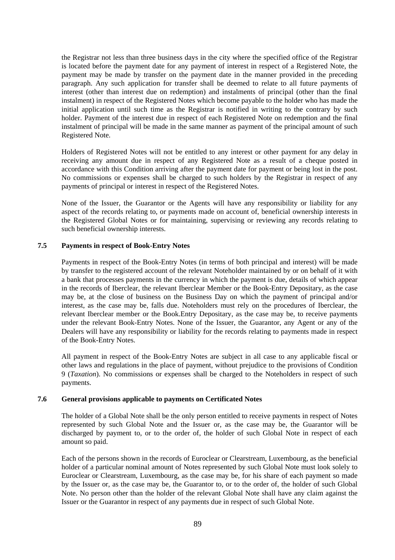the Registrar not less than three business days in the city where the specified office of the Registrar is located before the payment date for any payment of interest in respect of a Registered Note, the payment may be made by transfer on the payment date in the manner provided in the preceding paragraph. Any such application for transfer shall be deemed to relate to all future payments of interest (other than interest due on redemption) and instalments of principal (other than the final instalment) in respect of the Registered Notes which become payable to the holder who has made the initial application until such time as the Registrar is notified in writing to the contrary by such holder. Payment of the interest due in respect of each Registered Note on redemption and the final instalment of principal will be made in the same manner as payment of the principal amount of such Registered Note.

Holders of Registered Notes will not be entitled to any interest or other payment for any delay in receiving any amount due in respect of any Registered Note as a result of a cheque posted in accordance with this Condition arriving after the payment date for payment or being lost in the post. No commissions or expenses shall be charged to such holders by the Registrar in respect of any payments of principal or interest in respect of the Registered Notes.

None of the Issuer, the Guarantor or the Agents will have any responsibility or liability for any aspect of the records relating to, or payments made on account of, beneficial ownership interests in the Registered Global Notes or for maintaining, supervising or reviewing any records relating to such beneficial ownership interests.

#### **7.5 Payments in respect of Book-Entry Notes**

Payments in respect of the Book-Entry Notes (in terms of both principal and interest) will be made by transfer to the registered account of the relevant Noteholder maintained by or on behalf of it with a bank that processes payments in the currency in which the payment is due, details of which appear in the records of Iberclear, the relevant Iberclear Member or the Book-Entry Depositary, as the case may be, at the close of business on the Business Day on which the payment of principal and/or interest, as the case may be, falls due. Noteholders must rely on the procedures of Iberclear, the relevant Iberclear member or the Book.Entry Depositary, as the case may be, to receive payments under the relevant Book-Entry Notes. None of the Issuer, the Guarantor, any Agent or any of the Dealers will have any responsibility or liability for the records relating to payments made in respect of the Book-Entry Notes.

All payment in respect of the Book-Entry Notes are subject in all case to any applicable fiscal or other laws and regulations in the place of payment, without prejudice to the provisions of Condition 9 (*Taxation*). No commissions or expenses shall be charged to the Noteholders in respect of such payments.

#### **7.6 General provisions applicable to payments on Certificated Notes**

The holder of a Global Note shall be the only person entitled to receive payments in respect of Notes represented by such Global Note and the Issuer or, as the case may be, the Guarantor will be discharged by payment to, or to the order of, the holder of such Global Note in respect of each amount so paid.

Each of the persons shown in the records of Euroclear or Clearstream, Luxembourg, as the beneficial holder of a particular nominal amount of Notes represented by such Global Note must look solely to Euroclear or Clearstream, Luxembourg, as the case may be, for his share of each payment so made by the Issuer or, as the case may be, the Guarantor to, or to the order of, the holder of such Global Note. No person other than the holder of the relevant Global Note shall have any claim against the Issuer or the Guarantor in respect of any payments due in respect of such Global Note.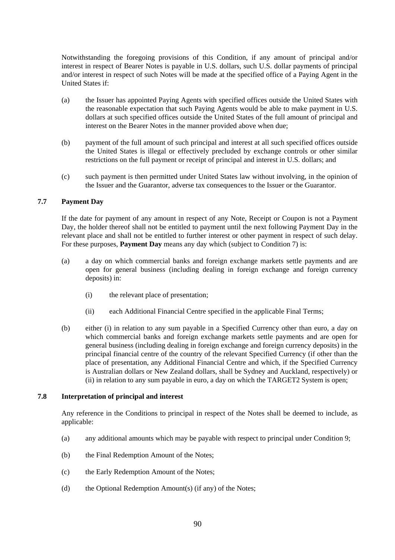Notwithstanding the foregoing provisions of this Condition, if any amount of principal and/or interest in respect of Bearer Notes is payable in U.S. dollars, such U.S. dollar payments of principal and/or interest in respect of such Notes will be made at the specified office of a Paying Agent in the United States if:

- (a) the Issuer has appointed Paying Agents with specified offices outside the United States with the reasonable expectation that such Paying Agents would be able to make payment in U.S. dollars at such specified offices outside the United States of the full amount of principal and interest on the Bearer Notes in the manner provided above when due;
- (b) payment of the full amount of such principal and interest at all such specified offices outside the United States is illegal or effectively precluded by exchange controls or other similar restrictions on the full payment or receipt of principal and interest in U.S. dollars; and
- (c) such payment is then permitted under United States law without involving, in the opinion of the Issuer and the Guarantor, adverse tax consequences to the Issuer or the Guarantor.

# **7.7 Payment Day**

If the date for payment of any amount in respect of any Note, Receipt or Coupon is not a Payment Day, the holder thereof shall not be entitled to payment until the next following Payment Day in the relevant place and shall not be entitled to further interest or other payment in respect of such delay. For these purposes, **Payment Day** means any day which (subject to Condition [7\)](#page-86-0) is:

- (a) a day on which commercial banks and foreign exchange markets settle payments and are open for general business (including dealing in foreign exchange and foreign currency deposits) in:
	- (i) the relevant place of presentation;
	- (ii) each Additional Financial Centre specified in the applicable Final Terms;
- (b) either (i) in relation to any sum payable in a Specified Currency other than euro, a day on which commercial banks and foreign exchange markets settle payments and are open for general business (including dealing in foreign exchange and foreign currency deposits) in the principal financial centre of the country of the relevant Specified Currency (if other than the place of presentation, any Additional Financial Centre and which, if the Specified Currency is Australian dollars or New Zealand dollars, shall be Sydney and Auckland, respectively) or (ii) in relation to any sum payable in euro, a day on which the TARGET2 System is open;

#### **7.8 Interpretation of principal and interest**

Any reference in the Conditions to principal in respect of the Notes shall be deemed to include, as applicable:

- (a) any additional amounts which may be payable with respect to principal under Condition [9;](#page-96-0)
- (b) the Final Redemption Amount of the Notes;
- (c) the Early Redemption Amount of the Notes;
- (d) the Optional Redemption Amount(s) (if any) of the Notes;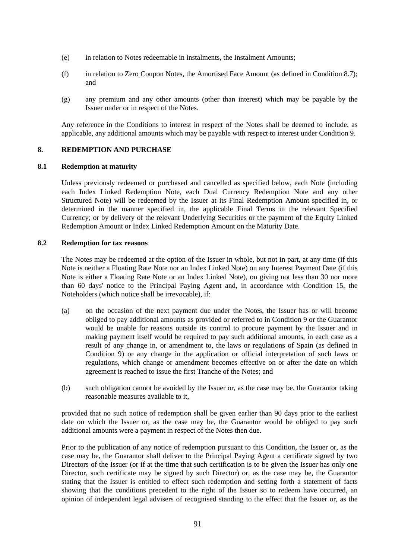- <span id="page-91-0"></span>(e) in relation to Notes redeemable in instalments, the Instalment Amounts;
- (f) in relation to Zero Coupon Notes, the Amortised Face Amount (as defined in Condition 8.7); and
- (g) any premium and any other amounts (other than interest) which may be payable by the Issuer under or in respect of the Notes.

Any reference in the Conditions to interest in respect of the Notes shall be deemed to include, as applicable, any additional amounts which may be payable with respect to interest under Condition [9.](#page-96-0)

# **8. REDEMPTION AND PURCHASE**

### **8.1 Redemption at maturity**

Unless previously redeemed or purchased and cancelled as specified below, each Note (including each Index Linked Redemption Note, each Dual Currency Redemption Note and any other Structured Note) will be redeemed by the Issuer at its Final Redemption Amount specified in, or determined in the manner specified in, the applicable Final Terms in the relevant Specified Currency; or by delivery of the relevant Underlying Securities or the payment of the Equity Linked Redemption Amount or Index Linked Redemption Amount on the Maturity Date.

#### **8.2 Redemption for tax reasons**

The Notes may be redeemed at the option of the Issuer in whole, but not in part, at any time (if this Note is neither a Floating Rate Note nor an Index Linked Note) on any Interest Payment Date (if this Note is either a Floating Rate Note or an Index Linked Note), on giving not less than 30 nor more than 60 days' notice to the Principal Paying Agent and, in accordance with Condition [15](#page-100-0), the Noteholders (which notice shall be irrevocable), if:

- (a) on the occasion of the next payment due under the Notes, the Issuer has or will become obliged to pay additional amounts as provided or referred to in Condition [9](#page-96-0) or the Guarantor would be unable for reasons outside its control to procure payment by the Issuer and in making payment itself would be required to pay such additional amounts, in each case as a result of any change in, or amendment to, the laws or regulations of Spain (as defined in Condition [9](#page-96-0)) or any change in the application or official interpretation of such laws or regulations, which change or amendment becomes effective on or after the date on which agreement is reached to issue the first Tranche of the Notes; and
- (b) such obligation cannot be avoided by the Issuer or, as the case may be, the Guarantor taking reasonable measures available to it,

provided that no such notice of redemption shall be given earlier than 90 days prior to the earliest date on which the Issuer or, as the case may be, the Guarantor would be obliged to pay such additional amounts were a payment in respect of the Notes then due.

Prior to the publication of any notice of redemption pursuant to this Condition, the Issuer or, as the case may be, the Guarantor shall deliver to the Principal Paying Agent a certificate signed by two Directors of the Issuer (or if at the time that such certification is to be given the Issuer has only one Director, such certificate may be signed by such Director) or, as the case may be, the Guarantor stating that the Issuer is entitled to effect such redemption and setting forth a statement of facts showing that the conditions precedent to the right of the Issuer so to redeem have occurred, an opinion of independent legal advisers of recognised standing to the effect that the Issuer or, as the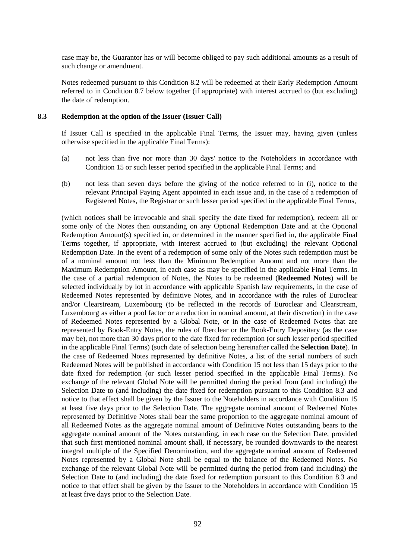<span id="page-92-0"></span>case may be, the Guarantor has or will become obliged to pay such additional amounts as a result of such change or amendment.

Notes redeemed pursuant to this Condition [8.2](#page-91-0) will be redeemed at their Early Redemption Amount referred to in Condition [8.7 below](#page-94-0) together (if appropriate) with interest accrued to (but excluding) the date of redemption.

#### **8.3 Redemption at the option of the Issuer (Issuer Call)**

If Issuer Call is specified in the applicable Final Terms, the Issuer may, having given (unless otherwise specified in the applicable Final Terms):

- (a) not less than five nor more than 30 days' notice to the Noteholders in accordance with Condition [15](#page-100-0) or such lesser period specified in the applicable Final Terms; and
- (b) not less than seven days before the giving of the notice referred to in (i), notice to the relevant Principal Paying Agent appointed in each issue and, in the case of a redemption of Registered Notes, the Registrar or such lesser period specified in the applicable Final Terms,

(which notices shall be irrevocable and shall specify the date fixed for redemption), redeem all or some only of the Notes then outstanding on any Optional Redemption Date and at the Optional Redemption Amount(s) specified in, or determined in the manner specified in, the applicable Final Terms together, if appropriate, with interest accrued to (but excluding) the relevant Optional Redemption Date. In the event of a redemption of some only of the Notes such redemption must be of a nominal amount not less than the Minimum Redemption Amount and not more than the Maximum Redemption Amount, in each case as may be specified in the applicable Final Terms. In the case of a partial redemption of Notes, the Notes to be redeemed (**Redeemed Notes**) will be selected individually by lot in accordance with applicable Spanish law requirements, in the case of Redeemed Notes represented by definitive Notes, and in accordance with the rules of Euroclear and/or Clearstream, Luxembourg (to be reflected in the records of Euroclear and Clearstream, Luxembourg as either a pool factor or a reduction in nominal amount, at their discretion) in the case of Redeemed Notes represented by a Global Note, or in the case of Redeemed Notes that are represented by Book-Entry Notes, the rules of Iberclear or the Book-Entry Depositary (as the case may be), not more than 30 days prior to the date fixed for redemption (or such lesser period specified in the applicable Final Terms) (such date of selection being hereinafter called the **Selection Date**). In the case of Redeemed Notes represented by definitive Notes, a list of the serial numbers of such Redeemed Notes will be published in accordance with Condition [15](#page-100-0) not less than 15 days prior to the date fixed for redemption (or such lesser period specified in the applicable Final Terms). No exchange of the relevant Global Note will be permitted during the period from (and including) the Selection Date to (and including) the date fixed for redemption pursuant to this Condition [8.3](#page-92-0) and notice to that effect shall be given by the Issuer to the Noteholders in accordance with Condition [15](#page-100-0)  at least five days prior to the Selection Date. The aggregate nominal amount of Redeemed Notes represented by Definitive Notes shall bear the same proportion to the aggregate nominal amount of all Redeemed Notes as the aggregate nominal amount of Definitive Notes outstanding bears to the aggregate nominal amount of the Notes outstanding, in each case on the Selection Date, provided that such first mentioned nominal amount shall, if necessary, be rounded downwards to the nearest integral multiple of the Specified Denomination, and the aggregate nominal amount of Redeemed Notes represented by a Global Note shall be equal to the balance of the Redeemed Notes. No exchange of the relevant Global Note will be permitted during the period from (and including) the Selection Date to (and including) the date fixed for redemption pursuant to this Condition [8.3](#page-92-0) and notice to that effect shall be given by the Issuer to the Noteholders in accordance with Condition [15](#page-100-0)  at least five days prior to the Selection Date.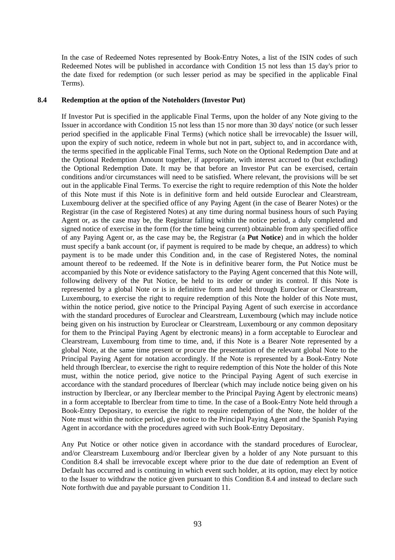<span id="page-93-0"></span>In the case of Redeemed Notes represented by Book-Entry Notes, a list of the ISIN codes of such Redeemed Notes will be published in accordance with Condition [15](#page-100-0) not less than 15 day's prior to the date fixed for redemption (or such lesser period as may be specified in the applicable Final Terms).

#### **8.4 Redemption at the option of the Noteholders (Investor Put)**

If Investor Put is specified in the applicable Final Terms, upon the holder of any Note giving to the Issuer in accordance with Condition [15](#page-100-0) not less than 15 nor more than 30 days' notice (or such lesser period specified in the applicable Final Terms) (which notice shall be irrevocable) the Issuer will, upon the expiry of such notice, redeem in whole but not in part, subject to, and in accordance with, the terms specified in the applicable Final Terms, such Note on the Optional Redemption Date and at the Optional Redemption Amount together, if appropriate, with interest accrued to (but excluding) the Optional Redemption Date. It may be that before an Investor Put can be exercised, certain conditions and/or circumstances will need to be satisfied. Where relevant, the provisions will be set out in the applicable Final Terms. To exercise the right to require redemption of this Note the holder of this Note must if this Note is in definitive form and held outside Euroclear and Clearstream, Luxembourg deliver at the specified office of any Paying Agent (in the case of Bearer Notes) or the Registrar (in the case of Registered Notes) at any time during normal business hours of such Paying Agent or, as the case may be, the Registrar falling within the notice period, a duly completed and signed notice of exercise in the form (for the time being current) obtainable from any specified office of any Paying Agent or, as the case may be, the Registrar (a **Put Notice**) and in which the holder must specify a bank account (or, if payment is required to be made by cheque, an address) to which payment is to be made under this Condition and, in the case of Registered Notes, the nominal amount thereof to be redeemed. If the Note is in definitive bearer form, the Put Notice must be accompanied by this Note or evidence satisfactory to the Paying Agent concerned that this Note will, following delivery of the Put Notice, be held to its order or under its control. If this Note is represented by a global Note or is in definitive form and held through Euroclear or Clearstream, Luxembourg, to exercise the right to require redemption of this Note the holder of this Note must, within the notice period, give notice to the Principal Paying Agent of such exercise in accordance with the standard procedures of Euroclear and Clearstream, Luxembourg (which may include notice being given on his instruction by Euroclear or Clearstream, Luxembourg or any common depositary for them to the Principal Paying Agent by electronic means) in a form acceptable to Euroclear and Clearstream, Luxembourg from time to time, and, if this Note is a Bearer Note represented by a global Note, at the same time present or procure the presentation of the relevant global Note to the Principal Paying Agent for notation accordingly. If the Note is represented by a Book-Entry Note held through Iberclear, to exercise the right to require redemption of this Note the holder of this Note must, within the notice period, give notice to the Principal Paying Agent of such exercise in accordance with the standard procedures of Iberclear (which may include notice being given on his instruction by Iberclear, or any Iberclear member to the Principal Paying Agent by electronic means) in a form acceptable to Iberclear from time to time. In the case of a Book-Entry Note held through a Book-Entry Depositary, to exercise the right to require redemption of the Note, the holder of the Note must within the notice period, give notice to the Principal Paying Agent and the Spanish Paying Agent in accordance with the procedures agreed with such Book-Entry Depositary.

Any Put Notice or other notice given in accordance with the standard procedures of Euroclear, and/or Clearstream Luxembourg and/or Iberclear given by a holder of any Note pursuant to this Condition [8.4](#page-93-0) shall be irrevocable except where prior to the due date of redemption an Event of Default has occurred and is continuing in which event such holder, at its option, may elect by notice to the Issuer to withdraw the notice given pursuant to this Condition [8.4](#page-93-0) and instead to declare such Note forthwith due and payable pursuant to Condition [11](#page-98-0).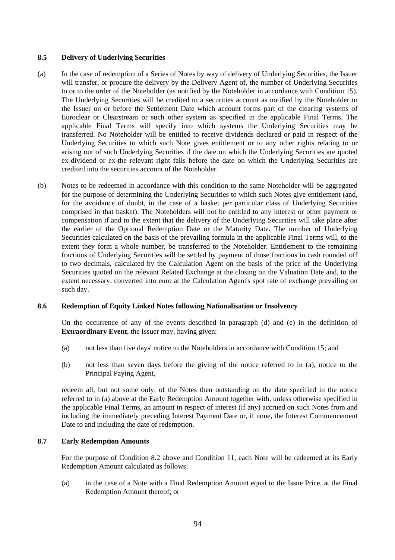## <span id="page-94-0"></span>**8.5 Delivery of Underlying Securities**

- (a) In the case of redemption of a Series of Notes by way of delivery of Underlying Securities, the Issuer will transfer, or procure the delivery by the Delivery Agent of, the number of Underlying Securities to or to the order of the Noteholder (as notified by the Noteholder in accordance with Condition [15](#page-100-0)). The Underlying Securities will be credited to a securities account as notified by the Noteholder to the Issuer on or before the Settlement Date which account forms part of the clearing systems of Euroclear or Clearstream or such other system as specified in the applicable Final Terms. The applicable Final Terms will specify into which systems the Underlying Securities may be transferred. No Noteholder will be entitled to receive dividends declared or paid in respect of the Underlying Securities to which such Note gives entitlement or to any other rights relating to or arising out of such Underlying Securities if the date on which the Underlying Securities are quoted ex-dividend or ex-the relevant right falls before the date on which the Underlying Securities are credited into the securities account of the Noteholder.
- (b) Notes to be redeemed in accordance with this condition to the same Noteholder will be aggregated for the purpose of determining the Underlying Securities to which such Notes give entitlement (and, for the avoidance of doubt, in the case of a basket per particular class of Underlying Securities comprised in that basket). The Noteholders will not be entitled to any interest or other payment or compensation if and to the extent that the delivery of the Underlying Securities will take place after the earlier of the Optional Redemption Date or the Maturity Date. The number of Underlying Securities calculated on the basis of the prevailing formula in the applicable Final Terms will, to the extent they form a whole number, be transferred to the Noteholder. Entitlement to the remaining fractions of Underlying Securities will be settled by payment of those fractions in cash rounded off to two decimals, calculated by the Calculation Agent on the basis of the price of the Underlying Securities quoted on the relevant Related Exchange at the closing on the Valuation Date and, to the extent necessary, converted into euro at the Calculation Agent's spot rate of exchange prevailing on such day.

### **8.6 Redemption of Equity Linked Notes following Nationalisation or Insolvency**

On the occurrence of any of the events described in paragraph [\(d\)](#page-70-0) and [\(e\)](#page-70-0) in the definition of **Extraordinary Event**, the Issuer may, having given:

- (a) not less than five days' notice to the Noteholders in accordance with Condition [15](#page-100-0); and
- (b) not less than seven days before the giving of the notice referred to in (a), notice to the Principal Paying Agent,

redeem all, but not some only, of the Notes then outstanding on the date specified in the notice referred to in (a) above at the Early Redemption Amount together with, unless otherwise specified in the applicable Final Terms, an amount in respect of interest (if any) accrued on such Notes from and including the immediately preceding Interest Payment Date or, if none, the Interest Commencement Date to and including the date of redemption.

# **8.7 Early Redemption Amounts**

For the purpose of Condition [8.2 above](#page-91-0) and Condition [11,](#page-98-0) each Note will be redeemed at its Early Redemption Amount calculated as follows:

(a) in the case of a Note with a Final Redemption Amount equal to the Issue Price, at the Final Redemption Amount thereof; or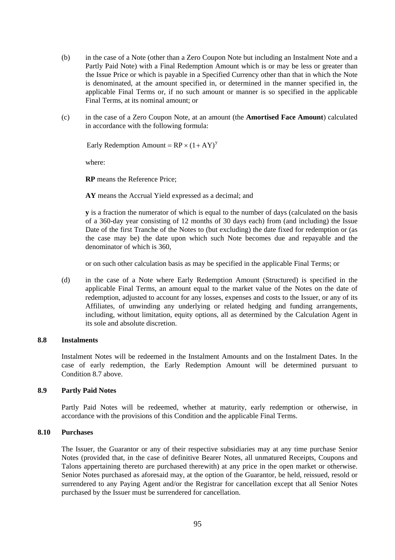- <span id="page-95-0"></span>(b) in the case of a Note (other than a Zero Coupon Note but including an Instalment Note and a Partly Paid Note) with a Final Redemption Amount which is or may be less or greater than the Issue Price or which is payable in a Specified Currency other than that in which the Note is denominated, at the amount specified in, or determined in the manner specified in, the applicable Final Terms or, if no such amount or manner is so specified in the applicable Final Terms, at its nominal amount; or
- (c) in the case of a Zero Coupon Note, at an amount (the **Amortised Face Amount**) calculated in accordance with the following formula:

Early Redemption Amount =  $RP \times (1+AY)^y$ 

where:

**RP** means the Reference Price;

**AY** means the Accrual Yield expressed as a decimal; and

**y** is a fraction the numerator of which is equal to the number of days (calculated on the basis of a 360-day year consisting of 12 months of 30 days each) from (and including) the Issue Date of the first Tranche of the Notes to (but excluding) the date fixed for redemption or (as the case may be) the date upon which such Note becomes due and repayable and the denominator of which is 360,

or on such other calculation basis as may be specified in the applicable Final Terms; or

(d) in the case of a Note where Early Redemption Amount (Structured) is specified in the applicable Final Terms, an amount equal to the market value of the Notes on the date of redemption, adjusted to account for any losses, expenses and costs to the Issuer, or any of its Affiliates, of unwinding any underlying or related hedging and funding arrangements, including, without limitation, equity options, all as determined by the Calculation Agent in its sole and absolute discretion.

### **8.8 Instalments**

Instalment Notes will be redeemed in the Instalment Amounts and on the Instalment Dates. In the case of early redemption, the Early Redemption Amount will be determined pursuant to Condition [8.7 above](#page-94-0).

#### **8.9 Partly Paid Notes**

Partly Paid Notes will be redeemed, whether at maturity, early redemption or otherwise, in accordance with the provisions of this Condition and the applicable Final Terms.

#### **8.10 Purchases**

The Issuer, the Guarantor or any of their respective subsidiaries may at any time purchase Senior Notes (provided that, in the case of definitive Bearer Notes, all unmatured Receipts, Coupons and Talons appertaining thereto are purchased therewith) at any price in the open market or otherwise. Senior Notes purchased as aforesaid may, at the option of the Guarantor, be held, reissued, resold or surrendered to any Paying Agent and/or the Registrar for cancellation except that all Senior Notes purchased by the Issuer must be surrendered for cancellation.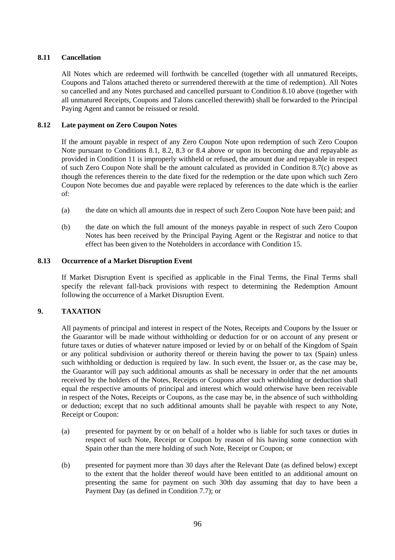# <span id="page-96-0"></span>**8.11 Cancellation**

All Notes which are redeemed will forthwith be cancelled (together with all unmatured Receipts, Coupons and Talons attached thereto or surrendered therewith at the time of redemption). All Notes so cancelled and any Notes purchased and cancelled pursuant to Condition [8.10 above](#page-95-0) (together with all unmatured Receipts, Coupons and Talons cancelled therewith) shall be forwarded to the Principal Paying Agent and cannot be reissued or resold.

## **8.12 Late payment on Zero Coupon Notes**

If the amount payable in respect of any Zero Coupon Note upon redemption of such Zero Coupon Note pursuant to Conditions [8.1,](#page-91-0) [8.2](#page-91-0), [8.3](#page-92-0) or [8.4 above](#page-93-0) or upon its becoming due and repayable as provided in Condition [11](#page-98-0) is improperly withheld or refused, the amount due and repayable in respect of such Zero Coupon Note shall be the amount calculated as provided in Condition [8.7\(c\) above](#page-95-0) as though the references therein to the date fixed for the redemption or the date upon which such Zero Coupon Note becomes due and payable were replaced by references to the date which is the earlier of:

- (a) the date on which all amounts due in respect of such Zero Coupon Note have been paid; and
- (b) the date on which the full amount of the moneys payable in respect of such Zero Coupon Notes has been received by the Principal Paying Agent or the Registrar and notice to that effect has been given to the Noteholders in accordance with Condition [15](#page-100-0).

### **8.13 Occurrence of a Market Disruption Event**

If Market Disruption Event is specified as applicable in the Final Terms, the Final Terms shall specify the relevant fall-back provisions with respect to determining the Redemption Amount following the occurrence of a Market Disruption Event.

## **9. TAXATION**

All payments of principal and interest in respect of the Notes, Receipts and Coupons by the Issuer or the Guarantor will be made without withholding or deduction for or on account of any present or future taxes or duties of whatever nature imposed or levied by or on behalf of the Kingdom of Spain or any political subdivision or authority thereof or therein having the power to tax (Spain) unless such withholding or deduction is required by law. In such event, the Issuer or, as the case may be, the Guarantor will pay such additional amounts as shall be necessary in order that the net amounts received by the holders of the Notes, Receipts or Coupons after such withholding or deduction shall equal the respective amounts of principal and interest which would otherwise have been receivable in respect of the Notes, Receipts or Coupons, as the case may be, in the absence of such withholding or deduction; except that no such additional amounts shall be payable with respect to any Note, Receipt or Coupon:

- (a) presented for payment by or on behalf of a holder who is liable for such taxes or duties in respect of such Note, Receipt or Coupon by reason of his having some connection with Spain other than the mere holding of such Note, Receipt or Coupon; or
- (b) presented for payment more than 30 days after the Relevant Date (as defined below) except to the extent that the holder thereof would have been entitled to an additional amount on presenting the same for payment on such 30th day assuming that day to have been a Payment Day (as defined in Condition 7.7); or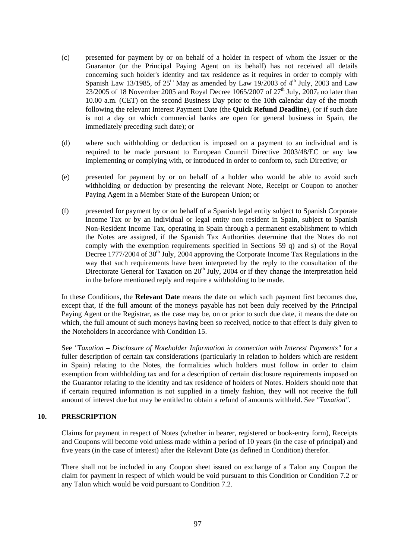- <span id="page-97-0"></span>(c) presented for payment by or on behalf of a holder in respect of whom the Issuer or the Guarantor (or the Principal Paying Agent on its behalf) has not received all details concerning such holder's identity and tax residence as it requires in order to comply with Spanish Law 13/1985, of  $25<sup>th</sup>$  May as amended by Law 19/2003 of  $4<sup>th</sup>$  July, 2003 and Law  $23/2005$  of 18 November 2005 and Royal Decree 1065/2007 of  $27<sup>th</sup>$  July, 2007, no later than 10.00 a.m. (CET) on the second Business Day prior to the 10th calendar day of the month following the relevant Interest Payment Date (the **Quick Refund Deadline**), (or if such date is not a day on which commercial banks are open for general business in Spain, the immediately preceding such date); or
- (d) where such withholding or deduction is imposed on a payment to an individual and is required to be made pursuant to European Council Directive 2003/48/EC or any law implementing or complying with, or introduced in order to conform to, such Directive; or
- (e) presented for payment by or on behalf of a holder who would be able to avoid such withholding or deduction by presenting the relevant Note, Receipt or Coupon to another Paying Agent in a Member State of the European Union; or
- (f) presented for payment by or on behalf of a Spanish legal entity subject to Spanish Corporate Income Tax or by an individual or legal entity non resident in Spain, subject to Spanish Non-Resident Income Tax, operating in Spain through a permanent establishment to which the Notes are assigned, if the Spanish Tax Authorities determine that the Notes do not comply with the exemption requirements specified in Sections 59 q) and s) of the Royal Decree 1777/2004 of  $30<sup>th</sup>$  July, 2004 approving the Corporate Income Tax Regulations in the way that such requirements have been interpreted by the reply to the consultation of the Directorate General for Taxation on  $20<sup>th</sup>$  July, 2004 or if they change the interpretation held in the before mentioned reply and require a withholding to be made.

In these Conditions, the **Relevant Date** means the date on which such payment first becomes due, except that, if the full amount of the moneys payable has not been duly received by the Principal Paying Agent or the Registrar, as the case may be, on or prior to such due date, it means the date on which, the full amount of such moneys having been so received, notice to that effect is duly given to the Noteholders in accordance with Condition [15](#page-100-0).

See *"Taxation – Disclosure of Noteholder Information in connection with Interest Payments"* for a fuller description of certain tax considerations (particularly in relation to holders which are resident in Spain) relating to the Notes, the formalities which holders must follow in order to claim exemption from withholding tax and for a description of certain disclosure requirements imposed on the Guarantor relating to the identity and tax residence of holders of Notes. Holders should note that if certain required information is not supplied in a timely fashion, they will not receive the full amount of interest due but may be entitled to obtain a refund of amounts withheld. See *"Taxation".* 

### **10. PRESCRIPTION**

Claims for payment in respect of Notes (whether in bearer, registered or book-entry form), Receipts and Coupons will become void unless made within a period of 10 years (in the case of principal) and five years (in the case of interest) after the Relevant Date (as defined in Condition) therefor.

There shall not be included in any Coupon sheet issued on exchange of a Talon any Coupon the claim for payment in respect of which would be void pursuant to this Condition or Condition [7.2](#page-87-0) or any Talon which would be void pursuant to Condition [7.2.](#page-87-0)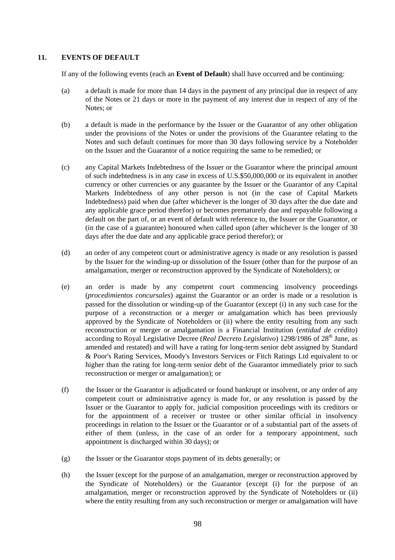# <span id="page-98-0"></span>**11. EVENTS OF DEFAULT**

If any of the following events (each an **Event of Default**) shall have occurred and be continuing:

- (a) a default is made for more than 14 days in the payment of any principal due in respect of any of the Notes or 21 days or more in the payment of any interest due in respect of any of the Notes; or
- (b) a default is made in the performance by the Issuer or the Guarantor of any other obligation under the provisions of the Notes or under the provisions of the Guarantee relating to the Notes and such default continues for more than 30 days following service by a Noteholder on the Issuer and the Guarantor of a notice requiring the same to be remedied; or
- (c) any Capital Markets Indebtedness of the Issuer or the Guarantor where the principal amount of such indebtedness is in any case in excess of U.S.\$50,000,000 or its equivalent in another currency or other currencies or any guarantee by the Issuer or the Guarantor of any Capital Markets Indebtedness of any other person is not (in the case of Capital Markets Indebtedness) paid when due (after whichever is the longer of 30 days after the due date and any applicable grace period therefor) or becomes prematurely due and repayable following a default on the part of, or an event of default with reference to, the Issuer or the Guarantor, or (in the case of a guarantee) honoured when called upon (after whichever is the longer of 30 days after the due date and any applicable grace period therefor); or
- (d) an order of any competent court or administrative agency is made or any resolution is passed by the Issuer for the winding-up or dissolution of the Issuer (other than for the purpose of an amalgamation, merger or reconstruction approved by the Syndicate of Noteholders); or
- (e) an order is made by any competent court commencing insolvency proceedings (*procedimientos concursales*) against the Guarantor or an order is made or a resolution is passed for the dissolution or winding-up of the Guarantor (except (i) in any such case for the purpose of a reconstruction or a merger or amalgamation which has been previously approved by the Syndicate of Noteholders or (ii) where the entity resulting from any such reconstruction or merger or amalgamation is a Financial Institution (*entidad de crédito*) according to Royal Legislative Decree (*Real Decreto Legislativo*) 1298/1986 of 28<sup>th</sup> June, as amended and restated) and will have a rating for long-term senior debt assigned by Standard & Poor's Rating Services, Moody's Investors Services or Fitch Ratings Ltd equivalent to or higher than the rating for long-term senior debt of the Guarantor immediately prior to such reconstruction or merger or amalgamation); or
- (f) the Issuer or the Guarantor is adjudicated or found bankrupt or insolvent, or any order of any competent court or administrative agency is made for, or any resolution is passed by the Issuer or the Guarantor to apply for, judicial composition proceedings with its creditors or for the appointment of a receiver or trustee or other similar official in insolvency proceedings in relation to the Issuer or the Guarantor or of a substantial part of the assets of either of them (unless, in the case of an order for a temporary appointment, such appointment is discharged within 30 days); or
- (g) the Issuer or the Guarantor stops payment of its debts generally; or
- (h) the Issuer (except for the purpose of an amalgamation, merger or reconstruction approved by the Syndicate of Noteholders) or the Guarantor (except (i) for the purpose of an amalgamation, merger or reconstruction approved by the Syndicate of Noteholders or (ii) where the entity resulting from any such reconstruction or merger or amalgamation will have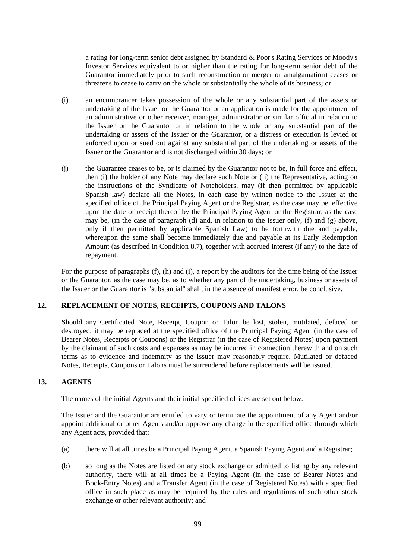<span id="page-99-0"></span>a rating for long-term senior debt assigned by Standard & Poor's Rating Services or Moody's Investor Services equivalent to or higher than the rating for long-term senior debt of the Guarantor immediately prior to such reconstruction or merger or amalgamation) ceases or threatens to cease to carry on the whole or substantially the whole of its business; or

- (i) an encumbrancer takes possession of the whole or any substantial part of the assets or undertaking of the Issuer or the Guarantor or an application is made for the appointment of an administrative or other receiver, manager, administrator or similar official in relation to the Issuer or the Guarantor or in relation to the whole or any substantial part of the undertaking or assets of the Issuer or the Guarantor, or a distress or execution is levied or enforced upon or sued out against any substantial part of the undertaking or assets of the Issuer or the Guarantor and is not discharged within 30 days; or
- (j) the Guarantee ceases to be, or is claimed by the Guarantor not to be, in full force and effect, then (i) the holder of any Note may declare such Note or (ii) the Representative, acting on the instructions of the Syndicate of Noteholders, may (if then permitted by applicable Spanish law) declare all the Notes, in each case by written notice to the Issuer at the specified office of the Principal Paying Agent or the Registrar, as the case may be, effective upon the date of receipt thereof by the Principal Paying Agent or the Registrar, as the case may be, (in the case of paragraph [\(d\)](#page-98-0) and, in relation to the Issuer only, [\(f\)](#page-98-0) and [\(g\) above,](#page-98-0) only if then permitted by applicable Spanish Law) to be forthwith due and payable, whereupon the same shall become immediately due and payable at its Early Redemption Amount (as described in Condition 8.7), together with accrued interest (if any) to the date of repayment.

For the purpose of paragraphs [\(f\)](#page-98-0), [\(h\)](#page-99-0) and [\(i\)](#page-99-0), a report by the auditors for the time being of the Issuer or the Guarantor, as the case may be, as to whether any part of the undertaking, business or assets of the Issuer or the Guarantor is "substantial" shall, in the absence of manifest error, be conclusive.

### **12. REPLACEMENT OF NOTES, RECEIPTS, COUPONS AND TALONS**

Should any Certificated Note, Receipt, Coupon or Talon be lost, stolen, mutilated, defaced or destroyed, it may be replaced at the specified office of the Principal Paying Agent (in the case of Bearer Notes, Receipts or Coupons) or the Registrar (in the case of Registered Notes) upon payment by the claimant of such costs and expenses as may be incurred in connection therewith and on such terms as to evidence and indemnity as the Issuer may reasonably require. Mutilated or defaced Notes, Receipts, Coupons or Talons must be surrendered before replacements will be issued.

### **13. AGENTS**

The names of the initial Agents and their initial specified offices are set out below.

The Issuer and the Guarantor are entitled to vary or terminate the appointment of any Agent and/or appoint additional or other Agents and/or approve any change in the specified office through which any Agent acts, provided that:

- (a) there will at all times be a Principal Paying Agent, a Spanish Paying Agent and a Registrar;
- (b) so long as the Notes are listed on any stock exchange or admitted to listing by any relevant authority, there will at all times be a Paying Agent (in the case of Bearer Notes and Book-Entry Notes) and a Transfer Agent (in the case of Registered Notes) with a specified office in such place as may be required by the rules and regulations of such other stock exchange or other relevant authority; and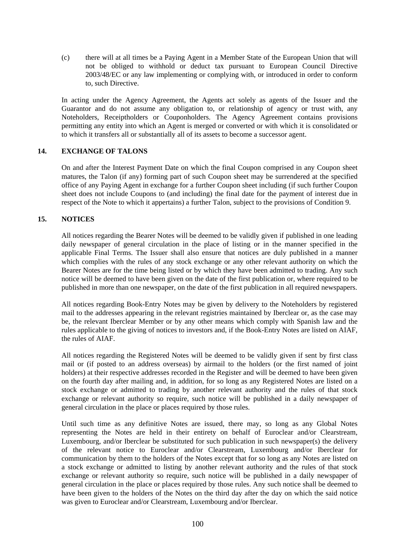<span id="page-100-0"></span>(c) there will at all times be a Paying Agent in a Member State of the European Union that will not be obliged to withhold or deduct tax pursuant to European Council Directive 2003/48/EC or any law implementing or complying with, or introduced in order to conform to, such Directive.

In acting under the Agency Agreement, the Agents act solely as agents of the Issuer and the Guarantor and do not assume any obligation to, or relationship of agency or trust with, any Noteholders, Receiptholders or Couponholders. The Agency Agreement contains provisions permitting any entity into which an Agent is merged or converted or with which it is consolidated or to which it transfers all or substantially all of its assets to become a successor agent.

## **14. EXCHANGE OF TALONS**

On and after the Interest Payment Date on which the final Coupon comprised in any Coupon sheet matures, the Talon (if any) forming part of such Coupon sheet may be surrendered at the specified office of any Paying Agent in exchange for a further Coupon sheet including (if such further Coupon sheet does not include Coupons to (and including) the final date for the payment of interest due in respect of the Note to which it appertains) a further Talon, subject to the provisions of Condition [9.](#page-96-0)

### **15. NOTICES**

All notices regarding the Bearer Notes will be deemed to be validly given if published in one leading daily newspaper of general circulation in the place of listing or in the manner specified in the applicable Final Terms. The Issuer shall also ensure that notices are duly published in a manner which complies with the rules of any stock exchange or any other relevant authority on which the Bearer Notes are for the time being listed or by which they have been admitted to trading. Any such notice will be deemed to have been given on the date of the first publication or, where required to be published in more than one newspaper, on the date of the first publication in all required newspapers.

All notices regarding Book-Entry Notes may be given by delivery to the Noteholders by registered mail to the addresses appearing in the relevant registries maintained by Iberclear or, as the case may be, the relevant Iberclear Member or by any other means which comply with Spanish law and the rules applicable to the giving of notices to investors and, if the Book-Entry Notes are listed on AIAF, the rules of AIAF.

All notices regarding the Registered Notes will be deemed to be validly given if sent by first class mail or (if posted to an address overseas) by airmail to the holders (or the first named of joint holders) at their respective addresses recorded in the Register and will be deemed to have been given on the fourth day after mailing and, in addition, for so long as any Registered Notes are listed on a stock exchange or admitted to trading by another relevant authority and the rules of that stock exchange or relevant authority so require, such notice will be published in a daily newspaper of general circulation in the place or places required by those rules.

Until such time as any definitive Notes are issued, there may, so long as any Global Notes representing the Notes are held in their entirety on behalf of Euroclear and/or Clearstream, Luxembourg, and/or Iberclear be substituted for such publication in such newspaper(s) the delivery of the relevant notice to Euroclear and/or Clearstream, Luxembourg and/or Iberclear for communication by them to the holders of the Notes except that for so long as any Notes are listed on a stock exchange or admitted to listing by another relevant authority and the rules of that stock exchange or relevant authority so require, such notice will be published in a daily newspaper of general circulation in the place or places required by those rules. Any such notice shall be deemed to have been given to the holders of the Notes on the third day after the day on which the said notice was given to Euroclear and/or Clearstream, Luxembourg and/or Iberclear.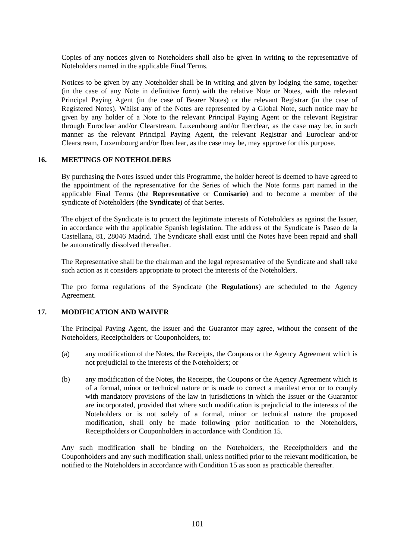Copies of any notices given to Noteholders shall also be given in writing to the representative of Noteholders named in the applicable Final Terms.

Notices to be given by any Noteholder shall be in writing and given by lodging the same, together (in the case of any Note in definitive form) with the relative Note or Notes, with the relevant Principal Paying Agent (in the case of Bearer Notes) or the relevant Registrar (in the case of Registered Notes). Whilst any of the Notes are represented by a Global Note, such notice may be given by any holder of a Note to the relevant Principal Paying Agent or the relevant Registrar through Euroclear and/or Clearstream, Luxembourg and/or Iberclear, as the case may be, in such manner as the relevant Principal Paying Agent, the relevant Registrar and Euroclear and/or Clearstream, Luxembourg and/or Iberclear, as the case may be, may approve for this purpose.

#### **16. MEETINGS OF NOTEHOLDERS**

By purchasing the Notes issued under this Programme, the holder hereof is deemed to have agreed to the appointment of the representative for the Series of which the Note forms part named in the applicable Final Terms (the **Representative** or **Comisario**) and to become a member of the syndicate of Noteholders (the **Syndicate**) of that Series.

The object of the Syndicate is to protect the legitimate interests of Noteholders as against the Issuer, in accordance with the applicable Spanish legislation. The address of the Syndicate is Paseo de la Castellana, 81, 28046 Madrid. The Syndicate shall exist until the Notes have been repaid and shall be automatically dissolved thereafter.

The Representative shall be the chairman and the legal representative of the Syndicate and shall take such action as it considers appropriate to protect the interests of the Noteholders.

The pro forma regulations of the Syndicate (the **Regulations**) are scheduled to the Agency Agreement.

### **17. MODIFICATION AND WAIVER**

The Principal Paying Agent, the Issuer and the Guarantor may agree, without the consent of the Noteholders, Receiptholders or Couponholders, to:

- (a) any modification of the Notes, the Receipts, the Coupons or the Agency Agreement which is not prejudicial to the interests of the Noteholders; or
- (b) any modification of the Notes, the Receipts, the Coupons or the Agency Agreement which is of a formal, minor or technical nature or is made to correct a manifest error or to comply with mandatory provisions of the law in jurisdictions in which the Issuer or the Guarantor are incorporated, provided that where such modification is prejudicial to the interests of the Noteholders or is not solely of a formal, minor or technical nature the proposed modification, shall only be made following prior notification to the Noteholders, Receiptholders or Couponholders in accordance with Condition [15.](#page-100-0)

Any such modification shall be binding on the Noteholders, the Receiptholders and the Couponholders and any such modification shall, unless notified prior to the relevant modification, be notified to the Noteholders in accordance with Condition [15](#page-100-0) as soon as practicable thereafter.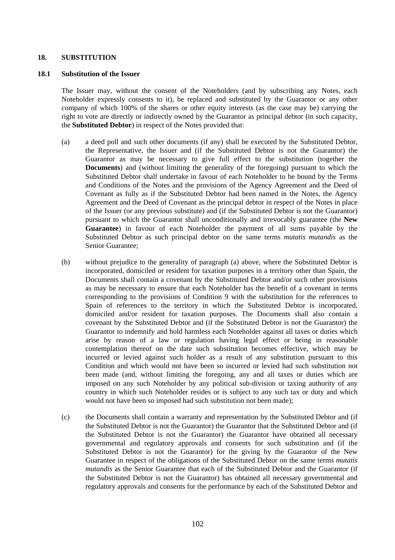### **18. SUBSTITUTION**

#### **18.1 Substitution of the Issuer**

The Issuer may, without the consent of the Noteholders (and by subscribing any Notes, each Noteholder expressly consents to it), be replaced and substituted by the Guarantor or any other company of which 100% of the shares or other equity interests (as the case may be) carrying the right to vote are directly or indirectly owned by the Guarantor as principal debtor (in such capacity, the **Substituted Debtor**) in respect of the Notes provided that:

- (a) a deed poll and such other documents (if any) shall be executed by the Substituted Debtor, the Representative, the Issuer and (if the Substituted Debtor is not the Guarantor) the Guarantor as may be necessary to give full effect to the substitution (together the **Documents**) and (without limiting the generality of the foregoing) pursuant to which the Substituted Debtor shall undertake in favour of each Noteholder to be bound by the Terms and Conditions of the Notes and the provisions of the Agency Agreement and the Deed of Covenant as fully as if the Substituted Debtor had been named in the Notes, the Agency Agreement and the Deed of Covenant as the principal debtor in respect of the Notes in place of the Issuer (or any previous substitute) and (if the Substituted Debtor is not the Guarantor) pursuant to which the Guarantor shall unconditionally and irrevocably guarantee (the **New Guarantee**) in favour of each Noteholder the payment of all sums payable by the Substituted Debtor as such principal debtor on the same terms *mutatis mutandis* as the Senior Guarantee;
- (b) without prejudice to the generality of paragraph (a) above, where the Substituted Debtor is incorporated, domiciled or resident for taxation purposes in a territory other than Spain, the Documents shall contain a covenant by the Substituted Debtor and/or such other provisions as may be necessary to ensure that each Noteholder has the benefit of a covenant in terms corresponding to the provisions of Condition [9](#page-96-0) with the substitution for the references to Spain of references to the territory in which the Substituted Debtor is incorporated, domiciled and/or resident for taxation purposes. The Documents shall also contain a covenant by the Substituted Debtor and (if the Substituted Debtor is not the Guarantor) the Guarantor to indemnify and hold harmless each Noteholder against all taxes or duties which arise by reason of a law or regulation having legal effect or being in reasonable contemplation thereof on the date such substitution becomes effective, which may be incurred or levied against such holder as a result of any substitution pursuant to this Condition and which would not have been so incurred or levied had such substitution not been made (and, without limiting the foregoing, any and all taxes or duties which are imposed on any such Noteholder by any political sub-division or taxing authority of any country in which such Noteholder resides or is subject to any such tax or duty and which would not have been so imposed had such substitution not been made);
- (c) the Documents shall contain a warranty and representation by the Substituted Debtor and (if the Substituted Debtor is not the Guarantor) the Guarantor that the Substituted Debtor and (if the Substituted Debtor is not the Guarantor) the Guarantor have obtained all necessary governmental and regulatory approvals and consents for such substitution and (if the Substituted Debtor is not the Guarantor) for the giving by the Guarantor of the New Guarantee in respect of the obligations of the Substituted Debtor on the same terms *mutatis mutandis* as the Senior Guarantee that each of the Substituted Debtor and the Guarantor (if the Substituted Debtor is not the Guarantor) has obtained all necessary governmental and regulatory approvals and consents for the performance by each of the Substituted Debtor and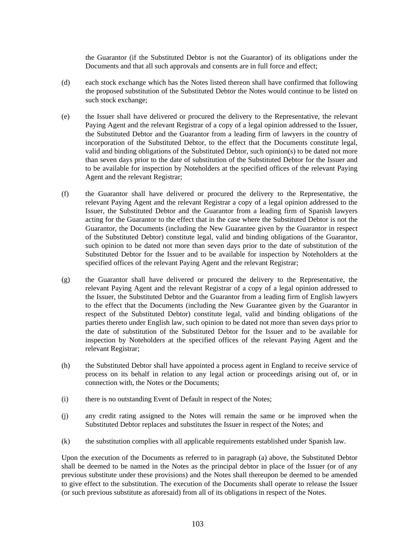the Guarantor (if the Substituted Debtor is not the Guarantor) of its obligations under the Documents and that all such approvals and consents are in full force and effect;

- (d) each stock exchange which has the Notes listed thereon shall have confirmed that following the proposed substitution of the Substituted Debtor the Notes would continue to be listed on such stock exchange;
- (e) the Issuer shall have delivered or procured the delivery to the Representative, the relevant Paying Agent and the relevant Registrar of a copy of a legal opinion addressed to the Issuer, the Substituted Debtor and the Guarantor from a leading firm of lawyers in the country of incorporation of the Substituted Debtor, to the effect that the Documents constitute legal, valid and binding obligations of the Substituted Debtor, such opinion(s) to be dated not more than seven days prior to the date of substitution of the Substituted Debtor for the Issuer and to be available for inspection by Noteholders at the specified offices of the relevant Paying Agent and the relevant Registrar;
- (f) the Guarantor shall have delivered or procured the delivery to the Representative, the relevant Paying Agent and the relevant Registrar a copy of a legal opinion addressed to the Issuer, the Substituted Debtor and the Guarantor from a leading firm of Spanish lawyers acting for the Guarantor to the effect that in the case where the Substituted Debtor is not the Guarantor, the Documents (including the New Guarantee given by the Guarantor in respect of the Substituted Debtor) constitute legal, valid and binding obligations of the Guarantor, such opinion to be dated not more than seven days prior to the date of substitution of the Substituted Debtor for the Issuer and to be available for inspection by Noteholders at the specified offices of the relevant Paying Agent and the relevant Registrar;
- (g) the Guarantor shall have delivered or procured the delivery to the Representative, the relevant Paying Agent and the relevant Registrar of a copy of a legal opinion addressed to the Issuer, the Substituted Debtor and the Guarantor from a leading firm of English lawyers to the effect that the Documents (including the New Guarantee given by the Guarantor in respect of the Substituted Debtor) constitute legal, valid and binding obligations of the parties thereto under English law, such opinion to be dated not more than seven days prior to the date of substitution of the Substituted Debtor for the Issuer and to be available for inspection by Noteholders at the specified offices of the relevant Paying Agent and the relevant Registrar;
- (h) the Substituted Debtor shall have appointed a process agent in England to receive service of process on its behalf in relation to any legal action or proceedings arising out of, or in connection with, the Notes or the Documents;
- (i) there is no outstanding Event of Default in respect of the Notes;
- (j) any credit rating assigned to the Notes will remain the same or be improved when the Substituted Debtor replaces and substitutes the Issuer in respect of the Notes; and
- (k) the substitution complies with all applicable requirements established under Spanish law.

Upon the execution of the Documents as referred to in paragraph (a) above, the Substituted Debtor shall be deemed to be named in the Notes as the principal debtor in place of the Issuer (or of any previous substitute under these provisions) and the Notes shall thereupon be deemed to be amended to give effect to the substitution. The execution of the Documents shall operate to release the Issuer (or such previous substitute as aforesaid) from all of its obligations in respect of the Notes.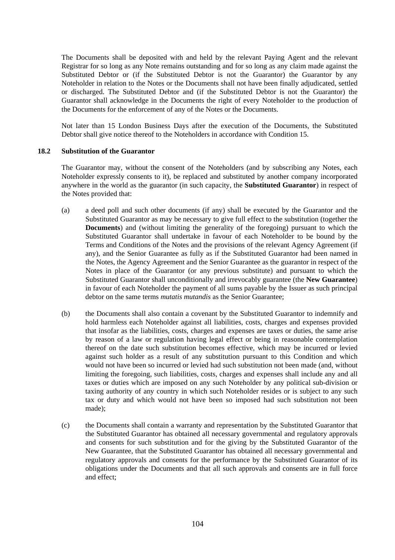The Documents shall be deposited with and held by the relevant Paying Agent and the relevant Registrar for so long as any Note remains outstanding and for so long as any claim made against the Substituted Debtor or (if the Substituted Debtor is not the Guarantor) the Guarantor by any Noteholder in relation to the Notes or the Documents shall not have been finally adjudicated, settled or discharged. The Substituted Debtor and (if the Substituted Debtor is not the Guarantor) the Guarantor shall acknowledge in the Documents the right of every Noteholder to the production of the Documents for the enforcement of any of the Notes or the Documents.

Not later than 15 London Business Days after the execution of the Documents, the Substituted Debtor shall give notice thereof to the Noteholders in accordance with Condition [15](#page-100-0).

#### **18.2 Substitution of the Guarantor**

The Guarantor may, without the consent of the Noteholders (and by subscribing any Notes, each Noteholder expressly consents to it), be replaced and substituted by another company incorporated anywhere in the world as the guarantor (in such capacity, the **Substituted Guarantor**) in respect of the Notes provided that:

- (a) a deed poll and such other documents (if any) shall be executed by the Guarantor and the Substituted Guarantor as may be necessary to give full effect to the substitution (together the **Documents**) and (without limiting the generality of the foregoing) pursuant to which the Substituted Guarantor shall undertake in favour of each Noteholder to be bound by the Terms and Conditions of the Notes and the provisions of the relevant Agency Agreement (if any), and the Senior Guarantee as fully as if the Substituted Guarantor had been named in the Notes, the Agency Agreement and the Senior Guarantee as the guarantor in respect of the Notes in place of the Guarantor (or any previous substitute) and pursuant to which the Substituted Guarantor shall unconditionally and irrevocably guarantee (the **New Guarantee**) in favour of each Noteholder the payment of all sums payable by the Issuer as such principal debtor on the same terms *mutatis mutandis* as the Senior Guarantee;
- (b) the Documents shall also contain a covenant by the Substituted Guarantor to indemnify and hold harmless each Noteholder against all liabilities, costs, charges and expenses provided that insofar as the liabilities, costs, charges and expenses are taxes or duties, the same arise by reason of a law or regulation having legal effect or being in reasonable contemplation thereof on the date such substitution becomes effective, which may be incurred or levied against such holder as a result of any substitution pursuant to this Condition and which would not have been so incurred or levied had such substitution not been made (and, without limiting the foregoing, such liabilities, costs, charges and expenses shall include any and all taxes or duties which are imposed on any such Noteholder by any political sub-division or taxing authority of any country in which such Noteholder resides or is subject to any such tax or duty and which would not have been so imposed had such substitution not been made);
- (c) the Documents shall contain a warranty and representation by the Substituted Guarantor that the Substituted Guarantor has obtained all necessary governmental and regulatory approvals and consents for such substitution and for the giving by the Substituted Guarantor of the New Guarantee, that the Substituted Guarantor has obtained all necessary governmental and regulatory approvals and consents for the performance by the Substituted Guarantor of its obligations under the Documents and that all such approvals and consents are in full force and effect;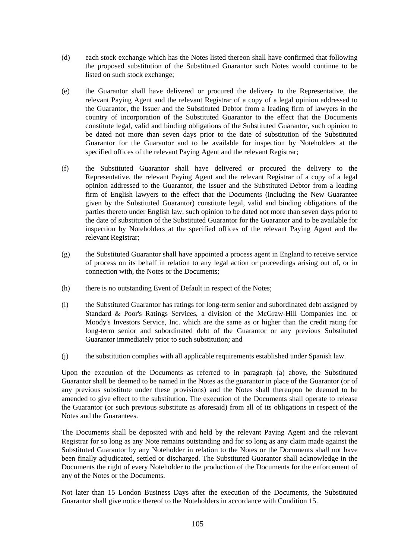- (d) each stock exchange which has the Notes listed thereon shall have confirmed that following the proposed substitution of the Substituted Guarantor such Notes would continue to be listed on such stock exchange;
- (e) the Guarantor shall have delivered or procured the delivery to the Representative, the relevant Paying Agent and the relevant Registrar of a copy of a legal opinion addressed to the Guarantor, the Issuer and the Substituted Debtor from a leading firm of lawyers in the country of incorporation of the Substituted Guarantor to the effect that the Documents constitute legal, valid and binding obligations of the Substituted Guarantor, such opinion to be dated not more than seven days prior to the date of substitution of the Substituted Guarantor for the Guarantor and to be available for inspection by Noteholders at the specified offices of the relevant Paying Agent and the relevant Registrar;
- (f) the Substituted Guarantor shall have delivered or procured the delivery to the Representative, the relevant Paying Agent and the relevant Registrar of a copy of a legal opinion addressed to the Guarantor, the Issuer and the Substituted Debtor from a leading firm of English lawyers to the effect that the Documents (including the New Guarantee given by the Substituted Guarantor) constitute legal, valid and binding obligations of the parties thereto under English law, such opinion to be dated not more than seven days prior to the date of substitution of the Substituted Guarantor for the Guarantor and to be available for inspection by Noteholders at the specified offices of the relevant Paying Agent and the relevant Registrar;
- (g) the Substituted Guarantor shall have appointed a process agent in England to receive service of process on its behalf in relation to any legal action or proceedings arising out of, or in connection with, the Notes or the Documents;
- (h) there is no outstanding Event of Default in respect of the Notes;
- (i) the Substituted Guarantor has ratings for long-term senior and subordinated debt assigned by Standard & Poor's Ratings Services, a division of the McGraw-Hill Companies Inc. or Moody's Investors Service, Inc. which are the same as or higher than the credit rating for long-term senior and subordinated debt of the Guarantor or any previous Substituted Guarantor immediately prior to such substitution; and
- (j) the substitution complies with all applicable requirements established under Spanish law.

Upon the execution of the Documents as referred to in paragraph (a) above, the Substituted Guarantor shall be deemed to be named in the Notes as the guarantor in place of the Guarantor (or of any previous substitute under these provisions) and the Notes shall thereupon be deemed to be amended to give effect to the substitution. The execution of the Documents shall operate to release the Guarantor (or such previous substitute as aforesaid) from all of its obligations in respect of the Notes and the Guarantees.

The Documents shall be deposited with and held by the relevant Paying Agent and the relevant Registrar for so long as any Note remains outstanding and for so long as any claim made against the Substituted Guarantor by any Noteholder in relation to the Notes or the Documents shall not have been finally adjudicated, settled or discharged. The Substituted Guarantor shall acknowledge in the Documents the right of every Noteholder to the production of the Documents for the enforcement of any of the Notes or the Documents.

Not later than 15 London Business Days after the execution of the Documents, the Substituted Guarantor shall give notice thereof to the Noteholders in accordance with Condition [15](#page-100-0).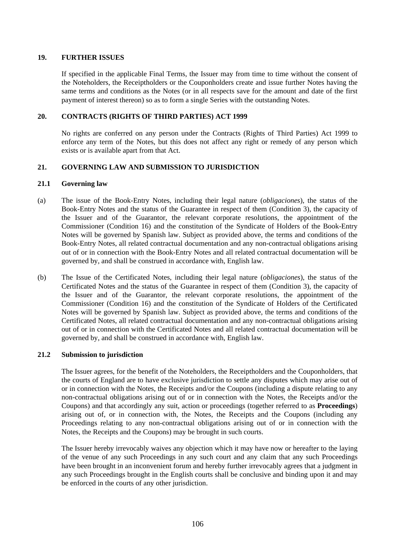# **19. FURTHER ISSUES**

If specified in the applicable Final Terms, the Issuer may from time to time without the consent of the Noteholders, the Receiptholders or the Couponholders create and issue further Notes having the same terms and conditions as the Notes (or in all respects save for the amount and date of the first payment of interest thereon) so as to form a single Series with the outstanding Notes.

# **20. CONTRACTS (RIGHTS OF THIRD PARTIES) ACT 1999**

No rights are conferred on any person under the Contracts (Rights of Third Parties) Act 1999 to enforce any term of the Notes, but this does not affect any right or remedy of any person which exists or is available apart from that Act.

# **21. GOVERNING LAW AND SUBMISSION TO JURISDICTION**

### **21.1 Governing law**

- (a) The issue of the Book-Entry Notes, including their legal nature (*obligaciones*), the status of the Book-Entry Notes and the status of the Guarantee in respect of them (Condition 3), the capacity of the Issuer and of the Guarantor, the relevant corporate resolutions, the appointment of the Commissioner (Condition 16) and the constitution of the Syndicate of Holders of the Book-Entry Notes will be governed by Spanish law. Subject as provided above, the terms and conditions of the Book-Entry Notes, all related contractual documentation and any non-contractual obligations arising out of or in connection with the Book-Entry Notes and all related contractual documentation will be governed by, and shall be construed in accordance with, English law.
- (b) The Issue of the Certificated Notes, including their legal nature (*obligaciones*), the status of the Certificated Notes and the status of the Guarantee in respect of them (Condition 3), the capacity of the Issuer and of the Guarantor, the relevant corporate resolutions, the appointment of the Commissioner (Condition 16) and the constitution of the Syndicate of Holders of the Certificated Notes will be governed by Spanish law. Subject as provided above, the terms and conditions of the Certificated Notes, all related contractual documentation and any non-contractual obligations arising out of or in connection with the Certificated Notes and all related contractual documentation will be governed by, and shall be construed in accordance with, English law.

### **21.2 Submission to jurisdiction**

The Issuer agrees, for the benefit of the Noteholders, the Receiptholders and the Couponholders, that the courts of England are to have exclusive jurisdiction to settle any disputes which may arise out of or in connection with the Notes, the Receipts and/or the Coupons (including a dispute relating to any non-contractual obligations arising out of or in connection with the Notes, the Receipts and/or the Coupons) and that accordingly any suit, action or proceedings (together referred to as **Proceedings**) arising out of, or in connection with, the Notes, the Receipts and the Coupons (including any Proceedings relating to any non-contractual obligations arising out of or in connection with the Notes, the Receipts and the Coupons) may be brought in such courts.

The Issuer hereby irrevocably waives any objection which it may have now or hereafter to the laying of the venue of any such Proceedings in any such court and any claim that any such Proceedings have been brought in an inconvenient forum and hereby further irrevocably agrees that a judgment in any such Proceedings brought in the English courts shall be conclusive and binding upon it and may be enforced in the courts of any other jurisdiction.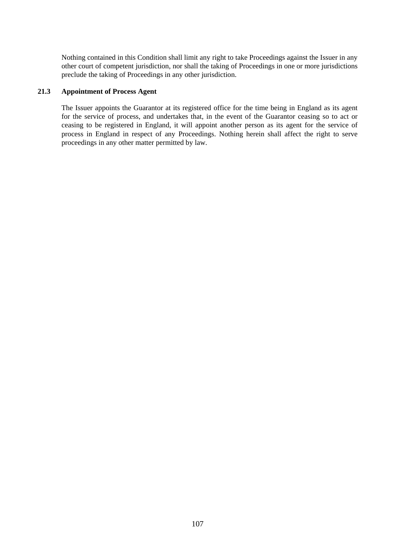Nothing contained in this Condition shall limit any right to take Proceedings against the Issuer in any other court of competent jurisdiction, nor shall the taking of Proceedings in one or more jurisdictions preclude the taking of Proceedings in any other jurisdiction.

# **21.3 Appointment of Process Agent**

The Issuer appoints the Guarantor at its registered office for the time being in England as its agent for the service of process, and undertakes that, in the event of the Guarantor ceasing so to act or ceasing to be registered in England, it will appoint another person as its agent for the service of process in England in respect of any Proceedings. Nothing herein shall affect the right to serve proceedings in any other matter permitted by law.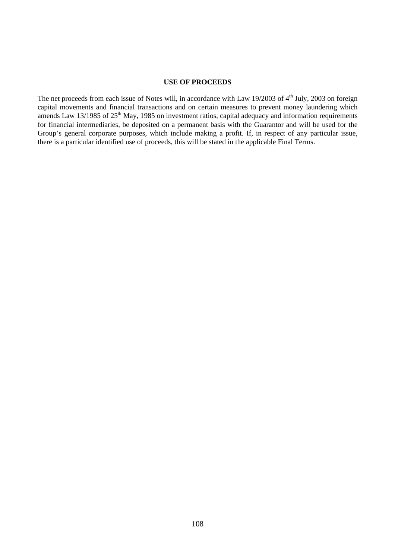#### **USE OF PROCEEDS**

The net proceeds from each issue of Notes will, in accordance with Law 19/2003 of  $4<sup>th</sup>$  July, 2003 on foreign capital movements and financial transactions and on certain measures to prevent money laundering which amends Law 13/1985 of  $25<sup>th</sup>$  May, 1985 on investment ratios, capital adequacy and information requirements for financial intermediaries, be deposited on a permanent basis with the Guarantor and will be used for the Group's general corporate purposes, which include making a profit. If, in respect of any particular issue, there is a particular identified use of proceeds, this will be stated in the applicable Final Terms.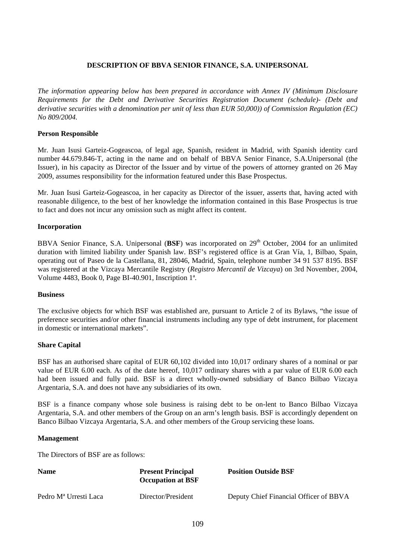## **DESCRIPTION OF BBVA SENIOR FINANCE, S.A. UNIPERSONAL**

*The information appearing below has been prepared in accordance with Annex IV (Minimum Disclosure Requirements for the Debt and Derivative Securities Registration Document (schedule)- (Debt and derivative securities with a denomination per unit of less than EUR 50,000)) of Commission Regulation (EC) No 809/2004.* 

## **Person Responsible**

Mr. Juan Isusi Garteiz-Gogeascoa, of legal age, Spanish, resident in Madrid, with Spanish identity card number 44.679.846-T, acting in the name and on behalf of BBVA Senior Finance, S.A.Unipersonal (the Issuer), in his capacity as Director of the Issuer and by virtue of the powers of attorney granted on 26 May 2009, assumes responsibility for the information featured under this Base Prospectus.

Mr. Juan Isusi Garteiz-Gogeascoa, in her capacity as Director of the issuer, asserts that, having acted with reasonable diligence, to the best of her knowledge the information contained in this Base Prospectus is true to fact and does not incur any omission such as might affect its content.

## **Incorporation**

BBVA Senior Finance, S.A. Unipersonal (BSF) was incorporated on 29<sup>th</sup> October, 2004 for an unlimited duration with limited liability under Spanish law. BSF's registered office is at Gran Vía, 1, Bilbao, Spain, operating out of Paseo de la Castellana, 81, 28046, Madrid, Spain, telephone number 34 91 537 8195. BSF was registered at the Vizcaya Mercantile Registry (*Registro Mercantil de Vizcaya*) on 3rd November, 2004, Volume 4483, Book 0, Page BI-40.901, Inscription 1ª.

## **Business**

The exclusive objects for which BSF was established are, pursuant to Article 2 of its Bylaws, "the issue of preference securities and/or other financial instruments including any type of debt instrument, for placement in domestic or international markets".

## **Share Capital**

BSF has an authorised share capital of EUR 60,102 divided into 10,017 ordinary shares of a nominal or par value of EUR 6.00 each. As of the date hereof, 10,017 ordinary shares with a par value of EUR 6.00 each had been issued and fully paid. BSF is a direct wholly-owned subsidiary of Banco Bilbao Vizcaya Argentaria, S.A. and does not have any subsidiaries of its own.

BSF is a finance company whose sole business is raising debt to be on-lent to Banco Bilbao Vizcaya Argentaria, S.A. and other members of the Group on an arm's length basis. BSF is accordingly dependent on Banco Bilbao Vizcaya Argentaria, S.A. and other members of the Group servicing these loans.

## **Management**

The Directors of BSF are as follows:

| <b>Name</b>                       | <b>Present Principal</b><br><b>Occupation at BSF</b> | <b>Position Outside BSF</b>            |
|-----------------------------------|------------------------------------------------------|----------------------------------------|
| Pedro M <sup>a</sup> Urresti Laca | Director/President                                   | Deputy Chief Financial Officer of BBVA |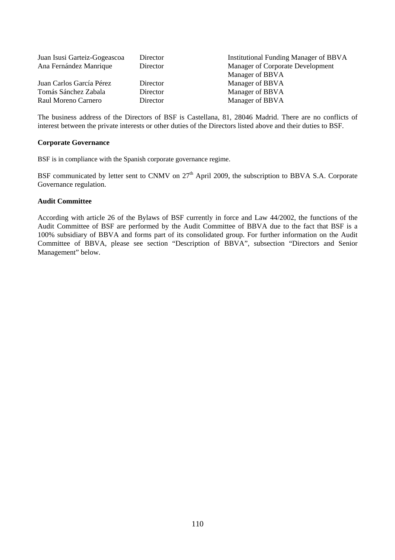| Juan Isusi Garteiz-Gogeascoa | Director | <b>Institutional Funding Manager of BBVA</b> |
|------------------------------|----------|----------------------------------------------|
| Ana Fernández Manrique       | Director | Manager of Corporate Development             |
|                              |          | Manager of BBVA                              |
| Juan Carlos García Pérez     | Director | Manager of BBVA                              |
| Tomás Sánchez Zabala         | Director | Manager of BBVA                              |
| Raul Moreno Carnero          | Director | Manager of BBVA                              |

The business address of the Directors of BSF is Castellana, 81, 28046 Madrid. There are no conflicts of interest between the private interests or other duties of the Directors listed above and their duties to BSF.

### **Corporate Governance**

BSF is in compliance with the Spanish corporate governance regime.

BSF communicated by letter sent to CNMV on  $27<sup>th</sup>$  April 2009, the subscription to BBVA S.A. Corporate Governance regulation.

#### **Audit Committee**

According with article 26 of the Bylaws of BSF currently in force and Law 44/2002, the functions of the Audit Committee of BSF are performed by the Audit Committee of BBVA due to the fact that BSF is a 100% subsidiary of BBVA and forms part of its consolidated group. For further information on the Audit Committee of BBVA, please see section "Description of BBVA", subsection "Directors and Senior Management" below.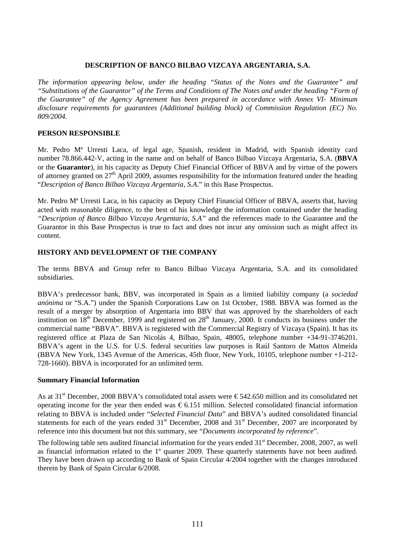## **DESCRIPTION OF BANCO BILBAO VIZCAYA ARGENTARIA, S.A.**

*The information appearing below, under the heading "Status of the Notes and the Guarantee" and "Substitutions of the Guarantor" of the Terms and Conditions of The Notes and under the heading "Form of the Guarantee" of the Agency Agreement has been prepared in accordance with Annex VI- Minimum disclosure requirements for guarantees (Additional building block) of Commission Regulation (EC) No. 809/2004.* 

## **PERSON RESPONSIBLE**

Mr. Pedro Mª Urresti Laca, of legal age, Spanish, resident in Madrid, with Spanish identity card number 78.866.442-V, acting in the name and on behalf of Banco Bilbao Vizcaya Argentaria, S.A. (**BBVA** or the **Guarantor**), in his capacity as Deputy Chief Financial Officer of BBVA and by virtue of the powers of attorney granted on  $27<sup>th</sup>$  April 2009, assumes responsibility for the information featured under the heading "*Description of Banco Bilbao Vizcaya Argentaria, S.A*." in this Base Prospectus.

Mr. Pedro Mª Urresti Laca, in his capacity as Deputy Chief Financial Officer of BBVA, asserts that, having acted with reasonable diligence, to the best of his knowledge the information contained under the heading *"Description of Banco Bilbao Vizcaya Argentaria, S.A"* and the references made to the Guarantee and the Guarantor in this Base Prospectus is true to fact and does not incur any omission such as might affect its content.

## **HISTORY AND DEVELOPMENT OF THE COMPANY**

The terms BBVA and Group refer to Banco Bilbao Vizcaya Argentaria, S.A. and its consolidated subsidiaries.

BBVA's predecessor bank, BBV, was incorporated in Spain as a limited liability company (a *sociedad anónima* or "S.A.") under the Spanish Corporations Law on 1st October, 1988. BBVA was formed as the result of a merger by absorption of Argentaria into BBV that was approved by the shareholders of each institution on  $18<sup>th</sup>$  December, 1999 and registered on  $28<sup>th</sup>$  January, 2000. It conducts its business under the commercial name "BBVA". BBVA is registered with the Commercial Registry of Vizcaya (Spain). It has its registered office at Plaza de San Nicolás 4, Bilbao, Spain, 48005, telephone number +34-91-3746201. BBVA's agent in the U.S. for U.S. federal securities law purposes is Raúl Santoro de Mattos Almeida (BBVA New York, 1345 Avenue of the Americas, 45th floor, New York, 10105, telephone number +1-212- 728-1660). BBVA is incorporated for an unlimited term.

## **Summary Financial Information**

As at 31<sup>st</sup> December, 2008 BBVA's consolidated total assets were  $\epsilon$ 542.650 million and its consolidated net operating income for the year then ended was  $\epsilon$  6.151 million. Selected consolidated financial information relating to BBVA is included under "*Selected Financial Data*" and BBVA's audited consolidated financial statements for each of the years ended 31<sup>st</sup> December, 2008 and 31<sup>st</sup> December, 2007 are incorporated by reference into this document but not this summary, see "*Documents incorporated by reference*".

The following table sets audited financial information for the years ended 31<sup>st</sup> December, 2008, 2007, as well as financial information related to the 1<sup>°</sup> quarter 2009. These quarterly statements have not been audited. They have been drawn up according to Bank of Spain Circular 4/2004 together with the changes introduced therein by Bank of Spain Circular 6/2008.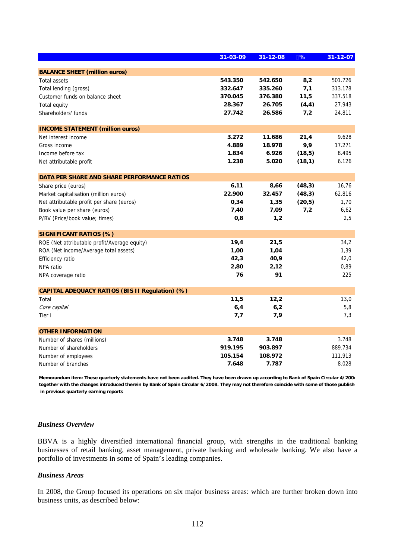|                                                 | 31-03-09 | $31 - 12 - 08$ | $\square$ % | 31-12-07 |
|-------------------------------------------------|----------|----------------|-------------|----------|
|                                                 |          |                |             |          |
| <b>BALANCE SHEET (million euros)</b>            |          |                |             |          |
| <b>Total assets</b>                             | 543.350  | 542.650        | 8,2         | 501.726  |
| Total lending (gross)                           | 332.647  | 335.260        | 7,1         | 313.178  |
| Customer funds on balance sheet                 | 370.045  | 376.380        | 11,5        | 337.518  |
| Total equity                                    | 28.367   | 26.705         | (4,4)       | 27.943   |
| Shareholders' funds                             | 27.742   | 26.586         | 7,2         | 24.811   |
| <b>INCOME STATEMENT (million euros)</b>         |          |                |             |          |
| Net interest income                             | 3.272    | 11.686         | 21,4        | 9.628    |
| Gross income                                    | 4.889    | 18.978         | 9,9         | 17.271   |
| Income before tax                               | 1.834    | 6.926          | (18, 5)     | 8.495    |
| Net attributable profit                         | 1.238    | 5.020          | (18,1)      | 6.126    |
| DATA PER SHARE AND SHARE PERFORMANCE RATIOS     |          |                |             |          |
| Share price (euros)                             | 6,11     | 8,66           | (48, 3)     | 16,76    |
| Market capitalisation (million euros)           | 22.900   | 32.457         | (48, 3)     | 62.816   |
| Net attributable profit per share (euros)       | 0,34     | 1,35           | (20,5)      | 1,70     |
| Book value per share (euros)                    | 7,40     | 7,09           | 7,2         | 6,62     |
| P/BV (Price/book value; times)                  | 0,8      | 1,2            |             | 2,5      |
|                                                 |          |                |             |          |
| <b>SIGNIFICANT RATIOS (%)</b>                   |          |                |             |          |
| ROE (Net attributable profit/Average equity)    | 19,4     | 21,5           |             | 34,2     |
| ROA (Net income/Average total assets)           | 1,00     | 1,04           |             | 1,39     |
| Efficiency ratio                                | 42,3     | 40,9           |             | 42,0     |
| NPA ratio                                       | 2,80     | 2,12           |             | 0,89     |
| NPA coverage ratio                              | 76       | 91             |             | 225      |
| CAPITAL ADEQUACY RATIOS (BIS II Regulation) (%) |          |                |             |          |
| Total                                           | 11,5     | 12,2           |             | 13,0     |
| Core capital                                    | 6,4      | 6,2            |             | 5,8      |
| Tier I                                          | 7,7      | 7,9            |             | 7,3      |
|                                                 |          |                |             |          |
| <b>OTHER INFORMATION</b>                        |          |                |             |          |
| Number of shares (millions)                     | 3.748    | 3.748          |             | 3.748    |
| Number of shareholders                          | 919.195  | 903.897        |             | 889.734  |
| Number of employees                             | 105.154  | 108.972        |             | 111.913  |
| Number of branches                              | 7.648    | 7.787          |             | 8.028    |

**Memorandum item: These quarterly statements have not been audited. They have been drawn up according to Bank of Spain Circular 4/2004 together with the changes introduced therein by Bank of Spain Circular 6/2008. They may not therefore coincide with some of those publishe in previous quarterly earning reports**

#### *Business Overview*

BBVA is a highly diversified international financial group, with strengths in the traditional banking businesses of retail banking, asset management, private banking and wholesale banking. We also have a portfolio of investments in some of Spain's leading companies.

#### *Business Areas*

In 2008, the Group focused its operations on six major business areas: which are further broken down into business units, as described below: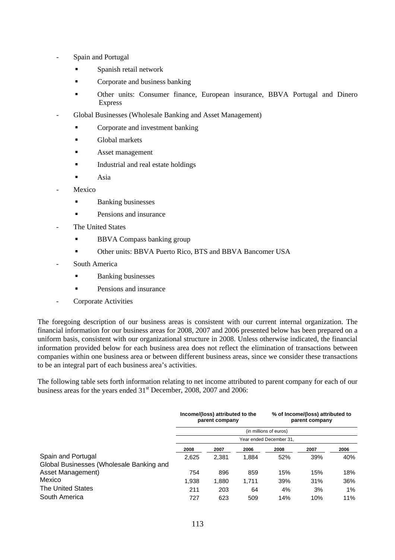- Spain and Portugal
	- Spanish retail network
	- **Corporate and business banking**
	- Other units: Consumer finance, European insurance, BBVA Portugal and Dinero Express
- Global Businesses (Wholesale Banking and Asset Management)
	- Corporate and investment banking
	- **Global markets**
	- **Asset management**
	- Industrial and real estate holdings
	- $\blacksquare$  Asia
- Mexico
	- **Banking businesses**
	- **Pensions and insurance**
- The United States
	- **BBVA Compass banking group**
	- Other units: BBVA Puerto Rico, BTS and BBVA Bancomer USA
- South America
	- **Banking businesses**
	- **Pensions and insurance**
- Corporate Activities

The foregoing description of our business areas is consistent with our current internal organization. The financial information for our business areas for 2008, 2007 and 2006 presented below has been prepared on a uniform basis, consistent with our organizational structure in 2008. Unless otherwise indicated, the financial information provided below for each business area does not reflect the elimination of transactions between companies within one business area or between different business areas, since we consider these transactions to be an integral part of each business area's activities.

The following table sets forth information relating to net income attributed to parent company for each of our business areas for the years ended  $31<sup>st</sup>$  December, 2008, 2007 and 2006:

|                                          | Income/(loss) attributed to the<br>parent company |       |       | % of Income/(loss) attributed to<br>parent company |      |       |
|------------------------------------------|---------------------------------------------------|-------|-------|----------------------------------------------------|------|-------|
|                                          | (in millions of euros)                            |       |       |                                                    |      |       |
|                                          |                                                   |       |       | Year ended December 31.                            |      |       |
|                                          | 2008                                              | 2007  | 2006  | 2008                                               | 2007 | 2006  |
| Spain and Portugal                       | 2,625                                             | 2,381 | 1,884 | 52%                                                | 39%  | 40%   |
| Global Businesses (Wholesale Banking and |                                                   |       |       |                                                    |      |       |
| Asset Management)                        | 754                                               | 896   | 859   | 15%                                                | 15%  | 18%   |
| Mexico                                   | 1,938                                             | 1,880 | 1,711 | 39%                                                | 31%  | 36%   |
| <b>The United States</b>                 | 211                                               | 203   | 64    | 4%                                                 | 3%   | $1\%$ |
| South America                            | 727                                               | 623   | 509   | 14%                                                | 10%  | 11%   |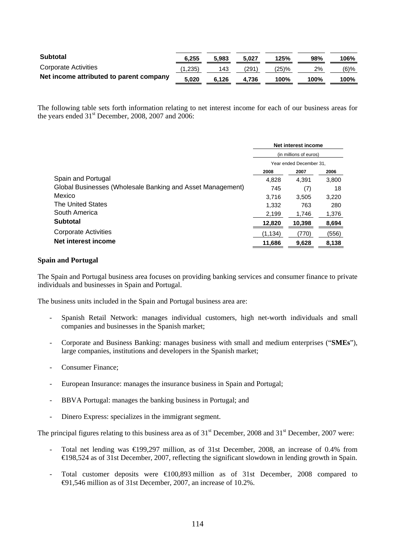| <b>Subtotal</b>                         | 6,255   | 5.983 | 5.027 | 125%  | 98%  | 106% |
|-----------------------------------------|---------|-------|-------|-------|------|------|
| <b>Corporate Activities</b>             | (1,235) | 143   | 291   | (25)% | 2%   | (6)% |
| Net income attributed to parent company | 5.020   | 6.126 | 4.736 | 100%  | 100% | 100% |

The following table sets forth information relating to net interest income for each of our business areas for the years ended 31<sup>st</sup> December, 2008, 2007 and 2006:

|                                                            | Net interest income     |        |       |
|------------------------------------------------------------|-------------------------|--------|-------|
|                                                            | (in millions of euros)  |        |       |
|                                                            | Year ended December 31. |        |       |
|                                                            | 2008                    | 2007   | 2006  |
| Spain and Portugal                                         | 4.828                   | 4.391  | 3,800 |
| Global Businesses (Wholesale Banking and Asset Management) | 745                     | (7)    | 18    |
| Mexico                                                     | 3.716                   | 3.505  | 3,220 |
| <b>The United States</b>                                   | 1.332                   | 763    | 280   |
| South America                                              | 2,199                   | 1,746  | 1,376 |
| <b>Subtotal</b>                                            | 12,820                  | 10,398 | 8,694 |
| <b>Corporate Activities</b>                                | (1,134)                 | (770)  | (556) |
| Net interest income                                        | 11.686                  | 9,628  | 8,138 |

## **Spain and Portugal**

The Spain and Portugal business area focuses on providing banking services and consumer finance to private individuals and businesses in Spain and Portugal.

The business units included in the Spain and Portugal business area are:

- Spanish Retail Network: manages individual customers, high net-worth individuals and small companies and businesses in the Spanish market;
- Corporate and Business Banking: manages business with small and medium enterprises ("**SMEs**"), large companies, institutions and developers in the Spanish market;
- Consumer Finance;
- European Insurance: manages the insurance business in Spain and Portugal;
- BBVA Portugal: manages the banking business in Portugal; and
- Dinero Express: specializes in the immigrant segment.

The principal figures relating to this business area as of 31<sup>st</sup> December, 2008 and 31<sup>st</sup> December, 2007 were:

- Total net lending was €199,297 million, as of 31st December, 2008, an increase of 0.4% from €198,524 as of 31st December, 2007, reflecting the significant slowdown in lending growth in Spain.
- Total customer deposits were €100,893 million as of 31st December, 2008 compared to €91,546 million as of 31st December, 2007, an increase of 10.2%.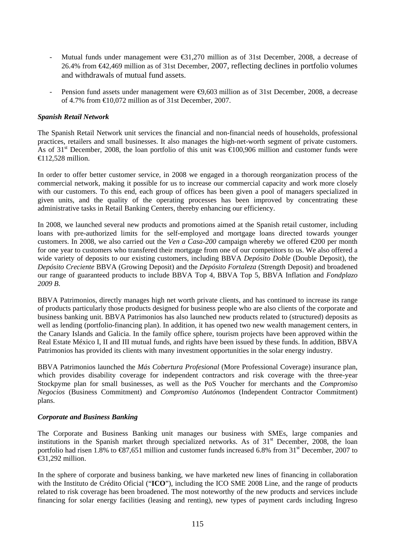- Mutual funds under management were  $\bigotimes 1.270$  million as of 31st December, 2008, a decrease of 26.4% from €42,469 million as of 31st December, 2007, reflecting declines in portfolio volumes and withdrawals of mutual fund assets.
- Pension fund assets under management were ⊕,603 million as of 31st December, 2008, a decrease of 4.7% from  $\text{E}10,072$  million as of 31st December, 2007.

## *Spanish Retail Network*

The Spanish Retail Network unit services the financial and non-financial needs of households, professional practices, retailers and small businesses. It also manages the high-net-worth segment of private customers. As of 31<sup>st</sup> December, 2008, the loan portfolio of this unit was  $\bigoplus$  00.906 million and customer funds were  $\bigoplus$  12.528 million.

In order to offer better customer service, in 2008 we engaged in a thorough reorganization process of the commercial network, making it possible for us to increase our commercial capacity and work more closely with our customers. To this end, each group of offices has been given a pool of managers specialized in given units, and the quality of the operating processes has been improved by concentrating these administrative tasks in Retail Banking Centers, thereby enhancing our efficiency.

In 2008, we launched several new products and promotions aimed at the Spanish retail customer, including loans with pre-authorized limits for the self-employed and mortgage loans directed towards younger customers. In 2008, we also carried out the *Ven a Casa-200* campaign whereby we offered  $\epsilon$ 200 per month for one year to customers who transfered their mortgage from one of our competitors to us. We also offered a wide variety of deposits to our existing customers, including BBVA *Depósito Doble* (Double Deposit), the *Depósito Creciente* BBVA (Growing Deposit) and the *Depósito Fortaleza* (Strength Deposit) and broadened our range of guaranteed products to include BBVA Top 4, BBVA Top 5, BBVA Inflation and *Fondplazo 2009 B*.

BBVA Patrimonios, directly manages high net worth private clients, and has continued to increase its range of products particularly those products designed for business people who are also clients of the corporate and business banking unit. BBVA Patrimonios has also launched new products related to (structured) deposits as well as lending (portfolio-financing plan). In addition, it has opened two new wealth management centers, in the Canary Islands and Galicia. In the family office sphere, tourism projects have been approved within the Real Estate México I, II and III mutual funds, and rights have been issued by these funds. In addition, BBVA Patrimonios has provided its clients with many investment opportunities in the solar energy industry.

BBVA Patrimonios launched the *Más Cobertura Profesional* (More Professional Coverage) insurance plan, which provides disability coverage for independent contractors and risk coverage with the three-year Stockpyme plan for small businesses, as well as the PoS Voucher for merchants and the *Compromiso Negocios* (Business Commitment) and *Compromiso Autónomos* (Independent Contractor Commitment) plans.

#### *Corporate and Business Banking*

The Corporate and Business Banking unit manages our business with SMEs, large companies and institutions in the Spanish market through specialized networks. As of  $31<sup>st</sup>$  December, 2008, the loan portfolio had risen 1.8% to  $\mathcal{R}7,651$  million and customer funds increased 6.8% from 31<sup>st</sup> December, 2007 to  $\bigoplus$ 1.292 million.

In the sphere of corporate and business banking, we have marketed new lines of financing in collaboration with the Instituto de Crédito Oficial ("**ICO**"), including the ICO SME 2008 Line, and the range of products related to risk coverage has been broadened. The most noteworthy of the new products and services include financing for solar energy facilities (leasing and renting), new types of payment cards including Ingreso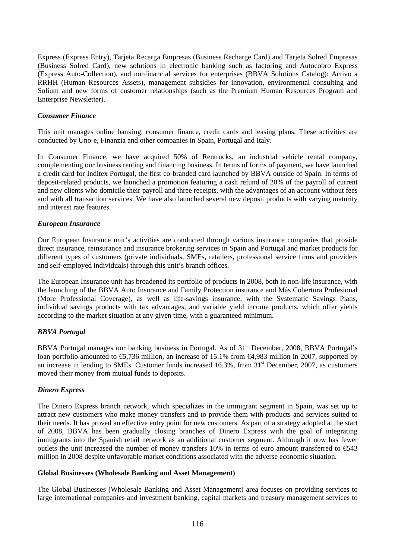Express (Express Entry), Tarjeta Recarga Empresas (Business Recharge Card) and Tarjeta Solred Empresas (Business Solred Card), new solutions in electronic banking such as factoring and Autocobro Express (Express Auto-Collection), and nonfinancial services for enterprises (BBVA Solutions Catalog): Activo a RRHH (Human Resources Assets), management subsidies for innovation, environmental consulting and Solium and new forms of customer relationships (such as the Premium Human Resources Program and Enterprise Newsletter).

### *Consumer Finance*

This unit manages online banking, consumer finance, credit cards and leasing plans. These activities are conducted by Uno-e, Finanzia and other companies in Spain, Portugal and Italy.

In Consumer Finance, we have acquired 50% of Rentrucks, an industrial vehicle rental company, complementing our business renting and financing business. In terms of forms of payment, we have launched a credit card for Inditex Portugal, the first co-branded card launched by BBVA outside of Spain. In terms of deposit-related products, we launched a promotion featuring a cash refund of 20% of the payroll of current and new clients who domicile their payroll and three receipts, with the advantages of an account without fees and with all transaction services. We have also launched several new deposit products with varying maturity and interest rate features.

#### *European Insurance*

Our European Insurance unit's activities are conducted through various insurance companies that provide direct insurance, reinsurance and insurance brokering services in Spain and Portugal and market products for different types of customers (private individuals, SMEs, retailers, professional service firms and providers and self-employed individuals) through this unit's branch offices.

The European Insurance unit has broadened its portfolio of products in 2008, both in non-life insurance, with the launching of the BBVA Auto Insurance and Family Protection insurance and Más Cobertura Profesional (More Professional Coverage), as well as life-savings insurance, with the Systematic Savings Plans, individual savings products with tax advantages, and variable yield income products, which offer yields according to the market situation at any given time, with a guaranteed minimum.

## *BBVA Portugal*

BBVA Portugal manages our banking business in Portugal. As of 31<sup>st</sup> December, 2008, BBVA Portugal's loan portfolio amounted to €5,736 million, an increase of 15.1% from €4,983 million in 2007, supported by an increase in lending to SMEs. Customer funds increased 16.3%, from 31<sup>st</sup> December, 2007, as customers moved their money from mutual funds to deposits.

#### *Dinero Express*

The Dinero Express branch network, which specializes in the immigrant segment in Spain, was set up to attract new customers who make money transfers and to provide them with products and services suited to their needs. It has proved an effective entry point for new customers. As part of a strategy adopted at the start of 2008, BBVA has been gradually closing branches of Dinero Express with the goal of integrating immigrants into the Spanish retail network as an additional customer segment. Although it now has fewer outlets the unit increased the number of money transfers 10% in terms of euro amount transferred to  $\epsilon$ 543 million in 2008 despite unfavorable market conditions associated with the adverse economic situation.

#### **Global Businesses (Wholesale Banking and Asset Management)**

The Global Businesses (Wholesale Banking and Asset Management) area focuses on providing services to large international companies and investment banking, capital markets and treasury management services to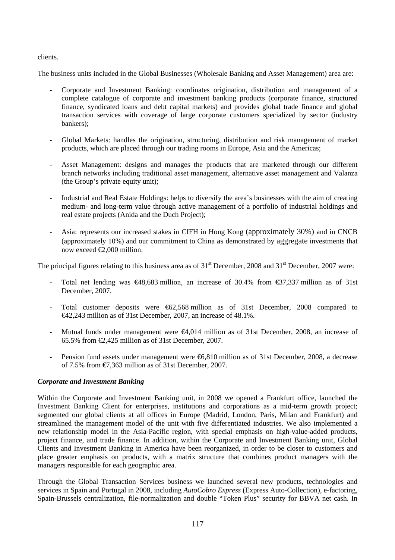## clients.

The business units included in the Global Businesses (Wholesale Banking and Asset Management) area are:

- Corporate and Investment Banking: coordinates origination, distribution and management of a complete catalogue of corporate and investment banking products (corporate finance, structured finance, syndicated loans and debt capital markets) and provides global trade finance and global transaction services with coverage of large corporate customers specialized by sector (industry bankers);
- Global Markets: handles the origination, structuring, distribution and risk management of market products, which are placed through our trading rooms in Europe, Asia and the Americas;
- Asset Management: designs and manages the products that are marketed through our different branch networks including traditional asset management, alternative asset management and Valanza (the Group's private equity unit);
- Industrial and Real Estate Holdings: helps to diversify the area's businesses with the aim of creating medium- and long-term value through active management of a portfolio of industrial holdings and real estate projects (Anida and the Duch Project);
- Asia: represents our increased stakes in CIFH in Hong Kong (approximately 30%) and in CNCB (approximately 10%) and our commitment to China as demonstrated by aggregate investments that now exceed €2,000 million.

The principal figures relating to this business area as of  $31<sup>st</sup>$  December, 2008 and  $31<sup>st</sup>$  December, 2007 were:

- Total net lending was  $\bigoplus$ 8,683 million, an increase of 30.4% from  $\bigoplus$ 7,337 million as of 31st December, 2007.
- Total customer deposits were  $\epsilon$ 62,568 million as of 31st December, 2008 compared to €42,243 million as of 31st December, 2007, an increase of 48.1%.
- Mutual funds under management were €4,014 million as of 31st December, 2008, an increase of 65.5% from  $\epsilon$ 2.425 million as of 31st December, 2007.
- Pension fund assets under management were €6,810 million as of 31st December, 2008, a decrease of 7.5% from  $\epsilon$ 7,363 million as of 31st December, 2007.

# *Corporate and Investment Banking*

Within the Corporate and Investment Banking unit, in 2008 we opened a Frankfurt office, launched the Investment Banking Client for enterprises, institutions and corporations as a mid-term growth project; segmented our global clients at all offices in Europe (Madrid, London, Paris, Milan and Frankfurt) and streamlined the management model of the unit with five differentiated industries. We also implemented a new relationship model in the Asia-Pacific region, with special emphasis on high-value-added products, project finance, and trade finance. In addition, within the Corporate and Investment Banking unit, Global Clients and Investment Banking in America have been reorganized, in order to be closer to customers and place greater emphasis on products, with a matrix structure that combines product managers with the managers responsible for each geographic area.

Through the Global Transaction Services business we launched several new products, technologies and services in Spain and Portugal in 2008, including *AutoCobro Express* (Express Auto-Collection), e-factoring, Spain-Brussels centralization, file-normalization and double "Token Plus" security for BBVA net cash. In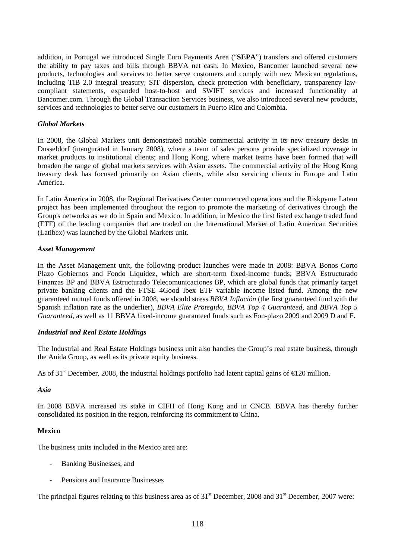addition, in Portugal we introduced Single Euro Payments Area ("**SEPA**") transfers and offered customers the ability to pay taxes and bills through BBVA net cash. In Mexico, Bancomer launched several new products, technologies and services to better serve customers and comply with new Mexican regulations, including TIB 2.0 integral treasury, SIT dispersion, check protection with beneficiary, transparency lawcompliant statements, expanded host-to-host and SWIFT services and increased functionality at Bancomer.com. Through the Global Transaction Services business, we also introduced several new products, services and technologies to better serve our customers in Puerto Rico and Colombia.

## *Global Markets*

In 2008, the Global Markets unit demonstrated notable commercial activity in its new treasury desks in Dusseldorf (inaugurated in January 2008), where a team of sales persons provide specialized coverage in market products to institutional clients; and Hong Kong, where market teams have been formed that will broaden the range of global markets services with Asian assets. The commercial activity of the Hong Kong treasury desk has focused primarily on Asian clients, while also servicing clients in Europe and Latin America.

In Latin America in 2008, the Regional Derivatives Center commenced operations and the Riskpyme Latam project has been implemented throughout the region to promote the marketing of derivatives through the Group's networks as we do in Spain and Mexico. In addition, in Mexico the first listed exchange traded fund (ETF) of the leading companies that are traded on the International Market of Latin American Securities (Latibex) was launched by the Global Markets unit.

## *Asset Management*

In the Asset Management unit, the following product launches were made in 2008: BBVA Bonos Corto Plazo Gobiernos and Fondo Liquidez, which are short-term fixed-income funds; BBVA Estructurado Finanzas BP and BBVA Estructurado Telecomunicaciones BP, which are global funds that primarily target private banking clients and the FTSE 4Good Ibex ETF variable income listed fund. Among the new guaranteed mutual funds offered in 2008, we should stress *BBVA Inflación* (the first guaranteed fund with the Spanish inflation rate as the underlier), *BBVA Elite Protegido*, *BBVA Top 4 Guaranteed*, and *BBVA Top 5 Guaranteed*, as well as 11 BBVA fixed-income guaranteed funds such as Fon-plazo 2009 and 2009 D and F.

# *Industrial and Real Estate Holdings*

The Industrial and Real Estate Holdings business unit also handles the Group's real estate business, through the Anida Group, as well as its private equity business.

As of  $31<sup>st</sup>$  December, 2008, the industrial holdings portfolio had latent capital gains of  $\bigoplus$  20 million.

## *Asia*

In 2008 BBVA increased its stake in CIFH of Hong Kong and in CNCB. BBVA has thereby further consolidated its position in the region, reinforcing its commitment to China.

# **Mexico**

The business units included in the Mexico area are:

- Banking Businesses, and
- Pensions and Insurance Businesses

The principal figures relating to this business area as of 31<sup>st</sup> December, 2008 and 31<sup>st</sup> December, 2007 were: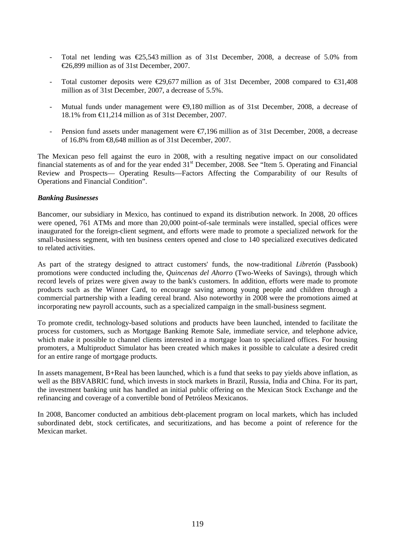- Total net lending was €25,543 million as of 31st December, 2008, a decrease of 5.0% from €26,899 million as of 31st December, 2007.
- Total customer deposits were  $\in 29,677$  million as of 31st December, 2008 compared to  $\in 31,408$ million as of 31st December, 2007, a decrease of 5.5%.
- Mutual funds under management were  $\Theta$ ,180 million as of 31st December, 2008, a decrease of 18.1% from  $\bigoplus$  1,214 million as of 31st December, 2007.
- Pension fund assets under management were €7,196 million as of 31st December, 2008, a decrease of 16.8% from €8,648 million as of 31st December, 2007.

The Mexican peso fell against the euro in 2008, with a resulting negative impact on our consolidated financial statements as of and for the year ended  $31<sup>st</sup>$  December, 2008. See "Item 5. Operating and Financial Review and Prospects— Operating Results—Factors Affecting the Comparability of our Results of Operations and Financial Condition".

## *Banking Businesses*

Bancomer, our subsidiary in Mexico, has continued to expand its distribution network. In 2008, 20 offices were opened, 761 ATMs and more than 20,000 point-of-sale terminals were installed, special offices were inaugurated for the foreign-client segment, and efforts were made to promote a specialized network for the small-business segment, with ten business centers opened and close to 140 specialized executives dedicated to related activities.

As part of the strategy designed to attract customers' funds, the now-traditional *Libretón* (Passbook) promotions were conducted including the, *Quincenas del Ahorro* (Two-Weeks of Savings), through which record levels of prizes were given away to the bank's customers. In addition, efforts were made to promote products such as the Winner Card, to encourage saving among young people and children through a commercial partnership with a leading cereal brand. Also noteworthy in 2008 were the promotions aimed at incorporating new payroll accounts, such as a specialized campaign in the small-business segment.

To promote credit, technology-based solutions and products have been launched, intended to facilitate the process for customers, such as Mortgage Banking Remote Sale, immediate service, and telephone advice, which make it possible to channel clients interested in a mortgage loan to specialized offices. For housing promoters, a Multiproduct Simulator has been created which makes it possible to calculate a desired credit for an entire range of mortgage products.

In assets management, B+Real has been launched, which is a fund that seeks to pay yields above inflation, as well as the BBVABRIC fund, which invests in stock markets in Brazil, Russia, India and China. For its part, the investment banking unit has handled an initial public offering on the Mexican Stock Exchange and the refinancing and coverage of a convertible bond of Petróleos Mexicanos.

In 2008, Bancomer conducted an ambitious debt-placement program on local markets, which has included subordinated debt, stock certificates, and securitizations, and has become a point of reference for the Mexican market.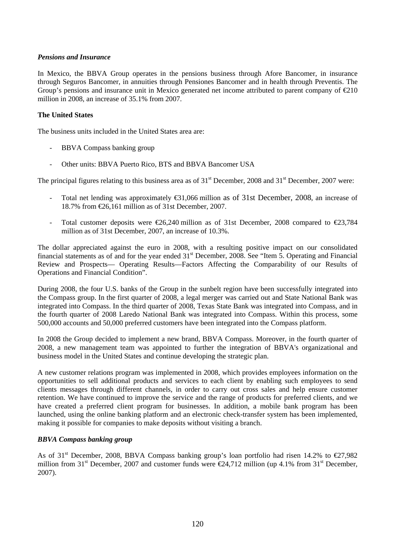## *Pensions and Insurance*

In Mexico, the BBVA Group operates in the pensions business through Afore Bancomer, in insurance through Seguros Bancomer, in annuities through Pensiones Bancomer and in health through Preventis. The Group's pensions and insurance unit in Mexico generated net income attributed to parent company of  $\epsilon 210$ million in 2008, an increase of 35.1% from 2007.

## **The United States**

The business units included in the United States area are:

- BBVA Compass banking group
- Other units: BBVA Puerto Rico, BTS and BBVA Bancomer USA

The principal figures relating to this business area as of  $31<sup>st</sup>$  December, 2008 and  $31<sup>st</sup>$  December, 2007 were:

- Total net lending was approximately €31,066 million as of 31st December, 2008, an increase of 18.7% from €26,161 million as of 31st December, 2007.
- Total customer deposits were  $\epsilon$ 6.240 million as of 31st December, 2008 compared to  $\epsilon$ 23.784 million as of 31st December, 2007, an increase of 10.3%.

The dollar appreciated against the euro in 2008, with a resulting positive impact on our consolidated financial statements as of and for the year ended  $31<sup>st</sup>$  December, 2008. See "Item 5. Operating and Financial Review and Prospects— Operating Results—Factors Affecting the Comparability of our Results of Operations and Financial Condition".

During 2008, the four U.S. banks of the Group in the sunbelt region have been successfully integrated into the Compass group. In the first quarter of 2008, a legal merger was carried out and State National Bank was integrated into Compass. In the third quarter of 2008, Texas State Bank was integrated into Compass, and in the fourth quarter of 2008 Laredo National Bank was integrated into Compass. Within this process, some 500,000 accounts and 50,000 preferred customers have been integrated into the Compass platform.

In 2008 the Group decided to implement a new brand, BBVA Compass. Moreover, in the fourth quarter of 2008, a new management team was appointed to further the integration of BBVA's organizational and business model in the United States and continue developing the strategic plan.

A new customer relations program was implemented in 2008, which provides employees information on the opportunities to sell additional products and services to each client by enabling such employees to send clients messages through different channels, in order to carry out cross sales and help ensure customer retention. We have continued to improve the service and the range of products for preferred clients, and we have created a preferred client program for businesses. In addition, a mobile bank program has been launched, using the online banking platform and an electronic check-transfer system has been implemented, making it possible for companies to make deposits without visiting a branch.

## *BBVA Compass banking group*

As of 31<sup>st</sup> December, 2008, BBVA Compass banking group's loan portfolio had risen 14.2% to  $\epsilon$ 27,982 million from 31<sup>st</sup> December, 2007 and customer funds were  $\epsilon$ 24,712 million (up 4.1% from 31<sup>st</sup> December, 2007).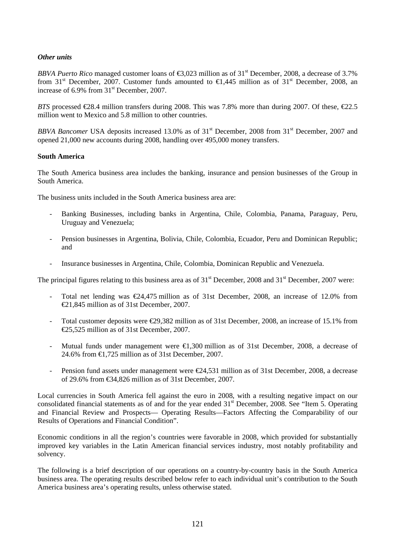## *Other units*

*BBVA Puerto Rico* managed customer loans of  $\bigotimes$  023 million as of 31<sup>st</sup> December, 2008, a decrease of 3.7% from 31<sup>st</sup> December, 2007. Customer funds amounted to  $\in$ 1,445 million as of 31<sup>st</sup> December, 2008, an increase of 6.9% from  $31<sup>st</sup>$  December, 2007.

*BTS* processed  $\text{\textsterling}8.4$  million transfers during 2008. This was 7.8% more than during 2007. Of these,  $\text{\textsterling}2.5$ million went to Mexico and 5.8 million to other countries.

*BBVA Bancomer* USA deposits increased 13.0% as of 31<sup>st</sup> December, 2008 from 31<sup>st</sup> December, 2007 and opened 21,000 new accounts during 2008, handling over 495,000 money transfers.

## **South America**

The South America business area includes the banking, insurance and pension businesses of the Group in South America.

The business units included in the South America business area are:

- Banking Businesses, including banks in Argentina, Chile, Colombia, Panama, Paraguay, Peru, Uruguay and Venezuela;
- Pension businesses in Argentina, Bolivia, Chile, Colombia, Ecuador, Peru and Dominican Republic; and
- Insurance businesses in Argentina, Chile, Colombia, Dominican Republic and Venezuela.

The principal figures relating to this business area as of  $31<sup>st</sup>$  December, 2008 and  $31<sup>st</sup>$  December, 2007 were:

- Total net lending was  $\epsilon 24.475$  million as of 31st December, 2008, an increase of 12.0% from €21,845 million as of 31st December, 2007.
- Total customer deposits were €29,382 million as of 31st December, 2008, an increase of 15.1% from €25,525 million as of 31st December, 2007.
- Mutual funds under management were  $\in$ 1,300 million as of 31st December, 2008, a decrease of 24.6% from  $\in$ 1.725 million as of 31st December, 2007.
- Pension fund assets under management were  $\epsilon$ 24,531 million as of 31st December, 2008, a decrease of 29.6% from €34,826 million as of 31st December, 2007.

Local currencies in South America fell against the euro in 2008, with a resulting negative impact on our consolidated financial statements as of and for the year ended 31<sup>st</sup> December, 2008. See "Item 5. Operating and Financial Review and Prospects— Operating Results—Factors Affecting the Comparability of our Results of Operations and Financial Condition".

Economic conditions in all the region's countries were favorable in 2008, which provided for substantially improved key variables in the Latin American financial services industry, most notably profitability and solvency.

The following is a brief description of our operations on a country-by-country basis in the South America business area. The operating results described below refer to each individual unit's contribution to the South America business area's operating results, unless otherwise stated.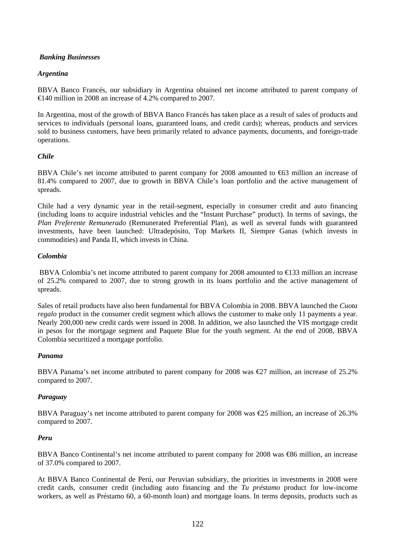## *Banking Businesses*

## *Argentina*

BBVA Banco Francés, our subsidiary in Argentina obtained net income attributed to parent company of €140 million in 2008 an increase of 4.2% compared to 2007.

In Argentina, most of the growth of BBVA Banco Francés has taken place as a result of sales of products and services to individuals (personal loans, guaranteed loans, and credit cards); whereas, products and services sold to business customers, have been primarily related to advance payments, documents, and foreign-trade operations.

## *Chile*

BBVA Chile's net income attributed to parent company for 2008 amounted to €63 million an increase of 81.4% compared to 2007, due to growth in BBVA Chile's loan portfolio and the active management of spreads.

Chile had a very dynamic year in the retail-segment, especially in consumer credit and auto financing (including loans to acquire industrial vehicles and the "Instant Purchase" product). In terms of savings, the *Plan Preferente Remunerado* (Remunerated Preferential Plan), as well as several funds with guaranteed investments, have been launched: Ultradepósito, Top Markets II, Siempre Ganas (which invests in commodities) and Panda II, which invests in China.

## *Colombia*

 BBVA Colombia's net income attributed to parent company for 2008 amounted to €133 million an increase of 25.2% compared to 2007, due to strong growth in its loans portfolio and the active management of spreads.

Sales of retail products have also been fundamental for BBVA Colombia in 2008. BBVA launched the *Cuota regalo* product in the consumer credit segment which allows the customer to make only 11 payments a year. Nearly 200,000 new credit cards were issued in 2008. In addition, we also launched the VIS mortgage credit in pesos for the mortgage segment and Paquete Blue for the youth segment. At the end of 2008, BBVA Colombia securitized a mortgage portfolio.

## *Panama*

BBVA Panama's net income attributed to parent company for 2008 was €27 million, an increase of 25.2% compared to 2007.

## *Paraguay*

BBVA Paraguay's net income attributed to parent company for 2008 was €25 million, an increase of 26.3% compared to 2007.

## *Peru*

BBVA Banco Continental's net income attributed to parent company for 2008 was €86 million, an increase of 37.0% compared to 2007.

At BBVA Banco Continental de Perú, our Peruvian subsidiary, the priorities in investments in 2008 were credit cards, consumer credit (including auto financing and the *Tu préstamo* product for low-income workers, as well as Préstamo 60, a 60-month loan) and mortgage loans. In terms deposits, products such as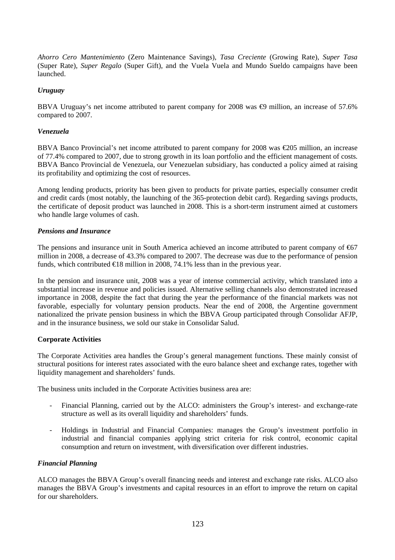*Ahorro Cero Mantenimiento* (Zero Maintenance Savings), *Tasa Creciente* (Growing Rate), *Super Tasa* (Super Rate), *Super Regalo* (Super Gift), and the Vuela Vuela and Mundo Sueldo campaigns have been launched.

## *Uruguay*

BBVA Uruguay's net income attributed to parent company for 2008 was  $\oplus$  million, an increase of 57.6% compared to 2007.

## *Venezuela*

BBVA Banco Provincial's net income attributed to parent company for 2008 was €205 million, an increase of 77.4% compared to 2007, due to strong growth in its loan portfolio and the efficient management of costs. BBVA Banco Provincial de Venezuela, our Venezuelan subsidiary, has conducted a policy aimed at raising its profitability and optimizing the cost of resources.

Among lending products, priority has been given to products for private parties, especially consumer credit and credit cards (most notably, the launching of the 365-protection debit card). Regarding savings products, the certificate of deposit product was launched in 2008. This is a short-term instrument aimed at customers who handle large volumes of cash.

## *Pensions and Insurance*

The pensions and insurance unit in South America achieved an income attributed to parent company of €67 million in 2008, a decrease of 43.3% compared to 2007. The decrease was due to the performance of pension funds, which contributed  $\in$  8 million in 2008, 74.1% less than in the previous year.

In the pension and insurance unit, 2008 was a year of intense commercial activity, which translated into a substantial increase in revenue and policies issued. Alternative selling channels also demonstrated increased importance in 2008, despite the fact that during the year the performance of the financial markets was not favorable, especially for voluntary pension products. Near the end of 2008, the Argentine government nationalized the private pension business in which the BBVA Group participated through Consolidar AFJP, and in the insurance business, we sold our stake in Consolidar Salud.

## **Corporate Activities**

The Corporate Activities area handles the Group's general management functions. These mainly consist of structural positions for interest rates associated with the euro balance sheet and exchange rates, together with liquidity management and shareholders' funds.

The business units included in the Corporate Activities business area are:

- Financial Planning, carried out by the ALCO: administers the Group's interest- and exchange-rate structure as well as its overall liquidity and shareholders' funds.
- Holdings in Industrial and Financial Companies: manages the Group's investment portfolio in industrial and financial companies applying strict criteria for risk control, economic capital consumption and return on investment, with diversification over different industries.

## *Financial Planning*

ALCO manages the BBVA Group's overall financing needs and interest and exchange rate risks. ALCO also manages the BBVA Group's investments and capital resources in an effort to improve the return on capital for our shareholders.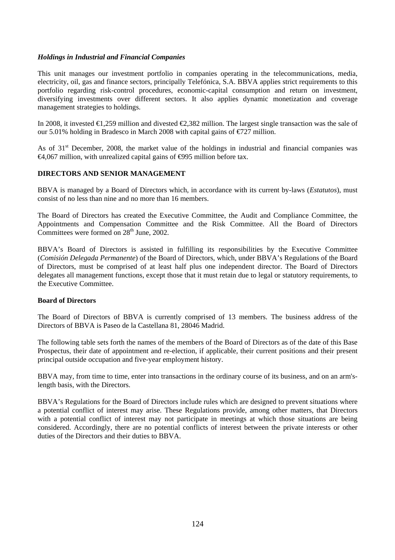## *Holdings in Industrial and Financial Companies*

This unit manages our investment portfolio in companies operating in the telecommunications, media, electricity, oil, gas and finance sectors, principally Telefónica, S.A. BBVA applies strict requirements to this portfolio regarding risk-control procedures, economic-capital consumption and return on investment, diversifying investments over different sectors. It also applies dynamic monetization and coverage management strategies to holdings.

In 2008, it invested €1,259 million and divested €2,382 million. The largest single transaction was the sale of our 5.01% holding in Bradesco in March 2008 with capital gains of €727 million.

As of 31<sup>st</sup> December, 2008, the market value of the holdings in industrial and financial companies was  $\triangleleft$ 4,067 million, with unrealized capital gains of  $\triangleleft$ 995 million before tax.

## **DIRECTORS AND SENIOR MANAGEMENT**

BBVA is managed by a Board of Directors which, in accordance with its current by-laws (*Estatutos*), must consist of no less than nine and no more than 16 members.

The Board of Directors has created the Executive Committee, the Audit and Compliance Committee, the Appointments and Compensation Committee and the Risk Committee. All the Board of Directors Committees were formed on  $28<sup>th</sup>$  June, 2002.

BBVA's Board of Directors is assisted in fulfilling its responsibilities by the Executive Committee (*Comisión Delegada Permanente*) of the Board of Directors, which, under BBVA's Regulations of the Board of Directors, must be comprised of at least half plus one independent director. The Board of Directors delegates all management functions, except those that it must retain due to legal or statutory requirements, to the Executive Committee.

## **Board of Directors**

The Board of Directors of BBVA is currently comprised of 13 members. The business address of the Directors of BBVA is Paseo de la Castellana 81, 28046 Madrid.

The following table sets forth the names of the members of the Board of Directors as of the date of this Base Prospectus, their date of appointment and re-election, if applicable, their current positions and their present principal outside occupation and five-year employment history.

BBVA may, from time to time, enter into transactions in the ordinary course of its business, and on an arm'slength basis, with the Directors.

BBVA's Regulations for the Board of Directors include rules which are designed to prevent situations where a potential conflict of interest may arise. These Regulations provide, among other matters, that Directors with a potential conflict of interest may not participate in meetings at which those situations are being considered. Accordingly, there are no potential conflicts of interest between the private interests or other duties of the Directors and their duties to BBVA.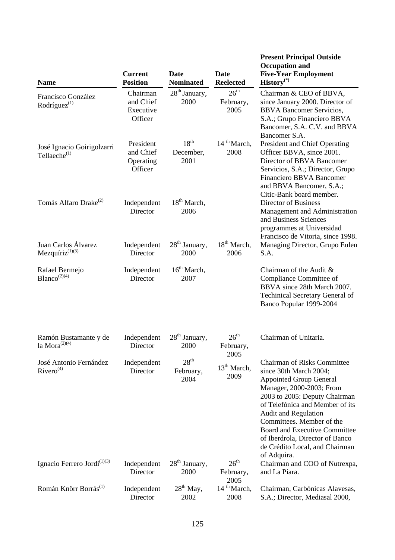| <b>Name</b>                                      | <b>Current</b><br><b>Position</b>              | <b>Date</b><br><b>Nominated</b>       | Date<br><b>Reelected</b>              | <b>Present Principal Outside</b><br><b>Occupation and</b><br><b>Five-Year Employment</b><br>$\mathbf{History}^{(*)}$                                                                                                                                                                                                                                                            |
|--------------------------------------------------|------------------------------------------------|---------------------------------------|---------------------------------------|---------------------------------------------------------------------------------------------------------------------------------------------------------------------------------------------------------------------------------------------------------------------------------------------------------------------------------------------------------------------------------|
| Francisco González<br>Rodríguez <sup>(1)</sup>   | Chairman<br>and Chief<br>Executive<br>Officer  | $28th$ January,<br>2000               | $26^{\text{th}}$<br>February,<br>2005 | Chairman & CEO of BBVA,<br>since January 2000. Director of<br><b>BBVA</b> Bancomer Servicios,<br>S.A.; Grupo Financiero BBVA<br>Bancomer, S.A. C.V. and BBVA<br>Bancomer S.A.                                                                                                                                                                                                   |
| José Ignacio Goirigolzarri<br>Tellaeche $^{(1)}$ | President<br>and Chief<br>Operating<br>Officer | $18^{th}$<br>December,<br>2001        | 14 <sup>th</sup> March,<br>2008       | President and Chief Operating<br>Officer BBVA, since 2001.<br>Director of BBVA Bancomer<br>Servicios, S.A.; Director, Grupo<br><b>Financiero BBVA Bancomer</b><br>and BBVA Bancomer, S.A.;<br>Citic-Bank board member.                                                                                                                                                          |
| Tomás Alfaro Drake <sup>(2)</sup>                | Independent<br>Director                        | 18 <sup>th</sup> March,<br>2006       |                                       | <b>Director of Business</b><br>Management and Administration<br>and Business Sciences<br>programmes at Universidad<br>Francisco de Vitoria, since 1998.                                                                                                                                                                                                                         |
| Juan Carlos Álvarez<br>$Mezqufriz^{(1)(3)}$      | Independent<br>Director                        | $28th$ January,<br>2000               | 18 <sup>th</sup> March,<br>2006       | Managing Director, Grupo Eulen<br>S.A.                                                                                                                                                                                                                                                                                                                                          |
| Rafael Bermejo<br>$Blanco^{(2)(4)}$              | Independent<br>Director                        | $16th$ March,<br>2007                 |                                       | Chairman of the Audit &<br>Compliance Committee of<br>BBVA since 28th March 2007.<br>Techinical Secretary General of<br>Banco Popular 1999-2004                                                                                                                                                                                                                                 |
| Ramón Bustamante y de<br>la Mora $^{(2)(4)}$     | Independent<br>Director                        | $28th$ January,<br>2000               | 26 <sup>th</sup><br>February,<br>2005 | Chairman of Unitaria.                                                                                                                                                                                                                                                                                                                                                           |
| José Antonio Fernández<br>Rivero <sup>(4)</sup>  | Independent<br>Director                        | $28^{\text{th}}$<br>February,<br>2004 | 13 <sup>th</sup> March,<br>2009       | <b>Chairman of Risks Committee</b><br>since 30th March 2004;<br><b>Appointed Group General</b><br>Manager, 2000-2003; From<br>2003 to 2005: Deputy Chairman<br>of Telefónica and Member of its<br><b>Audit and Regulation</b><br>Committees. Member of the<br>Board and Executive Committee<br>of Iberdrola, Director of Banco<br>de Crédito Local, and Chairman<br>of Adquira. |
| Ignacio Ferrero Jordi $^{(1)(3)}$                | Independent<br>Director                        | 28 <sup>th</sup> January,<br>2000     | 26 <sup>th</sup><br>February,<br>2005 | Chairman and COO of Nutrexpa,<br>and La Piara.                                                                                                                                                                                                                                                                                                                                  |
| Román Knörr Borrás <sup>(1)</sup>                | Independent<br>Director                        | $28th$ May,<br>2002                   | 14 <sup>th</sup> March,<br>2008       | Chairman, Carbónicas Alavesas,<br>S.A.; Director, Mediasal 2000,                                                                                                                                                                                                                                                                                                                |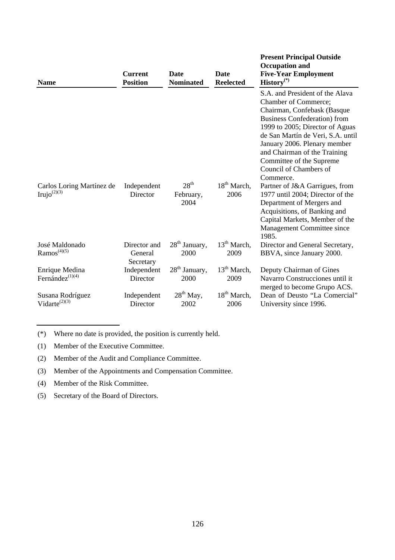| <b>Name</b>                                    | <b>Current</b><br><b>Position</b>    | Date<br><b>Nominated</b>              | Date<br><b>Reelected</b>        | <b>Present Principal Outside</b><br><b>Occupation and</b><br><b>Five-Year Employment</b><br>$\mathbf{History}^{(*)}$                                                                                                                                                                                                                                                                                                                                                                                                                         |
|------------------------------------------------|--------------------------------------|---------------------------------------|---------------------------------|----------------------------------------------------------------------------------------------------------------------------------------------------------------------------------------------------------------------------------------------------------------------------------------------------------------------------------------------------------------------------------------------------------------------------------------------------------------------------------------------------------------------------------------------|
| Carlos Loring Martínez de<br>Irujo $^{(2)(3)}$ | Independent<br>Director              | $28^{\text{th}}$<br>February,<br>2004 | 18 <sup>th</sup> March,<br>2006 | S.A. and President of the Alava<br>Chamber of Commerce;<br>Chairman, Confebask (Basque<br><b>Business Confederation</b> ) from<br>1999 to 2005; Director of Aguas<br>de San Martín de Veri, S.A. until<br>January 2006. Plenary member<br>and Chairman of the Training<br>Committee of the Supreme<br>Council of Chambers of<br>Commerce.<br>Partner of J&A Garrigues, from<br>1977 until 2004; Director of the<br>Department of Mergers and<br>Acquisitions, of Banking and<br>Capital Markets, Member of the<br>Management Committee since |
| José Maldonado<br>$Ramos^{(4)(5)}$             | Director and<br>General              | $28th$ January,<br>2000               | $13th$ March,<br>2009           | 1985.<br>Director and General Secretary,<br>BBVA, since January 2000.                                                                                                                                                                                                                                                                                                                                                                                                                                                                        |
| Enrique Medina<br>Fernández $(1)(4)$           | Secretary<br>Independent<br>Director | 28 <sup>th</sup> January,<br>2000     | 13 <sup>th</sup> March,<br>2009 | Deputy Chairman of Gines<br>Navarro Construcciones until it<br>merged to become Grupo ACS.                                                                                                                                                                                                                                                                                                                                                                                                                                                   |
| Susana Rodríguez<br>Vidarte $^{(2)(3)}$        | Independent<br>Director              | $28th$ May,<br>2002                   | $18th$ March,<br>2006           | Dean of Deusto "La Comercial"<br>University since 1996.                                                                                                                                                                                                                                                                                                                                                                                                                                                                                      |

(\*) Where no date is provided, the position is currently held.

(1) Member of the Executive Committee.

(2) Member of the Audit and Compliance Committee.

(3) Member of the Appointments and Compensation Committee.

(4) Member of the Risk Committee.

(5) Secretary of the Board of Directors.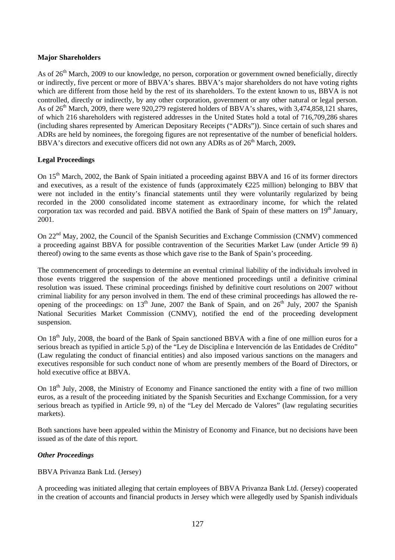## **Major Shareholders**

As of 26<sup>th</sup> March, 2009 to our knowledge, no person, corporation or government owned beneficially, directly or indirectly, five percent or more of BBVA's shares. BBVA's major shareholders do not have voting rights which are different from those held by the rest of its shareholders. To the extent known to us, BBVA is not controlled, directly or indirectly, by any other corporation, government or any other natural or legal person. As of 26<sup>th</sup> March, 2009, there were 920,279 registered holders of BBVA's shares, with 3,474,858,121 shares, of which 216 shareholders with registered addresses in the United States hold a total of 716,709,286 shares (including shares represented by American Depositary Receipts ("ADRs")). Since certain of such shares and ADRs are held by nominees, the foregoing figures are not representative of the number of beneficial holders. BBVA's directors and executive officers did not own any ADRs as of 26<sup>th</sup> March, 2009.

## **Legal Proceedings**

On 15<sup>th</sup> March, 2002, the Bank of Spain initiated a proceeding against BBVA and 16 of its former directors and executives, as a result of the existence of funds (approximately  $\epsilon$ 225 million) belonging to BBV that were not included in the entity's financial statements until they were voluntarily regularized by being recorded in the 2000 consolidated income statement as extraordinary income, for which the related corporation tax was recorded and paid. BBVA notified the Bank of Spain of these matters on 19<sup>th</sup> January. 2001.

On 22<sup>nd</sup> May, 2002, the Council of the Spanish Securities and Exchange Commission (CNMV) commenced a proceeding against BBVA for possible contravention of the Securities Market Law (under Article 99 ñ) thereof) owing to the same events as those which gave rise to the Bank of Spain's proceeding.

The commencement of proceedings to determine an eventual criminal liability of the individuals involved in those events triggered the suspension of the above mentioned proceedings until a definitive criminal resolution was issued. These criminal proceedings finished by definitive court resolutions on 2007 without criminal liability for any person involved in them. The end of these criminal proceedings has allowed the reopening of the proceedings: on  $13<sup>th</sup>$  June, 2007 the Bank of Spain, and on  $26<sup>th</sup>$  July, 2007 the Spanish National Securities Market Commission (CNMV), notified the end of the proceeding development suspension.

On 18<sup>th</sup> July, 2008, the board of the Bank of Spain sanctioned BBVA with a fine of one million euros for a serious breach as typified in article 5.p) of the "Ley de Disciplina e Intervención de las Entidades de Crédito" (Law regulating the conduct of financial entities) and also imposed various sanctions on the managers and executives responsible for such conduct none of whom are presently members of the Board of Directors, or hold executive office at BBVA.

On 18<sup>th</sup> July, 2008, the Ministry of Economy and Finance sanctioned the entity with a fine of two million euros, as a result of the proceeding initiated by the Spanish Securities and Exchange Commission, for a very serious breach as typified in Article 99, n) of the "Ley del Mercado de Valores" (law regulating securities markets).

Both sanctions have been appealed within the Ministry of Economy and Finance, but no decisions have been issued as of the date of this report.

# *Other Proceedings*

BBVA Privanza Bank Ltd. (Jersey)

A proceeding was initiated alleging that certain employees of BBVA Privanza Bank Ltd. (Jersey) cooperated in the creation of accounts and financial products in Jersey which were allegedly used by Spanish individuals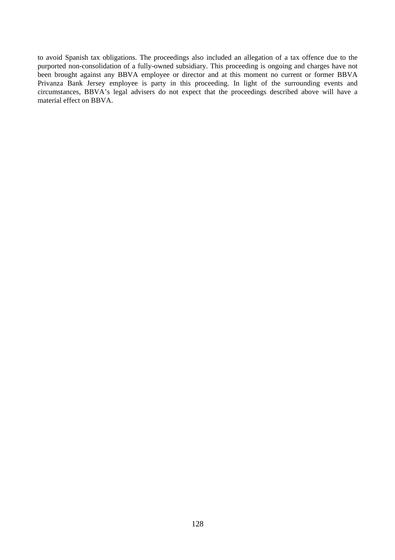to avoid Spanish tax obligations. The proceedings also included an allegation of a tax offence due to the purported non-consolidation of a fully-owned subsidiary. This proceeding is ongoing and charges have not been brought against any BBVA employee or director and at this moment no current or former BBVA Privanza Bank Jersey employee is party in this proceeding. In light of the surrounding events and circumstances, BBVA's legal advisers do not expect that the proceedings described above will have a material effect on BBVA.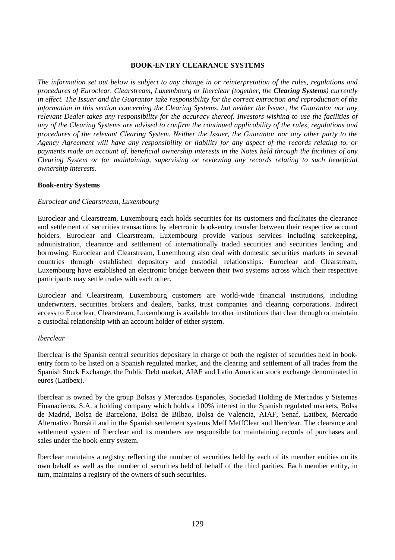### **BOOK-ENTRY CLEARANCE SYSTEMS**

*The information set out below is subject to any change in or reinterpretation of the rules, regulations and procedures of Euroclear, Clearstream, Luxembourg or Iberclear (together, the Clearing Systems) currently in effect. The Issuer and the Guarantor take responsibility for the correct extraction and reproduction of the information in this section concerning the Clearing Systems, but neither the Issuer, the Guarantor nor any relevant Dealer takes any responsibility for the accuracy thereof. Investors wishing to use the facilities of any of the Clearing Systems are advised to confirm the continued applicability of the rules, regulations and procedures of the relevant Clearing System. Neither the Issuer, the Guarantor nor any other party to the Agency Agreement will have any responsibility or liability for any aspect of the records relating to, or payments made on account of, beneficial ownership interests in the Notes held through the facilities of any Clearing System or for maintaining, supervising or reviewing any records relating to such beneficial ownership interests.* 

## **Book-entry Systems**

#### *Euroclear and Clearstream, Luxembourg*

Euroclear and Clearstream, Luxembourg each holds securities for its customers and facilitates the clearance and settlement of securities transactions by electronic book-entry transfer between their respective account holders. Euroclear and Clearstream, Luxembourg provide various services including safekeeping, administration, clearance and settlement of internationally traded securities and securities lending and borrowing. Euroclear and Clearstream, Luxembourg also deal with domestic securities markets in several countries through established depository and custodial relationships. Euroclear and Clearstream, Luxembourg have established an electronic bridge between their two systems across which their respective participants may settle trades with each other.

Euroclear and Clearstream, Luxembourg customers are world-wide financial institutions, including underwriters, securities brokers and dealers, banks, trust companies and clearing corporations. Indirect access to Euroclear, Clearstream, Luxembourg is available to other institutions that clear through or maintain a custodial relationship with an account holder of either system.

#### *Iberclear*

Iberclear is the Spanish central securities depositary in charge of both the register of securities held in bookentry form to be listed on a Spanish regulated market, and the clearing and settlement of all trades from the Spanish Stock Exchange, the Public Debt market, AIAF and Latin American stock exchange denominated in euros (Latibex).

Iberclear is owned by the group Bolsas y Mercados Españoles, Sociedad Holding de Mercados y Sistemas Finanacieros, S.A. a holding company which holds a 100% interest in the Spanish regulated markets, Bolsa de Madrid, Bolsa de Barcelona, Bolsa de Bilbao, Bolsa de Valencia, AIAF, Senaf, Latibex, Mercado Alternativo Bursátil and in the Spanish settlement systems Meff MeffClear and Iberclear. The clearance and settlement system of Iberclear and its members are responsible for maintaining records of purchases and sales under the book-entry system.

Iberclear maintains a registry reflecting the number of securities held by each of its member entities on its own behalf as well as the number of securities held of behalf of the third parities. Each member entity, in turn, maintains a registry of the owners of such securities.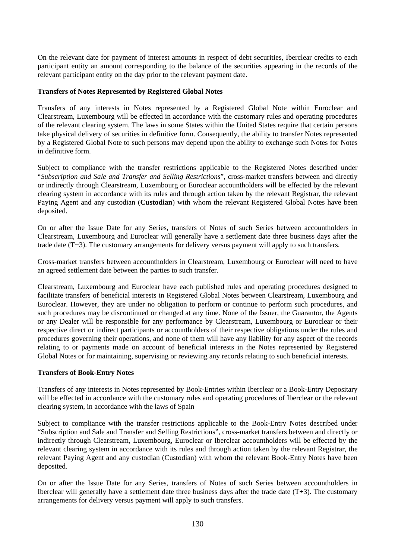On the relevant date for payment of interest amounts in respect of debt securities, Iberclear credits to each participant entity an amount corresponding to the balance of the securities appearing in the records of the relevant participant entity on the day prior to the relevant payment date.

## **Transfers of Notes Represented by Registered Global Notes**

Transfers of any interests in Notes represented by a Registered Global Note within Euroclear and Clearstream, Luxembourg will be effected in accordance with the customary rules and operating procedures of the relevant clearing system. The laws in some States within the United States require that certain persons take physical delivery of securities in definitive form. Consequently, the ability to transfer Notes represented by a Registered Global Note to such persons may depend upon the ability to exchange such Notes for Notes in definitive form.

Subject to compliance with the transfer restrictions applicable to the Registered Notes described under "*Subscription and Sale and Transfer and Selling Restrictions*", cross-market transfers between and directly or indirectly through Clearstream, Luxembourg or Euroclear accountholders will be effected by the relevant clearing system in accordance with its rules and through action taken by the relevant Registrar, the relevant Paying Agent and any custodian (**Custodian**) with whom the relevant Registered Global Notes have been deposited.

On or after the Issue Date for any Series, transfers of Notes of such Series between accountholders in Clearstream, Luxembourg and Euroclear will generally have a settlement date three business days after the trade date (T+3). The customary arrangements for delivery versus payment will apply to such transfers.

Cross-market transfers between accountholders in Clearstream, Luxembourg or Euroclear will need to have an agreed settlement date between the parties to such transfer.

Clearstream, Luxembourg and Euroclear have each published rules and operating procedures designed to facilitate transfers of beneficial interests in Registered Global Notes between Clearstream, Luxembourg and Euroclear. However, they are under no obligation to perform or continue to perform such procedures, and such procedures may be discontinued or changed at any time. None of the Issuer, the Guarantor, the Agents or any Dealer will be responsible for any performance by Clearstream, Luxembourg or Euroclear or their respective direct or indirect participants or accountholders of their respective obligations under the rules and procedures governing their operations, and none of them will have any liability for any aspect of the records relating to or payments made on account of beneficial interests in the Notes represented by Registered Global Notes or for maintaining, supervising or reviewing any records relating to such beneficial interests.

## **Transfers of Book-Entry Notes**

Transfers of any interests in Notes represented by Book-Entries within Iberclear or a Book-Entry Depositary will be effected in accordance with the customary rules and operating procedures of Iberclear or the relevant clearing system, in accordance with the laws of Spain

Subject to compliance with the transfer restrictions applicable to the Book-Entry Notes described under "Subscription and Sale and Transfer and Selling Restrictions", cross-market transfers between and directly or indirectly through Clearstream, Luxembourg, Euroclear or Iberclear accountholders will be effected by the relevant clearing system in accordance with its rules and through action taken by the relevant Registrar, the relevant Paying Agent and any custodian (Custodian) with whom the relevant Book-Entry Notes have been deposited.

On or after the Issue Date for any Series, transfers of Notes of such Series between accountholders in Iberclear will generally have a settlement date three business days after the trade date  $(T+3)$ . The customary arrangements for delivery versus payment will apply to such transfers.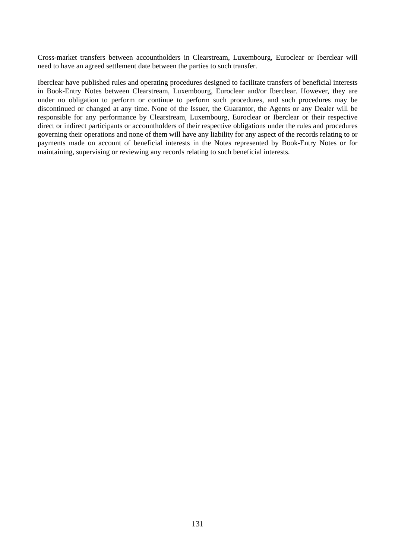Cross-market transfers between accountholders in Clearstream, Luxembourg, Euroclear or Iberclear will need to have an agreed settlement date between the parties to such transfer.

Iberclear have published rules and operating procedures designed to facilitate transfers of beneficial interests in Book-Entry Notes between Clearstream, Luxembourg, Euroclear and/or Iberclear. However, they are under no obligation to perform or continue to perform such procedures, and such procedures may be discontinued or changed at any time. None of the Issuer, the Guarantor, the Agents or any Dealer will be responsible for any performance by Clearstream, Luxembourg, Euroclear or Iberclear or their respective direct or indirect participants or accountholders of their respective obligations under the rules and procedures governing their operations and none of them will have any liability for any aspect of the records relating to or payments made on account of beneficial interests in the Notes represented by Book-Entry Notes or for maintaining, supervising or reviewing any records relating to such beneficial interests.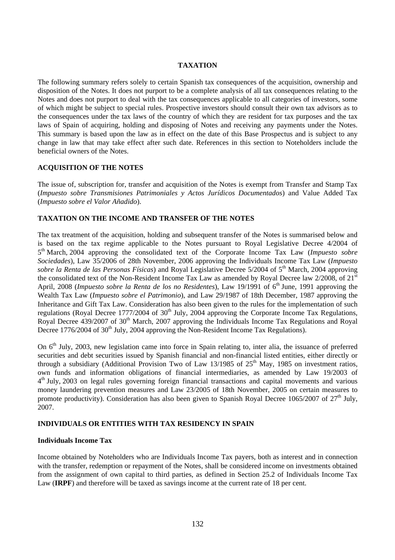## **TAXATION**

The following summary refers solely to certain Spanish tax consequences of the acquisition, ownership and disposition of the Notes. It does not purport to be a complete analysis of all tax consequences relating to the Notes and does not purport to deal with the tax consequences applicable to all categories of investors, some of which might be subject to special rules. Prospective investors should consult their own tax advisors as to the consequences under the tax laws of the country of which they are resident for tax purposes and the tax laws of Spain of acquiring, holding and disposing of Notes and receiving any payments under the Notes. This summary is based upon the law as in effect on the date of this Base Prospectus and is subject to any change in law that may take effect after such date. References in this section to Noteholders include the beneficial owners of the Notes.

## **ACQUISITION OF THE NOTES**

The issue of, subscription for, transfer and acquisition of the Notes is exempt from Transfer and Stamp Tax (*Impuesto sobre Transmisiones Patrimoniales y Actos Jurídicos Documentados*) and Value Added Tax (*Impuesto sobre el Valor Añadido*).

## **TAXATION ON THE INCOME AND TRANSFER OF THE NOTES**

The tax treatment of the acquisition, holding and subsequent transfer of the Notes is summarised below and is based on the tax regime applicable to the Notes pursuant to Royal Legislative Decree 4/2004 of 5th March, 2004 approving the consolidated text of the Corporate Income Tax Law (*Impuesto sobre Sociedades*), Law 35/2006 of 28th November, 2006 approving the Individuals Income Tax Law (*Impuesto sobre la Renta de las Personas Físicas*) and Royal Legislative Decree 5/2004 of 5<sup>th</sup> March, 2004 approving the consolidated text of the Non-Resident Income Tax Law as amended by Royal Decree law 2/2008, of 21<sup>st</sup> April, 2008 (*Impuesto sobre la Renta de los no Residentes*), Law 19/1991 of 6<sup>th</sup> June, 1991 approving the Wealth Tax Law (*Impuesto sobre el Patrimonio*), and Law 29/1987 of 18th December, 1987 approving the Inheritance and Gift Tax Law. Consideration has also been given to the rules for the implementation of such regulations (Royal Decree 1777/2004 of  $30<sup>th</sup>$  July, 2004 approving the Corporate Income Tax Regulations, Royal Decree 439/2007 of 30<sup>th</sup> March, 2007 approving the Individuals Income Tax Regulations and Royal Decree 1776/2004 of 30<sup>th</sup> July, 2004 approving the Non-Resident Income Tax Regulations).

On 6<sup>th</sup> July, 2003, new legislation came into force in Spain relating to, inter alia, the issuance of preferred securities and debt securities issued by Spanish financial and non-financial listed entities, either directly or through a subsidiary (Additional Provision Two of Law 13/1985 of  $25<sup>th</sup>$  May, 1985 on investment ratios, own funds and information obligations of financial intermediaries, as amended by Law 19/2003 of 4th July, 2003 on legal rules governing foreign financial transactions and capital movements and various money laundering prevention measures and Law 23/2005 of 18th November, 2005 on certain measures to promote productivity). Consideration has also been given to Spanish Royal Decree 1065/2007 of  $27<sup>th</sup>$  July, 2007.

## **INDIVIDUALS OR ENTITIES WITH TAX RESIDENCY IN SPAIN**

## **Individuals Income Tax**

Income obtained by Noteholders who are Individuals Income Tax payers, both as interest and in connection with the transfer, redemption or repayment of the Notes, shall be considered income on investments obtained from the assignment of own capital to third parties, as defined in Section 25.2 of Individuals Income Tax Law (**IRPF**) and therefore will be taxed as savings income at the current rate of 18 per cent.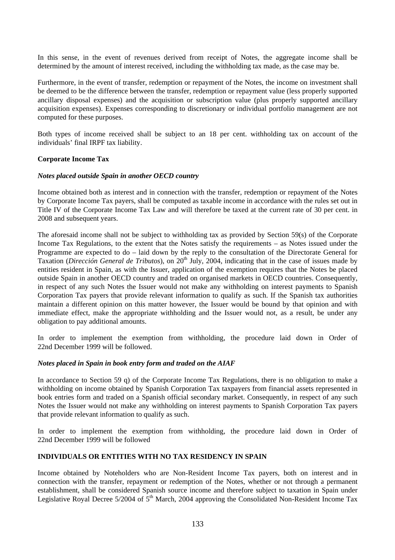In this sense, in the event of revenues derived from receipt of Notes, the aggregate income shall be determined by the amount of interest received, including the withholding tax made, as the case may be.

Furthermore, in the event of transfer, redemption or repayment of the Notes, the income on investment shall be deemed to be the difference between the transfer, redemption or repayment value (less properly supported ancillary disposal expenses) and the acquisition or subscription value (plus properly supported ancillary acquisition expenses). Expenses corresponding to discretionary or individual portfolio management are not computed for these purposes.

Both types of income received shall be subject to an 18 per cent. withholding tax on account of the individuals' final IRPF tax liability.

### **Corporate Income Tax**

#### *Notes placed outside Spain in another OECD country*

Income obtained both as interest and in connection with the transfer, redemption or repayment of the Notes by Corporate Income Tax payers, shall be computed as taxable income in accordance with the rules set out in Title IV of the Corporate Income Tax Law and will therefore be taxed at the current rate of 30 per cent. in 2008 and subsequent years.

The aforesaid income shall not be subject to withholding tax as provided by Section 59(s) of the Corporate Income Tax Regulations, to the extent that the Notes satisfy the requirements – as Notes issued under the Programme are expected to do – laid down by the reply to the consultation of the Directorate General for Taxation (*Dirección General de Tributos*), on 20<sup>th</sup> July, 2004, indicating that in the case of issues made by entities resident in Spain, as with the Issuer, application of the exemption requires that the Notes be placed outside Spain in another OECD country and traded on organised markets in OECD countries. Consequently, in respect of any such Notes the Issuer would not make any withholding on interest payments to Spanish Corporation Tax payers that provide relevant information to qualify as such. If the Spanish tax authorities maintain a different opinion on this matter however, the Issuer would be bound by that opinion and with immediate effect, make the appropriate withholding and the Issuer would not, as a result, be under any obligation to pay additional amounts.

In order to implement the exemption from withholding, the procedure laid down in Order of 22nd December 1999 will be followed.

#### *Notes placed in Spain in book entry form and traded on the AIAF*

In accordance to Section 59 q) of the Corporate Income Tax Regulations, there is no obligation to make a withholding on income obtained by Spanish Corporation Tax taxpayers from financial assets represented in book entries form and traded on a Spanish official secondary market. Consequently, in respect of any such Notes the Issuer would not make any withholding on interest payments to Spanish Corporation Tax payers that provide relevant information to qualify as such.

In order to implement the exemption from withholding, the procedure laid down in Order of 22nd December 1999 will be followed

## **INDIVIDUALS OR ENTITIES WITH NO TAX RESIDENCY IN SPAIN**

Income obtained by Noteholders who are Non-Resident Income Tax payers, both on interest and in connection with the transfer, repayment or redemption of the Notes, whether or not through a permanent establishment, shall be considered Spanish source income and therefore subject to taxation in Spain under Legislative Royal Decree 5/2004 of  $\bar{5}^{th}$  March, 2004 approving the Consolidated Non-Resident Income Tax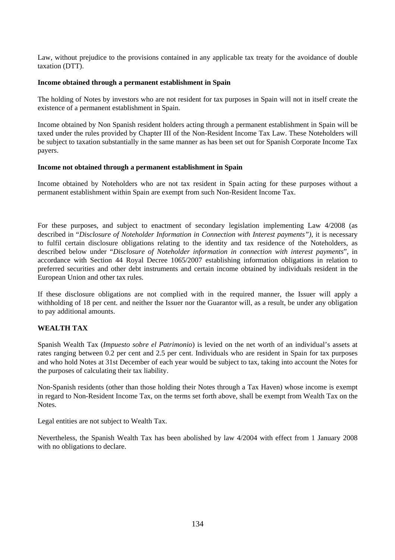Law, without prejudice to the provisions contained in any applicable tax treaty for the avoidance of double taxation (DTT).

#### **Income obtained through a permanent establishment in Spain**

The holding of Notes by investors who are not resident for tax purposes in Spain will not in itself create the existence of a permanent establishment in Spain.

Income obtained by Non Spanish resident holders acting through a permanent establishment in Spain will be taxed under the rules provided by Chapter III of the Non-Resident Income Tax Law. These Noteholders will be subject to taxation substantially in the same manner as has been set out for Spanish Corporate Income Tax payers.

#### **Income not obtained through a permanent establishment in Spain**

Income obtained by Noteholders who are not tax resident in Spain acting for these purposes without a permanent establishment within Spain are exempt from such Non-Resident Income Tax.

For these purposes, and subject to enactment of secondary legislation implementing Law 4/2008 (as described in "*Disclosure of Noteholder Information in Connection with Interest payments")*, it is necessary to fulfil certain disclosure obligations relating to the identity and tax residence of the Noteholders, as described below under "*Disclosure of Noteholder information in connection with interest payments*", in accordance with Section 44 Royal Decree 1065/2007 establishing information obligations in relation to preferred securities and other debt instruments and certain income obtained by individuals resident in the European Union and other tax rules.

If these disclosure obligations are not complied with in the required manner, the Issuer will apply a withholding of 18 per cent. and neither the Issuer nor the Guarantor will, as a result, be under any obligation to pay additional amounts.

# **WEALTH TAX**

Spanish Wealth Tax (*Impuesto sobre el Patrimonio*) is levied on the net worth of an individual's assets at rates ranging between 0.2 per cent and 2.5 per cent. Individuals who are resident in Spain for tax purposes and who hold Notes at 31st December of each year would be subject to tax, taking into account the Notes for the purposes of calculating their tax liability.

Non-Spanish residents (other than those holding their Notes through a Tax Haven) whose income is exempt in regard to Non-Resident Income Tax, on the terms set forth above, shall be exempt from Wealth Tax on the Notes.

Legal entities are not subject to Wealth Tax.

Nevertheless, the Spanish Wealth Tax has been abolished by law 4/2004 with effect from 1 January 2008 with no obligations to declare.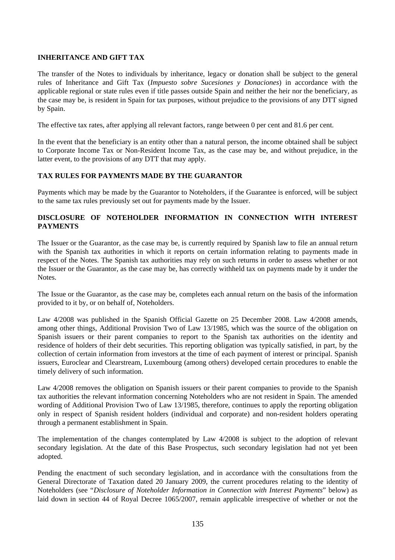# **INHERITANCE AND GIFT TAX**

The transfer of the Notes to individuals by inheritance, legacy or donation shall be subject to the general rules of Inheritance and Gift Tax (*Impuesto sobre Sucesiones y Donaciones*) in accordance with the applicable regional or state rules even if title passes outside Spain and neither the heir nor the beneficiary, as the case may be, is resident in Spain for tax purposes, without prejudice to the provisions of any DTT signed by Spain.

The effective tax rates, after applying all relevant factors, range between 0 per cent and 81.6 per cent.

In the event that the beneficiary is an entity other than a natural person, the income obtained shall be subject to Corporate Income Tax or Non-Resident Income Tax, as the case may be, and without prejudice, in the latter event, to the provisions of any DTT that may apply.

## **TAX RULES FOR PAYMENTS MADE BY THE GUARANTOR**

Payments which may be made by the Guarantor to Noteholders, if the Guarantee is enforced, will be subject to the same tax rules previously set out for payments made by the Issuer.

# **DISCLOSURE OF NOTEHOLDER INFORMATION IN CONNECTION WITH INTEREST PAYMENTS**

The Issuer or the Guarantor, as the case may be, is currently required by Spanish law to file an annual return with the Spanish tax authorities in which it reports on certain information relating to payments made in respect of the Notes. The Spanish tax authorities may rely on such returns in order to assess whether or not the Issuer or the Guarantor, as the case may be, has correctly withheld tax on payments made by it under the Notes.

The Issue or the Guarantor, as the case may be, completes each annual return on the basis of the information provided to it by, or on behalf of, Noteholders.

Law 4/2008 was published in the Spanish Official Gazette on 25 December 2008. Law 4/2008 amends, among other things, Additional Provision Two of Law 13/1985, which was the source of the obligation on Spanish issuers or their parent companies to report to the Spanish tax authorities on the identity and residence of holders of their debt securities. This reporting obligation was typically satisfied, in part, by the collection of certain information from investors at the time of each payment of interest or principal. Spanish issuers, Euroclear and Clearstream, Luxembourg (among others) developed certain procedures to enable the timely delivery of such information.

Law 4/2008 removes the obligation on Spanish issuers or their parent companies to provide to the Spanish tax authorities the relevant information concerning Noteholders who are not resident in Spain. The amended wording of Additional Provision Two of Law 13/1985, therefore, continues to apply the reporting obligation only in respect of Spanish resident holders (individual and corporate) and non-resident holders operating through a permanent establishment in Spain.

The implementation of the changes contemplated by Law 4/2008 is subject to the adoption of relevant secondary legislation. At the date of this Base Prospectus, such secondary legislation had not yet been adopted.

Pending the enactment of such secondary legislation, and in accordance with the consultations from the General Directorate of Taxation dated 20 January 2009, the current procedures relating to the identity of Noteholders (see "*Disclosure of Noteholder Information in Connection with Interest Payments*" below) as laid down in section 44 of Royal Decree 1065/2007, remain applicable irrespective of whether or not the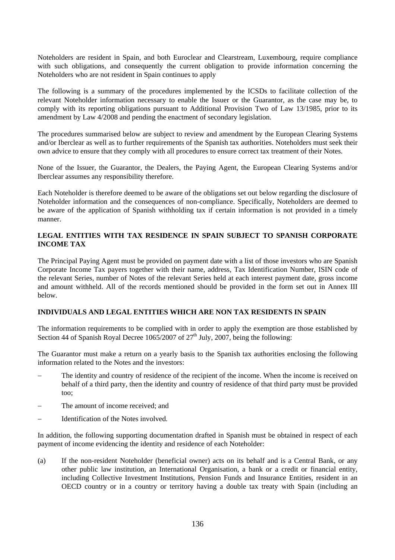Noteholders are resident in Spain, and both Euroclear and Clearstream, Luxembourg, require compliance with such obligations, and consequently the current obligation to provide information concerning the Noteholders who are not resident in Spain continues to apply

The following is a summary of the procedures implemented by the ICSDs to facilitate collection of the relevant Noteholder information necessary to enable the Issuer or the Guarantor, as the case may be, to comply with its reporting obligations pursuant to Additional Provision Two of Law 13/1985, prior to its amendment by Law 4/2008 and pending the enactment of secondary legislation.

The procedures summarised below are subject to review and amendment by the European Clearing Systems and/or Iberclear as well as to further requirements of the Spanish tax authorities. Noteholders must seek their own advice to ensure that they comply with all procedures to ensure correct tax treatment of their Notes.

None of the Issuer, the Guarantor, the Dealers, the Paying Agent, the European Clearing Systems and/or Iberclear assumes any responsibility therefore.

Each Noteholder is therefore deemed to be aware of the obligations set out below regarding the disclosure of Noteholder information and the consequences of non-compliance. Specifically, Noteholders are deemed to be aware of the application of Spanish withholding tax if certain information is not provided in a timely manner.

# **LEGAL ENTITIES WITH TAX RESIDENCE IN SPAIN SUBJECT TO SPANISH CORPORATE INCOME TAX**

The Principal Paying Agent must be provided on payment date with a list of those investors who are Spanish Corporate Income Tax payers together with their name, address, Tax Identification Number, ISIN code of the relevant Series, number of Notes of the relevant Series held at each interest payment date, gross income and amount withheld. All of the records mentioned should be provided in the form set out in Annex III below.

## **INDIVIDUALS AND LEGAL ENTITIES WHICH ARE NON TAX RESIDENTS IN SPAIN**

The information requirements to be complied with in order to apply the exemption are those established by Section 44 of Spanish Royal Decree  $1065/2007$  of  $27<sup>th</sup>$  July,  $2007$ , being the following:

The Guarantor must make a return on a yearly basis to the Spanish tax authorities enclosing the following information related to the Notes and the investors:

- The identity and country of residence of the recipient of the income. When the income is received on behalf of a third party, then the identity and country of residence of that third party must be provided too;
- − The amount of income received; and
- − Identification of the Notes involved.

In addition, the following supporting documentation drafted in Spanish must be obtained in respect of each payment of income evidencing the identity and residence of each Noteholder:

(a) If the non-resident Noteholder (beneficial owner) acts on its behalf and is a Central Bank, or any other public law institution, an International Organisation, a bank or a credit or financial entity, including Collective Investment Institutions, Pension Funds and Insurance Entities, resident in an OECD country or in a country or territory having a double tax treaty with Spain (including an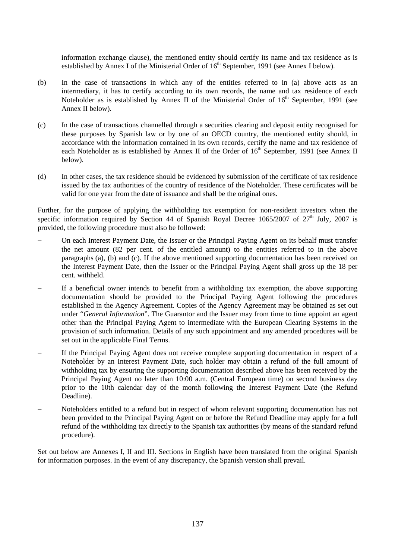<span id="page-137-0"></span>information exchange clause), the mentioned entity should certify its name and tax residence as is established by Annex I of the Ministerial Order of  $16<sup>th</sup>$  September, 1991 (see Annex I below).

- (b) In the case of transactions in which any of the entities referred to in [\(a\) above](#page-137-0) acts as an intermediary, it has to certify according to its own records, the name and tax residence of each Noteholder as is established by Annex II of the Ministerial Order of  $16<sup>th</sup>$  September, 1991 (see Annex II below).
- (c) In the case of transactions channelled through a securities clearing and deposit entity recognised for these purposes by Spanish law or by one of an OECD country, the mentioned entity should, in accordance with the information contained in its own records, certify the name and tax residence of each Noteholder as is established by Annex II of the Order of 16<sup>th</sup> September, 1991 (see Annex II below).
- (d) In other cases, the tax residence should be evidenced by submission of the certificate of tax residence issued by the tax authorities of the country of residence of the Noteholder. These certificates will be valid for one year from the date of issuance and shall be the original ones.

Further, for the purpose of applying the withholding tax exemption for non-resident investors when the specific information required by Section 44 of Spanish Royal Decree 1065/2007 of  $27<sup>th</sup>$  July, 2007 is provided, the following procedure must also be followed:

- − On each Interest Payment Date, the Issuer or the Principal Paying Agent on its behalf must transfer the net amount (82 per cent. of the entitled amount) to the entities referred to in the above paragraphs [\(a\),](#page-137-0) [\(b\)](#page-137-0) and [\(c\)](#page-137-0). If the above mentioned supporting documentation has been received on the Interest Payment Date, then the Issuer or the Principal Paying Agent shall gross up the 18 per cent. withheld.
- If a beneficial owner intends to benefit from a withholding tax exemption, the above supporting documentation should be provided to the Principal Paying Agent following the procedures established in the Agency Agreement. Copies of the Agency Agreement may be obtained as set out under "*General Information*". The Guarantor and the Issuer may from time to time appoint an agent other than the Principal Paying Agent to intermediate with the European Clearing Systems in the provision of such information. Details of any such appointment and any amended procedures will be set out in the applicable Final Terms.
- If the Principal Paying Agent does not receive complete supporting documentation in respect of a Noteholder by an Interest Payment Date, such holder may obtain a refund of the full amount of withholding tax by ensuring the supporting documentation described above has been received by the Principal Paying Agent no later than 10:00 a.m. (Central European time) on second business day prior to the 10th calendar day of the month following the Interest Payment Date (the Refund Deadline).
- Noteholders entitled to a refund but in respect of whom relevant supporting documentation has not been provided to the Principal Paying Agent on or before the Refund Deadline may apply for a full refund of the withholding tax directly to the Spanish tax authorities (by means of the standard refund procedure).

Set out below are Annexes I, II and III. Sections in English have been translated from the original Spanish for information purposes. In the event of any discrepancy, the Spanish version shall prevail.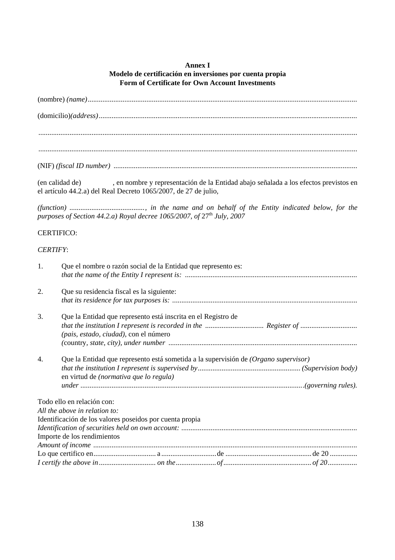## **Annex I Modelo de certificación en inversiones por cuenta propia Form of Certificate for Own Account Investments**

(nombre) *(name)...................................................................................................................................................* (domicilio)*(address).............................................................................................................................................* .............................................................................................................................................................................. .............................................................................................................................................................................. (NIF) *(fiscal ID number)* ..................................................................................................................................... (en calidad de) , en nombre y representación de la Entidad abajo señalada a los efectos previstos en el artículo 44.2.a) del Real Decreto 1065/2007, de 27 de julio*, (function) ........................................., in the name and on behalf of the Entity indicated below, for the purposes of Section 44.2.a) Royal decree 1065/2007, of 27<sup>th</sup> July, 2007* CERTIFICO: *CERTIFY*: 1. Que el nombre o razón social de la Entidad que represento es: *that the name of the Entity I represent is: ..............................................................................................*  2. Que su residencia fiscal es la siguiente: *that its residence for tax purposes is:* ..................................................................................................... 3. Que la Entidad que represento está inscrita en el Registro de *that the institution I represent is recorded in the ................................ Register of ............................... (pais, estado, ciudad)*, con el número *(*country*, state, city), under number .......................................................................................................*  4. Que la Entidad que represento está sometida a la supervisión de *(Organo supervisor) that the institution I represent is supervised by........................................................ (Supervision body)*  en virtud de *(normativa que lo regula) under ..........................................................................................................................(governing rules).* Todo ello en relación con: *All the above in relation to:*  Identificación de los valores poseidos por cuenta propia *Identification of securities held on own account: ................................................................................................* Importe de los rendimientos *Amount of income ................................................................................................................................................*  Lo que certifico en.................................. a..............................de ............................................... de 20 ............... *I certify the above in............................... on the......................of ................................................ of 20................*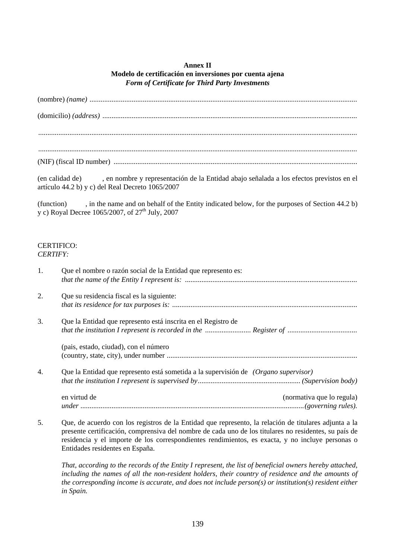# **Annex II Modelo de certificación en inversiones por cuenta ajena**  *Form of Certificate for Third Party Investments*

(nombre) *(name) ..................................................................................................................................................* (domicilio) *(address) ........................................................................................................................................... .............................................................................................................................................................................. ..............................................................................................................................................................................* (NIF) (fiscal ID number) ..................................................................................................................................... (en calidad de) , en nombre y representación de la Entidad abajo señalada a los efectos previstos en el artículo 44.2 b) y c) del Real Decreto 1065/2007 (function) , in the name and on behalf of the Entity indicated below, for the purposes of Section 44.2 b) y c) Royal Decree 1065/2007, of  $27<sup>th</sup>$  July, 2007 CERTIFICO: *CERTIFY:*  1. Que el nombre o razón social de la Entidad que represento es: *that the name of the Entity I represent is: ..............................................................................................* 2. Que su residencia fiscal es la siguiente: *that its residence for tax purposes is:* ..................................................................................................... 3. Que la Entidad que represento está inscrita en el Registro de *that the institution I represent is recorded in the ......................... Register of ......................................* (pais, estado, ciudad), con el número (country, state, city), under number ........................................................................................................ 4. Que la Entidad que represento está sometida a la supervisión de *(Organo supervisor) that the institution I represent is supervised by........................................................ (Supervision body)*  en virtud de (normativa que lo regula) *under ..........................................................................................................................(governing rules).* 

5. Que, de acuerdo con los registros de la Entidad que represento, la relación de titulares adjunta a la presente certificación, comprensiva del nombre de cada uno de los titulares no residentes, su país de residencia y el importe de los correspondientes rendimientos, es exacta, y no incluye personas o Entidades residentes en España.

*That, according to the records of the Entity I represent, the list of beneficial owners hereby attached,*  including the names of all the non-resident holders, their country of residence and the amounts of *the corresponding income is accurate, and does not include person(s) or institution(s) resident either in Spain.*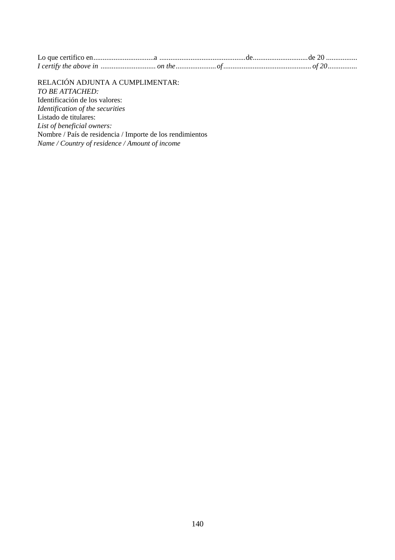RELACIÓN ADJUNTA A CUMPLIMENTAR:

*TO BE ATTACHED:*  Identificación de los valores: *Identification of the securities*  Listado de titulares: *List of beneficial owners:*  Nombre / País de residencia / Importe de los rendimientos *Name / Country of residence / Amount of income*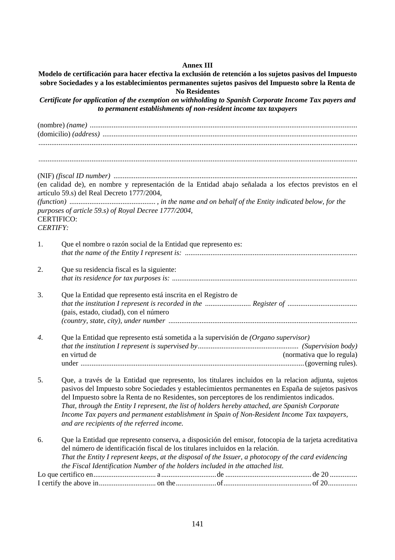### **Annex III**

**Modelo de certificación para hacer efectiva la exclusión de retención a los sujetos pasivos del Impuesto sobre Sociedades y a los establecimientos permanentes sujetos pasivos del Impuesto sobre la Renta de No Residentes**  *Certificate for application of the exemption on withholding to Spanish Corporate Income Tax payers and to permanent establishments of non-resident income tax taxpayers*  (nombre) *(name)* .................................................................................................................................................. (domicilio) *(address)* ........................................................................................................................................... .............................................................................................................................................................................. (NIF) *(fiscal ID number)* ..................................................................................................................................... (en calidad de), en nombre y representación de la Entidad abajo señalada a los efectos previstos en el artículo 59.s) del Real Decreto 1777/2004, *(function) ............................................... , in the name and on behalf of the Entity indicated below, for the purposes of article 59.s) of Royal Decree 1777/2004,*  CERTIFICO: *CERTIFY:*  1. Que el nombre o razón social de la Entidad que represento es: *that the name of the Entity I represent is: ..............................................................................................*  2. Que su residencia fiscal es la siguiente: *that its residence for tax purposes is: .....................................................................................................*  3. Que la Entidad que represento está inscrita en el Registro de *that the institution I represent is recorded in the ......................... Register of ......................................* (pais, estado, ciudad), con el número *(country, state, city), under number ....................................................................................................... 4.* Que la Entidad que represento está sometida a la supervisión de *(Organo supervisor) that the institution I represent is supervised by....................................................... (Supervision body)*  en virtud de (normativa que lo regula) under .......................................................................................................................... (governing rules). 5. Que, a través de la Entidad que represento, los titulares incluidos en la relacion adjunta, sujetos pasivos del Impuesto sobre Sociedades y establecimientos permanentes en España de sujetos pasivos del Impuesto sobre la Renta de no Residentes, son perceptores de los rendimientos indicados. *That, through the Entity I represent, the list of holders hereby attached, are Spanish Corporate Income Tax payers and permanent establishment in Spain of Non-Resident Income Tax taxpayers, and are recipients of the referred income.*  6. Que la Entidad que represento conserva, a disposición del emisor, fotocopia de la tarjeta acreditativa del número de identificación fiscal de los titulares incluidos en la relación. *That the Entity I represent keeps, at the disposal of the Issuer, a photocopy of the card evidencing the Fiscal Identification Number of the holders included in the attached list.*  Lo que certifico en.................................. a..............................de ............................................... de 20 ............... I certify the above in............................... on the......................of................................................ of 20................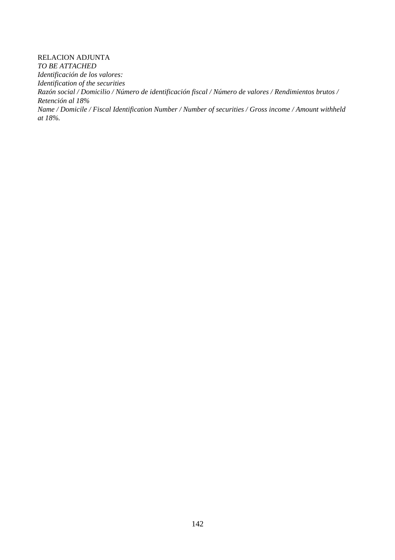RELACION ADJUNTA *TO BE ATTACHED Identificación de los valores: Identification of the securities Razón social / Domicilio / Número de identificación fiscal / Número de valores / Rendimientos brutos / Retención al 18% Name / Domicile / Fiscal Identification Number / Number of securities / Gross income / Amount withheld at 18%.*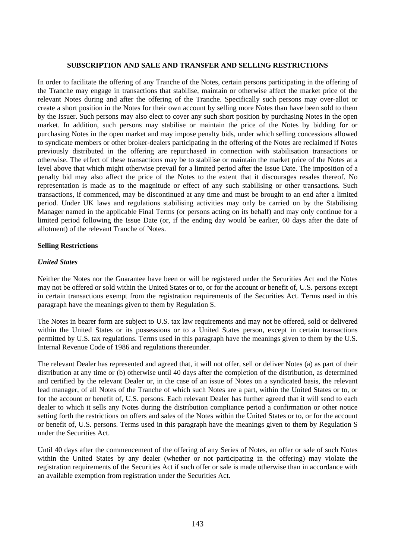### **SUBSCRIPTION AND SALE AND TRANSFER AND SELLING RESTRICTIONS**

In order to facilitate the offering of any Tranche of the Notes, certain persons participating in the offering of the Tranche may engage in transactions that stabilise, maintain or otherwise affect the market price of the relevant Notes during and after the offering of the Tranche. Specifically such persons may over-allot or create a short position in the Notes for their own account by selling more Notes than have been sold to them by the Issuer. Such persons may also elect to cover any such short position by purchasing Notes in the open market. In addition, such persons may stabilise or maintain the price of the Notes by bidding for or purchasing Notes in the open market and may impose penalty bids, under which selling concessions allowed to syndicate members or other broker-dealers participating in the offering of the Notes are reclaimed if Notes previously distributed in the offering are repurchased in connection with stabilisation transactions or otherwise. The effect of these transactions may be to stabilise or maintain the market price of the Notes at a level above that which might otherwise prevail for a limited period after the Issue Date. The imposition of a penalty bid may also affect the price of the Notes to the extent that it discourages resales thereof. No representation is made as to the magnitude or effect of any such stabilising or other transactions. Such transactions, if commenced, may be discontinued at any time and must be brought to an end after a limited period. Under UK laws and regulations stabilising activities may only be carried on by the Stabilising Manager named in the applicable Final Terms (or persons acting on its behalf) and may only continue for a limited period following the Issue Date (or, if the ending day would be earlier, 60 days after the date of allotment) of the relevant Tranche of Notes.

## **Selling Restrictions**

#### *United States*

Neither the Notes nor the Guarantee have been or will be registered under the Securities Act and the Notes may not be offered or sold within the United States or to, or for the account or benefit of, U.S. persons except in certain transactions exempt from the registration requirements of the Securities Act. Terms used in this paragraph have the meanings given to them by Regulation S.

The Notes in bearer form are subject to U.S. tax law requirements and may not be offered, sold or delivered within the United States or its possessions or to a United States person, except in certain transactions permitted by U.S. tax regulations. Terms used in this paragraph have the meanings given to them by the U.S. Internal Revenue Code of 1986 and regulations thereunder.

The relevant Dealer has represented and agreed that, it will not offer, sell or deliver Notes (a) as part of their distribution at any time or (b) otherwise until 40 days after the completion of the distribution, as determined and certified by the relevant Dealer or, in the case of an issue of Notes on a syndicated basis, the relevant lead manager, of all Notes of the Tranche of which such Notes are a part, within the United States or to, or for the account or benefit of, U.S. persons. Each relevant Dealer has further agreed that it will send to each dealer to which it sells any Notes during the distribution compliance period a confirmation or other notice setting forth the restrictions on offers and sales of the Notes within the United States or to, or for the account or benefit of, U.S. persons. Terms used in this paragraph have the meanings given to them by Regulation S under the Securities Act.

Until 40 days after the commencement of the offering of any Series of Notes, an offer or sale of such Notes within the United States by any dealer (whether or not participating in the offering) may violate the registration requirements of the Securities Act if such offer or sale is made otherwise than in accordance with an available exemption from registration under the Securities Act.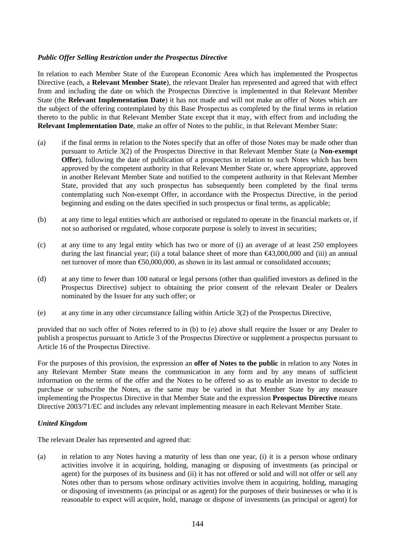# *Public Offer Selling Restriction under the Prospectus Directive*

In relation to each Member State of the European Economic Area which has implemented the Prospectus Directive (each, a **Relevant Member State**), the relevant Dealer has represented and agreed that with effect from and including the date on which the Prospectus Directive is implemented in that Relevant Member State (the **Relevant Implementation Date**) it has not made and will not make an offer of Notes which are the subject of the offering contemplated by this Base Prospectus as completed by the final terms in relation thereto to the public in that Relevant Member State except that it may, with effect from and including the **Relevant Implementation Date**, make an offer of Notes to the public, in that Relevant Member State:

- (a) if the final terms in relation to the Notes specify that an offer of those Notes may be made other than pursuant to Article 3(2) of the Prospectus Directive in that Relevant Member State (a **Non-exempt Offer**), following the date of publication of a prospectus in relation to such Notes which has been approved by the competent authority in that Relevant Member State or, where appropriate, approved in another Relevant Member State and notified to the competent authority in that Relevant Member State, provided that any such prospectus has subsequently been completed by the final terms contemplating such Non-exempt Offer, in accordance with the Prospectus Directive, in the period beginning and ending on the dates specified in such prospectus or final terms, as applicable;
- (b) at any time to legal entities which are authorised or regulated to operate in the financial markets or, if not so authorised or regulated, whose corporate purpose is solely to invest in securities;
- (c) at any time to any legal entity which has two or more of (i) an average of at least 250 employees during the last financial year; (ii) a total balance sheet of more than  $\epsilon$ 43,000,000 and (iii) an annual net turnover of more than €50,000,000, as shown in its last annual or consolidated accounts;
- (d) at any time to fewer than 100 natural or legal persons (other than qualified investors as defined in the Prospectus Directive) subject to obtaining the prior consent of the relevant Dealer or Dealers nominated by the Issuer for any such offer; or
- (e) at any time in any other circumstance falling within Article 3(2) of the Prospectus Directive,

provided that no such offer of Notes referred to in (b) to (e) above shall require the Issuer or any Dealer to publish a prospectus pursuant to Article 3 of the Prospectus Directive or supplement a prospectus pursuant to Article 16 of the Prospectus Directive.

For the purposes of this provision, the expression an **offer of Notes to the public** in relation to any Notes in any Relevant Member State means the communication in any form and by any means of sufficient information on the terms of the offer and the Notes to be offered so as to enable an investor to decide to purchase or subscribe the Notes, as the same may be varied in that Member State by any measure implementing the Prospectus Directive in that Member State and the expression **Prospectus Directive** means Directive 2003/71/EC and includes any relevant implementing measure in each Relevant Member State.

# *United Kingdom*

The relevant Dealer has represented and agreed that:

(a) in relation to any Notes having a maturity of less than one year, (i) it is a person whose ordinary activities involve it in acquiring, holding, managing or disposing of investments (as principal or agent) for the purposes of its business and (ii) it has not offered or sold and will not offer or sell any Notes other than to persons whose ordinary activities involve them in acquiring, holding, managing or disposing of investments (as principal or as agent) for the purposes of their businesses or who it is reasonable to expect will acquire, hold, manage or dispose of investments (as principal or agent) for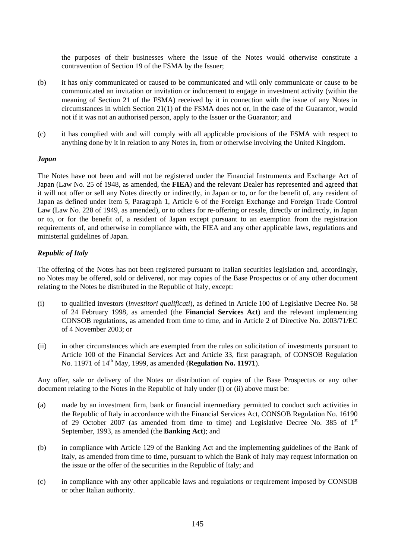<span id="page-145-0"></span>the purposes of their businesses where the issue of the Notes would otherwise constitute a contravention of Section 19 of the FSMA by the Issuer;

- (b) it has only communicated or caused to be communicated and will only communicate or cause to be communicated an invitation or invitation or inducement to engage in investment activity (within the meaning of Section 21 of the FSMA) received by it in connection with the issue of any Notes in circumstances in which Section 21(1) of the FSMA does not or, in the case of the Guarantor, would not if it was not an authorised person, apply to the Issuer or the Guarantor; and
- (c) it has complied with and will comply with all applicable provisions of the FSMA with respect to anything done by it in relation to any Notes in, from or otherwise involving the United Kingdom.

#### *Japan*

The Notes have not been and will not be registered under the Financial Instruments and Exchange Act of Japan (Law No. 25 of 1948, as amended, the **FIEA**) and the relevant Dealer has represented and agreed that it will not offer or sell any Notes directly or indirectly, in Japan or to, or for the benefit of, any resident of Japan as defined under Item 5, Paragraph 1, Article 6 of the Foreign Exchange and Foreign Trade Control Law (Law No. 228 of 1949, as amended), or to others for re-offering or resale, directly or indirectly, in Japan or to, or for the benefit of, a resident of Japan except pursuant to an exemption from the registration requirements of, and otherwise in compliance with, the FIEA and any other applicable laws, regulations and ministerial guidelines of Japan.

# *Republic of Italy*

The offering of the Notes has not been registered pursuant to Italian securities legislation and, accordingly, no Notes may be offered, sold or delivered, nor may copies of the Base Prospectus or of any other document relating to the Notes be distributed in the Republic of Italy, except:

- (i) to qualified investors (*investitori qualificati*), as defined in Article 100 of Legislative Decree No. 58 of 24 February 1998, as amended (the **Financial Services Act**) and the relevant implementing CONSOB regulations, as amended from time to time, and in Article 2 of Directive No. 2003/71/EC of 4 November 2003; or
- (ii) in other circumstances which are exempted from the rules on solicitation of investments pursuant to Article 100 of the Financial Services Act and Article 33, first paragraph, of CONSOB Regulation No. 11971 of 14th May, 1999, as amended (**Regulation No. 11971**).

Any offer, sale or delivery of the Notes or distribution of copies of the Base Prospectus or any other document relating to the Notes in the Republic of Italy under [\(i\)](#page-145-0) or [\(ii\) above](#page-145-0) must be:

- (a) made by an investment firm, bank or financial intermediary permitted to conduct such activities in the Republic of Italy in accordance with the Financial Services Act, CONSOB Regulation No. 16190 of 29 October 2007 (as amended from time to time) and Legislative Decree No. 385 of  $1<sup>st</sup>$ September, 1993, as amended (the **Banking Act**); and
- (b) in compliance with Article 129 of the Banking Act and the implementing guidelines of the Bank of Italy, as amended from time to time, pursuant to which the Bank of Italy may request information on the issue or the offer of the securities in the Republic of Italy; and
- (c) in compliance with any other applicable laws and regulations or requirement imposed by CONSOB or other Italian authority.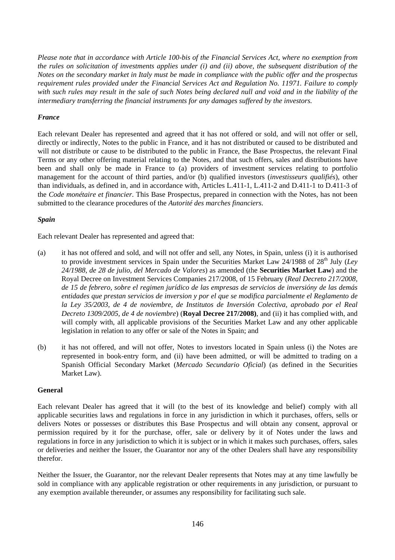*Please note that in accordance with Article 100-bis of the Financial Services Act, where no exemption from the rules on solicitation of investments applies under (i) and (ii) above, the subsequent distribution of the Notes on the secondary market in Italy must be made in compliance with the public offer and the prospectus requirement rules provided under the Financial Services Act and Regulation No. 11971. Failure to comply*  with such rules may result in the sale of such Notes being declared null and void and in the liability of the *intermediary transferring the financial instruments for any damages suffered by the investors.* 

# *France*

Each relevant Dealer has represented and agreed that it has not offered or sold, and will not offer or sell, directly or indirectly, Notes to the public in France, and it has not distributed or caused to be distributed and will not distribute or cause to be distributed to the public in France, the Base Prospectus, the relevant Final Terms or any other offering material relating to the Notes, and that such offers, sales and distributions have been and shall only be made in France to (a) providers of investment services relating to portfolio management for the account of third parties, and/or (b) qualified investors (*investisseurs qualifiés*), other than individuals, as defined in, and in accordance with, Articles L.411-1, L.411-2 and D.411-1 to D.411-3 of the *Code monétaire et financier*. This Base Prospectus, prepared in connection with the Notes, has not been submitted to the clearance procedures of the *Autorité des marches financiers*.

# *Spain*

Each relevant Dealer has represented and agreed that:

- (a) it has not offered and sold, and will not offer and sell, any Notes, in Spain, unless (i) it is authorised to provide investment services in Spain under the Securities Market Law 24/1988 of 28<sup>th</sup> July (*Lev 24/1988, de 28 de julio, del Mercado de Valores*) as amended (the **Securities Market Law**) and the Royal Decree on Investment Services Companies 217/2008, of 15 February (*Real Decreto 217/2008, de 15 de febrero, sobre el regimen jurídico de las empresas de servicios de inversióny de las demás entidades que prestan servicios de inversion y por el que se modifica parcialmente el Reglamento de la Ley 35/2003, de 4 de noviembre, de Institutos de Inversión Colectiva, aprobado por el Real Decreto 1309/2005, de 4 de noviembre*) (**Royal Decree 217/2008)**, and (ii) it has complied with, and will comply with, all applicable provisions of the Securities Market Law and any other applicable legislation in relation to any offer or sale of the Notes in Spain; and
- (b) it has not offered, and will not offer, Notes to investors located in Spain unless (i) the Notes are represented in book-entry form, and (ii) have been admitted, or will be admitted to trading on a Spanish Official Secondary Market (*Mercado Secundario Oficial*) (as defined in the Securities Market Law).

# **General**

Each relevant Dealer has agreed that it will (to the best of its knowledge and belief) comply with all applicable securities laws and regulations in force in any jurisdiction in which it purchases, offers, sells or delivers Notes or possesses or distributes this Base Prospectus and will obtain any consent, approval or permission required by it for the purchase, offer, sale or delivery by it of Notes under the laws and regulations in force in any jurisdiction to which it is subject or in which it makes such purchases, offers, sales or deliveries and neither the Issuer, the Guarantor nor any of the other Dealers shall have any responsibility therefor.

Neither the Issuer, the Guarantor, nor the relevant Dealer represents that Notes may at any time lawfully be sold in compliance with any applicable registration or other requirements in any jurisdiction, or pursuant to any exemption available thereunder, or assumes any responsibility for facilitating such sale.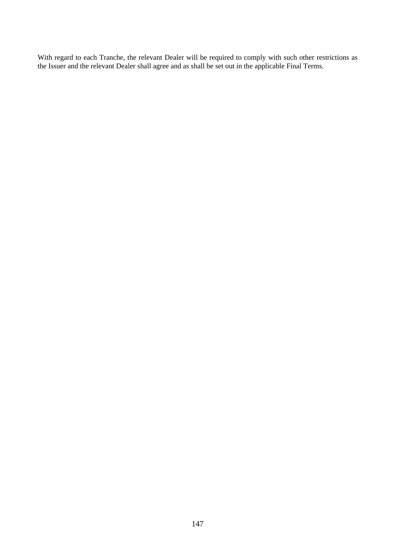With regard to each Tranche, the relevant Dealer will be required to comply with such other restrictions as the Issuer and the relevant Dealer shall agree and as shall be set out in the applicable Final Terms.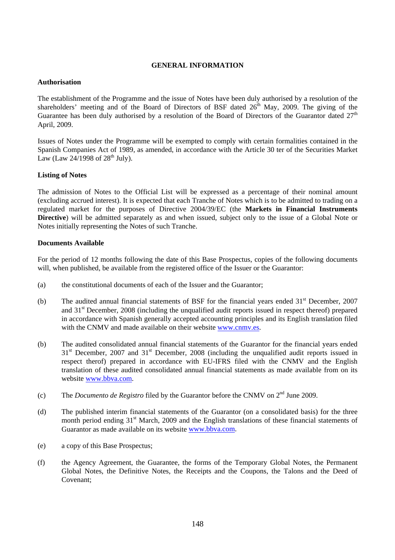# <span id="page-148-0"></span>**GENERAL INFORMATION**

# **Authorisation**

The establishment of the Programme and the issue of Notes have been duly authorised by a resolution of the shareholders' meeting and of the Board of Directors of BSF dated  $26<sup>th</sup>$  May, 2009. The giving of the Guarantee has been duly authorised by a resolution of the Board of Directors of the Guarantor dated  $27<sup>th</sup>$ April, 2009.

Issues of Notes under the Programme will be exempted to comply with certain formalities contained in the Spanish Companies Act of 1989, as amended, in accordance with the Article 30 ter of the Securities Market Law  $(Law 24/1998$  of  $28<sup>th</sup>$  July).

# **Listing of Notes**

The admission of Notes to the Official List will be expressed as a percentage of their nominal amount (excluding accrued interest). It is expected that each Tranche of Notes which is to be admitted to trading on a regulated market for the purposes of Directive 2004/39/EC (the **Markets in Financial Instruments Directive**) will be admitted separately as and when issued, subject only to the issue of a Global Note or Notes initially representing the Notes of such Tranche.

# **Documents Available**

For the period of 12 months following the date of this Base Prospectus, copies of the following documents will, when published, be available from the registered office of the Issuer or the Guarantor:

- (a) the constitutional documents of each of the Issuer and the Guarantor;
- (b) The audited annual financial statements of BSF for the financial years ended 31st December, 2007 and 31<sup>st</sup> December, 2008 (including the unqualified audit reports issued in respect thereof) prepared in accordance with Spanish generally accepted accounting principles and its English translation filed with the CNMV and made available on their website [www.cnmv.es](http://www.cnmv.es/).
- (b) The audited consolidated annual financial statements of the Guarantor for the financial years ended  $31<sup>st</sup>$  December, 2007 and  $31<sup>st</sup>$  December, 2008 (including the unqualified audit reports issued in respect therof) prepared in accordance with EU-IFRS filed with the CNMV and the English translation of these audited consolidated annual financial statements as made available from on its website [www.bbva.com.](http://www.bbva.com/)
- (c) The *Documento de Registro* filed by the Guarantor before the CNMV on 2nd June 2009.
- (d) The published interim financial statements of the Guarantor (on a consolidated basis) for the three month period ending  $31<sup>st</sup>$  March, 2009 and the English translations of these financial statements of Guarantor as made available on its website [www.bbva.com.](http://www.bbva.com/)
- (e) a copy of this Base Prospectus;
- (f) the Agency Agreement, the Guarantee, the forms of the Temporary Global Notes, the Permanent Global Notes, the Definitive Notes, the Receipts and the Coupons, the Talons and the Deed of Covenant;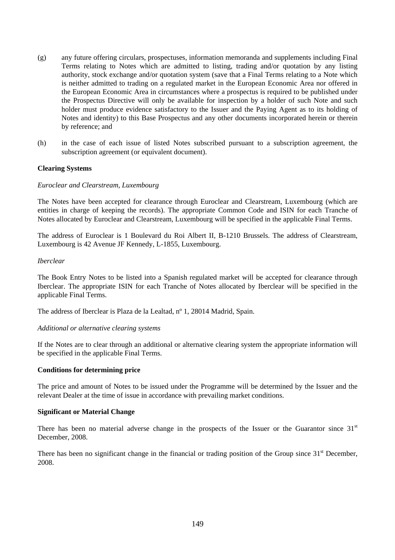- (g) any future offering circulars, prospectuses, information memoranda and supplements including Final Terms relating to Notes which are admitted to listing, trading and/or quotation by any listing authority, stock exchange and/or quotation system (save that a Final Terms relating to a Note which is neither admitted to trading on a regulated market in the European Economic Area nor offered in the European Economic Area in circumstances where a prospectus is required to be published under the Prospectus Directive will only be available for inspection by a holder of such Note and such holder must produce evidence satisfactory to the Issuer and the Paying Agent as to its holding of Notes and identity) to this Base Prospectus and any other documents incorporated herein or therein by reference; and
- (h) in the case of each issue of listed Notes subscribed pursuant to a subscription agreement, the subscription agreement (or equivalent document).

# **Clearing Systems**

#### *Euroclear and Clearstream, Luxembourg*

The Notes have been accepted for clearance through Euroclear and Clearstream, Luxembourg (which are entities in charge of keeping the records). The appropriate Common Code and ISIN for each Tranche of Notes allocated by Euroclear and Clearstream, Luxembourg will be specified in the applicable Final Terms.

The address of Euroclear is 1 Boulevard du Roi Albert II, B-1210 Brussels. The address of Clearstream, Luxembourg is 42 Avenue JF Kennedy, L-1855, Luxembourg.

#### *Iberclear*

The Book Entry Notes to be listed into a Spanish regulated market will be accepted for clearance through Iberclear. The appropriate ISIN for each Tranche of Notes allocated by Iberclear will be specified in the applicable Final Terms.

The address of Iberclear is Plaza de la Lealtad, nº 1, 28014 Madrid, Spain.

#### *Additional or alternative clearing systems*

If the Notes are to clear through an additional or alternative clearing system the appropriate information will be specified in the applicable Final Terms.

### **Conditions for determining price**

The price and amount of Notes to be issued under the Programme will be determined by the Issuer and the relevant Dealer at the time of issue in accordance with prevailing market conditions.

#### **Significant or Material Change**

There has been no material adverse change in the prospects of the Issuer or the Guarantor since  $31<sup>st</sup>$ December, 2008.

There has been no significant change in the financial or trading position of the Group since  $31<sup>st</sup>$  December, 2008.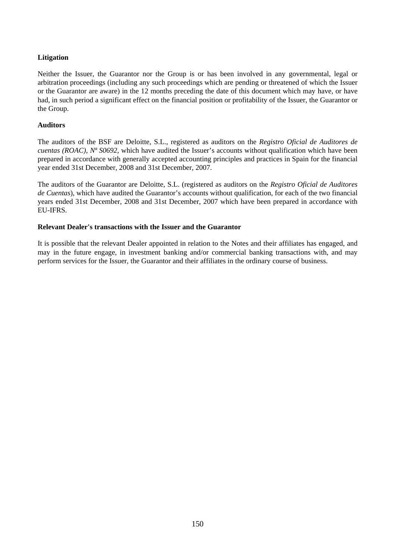# <span id="page-150-0"></span>**Litigation**

Neither the Issuer, the Guarantor nor the Group is or has been involved in any governmental, legal or arbitration proceedings (including any such proceedings which are pending or threatened of which the Issuer or the Guarantor are aware) in the 12 months preceding the date of this document which may have, or have had, in such period a significant effect on the financial position or profitability of the Issuer, the Guarantor or the Group.

# **Auditors**

The auditors of the BSF are Deloitte, S.L., registered as auditors on the *Registro Oficial de Auditores de cuentas (ROAC), Nª S0692,* which have audited the Issuer's accounts without qualification which have been prepared in accordance with generally accepted accounting principles and practices in Spain for the financial year ended 31st December, 2008 and 31st December, 2007.

The auditors of the Guarantor are Deloitte, S.L. (registered as auditors on the *Registro Oficial de Auditores de Cuentas*), which have audited the Guarantor's accounts without qualification, for each of the two financial years ended 31st December, 2008 and 31st December, 2007 which have been prepared in accordance with EU-IFRS.

# **Relevant Dealer's transactions with the Issuer and the Guarantor**

It is possible that the relevant Dealer appointed in relation to the Notes and their affiliates has engaged, and may in the future engage, in investment banking and/or commercial banking transactions with, and may perform services for the Issuer, the Guarantor and their affiliates in the ordinary course of business.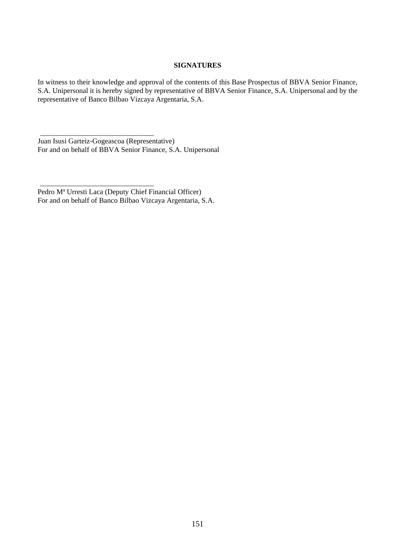# <span id="page-151-0"></span>**SIGNATURES**

In witness to their knowledge and approval of the contents of this Base Prospectus of BBVA Senior Finance, S.A. Unipersonal it is hereby signed by representative of BBVA Senior Finance, S.A. Unipersonal and by the representative of Banco Bilbao Vizcaya Argentaria, S.A.

Juan Isusi Garteiz-Gogeascoa (Representative) For and on behalf of BBVA Senior Finance, S.A. Unipersonal

\_\_\_\_\_\_\_\_\_\_\_\_\_\_\_\_\_\_\_\_\_\_\_\_\_\_\_\_\_\_\_

\_\_\_\_\_\_\_\_\_\_\_\_\_\_\_\_\_\_\_\_\_\_\_\_\_\_\_\_\_\_\_

Pedro Mª Urresti Laca (Deputy Chief Financial Officer) For and on behalf of Banco Bilbao Vizcaya Argentaria, S.A.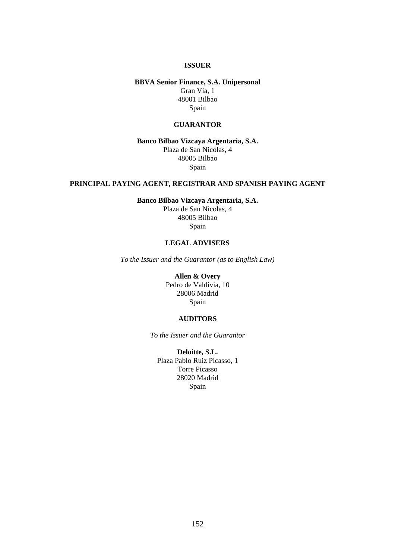### **ISSUER**

**BBVA Senior Finance, S.A. Unipersonal** Gran Vía, 1 48001 Bilbao Spain

### **GUARANTOR**

**Banco Bilbao Vizcaya Argentaria, S.A.** Plaza de San Nicolas, 4 48005 Bilbao Spain

### **PRINCIPAL PAYING AGENT, REGISTRAR AND SPANISH PAYING AGENT**

**Banco Bilbao Vizcaya Argentaria, S.A.** Plaza de San Nicolas, 4 48005 Bilbao Spain

# **LEGAL ADVISERS**

*To the Issuer and the Guarantor (as to English Law)*

**Allen & Overy** Pedro de Valdivia, 10 28006 Madrid Spain

# **AUDITORS**

*To the Issuer and the Guarantor*

**Deloitte, S.L.** Plaza Pablo Ruiz Picasso, 1 Torre Picasso 28020 Madrid Spain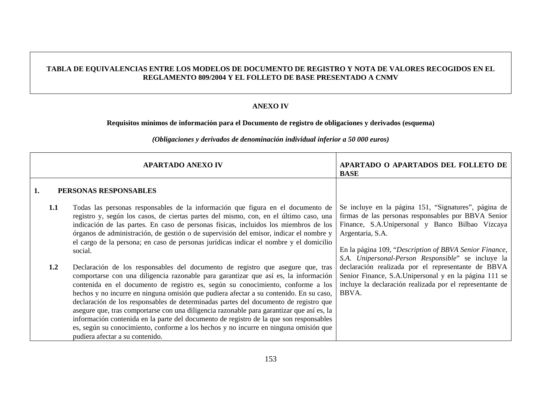# **TABLA DE EQUIVALENCIAS ENTRE LOS MODELOS DE DOCUMENTO DE REGISTRO Y NOTA DE VALORES RECOGIDOS EN EL REGLAMENTO 809/2004 Y EL FOLLETO DE BASE PRESENTADO A CNMV**

### **ANEXO IV**

# **Requisitos mínimos de información para el Documento de registro de obligaciones y derivados (esquema)**

|                       | <b>APARTADO ANEXO IV</b>                                                                                                                                                                                                                                                                                                                                                                                                                                                                                                                                                                                                                                                                                                                                      | APARTADO O APARTADOS DEL FOLLETO DE<br><b>BASE</b>                                                                                                                                                                                                                                                 |
|-----------------------|---------------------------------------------------------------------------------------------------------------------------------------------------------------------------------------------------------------------------------------------------------------------------------------------------------------------------------------------------------------------------------------------------------------------------------------------------------------------------------------------------------------------------------------------------------------------------------------------------------------------------------------------------------------------------------------------------------------------------------------------------------------|----------------------------------------------------------------------------------------------------------------------------------------------------------------------------------------------------------------------------------------------------------------------------------------------------|
| PERSONAS RESPONSABLES |                                                                                                                                                                                                                                                                                                                                                                                                                                                                                                                                                                                                                                                                                                                                                               |                                                                                                                                                                                                                                                                                                    |
| 1.1                   | Todas las personas responsables de la información que figura en el documento de<br>registro y, según los casos, de ciertas partes del mismo, con, en el último caso, una<br>indicación de las partes. En caso de personas físicas, incluidos los miembros de los<br>órganos de administración, de gestión o de supervisión del emisor, indicar el nombre y<br>el cargo de la persona; en caso de personas jurídicas indicar el nombre y el domicilio<br>social.                                                                                                                                                                                                                                                                                               | Se incluye en la página 151, "Signatures", página de<br>firmas de las personas responsables por BBVA Senior<br>Finance, S.A.Unipersonal y Banco Bilbao Vizcaya<br>Argentaria, S.A.<br>En la página 109, "Description of BBVA Senior Finance,<br>S.A. Unipersonal-Person Responsible" se incluye la |
| 1.2                   | Declaración de los responsables del documento de registro que asegure que, tras<br>comportarse con una diligencia razonable para garantizar que así es, la información<br>contenida en el documento de registro es, según su conocimiento, conforme a los<br>hechos y no incurre en ninguna omisión que pudiera afectar a su contenido. En su caso,<br>declaración de los responsables de determinadas partes del documento de registro que<br>asegure que, tras comportarse con una diligencia razonable para garantizar que así es, la<br>información contenida en la parte del documento de registro de la que son responsables<br>es, según su conocimiento, conforme a los hechos y no incurre en ninguna omisión que<br>pudiera afectar a su contenido. | declaración realizada por el representante de BBVA<br>Senior Finance, S.A.Unipersonal y en la página 111 se<br>incluye la declaración realizada por el representante de<br>BBVA.                                                                                                                   |

*(Obligaciones y derivados de denominación individual inferior a 50 000 euros)*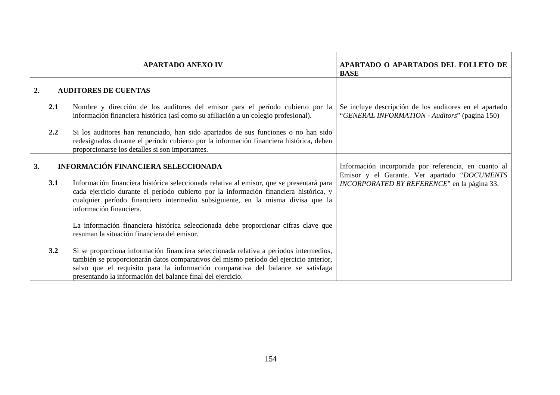|                  |                                     | <b>APARTADO ANEXO IV</b>                                                                                                                                                                                                                                                                                                           | APARTADO O APARTADOS DEL FOLLETO DE<br><b>BASE</b>                                                      |
|------------------|-------------------------------------|------------------------------------------------------------------------------------------------------------------------------------------------------------------------------------------------------------------------------------------------------------------------------------------------------------------------------------|---------------------------------------------------------------------------------------------------------|
| $\overline{2}$ . | <b>AUDITORES DE CUENTAS</b>         |                                                                                                                                                                                                                                                                                                                                    |                                                                                                         |
|                  | 2.1                                 | Nombre y dirección de los auditores del emisor para el período cubierto por la<br>información financiera histórica (así como su afiliación a un colegio profesional).                                                                                                                                                              | Se incluye descripción de los auditores en el apartado<br>"GENERAL INFORMATION - Auditors" (pagina 150) |
|                  | $2.2\phantom{0}$                    | Si los auditores han renunciado, han sido apartados de sus funciones o no han sido<br>redesignados durante el período cubierto por la información financiera histórica, deben<br>proporcionarse los detalles si son importantes.                                                                                                   |                                                                                                         |
| 3.               | INFORMACIÓN FINANCIERA SELECCIONADA |                                                                                                                                                                                                                                                                                                                                    | Información incorporada por referencia, en cuanto al<br>Emisor y el Garante. Ver apartado "DOCUMENTS    |
|                  | 3.1                                 | Información financiera histórica seleccionada relativa al emisor, que se presentará para<br>cada ejercicio durante el período cubierto por la información financiera histórica, y<br>cualquier período financiero intermedio subsiguiente, en la misma divisa que la<br>información financiera.                                    | <i>INCORPORATED BY REFERENCE</i> " en la página 33.                                                     |
|                  |                                     | La información financiera histórica seleccionada debe proporcionar cifras clave que<br>resuman la situación financiera del emisor.                                                                                                                                                                                                 |                                                                                                         |
|                  | 3.2                                 | Si se proporciona información financiera seleccionada relativa a períodos intermedios,<br>también se proporcionarán datos comparativos del mismo período del ejercicio anterior,<br>salvo que el requisito para la información comparativa del balance se satisfaga<br>presentando la información del balance final del ejercicio. |                                                                                                         |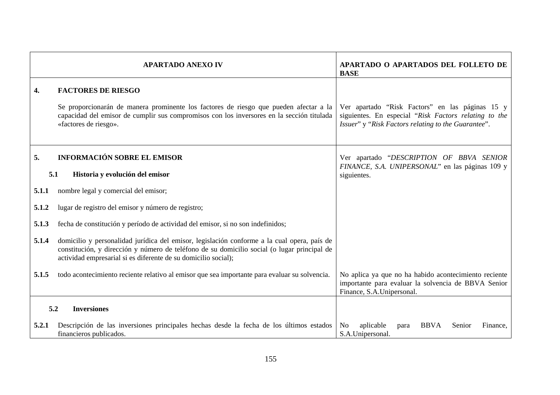|       | <b>APARTADO ANEXO IV</b>                                                                                                                                                                                                                                     | APARTADO O APARTADOS DEL FOLLETO DE<br><b>BASE</b>                                                                                                              |
|-------|--------------------------------------------------------------------------------------------------------------------------------------------------------------------------------------------------------------------------------------------------------------|-----------------------------------------------------------------------------------------------------------------------------------------------------------------|
| 4.    | <b>FACTORES DE RIESGO</b>                                                                                                                                                                                                                                    |                                                                                                                                                                 |
|       | Se proporcionarán de manera prominente los factores de riesgo que pueden afectar a la<br>capacidad del emisor de cumplir sus compromisos con los inversores en la sección titulada<br>«factores de riesgo».                                                  | Ver apartado "Risk Factors" en las páginas 15 y<br>siguientes. En especial "Risk Factors relating to the<br>Issuer" y "Risk Factors relating to the Guarantee". |
| 5.    | <b>INFORMACIÓN SOBRE EL EMISOR</b>                                                                                                                                                                                                                           | Ver apartado "DESCRIPTION OF BBVA SENIOR<br>FINANCE, S.A. UNIPERSONAL" en las páginas 109 y                                                                     |
| 5.1   | Historia y evolución del emisor                                                                                                                                                                                                                              | siguientes.                                                                                                                                                     |
| 5.1.1 | nombre legal y comercial del emisor;                                                                                                                                                                                                                         |                                                                                                                                                                 |
| 5.1.2 | lugar de registro del emisor y número de registro;                                                                                                                                                                                                           |                                                                                                                                                                 |
| 5.1.3 | fecha de constitución y período de actividad del emisor, si no son indefinidos;                                                                                                                                                                              |                                                                                                                                                                 |
| 5.1.4 | domicilio y personalidad jurídica del emisor, legislación conforme a la cual opera, país de<br>constitución, y dirección y número de teléfono de su domicilio social (o lugar principal de<br>actividad empresarial si es diferente de su domicilio social); |                                                                                                                                                                 |
| 5.1.5 | todo acontecimiento reciente relativo al emisor que sea importante para evaluar su solvencia.                                                                                                                                                                | No aplica ya que no ha habido acontecimiento reciente<br>importante para evaluar la solvencia de BBVA Senior<br>Finance, S.A.Unipersonal.                       |
| 5.2   | <b>Inversiones</b>                                                                                                                                                                                                                                           |                                                                                                                                                                 |
| 5.2.1 | Descripción de las inversiones principales hechas desde la fecha de los últimos estados<br>financieros publicados.                                                                                                                                           | aplicable<br><b>BBVA</b><br>No<br>Senior<br>Finance,<br>para<br>S.A.Unipersonal.                                                                                |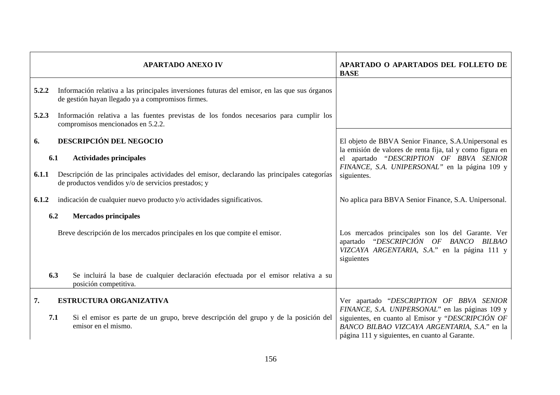|       | <b>APARTADO ANEXO IV</b>                                                                                                                            | APARTADO O APARTADOS DEL FOLLETO DE<br><b>BASE</b>                                                                                                                                                                                                 |
|-------|-----------------------------------------------------------------------------------------------------------------------------------------------------|----------------------------------------------------------------------------------------------------------------------------------------------------------------------------------------------------------------------------------------------------|
| 5.2.2 | Información relativa a las principales inversiones futuras del emisor, en las que sus órganos<br>de gestión hayan llegado ya a compromisos firmes.  |                                                                                                                                                                                                                                                    |
| 5.2.3 | Información relativa a las fuentes previstas de los fondos necesarios para cumplir los<br>compromisos mencionados en 5.2.2.                         |                                                                                                                                                                                                                                                    |
| 6.    | DESCRIPCIÓN DEL NEGOCIO                                                                                                                             | El objeto de BBVA Senior Finance, S.A.Unipersonal es                                                                                                                                                                                               |
| 6.1   | <b>Actividades principales</b>                                                                                                                      | la emisión de valores de renta fija, tal y como figura en<br>el apartado "DESCRIPTION OF BBVA SENIOR                                                                                                                                               |
| 6.1.1 | Descripción de las principales actividades del emisor, declarando las principales categorías<br>de productos vendidos y/o de servicios prestados; y | FINANCE, S.A. UNIPERSONAL" en la página 109 y<br>siguientes.                                                                                                                                                                                       |
| 6.1.2 | indicación de cualquier nuevo producto y/o actividades significativos.                                                                              | No aplica para BBVA Senior Finance, S.A. Unipersonal.                                                                                                                                                                                              |
|       | 6.2<br><b>Mercados principales</b>                                                                                                                  |                                                                                                                                                                                                                                                    |
|       | Breve descripción de los mercados principales en los que compite el emisor.                                                                         | Los mercados principales son los del Garante. Ver<br>apartado "DESCRIPCIÓN OF BANCO BILBAO<br>VIZCAYA ARGENTARIA, S.A." en la página 111 y<br>siguientes                                                                                           |
|       | 6.3<br>Se incluirá la base de cualquier declaración efectuada por el emisor relativa a su<br>posición competitiva.                                  |                                                                                                                                                                                                                                                    |
| 7.    | ESTRUCTURA ORGANIZATIVA<br>7.1<br>Si el emisor es parte de un grupo, breve descripción del grupo y de la posición del<br>emisor en el mismo.        | Ver apartado "DESCRIPTION OF BBVA SENIOR<br>FINANCE, S.A. UNIPERSONAL" en las páginas 109 y<br>siguientes, en cuanto al Emisor y "DESCRIPCIÓN OF<br>BANCO BILBAO VIZCAYA ARGENTARIA, S.A." en la<br>página 111 y siguientes, en cuanto al Garante. |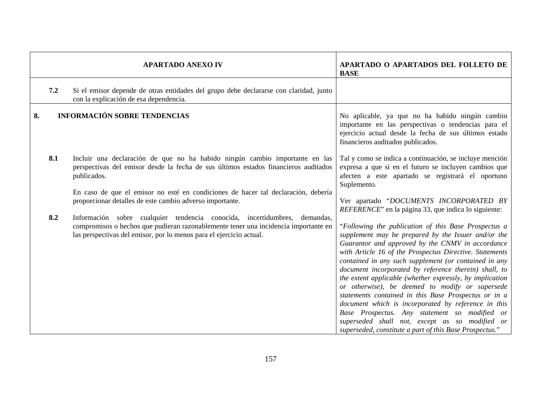|    |            | <b>APARTADO ANEXO IV</b>                                                                                                                                                                                                                                                                                                                                                                                           | APARTADO O APARTADOS DEL FOLLETO DE<br><b>BASE</b>                                                                                                                                                                                                                                                                                                                                                                                                                                                                                                                                                                                                                                                                                       |
|----|------------|--------------------------------------------------------------------------------------------------------------------------------------------------------------------------------------------------------------------------------------------------------------------------------------------------------------------------------------------------------------------------------------------------------------------|------------------------------------------------------------------------------------------------------------------------------------------------------------------------------------------------------------------------------------------------------------------------------------------------------------------------------------------------------------------------------------------------------------------------------------------------------------------------------------------------------------------------------------------------------------------------------------------------------------------------------------------------------------------------------------------------------------------------------------------|
|    | 7.2        | Si el emisor depende de otras entidades del grupo debe declararse con claridad, junto<br>con la explicación de esa dependencia.                                                                                                                                                                                                                                                                                    |                                                                                                                                                                                                                                                                                                                                                                                                                                                                                                                                                                                                                                                                                                                                          |
| 8. |            | <b>INFORMACIÓN SOBRE TENDENCIAS</b>                                                                                                                                                                                                                                                                                                                                                                                | No aplicable, ya que no ha habido ningún cambio<br>importante en las perspectivas o tendencias para el<br>ejercicio actual desde la fecha de sus últimos estado<br>financieros auditados publicados.                                                                                                                                                                                                                                                                                                                                                                                                                                                                                                                                     |
|    | 8.1<br>8.2 | Incluir una declaración de que no ha habido ningún cambio importante en las<br>perspectivas del emisor desde la fecha de sus últimos estados financieros auditados<br>publicados.<br>En caso de que el emisor no esté en condiciones de hacer tal declaración, debería<br>proporcionar detalles de este cambio adverso importante.<br>Información sobre cualquier tendencia conocida, incertidumbres,<br>demandas, | Tal y como se indica a continuación, se incluye mención<br>expresa a que si en el futuro se incluyen cambios que<br>afecten a este apartado se registrará el oportuno<br>Suplemento.<br>Ver apartado "DOCUMENTS INCORPORATED BY<br><i>REFERENCE</i> " en la página 33, que indica lo siguiente:                                                                                                                                                                                                                                                                                                                                                                                                                                          |
|    |            | compromisos o hechos que pudieran razonablemente tener una incidencia importante en<br>las perspectivas del emisor, por lo menos para el ejercicio actual.                                                                                                                                                                                                                                                         | "Following the publication of this Base Prospectus a<br>supplement may be prepared by the Issuer and/or the<br>Guarantor and approved by the CNMV in accordance<br>with Article 16 of the Prospectus Directive. Statements<br>contained in any such supplement (or contained in any<br>document incorporated by reference therein) shall, to<br>the extent applicable (whether expressly, by implication<br>or otherwise), be deemed to modify or supersede<br>statements contained in this Base Prospectus or in a<br>document which is incorporated by reference in this<br>Base Prospectus. Any statement so modified or<br>superseded shall not, except as so modified or<br>superseded, constitute a part of this Base Prospectus." |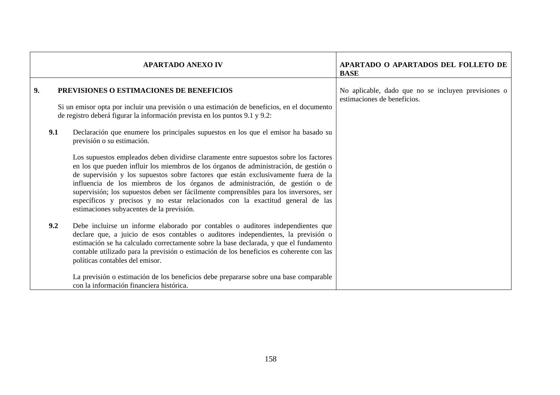|    |                                          | <b>APARTADO ANEXO IV</b>                                                                                                                                                                                                                                                                                                                                                                                                                                                                                                                                                      | APARTADO O APARTADOS DEL FOLLETO DE<br><b>BASE</b>                                 |
|----|------------------------------------------|-------------------------------------------------------------------------------------------------------------------------------------------------------------------------------------------------------------------------------------------------------------------------------------------------------------------------------------------------------------------------------------------------------------------------------------------------------------------------------------------------------------------------------------------------------------------------------|------------------------------------------------------------------------------------|
| 9. | PREVISIONES O ESTIMACIONES DE BENEFICIOS |                                                                                                                                                                                                                                                                                                                                                                                                                                                                                                                                                                               | No aplicable, dado que no se incluyen previsiones o<br>estimaciones de beneficios. |
|    |                                          | Si un emisor opta por incluir una previsión o una estimación de beneficios, en el documento<br>de registro deberá figurar la información prevista en los puntos 9.1 y 9.2:                                                                                                                                                                                                                                                                                                                                                                                                    |                                                                                    |
|    | 9.1                                      | Declaración que enumere los principales supuestos en los que el emisor ha basado su<br>previsión o su estimación.                                                                                                                                                                                                                                                                                                                                                                                                                                                             |                                                                                    |
|    |                                          | Los supuestos empleados deben dividirse claramente entre supuestos sobre los factores<br>en los que pueden influir los miembros de los órganos de administración, de gestión o<br>de supervisión y los supuestos sobre factores que están exclusivamente fuera de la<br>influencia de los miembros de los órganos de administración, de gestión o de<br>supervisión; los supuestos deben ser fácilmente comprensibles para los inversores, ser<br>específicos y precisos y no estar relacionados con la exactitud general de las<br>estimaciones subyacentes de la previsión. |                                                                                    |
|    | 9.2                                      | Debe incluirse un informe elaborado por contables o auditores independientes que<br>declare que, a juicio de esos contables o auditores independientes, la previsión o<br>estimación se ha calculado correctamente sobre la base declarada, y que el fundamento<br>contable utilizado para la previsión o estimación de los beneficios es coherente con las<br>políticas contables del emisor.                                                                                                                                                                                |                                                                                    |
|    |                                          | La previsión o estimación de los beneficios debe prepararse sobre una base comparable<br>con la información financiera histórica.                                                                                                                                                                                                                                                                                                                                                                                                                                             |                                                                                    |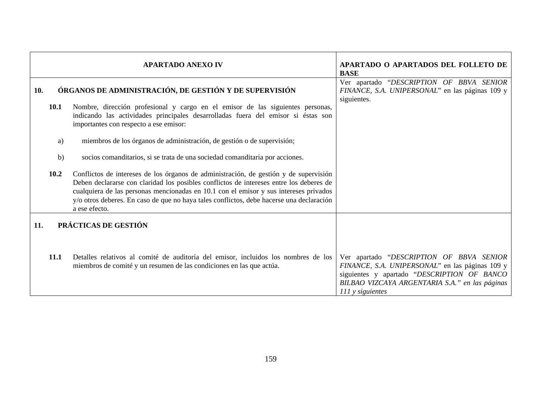|                             | <b>APARTADO ANEXO IV</b>                               |                                                                                                                                                                                                                                                                                                                                                                                        | APARTADO O APARTADOS DEL FOLLETO DE<br><b>BASE</b>                                                                                                                                                               |
|-----------------------------|--------------------------------------------------------|----------------------------------------------------------------------------------------------------------------------------------------------------------------------------------------------------------------------------------------------------------------------------------------------------------------------------------------------------------------------------------------|------------------------------------------------------------------------------------------------------------------------------------------------------------------------------------------------------------------|
| 10.                         | ÓRGANOS DE ADMINISTRACIÓN, DE GESTIÓN Y DE SUPERVISIÓN |                                                                                                                                                                                                                                                                                                                                                                                        | Ver apartado "DESCRIPTION OF BBVA SENIOR<br>FINANCE, S.A. UNIPERSONAL" en las páginas 109 y<br>siguientes.                                                                                                       |
|                             | 10.1                                                   | Nombre, dirección profesional y cargo en el emisor de las siguientes personas,<br>indicando las actividades principales desarrolladas fuera del emisor si éstas son<br>importantes con respecto a ese emisor:                                                                                                                                                                          |                                                                                                                                                                                                                  |
|                             | a)                                                     | miembros de los órganos de administración, de gestión o de supervisión;                                                                                                                                                                                                                                                                                                                |                                                                                                                                                                                                                  |
|                             | b)                                                     | socios comanditarios, si se trata de una sociedad comanditaria por acciones.                                                                                                                                                                                                                                                                                                           |                                                                                                                                                                                                                  |
|                             | 10.2                                                   | Conflictos de intereses de los órganos de administración, de gestión y de supervisión<br>Deben declararse con claridad los posibles conflictos de intereses entre los deberes de<br>cualquiera de las personas mencionadas en 10.1 con el emisor y sus intereses privados<br>y/o otros deberes. En caso de que no haya tales conflictos, debe hacerse una declaración<br>a ese efecto. |                                                                                                                                                                                                                  |
| PRÁCTICAS DE GESTIÓN<br>11. |                                                        |                                                                                                                                                                                                                                                                                                                                                                                        |                                                                                                                                                                                                                  |
|                             | 11.1                                                   | Detalles relativos al comité de auditoría del emisor, incluidos los nombres de los<br>miembros de comité y un resumen de las condiciones en las que actúa.                                                                                                                                                                                                                             | Ver apartado "DESCRIPTION OF BBVA SENIOR<br>FINANCE, S.A. UNIPERSONAL" en las páginas 109 y<br>siguientes y apartado "DESCRIPTION OF BANCO<br>BILBAO VIZCAYA ARGENTARIA S.A." en las páginas<br>111 y siguientes |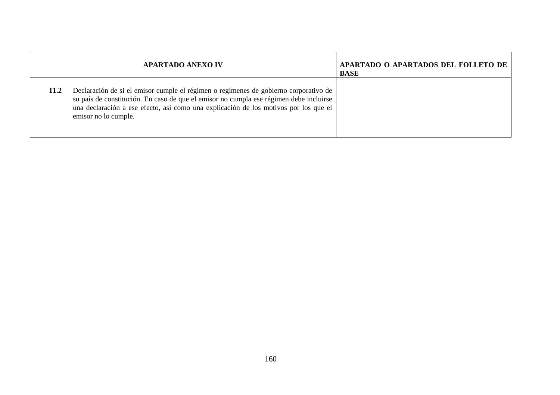|      | <b>APARTADO ANEXO IV</b>                                                                                                                                                                                                                                                                       | APARTADO O APARTADOS DEL FOLLETO DE<br><b>BASE</b> |
|------|------------------------------------------------------------------------------------------------------------------------------------------------------------------------------------------------------------------------------------------------------------------------------------------------|----------------------------------------------------|
| 11.2 | Declaración de si el emisor cumple el régimen o regímenes de gobierno corporativo de<br>su país de constitución. En caso de que el emisor no cumpla ese régimen debe incluirse<br>una declaración a ese efecto, así como una explicación de los motivos por los que el<br>emisor no lo cumple. |                                                    |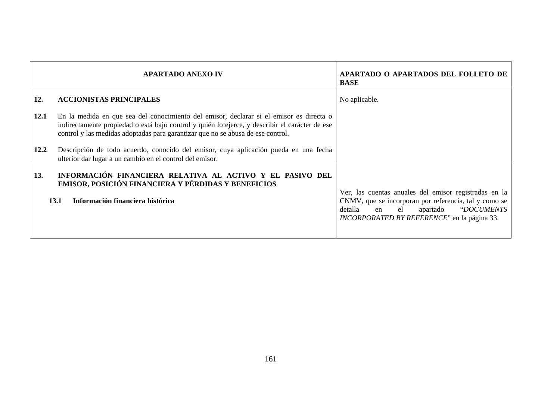|                     | <b>APARTADO ANEXO IV</b>                                                                                                                                                                                                                                                                                                                                                                               | APARTADO O APARTADOS DEL FOLLETO DE<br><b>BASE</b>                                                                                                                                                                            |
|---------------------|--------------------------------------------------------------------------------------------------------------------------------------------------------------------------------------------------------------------------------------------------------------------------------------------------------------------------------------------------------------------------------------------------------|-------------------------------------------------------------------------------------------------------------------------------------------------------------------------------------------------------------------------------|
| 12.<br>12.1<br>12.2 | <b>ACCIONISTAS PRINCIPALES</b><br>En la medida en que sea del conocimiento del emisor, declarar si el emisor es directa o<br>indirectamente propiedad o está bajo control y quién lo ejerce, y describir el carácter de ese<br>control y las medidas adoptadas para garantizar que no se abusa de ese control.<br>Descripción de todo acuerdo, conocido del emisor, cuya aplicación pueda en una fecha | No aplicable.                                                                                                                                                                                                                 |
| 13.                 | ulterior dar lugar a un cambio en el control del emisor.<br>INFORMACIÓN FINANCIERA RELATIVA AL ACTIVO Y EL PASIVO DEL<br>EMISOR, POSICIÓN FINANCIERA Y PÉRDIDAS Y BENEFICIOS<br>Información financiera histórica<br>13.1                                                                                                                                                                               | Ver, las cuentas anuales del emisor registradas en la<br>CNMV, que se incorporan por referencia, tal y como se<br>detalla<br><i>"DOCUMENTS</i><br>apartado<br>el<br>en<br><i>INCORPORATED BY REFERENCE</i> " en la página 33. |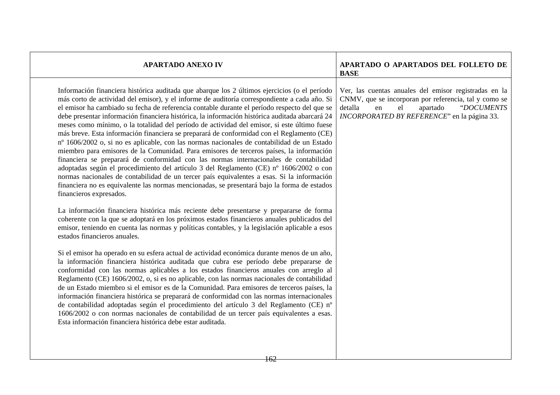| <b>APARTADO ANEXO IV</b>                                                                                                                                                                                                                                                                                                                                                                                                                                                                                                                                                                                                                                                                                                                                                                                                                                                                                                                                                                                                                                                                                                                                                                                                                                                                  | APARTADO O APARTADOS DEL FOLLETO DE<br><b>BASE</b>                                                                                                                                                             |
|-------------------------------------------------------------------------------------------------------------------------------------------------------------------------------------------------------------------------------------------------------------------------------------------------------------------------------------------------------------------------------------------------------------------------------------------------------------------------------------------------------------------------------------------------------------------------------------------------------------------------------------------------------------------------------------------------------------------------------------------------------------------------------------------------------------------------------------------------------------------------------------------------------------------------------------------------------------------------------------------------------------------------------------------------------------------------------------------------------------------------------------------------------------------------------------------------------------------------------------------------------------------------------------------|----------------------------------------------------------------------------------------------------------------------------------------------------------------------------------------------------------------|
| Información financiera histórica auditada que abarque los 2 últimos ejercicios (o el período<br>más corto de actividad del emisor), y el informe de auditoría correspondiente a cada año. Si<br>el emisor ha cambiado su fecha de referencia contable durante el período respecto del que se<br>debe presentar información financiera histórica, la información histórica auditada abarcará 24<br>meses como mínimo, o la totalidad del período de actividad del emisor, si este último fuese<br>más breve. Esta información financiera se preparará de conformidad con el Reglamento (CE)<br>nº 1606/2002 o, si no es aplicable, con las normas nacionales de contabilidad de un Estado<br>miembro para emisores de la Comunidad. Para emisores de terceros países, la información<br>financiera se preparará de conformidad con las normas internacionales de contabilidad<br>adoptadas según el procedimiento del artículo 3 del Reglamento (CE) nº 1606/2002 o con<br>normas nacionales de contabilidad de un tercer país equivalentes a esas. Si la información<br>financiera no es equivalente las normas mencionadas, se presentará bajo la forma de estados<br>financieros expresados.<br>La información financiera histórica más reciente debe presentarse y prepararse de forma | Ver, las cuentas anuales del emisor registradas en la<br>CNMV, que se incorporan por referencia, tal y como se<br>apartado<br>"DOCUMENTS<br>detalla<br>en<br>el<br>INCORPORATED BY REFERENCE" en la página 33. |
| coherente con la que se adoptará en los próximos estados financieros anuales publicados del<br>emisor, teniendo en cuenta las normas y políticas contables, y la legislación aplicable a esos<br>estados financieros anuales.                                                                                                                                                                                                                                                                                                                                                                                                                                                                                                                                                                                                                                                                                                                                                                                                                                                                                                                                                                                                                                                             |                                                                                                                                                                                                                |
| Si el emisor ha operado en su esfera actual de actividad económica durante menos de un año,<br>la información financiera histórica auditada que cubra ese período debe prepararse de<br>conformidad con las normas aplicables a los estados financieros anuales con arreglo al<br>Reglamento (CE) 1606/2002, o, si es no aplicable, con las normas nacionales de contabilidad<br>de un Estado miembro si el emisor es de la Comunidad. Para emisores de terceros países, la<br>información financiera histórica se preparará de conformidad con las normas internacionales<br>de contabilidad adoptadas según el procedimiento del artículo 3 del Reglamento (CE) nº<br>1606/2002 o con normas nacionales de contabilidad de un tercer país equivalentes a esas.<br>Esta información financiera histórica debe estar auditada.                                                                                                                                                                                                                                                                                                                                                                                                                                                            |                                                                                                                                                                                                                |
| 162                                                                                                                                                                                                                                                                                                                                                                                                                                                                                                                                                                                                                                                                                                                                                                                                                                                                                                                                                                                                                                                                                                                                                                                                                                                                                       |                                                                                                                                                                                                                |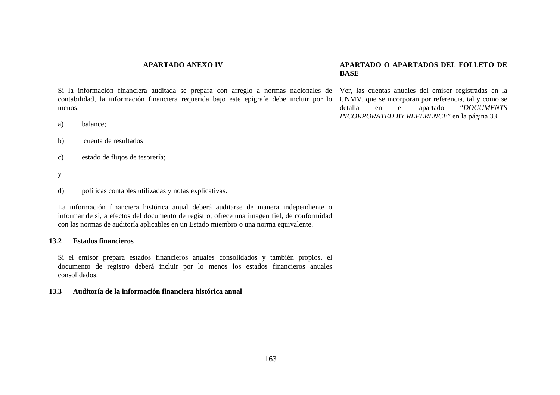| <b>APARTADO ANEXO IV</b>                                                                                                                                                                                                                                                    | APARTADO O APARTADOS DEL FOLLETO DE<br><b>BASE</b>                                                                                                                                                             |
|-----------------------------------------------------------------------------------------------------------------------------------------------------------------------------------------------------------------------------------------------------------------------------|----------------------------------------------------------------------------------------------------------------------------------------------------------------------------------------------------------------|
| Si la información financiera auditada se prepara con arreglo a normas nacionales de<br>contabilidad, la información financiera requerida bajo este epígrafe debe incluir por lo<br>menos:<br>balance;<br>a)                                                                 | Ver, las cuentas anuales del emisor registradas en la<br>CNMV, que se incorporan por referencia, tal y como se<br>detalla<br>"DOCUMENTS<br>apartado<br>el<br>en<br>INCORPORATED BY REFERENCE" en la página 33. |
| b)<br>cuenta de resultados                                                                                                                                                                                                                                                  |                                                                                                                                                                                                                |
| estado de flujos de tesorería;<br>$\mathbf{c})$                                                                                                                                                                                                                             |                                                                                                                                                                                                                |
| $\mathbf y$                                                                                                                                                                                                                                                                 |                                                                                                                                                                                                                |
| políticas contables utilizadas y notas explicativas.<br>$\rm d$                                                                                                                                                                                                             |                                                                                                                                                                                                                |
| La información financiera histórica anual deberá auditarse de manera independiente o<br>informar de si, a efectos del documento de registro, ofrece una imagen fiel, de conformidad<br>con las normas de auditoría aplicables en un Estado miembro o una norma equivalente. |                                                                                                                                                                                                                |
| <b>Estados financieros</b><br>13.2                                                                                                                                                                                                                                          |                                                                                                                                                                                                                |
| Si el emisor prepara estados financieros anuales consolidados y también propios, el<br>documento de registro deberá incluir por lo menos los estados financieros anuales<br>consolidados.                                                                                   |                                                                                                                                                                                                                |
| Auditoría de la información financiera histórica anual<br><b>13.3</b>                                                                                                                                                                                                       |                                                                                                                                                                                                                |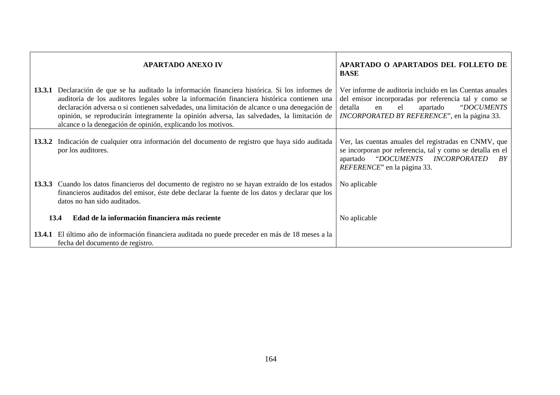|        | <b>APARTADO ANEXO IV</b>                                                                                                                                                                                                                                                                                                                                                                                                                                    | APARTADO O APARTADOS DEL FOLLETO DE<br><b>BASE</b>                                                                                                                                                                      |
|--------|-------------------------------------------------------------------------------------------------------------------------------------------------------------------------------------------------------------------------------------------------------------------------------------------------------------------------------------------------------------------------------------------------------------------------------------------------------------|-------------------------------------------------------------------------------------------------------------------------------------------------------------------------------------------------------------------------|
|        | 13.3.1 Declaración de que se ha auditado la información financiera histórica. Si los informes de<br>auditoría de los auditores legales sobre la información financiera histórica contienen una<br>declaración adversa o si contienen salvedades, una limitación de alcance o una denegación de<br>opinión, se reproducirán íntegramente la opinión adversa, las salvedades, la limitación de<br>alcance o la denegación de opinión, explicando los motivos. | Ver informe de auditoria incluido en las Cuentas anuales<br>del emisor incorporadas por referencia tal y como se<br>detalla<br>"DOCUMENTS<br>el<br>apartado<br>en<br>INCORPORATED BY REFERENCE", en la página 33.       |
|        | 13.3.2 Indicación de cualquier otra información del documento de registro que haya sido auditada<br>por los auditores.                                                                                                                                                                                                                                                                                                                                      | Ver, las cuentas anuales del registradas en CNMV, que<br>se incorporan por referencia, tal y como se detalla en el<br><i>"DOCUMENTS</i><br>apartado<br><i>INCORPORATED</i><br>BY<br><i>REFERENCE</i> " en la página 33. |
| 13.3.3 | Cuando los datos financieros del documento de registro no se hayan extraído de los estados<br>financieros auditados del emisor, éste debe declarar la fuente de los datos y declarar que los<br>datos no han sido auditados.                                                                                                                                                                                                                                | No aplicable                                                                                                                                                                                                            |
|        | Edad de la información financiera más reciente<br>13.4                                                                                                                                                                                                                                                                                                                                                                                                      | No aplicable                                                                                                                                                                                                            |
|        | 13.4.1 El último año de información financiera auditada no puede preceder en más de 18 meses a la<br>fecha del documento de registro.                                                                                                                                                                                                                                                                                                                       |                                                                                                                                                                                                                         |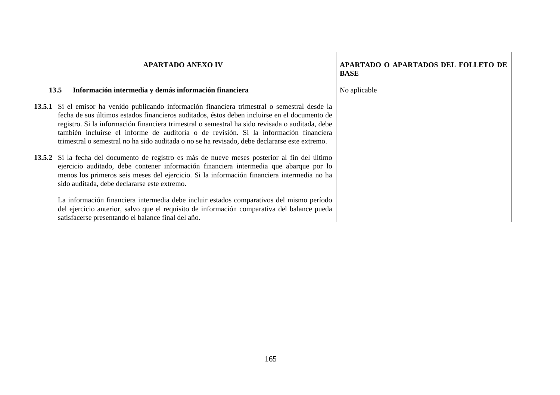| <b>APARTADO ANEXO IV</b> |                                                                                                                                                                                                                                                                                                                                                                                                                                                                                              | APARTADO O APARTADOS DEL FOLLETO DE<br><b>BASE</b> |
|--------------------------|----------------------------------------------------------------------------------------------------------------------------------------------------------------------------------------------------------------------------------------------------------------------------------------------------------------------------------------------------------------------------------------------------------------------------------------------------------------------------------------------|----------------------------------------------------|
|                          | 13.5<br>Información intermedia y demás información financiera                                                                                                                                                                                                                                                                                                                                                                                                                                | No aplicable                                       |
|                          | 13.5.1 Si el emisor ha venido publicando información financiera trimestral o semestral desde la<br>fecha de sus últimos estados financieros auditados, éstos deben incluirse en el documento de<br>registro. Si la información financiera trimestral o semestral ha sido revisada o auditada, debe<br>también incluirse el informe de auditoría o de revisión. Si la información financiera<br>trimestral o semestral no ha sido auditada o no se ha revisado, debe declararse este extremo. |                                                    |
|                          | 13.5.2 Si la fecha del documento de registro es más de nueve meses posterior al fin del último<br>ejercicio auditado, debe contener información financiera intermedia que abarque por lo<br>menos los primeros seis meses del ejercicio. Si la información financiera intermedia no ha<br>sido auditada, debe declararse este extremo.                                                                                                                                                       |                                                    |
|                          | La información financiera intermedia debe incluir estados comparativos del mismo período<br>del ejercicio anterior, salvo que el requisito de información comparativa del balance pueda<br>satisfacerse presentando el balance final del año.                                                                                                                                                                                                                                                |                                                    |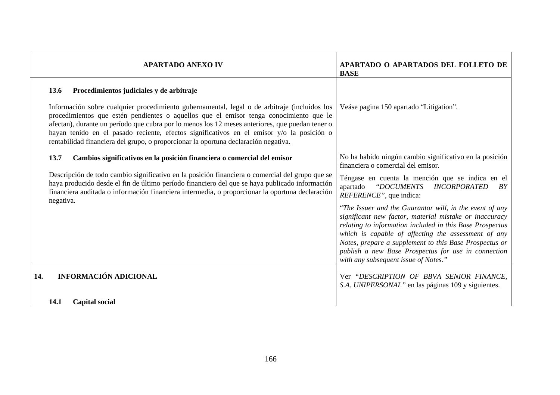| <b>APARTADO ANEXO IV</b>                                                                                                                                                                                                                                                                                                                                                                                                                                                      | APARTADO O APARTADOS DEL FOLLETO DE<br><b>BASE</b>                                                                                                                                                                                                                                                                                                                                            |
|-------------------------------------------------------------------------------------------------------------------------------------------------------------------------------------------------------------------------------------------------------------------------------------------------------------------------------------------------------------------------------------------------------------------------------------------------------------------------------|-----------------------------------------------------------------------------------------------------------------------------------------------------------------------------------------------------------------------------------------------------------------------------------------------------------------------------------------------------------------------------------------------|
| 13.6<br>Procedimientos judiciales y de arbitraje                                                                                                                                                                                                                                                                                                                                                                                                                              |                                                                                                                                                                                                                                                                                                                                                                                               |
| Información sobre cualquier procedimiento gubernamental, legal o de arbitraje (incluidos los<br>procedimientos que estén pendientes o aquellos que el emisor tenga conocimiento que le<br>afectan), durante un período que cubra por lo menos los 12 meses anteriores, que puedan tener o<br>hayan tenido en el pasado reciente, efectos significativos en el emisor y/o la posición o<br>rentabilidad financiera del grupo, o proporcionar la oportuna declaración negativa. | Veáse pagina 150 apartado "Litigation".                                                                                                                                                                                                                                                                                                                                                       |
| 13.7<br>Cambios significativos en la posición financiera o comercial del emisor                                                                                                                                                                                                                                                                                                                                                                                               | No ha habido ningún cambio significativo en la posición<br>financiera o comercial del emisor.                                                                                                                                                                                                                                                                                                 |
| Descripción de todo cambio significativo en la posición financiera o comercial del grupo que se<br>haya producido desde el fin de último período financiero del que se haya publicado información<br>financiera auditada o información financiera intermedia, o proporcionar la oportuna declaración<br>negativa.                                                                                                                                                             | Téngase en cuenta la mención que se indica en el<br>"DOCUMENTS<br><b>INCORPORATED</b><br>apartado<br>BY<br>REFERENCE", que indica:                                                                                                                                                                                                                                                            |
|                                                                                                                                                                                                                                                                                                                                                                                                                                                                               | "The Issuer and the Guarantor will, in the event of any<br>significant new factor, material mistake or inaccuracy<br>relating to information included in this Base Prospectus<br>which is capable of affecting the assessment of any<br>Notes, prepare a supplement to this Base Prospectus or<br>publish a new Base Prospectus for use in connection<br>with any subsequent issue of Notes." |
| <b>INFORMACIÓN ADICIONAL</b><br>14.                                                                                                                                                                                                                                                                                                                                                                                                                                           | Ver "DESCRIPTION OF BBVA SENIOR FINANCE,<br>S.A. UNIPERSONAL" en las páginas 109 y siguientes.                                                                                                                                                                                                                                                                                                |
| 14.1<br><b>Capital social</b>                                                                                                                                                                                                                                                                                                                                                                                                                                                 |                                                                                                                                                                                                                                                                                                                                                                                               |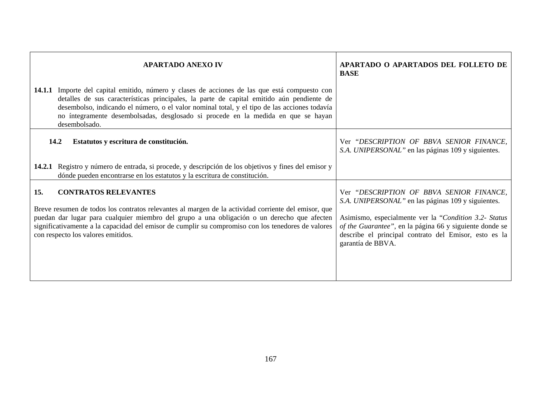| <b>APARTADO ANEXO IV</b>                                                                                                                                                                                                                                                                                                                                                                         | APARTADO O APARTADOS DEL FOLLETO DE<br><b>BASE</b>                                                                                                                                                                                                                                               |
|--------------------------------------------------------------------------------------------------------------------------------------------------------------------------------------------------------------------------------------------------------------------------------------------------------------------------------------------------------------------------------------------------|--------------------------------------------------------------------------------------------------------------------------------------------------------------------------------------------------------------------------------------------------------------------------------------------------|
| 14.1.1 Importe del capital emitido, número y clases de acciones de las que está compuesto con<br>detalles de sus características principales, la parte de capital emitido aún pendiente de<br>desembolso, indicando el número, o el valor nominal total, y el tipo de las acciones todavía<br>no íntegramente desembolsadas, desglosado si procede en la medida en que se hayan<br>desembolsado. |                                                                                                                                                                                                                                                                                                  |
| 14.2<br>Estatutos y escritura de constitución.                                                                                                                                                                                                                                                                                                                                                   | Ver "DESCRIPTION OF BBVA SENIOR FINANCE,<br>S.A. UNIPERSONAL" en las páginas 109 y siguientes.                                                                                                                                                                                                   |
| 14.2.1 Registro y número de entrada, si procede, y descripción de los objetivos y fines del emisor y<br>dónde pueden encontrarse en los estatutos y la escritura de constitución.                                                                                                                                                                                                                |                                                                                                                                                                                                                                                                                                  |
| <b>CONTRATOS RELEVANTES</b><br>15.<br>Breve resumen de todos los contratos relevantes al margen de la actividad corriente del emisor, que<br>puedan dar lugar para cualquier miembro del grupo a una obligación o un derecho que afecten<br>significativamente a la capacidad del emisor de cumplir su compromiso con los tenedores de valores<br>con respecto los valores emitidos.             | Ver "DESCRIPTION OF BBVA SENIOR FINANCE,<br>S.A. UNIPERSONAL" en las páginas 109 y siguientes.<br>Asimismo, especialmente ver la "Condition 3.2- Status<br>of the Guarantee", en la página 66 y siguiente donde se<br>describe el principal contrato del Emisor, esto es la<br>garantía de BBVA. |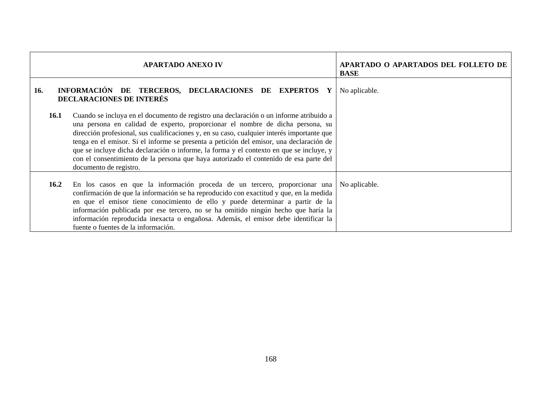| <b>APARTADO ANEXO IV</b> |                                                                                                                                                                                                                                                                                                                                                                                                                                                                                                                                                                                 | APARTADO O APARTADOS DEL FOLLETO DE<br><b>BASE</b> |
|--------------------------|---------------------------------------------------------------------------------------------------------------------------------------------------------------------------------------------------------------------------------------------------------------------------------------------------------------------------------------------------------------------------------------------------------------------------------------------------------------------------------------------------------------------------------------------------------------------------------|----------------------------------------------------|
| 16.                      | INFORMACIÓN DE TERCEROS, DECLARACIONES DE EXPERTOS<br>Y.<br><b>DECLARACIONES DE INTERÉS</b>                                                                                                                                                                                                                                                                                                                                                                                                                                                                                     | No aplicable.                                      |
| <b>16.1</b>              | Cuando se incluya en el documento de registro una declaración o un informe atribuido a<br>una persona en calidad de experto, proporcionar el nombre de dicha persona, su<br>dirección profesional, sus cualificaciones y, en su caso, cualquier interés importante que<br>tenga en el emisor. Si el informe se presenta a petición del emisor, una declaración de<br>que se incluye dicha declaración o informe, la forma y el contexto en que se incluye, y<br>con el consentimiento de la persona que haya autorizado el contenido de esa parte del<br>documento de registro. |                                                    |
| 16.2                     | En los casos en que la información proceda de un tercero, proporcionar una No aplicable.<br>confirmación de que la información se ha reproducido con exactitud y que, en la medida<br>en que el emisor tiene conocimiento de ello y puede determinar a partir de la<br>información publicada por ese tercero, no se ha omitido ningún hecho que haría la<br>información reproducida inexacta o engañosa. Además, el emisor debe identificar la<br>fuente o fuentes de la información.                                                                                           |                                                    |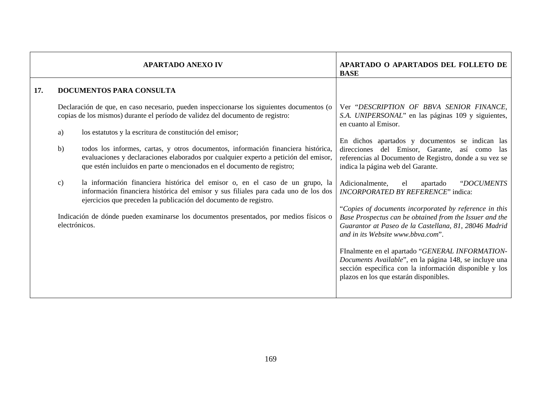|     | <b>APARTADO ANEXO IV</b> |                                                                                                                                                                                                                                                      | APARTADO O APARTADOS DEL FOLLETO DE<br><b>BASE</b>                                                                                                                                                                                                                 |
|-----|--------------------------|------------------------------------------------------------------------------------------------------------------------------------------------------------------------------------------------------------------------------------------------------|--------------------------------------------------------------------------------------------------------------------------------------------------------------------------------------------------------------------------------------------------------------------|
| 17. |                          | DOCUMENTOS PARA CONSULTA                                                                                                                                                                                                                             |                                                                                                                                                                                                                                                                    |
|     |                          | Declaración de que, en caso necesario, pueden inspeccionarse los siguientes documentos (o<br>copias de los mismos) durante el período de validez del documento de registro:                                                                          | Ver "DESCRIPTION OF BBVA SENIOR FINANCE,<br>S.A. UNIPERSONAL" en las páginas 109 y siguientes,<br>en cuanto al Emisor.                                                                                                                                             |
|     | a)                       | los estatutos y la escritura de constitución del emisor;                                                                                                                                                                                             |                                                                                                                                                                                                                                                                    |
|     | b)                       | todos los informes, cartas, y otros documentos, información financiera histórica,<br>evaluaciones y declaraciones elaborados por cualquier experto a petición del emisor,<br>que estén incluidos en parte o mencionados en el documento de registro; | En dichos apartados y documentos se indican las<br>direcciones del Emisor, Garante, así como<br>las<br>referencias al Documento de Registro, donde a su vez se<br>indica la página web del Garante.                                                                |
|     | $\mathbf{c})$            | la información financiera histórica del emisor o, en el caso de un grupo, la<br>información financiera histórica del emisor y sus filiales para cada uno de los dos<br>ejercicios que preceden la publicación del documento de registro.             | Adicionalmente,<br>"DOCUMENTS<br>el<br>apartado<br>INCORPORATED BY REFERENCE" indica:                                                                                                                                                                              |
|     | electrónicos.            | Indicación de dónde pueden examinarse los documentos presentados, por medios físicos o                                                                                                                                                               | "Copies of documents incorporated by reference in this<br>Base Prospectus can be obtained from the Issuer and the<br>Guarantor at Paseo de la Castellana, 81, 28046 Madrid<br>and in its Website www.bbva.com".<br>FInalmente en el apartado "GENERAL INFORMATION- |
|     |                          |                                                                                                                                                                                                                                                      | Documents Available", en la página 148, se incluye una<br>sección específica con la información disponible y los<br>plazos en los que estarán disponibles.                                                                                                         |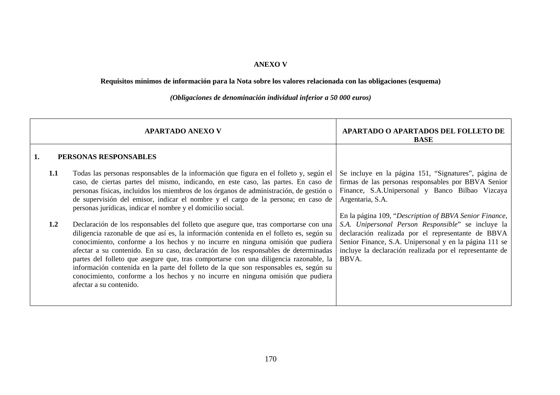### **ANEXO V**

**Requisitos mínimos de información para la Nota sobre los valores relacionada con las obligaciones (esquema)**

# *(Obligaciones de denominación individual inferior a 50 000 euros)*

|     | <b>APARTADO ANEXO V</b>                                                                                                                                                                                                                                                                                                                                                                                                                                                                                                                                                                                                                                    | APARTADO O APARTADOS DEL FOLLETO DE<br><b>BASE</b>                                                                                                                                                                                           |
|-----|------------------------------------------------------------------------------------------------------------------------------------------------------------------------------------------------------------------------------------------------------------------------------------------------------------------------------------------------------------------------------------------------------------------------------------------------------------------------------------------------------------------------------------------------------------------------------------------------------------------------------------------------------------|----------------------------------------------------------------------------------------------------------------------------------------------------------------------------------------------------------------------------------------------|
| 1.  | PERSONAS RESPONSABLES                                                                                                                                                                                                                                                                                                                                                                                                                                                                                                                                                                                                                                      |                                                                                                                                                                                                                                              |
| 1.1 | Todas las personas responsables de la información que figura en el folleto y, según el<br>caso, de ciertas partes del mismo, indicando, en este caso, las partes. En caso de<br>personas físicas, incluidos los miembros de los órganos de administración, de gestión o<br>de supervisión del emisor, indicar el nombre y el cargo de la persona; en caso de<br>personas jurídicas, indicar el nombre y el domicilio social.                                                                                                                                                                                                                               | Se incluye en la página 151, "Signatures", página de<br>firmas de las personas responsables por BBVA Senior<br>Finance, S.A.Unipersonal y Banco Bilbao Vizcaya<br>Argentaria, S.A.<br>En la página 109, "Description of BBVA Senior Finance, |
| 1.2 | Declaración de los responsables del folleto que asegure que, tras comportarse con una<br>diligencia razonable de que así es, la información contenida en el folleto es, según su<br>conocimiento, conforme a los hechos y no incurre en ninguna omisión que pudiera<br>afectar a su contenido. En su caso, declaración de los responsables de determinadas<br>partes del folleto que asegure que, tras comportarse con una diligencia razonable, la<br>información contenida en la parte del folleto de la que son responsables es, según su<br>conocimiento, conforme a los hechos y no incurre en ninguna omisión que pudiera<br>afectar a su contenido. | S.A. Unipersonal Person Responsible" se incluye la<br>declaración realizada por el representante de BBVA<br>Senior Finance, S.A. Unipersonal y en la página 111 se<br>incluye la declaración realizada por el representante de<br>BBVA.      |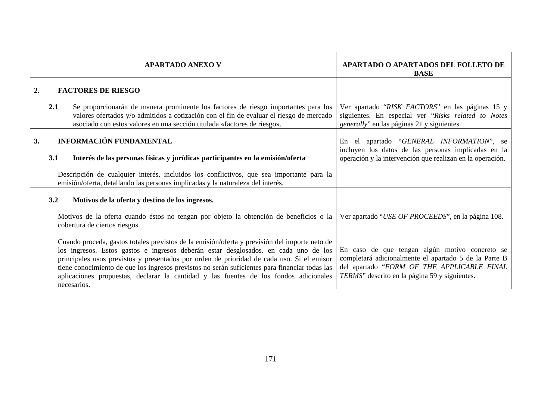|    | <b>APARTADO ANEXO V</b>                                                                                                                                                     |                                                                                                                                                                                                                                                                                                                                                                                                                                                                                             | APARTADO O APARTADOS DEL FOLLETO DE<br><b>BASE</b>                                                                                                                                                     |
|----|-----------------------------------------------------------------------------------------------------------------------------------------------------------------------------|---------------------------------------------------------------------------------------------------------------------------------------------------------------------------------------------------------------------------------------------------------------------------------------------------------------------------------------------------------------------------------------------------------------------------------------------------------------------------------------------|--------------------------------------------------------------------------------------------------------------------------------------------------------------------------------------------------------|
| 2. |                                                                                                                                                                             | <b>FACTORES DE RIESGO</b>                                                                                                                                                                                                                                                                                                                                                                                                                                                                   |                                                                                                                                                                                                        |
|    | 2.1                                                                                                                                                                         | Se proporcionarán de manera prominente los factores de riesgo importantes para los<br>valores ofertados y/o admitidos a cotización con el fin de evaluar el riesgo de mercado<br>asociado con estos valores en una sección titulada «factores de riesgo».                                                                                                                                                                                                                                   | Ver apartado "RISK FACTORS" en las páginas 15 y<br>siguientes. En especial ver "Risks related to Notes<br>generally" en las páginas 21 y siguientes.                                                   |
| 3. | 3.1                                                                                                                                                                         | <b>INFORMACIÓN FUNDAMENTAL</b><br>Interés de las personas físicas y jurídicas participantes en la emisión/oferta                                                                                                                                                                                                                                                                                                                                                                            | En el apartado "GENERAL INFORMATION", se<br>incluyen los datos de las personas implicadas en la<br>operación y la intervención que realizan en la operación.                                           |
|    | Descripción de cualquier interés, incluidos los conflictivos, que sea importante para la<br>emisión/oferta, detallando las personas implicadas y la naturaleza del interés. |                                                                                                                                                                                                                                                                                                                                                                                                                                                                                             |                                                                                                                                                                                                        |
|    | 3.2                                                                                                                                                                         | Motivos de la oferta y destino de los ingresos.                                                                                                                                                                                                                                                                                                                                                                                                                                             |                                                                                                                                                                                                        |
|    |                                                                                                                                                                             | Motivos de la oferta cuando éstos no tengan por objeto la obtención de beneficios o la<br>cobertura de ciertos riesgos.                                                                                                                                                                                                                                                                                                                                                                     | Ver apartado "USE OF PROCEEDS", en la página 108.                                                                                                                                                      |
|    |                                                                                                                                                                             | Cuando proceda, gastos totales previstos de la emisión/oferta y previsión del importe neto de<br>los ingresos. Estos gastos e ingresos deberán estar desglosados, en cada uno de los<br>principales usos previstos y presentados por orden de prioridad de cada uso. Si el emisor<br>tiene conocimiento de que los ingresos previstos no serán suficientes para financiar todas las<br>aplicaciones propuestas, declarar la cantidad y las fuentes de los fondos adicionales<br>necesarios. | En caso de que tengan algún motivo concreto se<br>completará adicionalmente el apartado 5 de la Parte B<br>del apartado "FORM OF THE APPLICABLE FINAL<br>TERMS" descrito en la página 59 y siguientes. |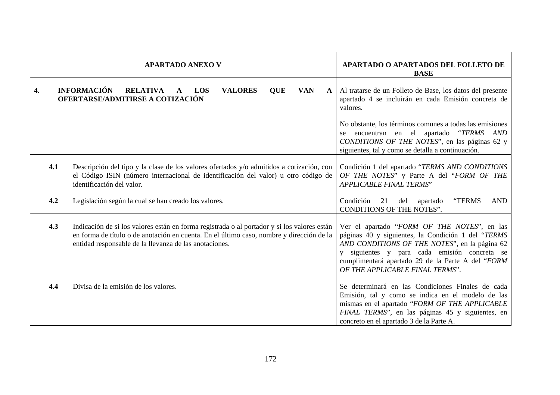|     | <b>APARTADO ANEXO V</b>                                                                                                                                                                                                                           | APARTADO O APARTADOS DEL FOLLETO DE<br><b>BASE</b>                                                                                                                                                                                                                                         |
|-----|---------------------------------------------------------------------------------------------------------------------------------------------------------------------------------------------------------------------------------------------------|--------------------------------------------------------------------------------------------------------------------------------------------------------------------------------------------------------------------------------------------------------------------------------------------|
| 4.  | <b>INFORMACIÓN</b><br><b>RELATIVA</b><br><b>VALORES</b><br>LOS<br><b>QUE</b><br><b>VAN</b><br>A<br>$\mathbf{A}$<br>OFERTARSE/ADMITIRSE A COTIZACIÓN                                                                                               | Al tratarse de un Folleto de Base, los datos del presente<br>apartado 4 se incluirán en cada Emisión concreta de<br>valores.                                                                                                                                                               |
|     |                                                                                                                                                                                                                                                   | No obstante, los términos comunes a todas las emisiones<br>encuentran en el apartado "TERMS AND<br>se<br>CONDITIONS OF THE NOTES", en las páginas 62 y<br>siguientes, tal y como se detalla a continuación.                                                                                |
| 4.1 | Descripción del tipo y la clase de los valores ofertados y/o admitidos a cotización, con<br>el Código ISIN (número internacional de identificación del valor) u otro código de<br>identificación del valor.                                       | Condición 1 del apartado "TERMS AND CONDITIONS"<br>OF THE NOTES" y Parte A del "FORM OF THE<br><b>APPLICABLE FINAL TERMS"</b>                                                                                                                                                              |
| 4.2 | Legislación según la cual se han creado los valores.                                                                                                                                                                                              | Condición<br>21<br>"TERMS<br>del<br>apartado<br><b>AND</b><br>CONDITIONS OF THE NOTES".                                                                                                                                                                                                    |
| 4.3 | Indicación de si los valores están en forma registrada o al portador y si los valores están<br>en forma de título o de anotación en cuenta. En el último caso, nombre y dirección de la<br>entidad responsable de la llevanza de las anotaciones. | Ver el apartado "FORM OF THE NOTES", en las<br>páginas 40 y siguientes, la Condición 1 del "TERMS<br>AND CONDITIONS OF THE NOTES", en la página 62<br>y siguientes y para cada emisión concreta se<br>cumplimentará apartado 29 de la Parte A del "FORM<br>OF THE APPLICABLE FINAL TERMS". |
| 4.4 | Divisa de la emisión de los valores.                                                                                                                                                                                                              | Se determinará en las Condiciones Finales de cada<br>Emisión, tal y como se indica en el modelo de las<br>mismas en el apartado "FORM OF THE APPLICABLE<br>FINAL TERMS", en las páginas 45 y siguientes, en<br>concreto en el apartado 3 de la Parte A.                                    |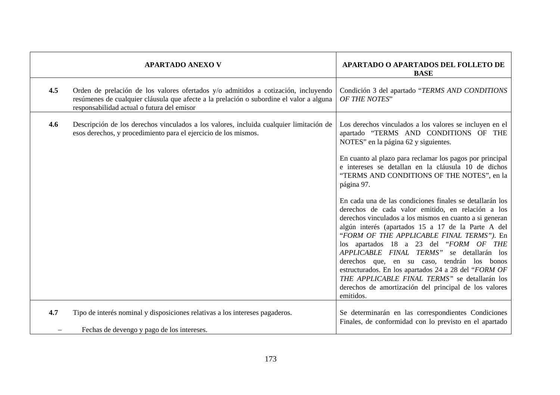|     | <b>APARTADO ANEXO V</b>                                                                                                                                                                                                     | APARTADO O APARTADOS DEL FOLLETO DE<br><b>BASE</b>                                                                                                                                                                                                                                                                                                                                                                                                                                                                                                                                               |
|-----|-----------------------------------------------------------------------------------------------------------------------------------------------------------------------------------------------------------------------------|--------------------------------------------------------------------------------------------------------------------------------------------------------------------------------------------------------------------------------------------------------------------------------------------------------------------------------------------------------------------------------------------------------------------------------------------------------------------------------------------------------------------------------------------------------------------------------------------------|
| 4.5 | Orden de prelación de los valores ofertados y/o admitidos a cotización, incluyendo<br>resúmenes de cualquier cláusula que afecte a la prelación o subordine el valor a alguna<br>responsabilidad actual o futura del emisor | Condición 3 del apartado "TERMS AND CONDITIONS<br>OF THE NOTES"                                                                                                                                                                                                                                                                                                                                                                                                                                                                                                                                  |
| 4.6 | Descripción de los derechos vinculados a los valores, incluida cualquier limitación de<br>esos derechos, y procedimiento para el ejercicio de los mismos.                                                                   | Los derechos vinculados a los valores se incluyen en el<br>apartado "TERMS AND CONDITIONS OF THE<br>NOTES" en la página 62 y siguientes.                                                                                                                                                                                                                                                                                                                                                                                                                                                         |
|     |                                                                                                                                                                                                                             | En cuanto al plazo para reclamar los pagos por principal<br>e intereses se detallan en la cláusula 10 de dichos<br>"TERMS AND CONDITIONS OF THE NOTES", en la<br>página 97.                                                                                                                                                                                                                                                                                                                                                                                                                      |
|     |                                                                                                                                                                                                                             | En cada una de las condiciones finales se detallarán los<br>derechos de cada valor emitido, en relación a los<br>derechos vinculados a los mismos en cuanto a si generan<br>algún interés (apartados 15 a 17 de la Parte A del<br>"FORM OF THE APPLICABLE FINAL TERMS"). En<br>los apartados 18 a 23 del "FORM OF THE<br>APPLICABLE FINAL TERMS" se detallarán los<br>derechos que, en su caso, tendrán los bonos<br>estructurados. En los apartados 24 a 28 del "FORM OF<br>THE APPLICABLE FINAL TERMS" se detallarán los<br>derechos de amortización del principal de los valores<br>emitidos. |
| 4.7 | Tipo de interés nominal y disposiciones relativas a los intereses pagaderos.                                                                                                                                                | Se determinarán en las correspondientes Condiciones<br>Finales, de conformidad con lo previsto en el apartado                                                                                                                                                                                                                                                                                                                                                                                                                                                                                    |
|     | Fechas de devengo y pago de los intereses.                                                                                                                                                                                  |                                                                                                                                                                                                                                                                                                                                                                                                                                                                                                                                                                                                  |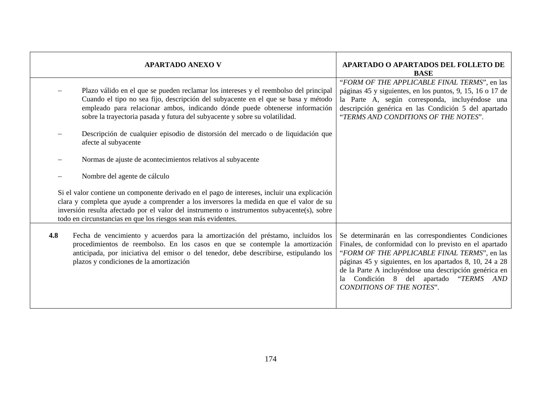|     | <b>APARTADO ANEXO V</b>                                                                                                                                                                                                                                                                                                                                  | APARTADO O APARTADOS DEL FOLLETO DE<br><b>BASE</b>                                                                                                                                                                                                                                                                                                                   |
|-----|----------------------------------------------------------------------------------------------------------------------------------------------------------------------------------------------------------------------------------------------------------------------------------------------------------------------------------------------------------|----------------------------------------------------------------------------------------------------------------------------------------------------------------------------------------------------------------------------------------------------------------------------------------------------------------------------------------------------------------------|
|     | Plazo válido en el que se pueden reclamar los intereses y el reembolso del principal<br>Cuando el tipo no sea fijo, descripción del subyacente en el que se basa y método<br>empleado para relacionar ambos, indicando dónde puede obtenerse información<br>sobre la trayectoria pasada y futura del subyacente y sobre su volatilidad.                  | "FORM OF THE APPLICABLE FINAL TERMS", en las<br>páginas 45 y siguientes, en los puntos, 9, 15, 16 o 17 de<br>la Parte A, según corresponda, incluyéndose una<br>descripción genérica en las Condición 5 del apartado<br>"TERMS AND CONDITIONS OF THE NOTES".                                                                                                         |
|     | Descripción de cualquier episodio de distorsión del mercado o de liquidación que<br>afecte al subyacente                                                                                                                                                                                                                                                 |                                                                                                                                                                                                                                                                                                                                                                      |
|     | Normas de ajuste de acontecimientos relativos al subyacente                                                                                                                                                                                                                                                                                              |                                                                                                                                                                                                                                                                                                                                                                      |
|     | Nombre del agente de cálculo                                                                                                                                                                                                                                                                                                                             |                                                                                                                                                                                                                                                                                                                                                                      |
|     | Si el valor contiene un componente derivado en el pago de intereses, incluir una explicación<br>clara y completa que ayude a comprender a los inversores la medida en que el valor de su<br>inversión resulta afectado por el valor del instrumento o instrumentos subyacente(s), sobre<br>todo en circunstancias en que los riesgos sean más evidentes. |                                                                                                                                                                                                                                                                                                                                                                      |
| 4.8 | Fecha de vencimiento y acuerdos para la amortización del préstamo, incluidos los<br>procedimientos de reembolso. En los casos en que se contemple la amortización<br>anticipada, por iniciativa del emisor o del tenedor, debe describirse, estipulando los<br>plazos y condiciones de la amortización                                                   | Se determinarán en las correspondientes Condiciones<br>Finales, de conformidad con lo previsto en el apartado<br>"FORM OF THE APPLICABLE FINAL TERMS", en las<br>páginas 45 y siguientes, en los apartados 8, 10, 24 a 28<br>de la Parte A incluyéndose una descripción genérica en<br>Condición 8 del apartado "TERMS AND<br>la<br><b>CONDITIONS OF THE NOTES".</b> |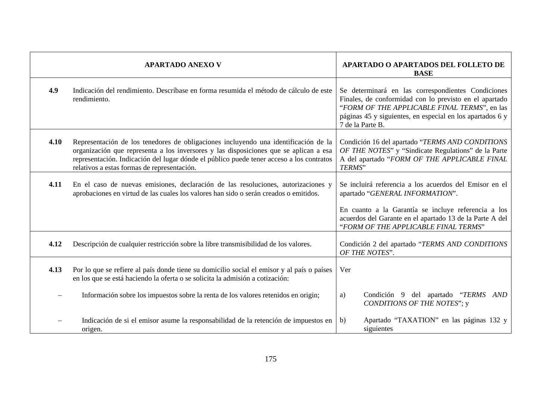|      | <b>APARTADO ANEXO V</b>                                                                                                                                                                                                                                                                                                 | APARTADO O APARTADOS DEL FOLLETO DE<br><b>BASE</b>                                                                                                                                                                                            |
|------|-------------------------------------------------------------------------------------------------------------------------------------------------------------------------------------------------------------------------------------------------------------------------------------------------------------------------|-----------------------------------------------------------------------------------------------------------------------------------------------------------------------------------------------------------------------------------------------|
| 4.9  | Indicación del rendimiento. Descríbase en forma resumida el método de cálculo de este<br>rendimiento.                                                                                                                                                                                                                   | Se determinará en las correspondientes Condiciones<br>Finales, de conformidad con lo previsto en el apartado<br>"FORM OF THE APPLICABLE FINAL TERMS", en las<br>páginas 45 y siguientes, en especial en los apartados 6 y<br>7 de la Parte B. |
| 4.10 | Representación de los tenedores de obligaciones incluyendo una identificación de la<br>organización que representa a los inversores y las disposiciones que se aplican a esa<br>representación. Indicación del lugar dónde el público puede tener acceso a los contratos<br>relativos a estas formas de representación. | Condición 16 del apartado "TERMS AND CONDITIONS<br>OF THE NOTES" y "Sindicate Regulations" de la Parte<br>A del apartado "FORM OF THE APPLICABLE FINAL<br>TERMS"                                                                              |
| 4.11 | En el caso de nuevas emisiones, declaración de las resoluciones, autorizaciones y<br>aprobaciones en virtud de las cuales los valores han sido o serán creados o emitidos.                                                                                                                                              | Se incluirá referencia a los acuerdos del Emisor en el<br>apartado "GENERAL INFORMATION".                                                                                                                                                     |
|      |                                                                                                                                                                                                                                                                                                                         | En cuanto a la Garantía se incluye referencia a los<br>acuerdos del Garante en el apartado 13 de la Parte A del<br>"FORM OF THE APPLICABLE FINAL TERMS"                                                                                       |
| 4.12 | Descripción de cualquier restricción sobre la libre transmisibilidad de los valores.                                                                                                                                                                                                                                    | Condición 2 del apartado "TERMS AND CONDITIONS"<br>OF THE NOTES".                                                                                                                                                                             |
| 4.13 | Por lo que se refiere al país donde tiene su domicilio social el emisor y al país o países<br>en los que se está haciendo la oferta o se solicita la admisión a cotización:                                                                                                                                             | Ver                                                                                                                                                                                                                                           |
|      | Información sobre los impuestos sobre la renta de los valores retenidos en origin;                                                                                                                                                                                                                                      | Condición 9 del apartado "TERMS"<br>AND<br>a)<br><b>CONDITIONS OF THE NOTES"; y</b>                                                                                                                                                           |
|      | Indicación de si el emisor asume la responsabilidad de la retención de impuestos en<br>origen.                                                                                                                                                                                                                          | Apartado "TAXATION" en las páginas 132 y<br>b)<br>siguientes                                                                                                                                                                                  |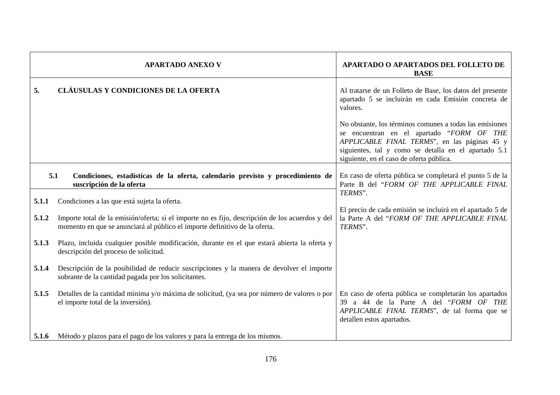|       | <b>APARTADO ANEXO V</b>                                                                                                                                                       | APARTADO O APARTADOS DEL FOLLETO DE<br><b>BASE</b>                                                                                                                                                                                                       |
|-------|-------------------------------------------------------------------------------------------------------------------------------------------------------------------------------|----------------------------------------------------------------------------------------------------------------------------------------------------------------------------------------------------------------------------------------------------------|
| 5.    | CLÁUSULAS Y CONDICIONES DE LA OFERTA                                                                                                                                          | Al tratarse de un Folleto de Base, los datos del presente<br>apartado 5 se incluirán en cada Emisión concreta de<br>valores.                                                                                                                             |
|       |                                                                                                                                                                               | No obstante, los términos comunes a todas las emisiones<br>se encuentran en el apartado "FORM OF THE<br>APPLICABLE FINAL TERMS", en las páginas 45 y<br>siguientes, tal y como se detalla en el apartado 5.1<br>siguiente, en el caso de oferta pública. |
| 5.1   | Condiciones, estadísticas de la oferta, calendario previsto y procedimiento de<br>suscripción de la oferta                                                                    | En caso de oferta pública se completará el punto 5 de la<br>Parte B del "FORM OF THE APPLICABLE FINAL                                                                                                                                                    |
| 5.1.1 | Condiciones a las que está sujeta la oferta.                                                                                                                                  | TERMS".                                                                                                                                                                                                                                                  |
| 5.1.2 | Importe total de la emisión/oferta; si el importe no es fijo, descripción de los acuerdos y del<br>momento en que se anunciará al público el importe definitivo de la oferta. | El precio de cada emisión se incluirá en el apartado 5 de<br>la Parte A del "FORM OF THE APPLICABLE FINAL<br>TERMS".                                                                                                                                     |
| 5.1.3 | Plazo, incluida cualquier posible modificación, durante en el que estará abierta la oferta y<br>descripción del proceso de solicitud.                                         |                                                                                                                                                                                                                                                          |
| 5.1.4 | Descripción de la posibilidad de reducir suscripciones y la manera de devolver el importe<br>sobrante de la cantidad pagada por los solicitantes.                             |                                                                                                                                                                                                                                                          |
| 5.1.5 | Detalles de la cantidad mínima y/o máxima de solicitud, (ya sea por número de valores o por<br>el importe total de la inversión).                                             | En caso de oferta pública se completarán los apartados<br>39 a 44 de la Parte A del "FORM OF THE<br>APPLICABLE FINAL TERMS", de tal forma que se<br>detallen estos apartados.                                                                            |
| 5.1.6 | Método y plazos para el pago de los valores y para la entrega de los mismos.                                                                                                  |                                                                                                                                                                                                                                                          |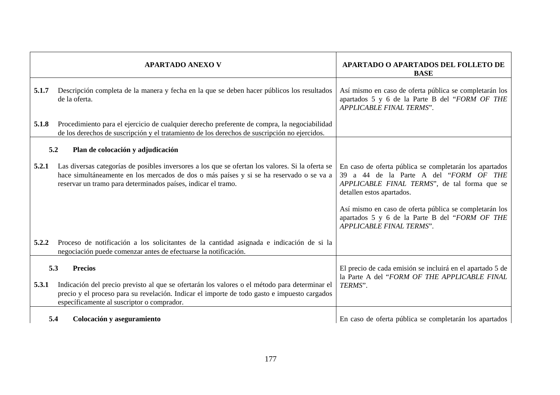|                                          | <b>APARTADO ANEXO V</b>                                                                                                                                                                                                                                              | APARTADO O APARTADOS DEL FOLLETO DE<br><b>BASE</b>                                                                                                                                                                                                                                                                    |
|------------------------------------------|----------------------------------------------------------------------------------------------------------------------------------------------------------------------------------------------------------------------------------------------------------------------|-----------------------------------------------------------------------------------------------------------------------------------------------------------------------------------------------------------------------------------------------------------------------------------------------------------------------|
| 5.1.7                                    | Descripción completa de la manera y fecha en la que se deben hacer públicos los resultados<br>de la oferta.                                                                                                                                                          | Así mismo en caso de oferta pública se completarán los<br>apartados 5 y 6 de la Parte B del "FORM OF THE<br>APPLICABLE FINAL TERMS".                                                                                                                                                                                  |
| 5.1.8                                    | Procedimiento para el ejercicio de cualquier derecho preferente de compra, la negociabilidad<br>de los derechos de suscripción y el tratamiento de los derechos de suscripción no ejercidos.                                                                         |                                                                                                                                                                                                                                                                                                                       |
| 5.2<br>Plan de colocación y adjudicación |                                                                                                                                                                                                                                                                      |                                                                                                                                                                                                                                                                                                                       |
| 5.2.1                                    | Las diversas categorías de posibles inversores a los que se ofertan los valores. Si la oferta se<br>hace simultáneamente en los mercados de dos o más países y si se ha reservado o se va a<br>reservar un tramo para determinados países, indicar el tramo.         | En caso de oferta pública se completarán los apartados<br>39 a 44 de la Parte A del "FORM OF THE<br>APPLICABLE FINAL TERMS", de tal forma que se<br>detallen estos apartados.<br>Así mismo en caso de oferta pública se completarán los<br>apartados 5 y 6 de la Parte B del "FORM OF THE<br>APPLICABLE FINAL TERMS". |
| 5.2.2                                    | Proceso de notificación a los solicitantes de la cantidad asignada e indicación de si la<br>negociación puede comenzar antes de efectuarse la notificación.                                                                                                          |                                                                                                                                                                                                                                                                                                                       |
| 5.3.1                                    | 5.3<br><b>Precios</b><br>Indicación del precio previsto al que se ofertarán los valores o el método para determinar el<br>precio y el proceso para su revelación. Indicar el importe de todo gasto e impuesto cargados<br>específicamente al suscriptor o comprador. | El precio de cada emisión se incluirá en el apartado 5 de<br>la Parte A del "FORM OF THE APPLICABLE FINAL<br>TERMS".                                                                                                                                                                                                  |
|                                          | 5.4<br>Colocación y aseguramiento                                                                                                                                                                                                                                    | En caso de oferta pública se completarán los apartados                                                                                                                                                                                                                                                                |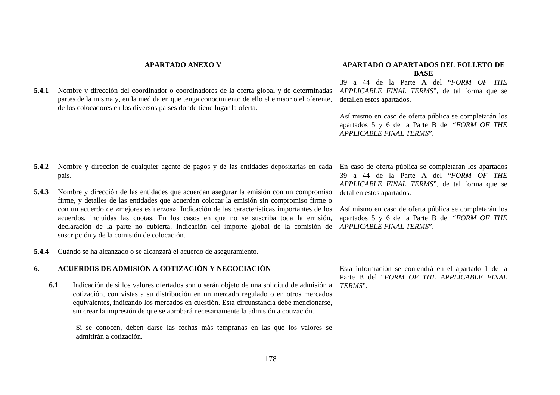|       | <b>APARTADO ANEXO V</b>                                                                                                                                                                                                                                                                                                                                                                                                                                                                                          | APARTADO O APARTADOS DEL FOLLETO DE<br><b>BASE</b>                                                                                                                                                                                                          |
|-------|------------------------------------------------------------------------------------------------------------------------------------------------------------------------------------------------------------------------------------------------------------------------------------------------------------------------------------------------------------------------------------------------------------------------------------------------------------------------------------------------------------------|-------------------------------------------------------------------------------------------------------------------------------------------------------------------------------------------------------------------------------------------------------------|
| 5.4.1 | Nombre y dirección del coordinador o coordinadores de la oferta global y de determinadas<br>partes de la misma y, en la medida en que tenga conocimiento de ello el emisor o el oferente,<br>de los colocadores en los diversos países donde tiene lugar la oferta.                                                                                                                                                                                                                                              | 39 a 44 de la Parte A del "FORM OF THE<br>APPLICABLE FINAL TERMS", de tal forma que se<br>detallen estos apartados.<br>Así mismo en caso de oferta pública se completarán los<br>apartados 5 y 6 de la Parte B del "FORM OF THE<br>APPLICABLE FINAL TERMS". |
| 5.4.2 | Nombre y dirección de cualquier agente de pagos y de las entidades depositarias en cada<br>país.                                                                                                                                                                                                                                                                                                                                                                                                                 | En caso de oferta pública se completarán los apartados<br>39 a 44 de la Parte A del "FORM OF THE<br>APPLICABLE FINAL TERMS", de tal forma que se                                                                                                            |
| 5.4.3 | Nombre y dirección de las entidades que acuerdan asegurar la emisión con un compromiso<br>firme, y detalles de las entidades que acuerdan colocar la emisión sin compromiso firme o<br>con un acuerdo de «mejores esfuerzos». Indicación de las características importantes de los<br>acuerdos, incluidas las cuotas. En los casos en que no se suscriba toda la emisión,<br>declaración de la parte no cubierta. Indicación del importe global de la comisión de<br>suscripción y de la comisión de colocación. | detallen estos apartados.<br>Así mismo en caso de oferta pública se completarán los<br>apartados 5 y 6 de la Parte B del "FORM OF THE<br>APPLICABLE FINAL TERMS".                                                                                           |
| 5.4.4 | Cuándo se ha alcanzado o se alcanzará el acuerdo de aseguramiento.                                                                                                                                                                                                                                                                                                                                                                                                                                               |                                                                                                                                                                                                                                                             |
| 6.    | ACUERDOS DE ADMISIÓN A COTIZACIÓN Y NEGOCIACIÓN<br>6.1<br>Indicación de si los valores ofertados son o serán objeto de una solicitud de admisión a<br>cotización, con vistas a su distribución en un mercado regulado o en otros mercados<br>equivalentes, indicando los mercados en cuestión. Esta circunstancia debe mencionarse,<br>sin crear la impresión de que se aprobará necesariamente la admisión a cotización.<br>Si se conocen, deben darse las fechas más tempranas en las que los valores se       | Esta información se contendrá en el apartado 1 de la<br>Parte B del "FORM OF THE APPLICABLE FINAL<br>TERMS".                                                                                                                                                |
|       | admitirán a cotización.                                                                                                                                                                                                                                                                                                                                                                                                                                                                                          |                                                                                                                                                                                                                                                             |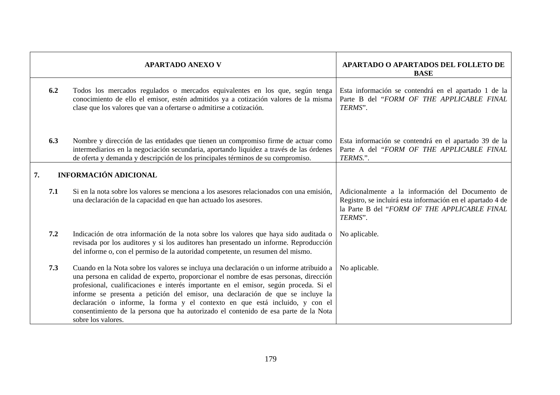|    |                              | <b>APARTADO ANEXO V</b>                                                                                                                                                                                                                                                                                                                                                                                                                                                                                                                                  | APARTADO O APARTADOS DEL FOLLETO DE<br><b>BASE</b>                                                                                                                        |
|----|------------------------------|----------------------------------------------------------------------------------------------------------------------------------------------------------------------------------------------------------------------------------------------------------------------------------------------------------------------------------------------------------------------------------------------------------------------------------------------------------------------------------------------------------------------------------------------------------|---------------------------------------------------------------------------------------------------------------------------------------------------------------------------|
|    | 6.2                          | Todos los mercados regulados o mercados equivalentes en los que, según tenga<br>conocimiento de ello el emisor, estén admitidos ya a cotización valores de la misma<br>clase que los valores que van a ofertarse o admitirse a cotización.                                                                                                                                                                                                                                                                                                               | Esta información se contendrá en el apartado 1 de la<br>Parte B del "FORM OF THE APPLICABLE FINAL<br>TERMS".                                                              |
|    | 6.3                          | Nombre y dirección de las entidades que tienen un compromiso firme de actuar como<br>intermediarios en la negociación secundaria, aportando liquidez a través de las órdenes<br>de oferta y demanda y descripción de los principales términos de su compromiso.                                                                                                                                                                                                                                                                                          | Esta información se contendrá en el apartado 39 de la<br>Parte A del "FORM OF THE APPLICABLE FINAL<br>TERMS.".                                                            |
| 7. | <b>INFORMACIÓN ADICIONAL</b> |                                                                                                                                                                                                                                                                                                                                                                                                                                                                                                                                                          |                                                                                                                                                                           |
|    | 7.1                          | Si en la nota sobre los valores se menciona a los asesores relacionados con una emisión,<br>una declaración de la capacidad en que han actuado los asesores.                                                                                                                                                                                                                                                                                                                                                                                             | Adicionalmente a la información del Documento de<br>Registro, se incluirá esta información en el apartado 4 de<br>la Parte B del "FORM OF THE APPLICABLE FINAL<br>TERMS". |
|    | 7.2                          | Indicación de otra información de la nota sobre los valores que haya sido auditada o<br>revisada por los auditores y si los auditores han presentado un informe. Reproducción<br>del informe o, con el permiso de la autoridad competente, un resumen del mismo.                                                                                                                                                                                                                                                                                         | No aplicable.                                                                                                                                                             |
|    | 7.3                          | Cuando en la Nota sobre los valores se incluya una declaración o un informe atribuido a<br>una persona en calidad de experto, proporcionar el nombre de esas personas, dirección<br>profesional, cualificaciones e interés importante en el emisor, según proceda. Si el<br>informe se presenta a petición del emisor, una declaración de que se incluye la<br>declaración o informe, la forma y el contexto en que está incluido, y con el<br>consentimiento de la persona que ha autorizado el contenido de esa parte de la Nota<br>sobre los valores. | No aplicable.                                                                                                                                                             |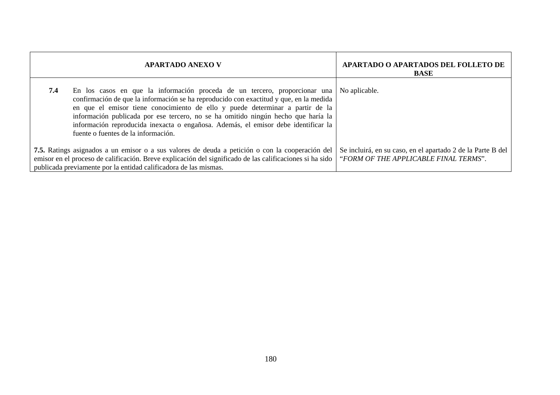| <b>APARTADO ANEXO V</b>                                                                                                                                                                                                                                                                                                                                                                                                                                                                        | APARTADO O APARTADOS DEL FOLLETO DE<br><b>BASE</b>                                                   |
|------------------------------------------------------------------------------------------------------------------------------------------------------------------------------------------------------------------------------------------------------------------------------------------------------------------------------------------------------------------------------------------------------------------------------------------------------------------------------------------------|------------------------------------------------------------------------------------------------------|
| En los casos en que la información proceda de un tercero, proporcionar una   No aplicable.<br>7.4<br>confirmación de que la información se ha reproducido con exactitud y que, en la medida<br>en que el emisor tiene conocimiento de ello y puede determinar a partir de la<br>información publicada por ese tercero, no se ha omitido ningún hecho que haría la<br>información reproducida inexacta o engañosa. Además, el emisor debe identificar la<br>fuente o fuentes de la información. |                                                                                                      |
| 7.5. Ratings asignados a un emisor o a sus valores de deuda a petición o con la cooperación del<br>emisor en el proceso de calificación. Breve explicación del significado de las calificaciones si ha sido<br>publicada previamente por la entidad calificadora de las mismas.                                                                                                                                                                                                                | Se incluirá, en su caso, en el apartado 2 de la Parte B del<br>"FORM OF THE APPLICABLE FINAL TERMS". |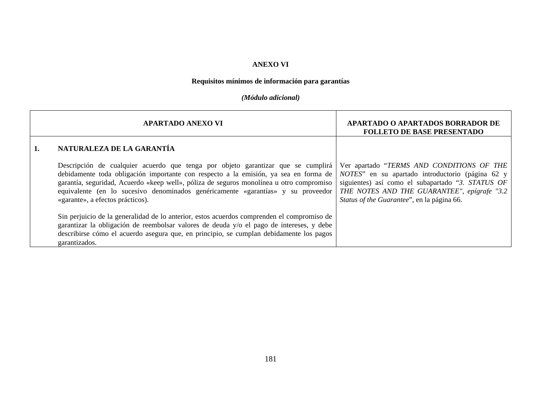#### **ANEXO VI**

# **Requisitos mínimos de información para garantías**

## *(Módulo adicional)*

| <b>APARTADO ANEXO VI</b>                                                                                                                                                                                                                                                                                                                                                                    | <b>APARTADO O APARTADOS BORRADOR DE</b><br><b>FOLLETO DE BASE PRESENTADO</b>                                                                                                                                                                    |
|---------------------------------------------------------------------------------------------------------------------------------------------------------------------------------------------------------------------------------------------------------------------------------------------------------------------------------------------------------------------------------------------|-------------------------------------------------------------------------------------------------------------------------------------------------------------------------------------------------------------------------------------------------|
| NATURALEZA DE LA GARANTÍA                                                                                                                                                                                                                                                                                                                                                                   |                                                                                                                                                                                                                                                 |
| Descripción de cualquier acuerdo que tenga por objeto garantizar que se cumplirá<br>debidamente toda obligación importante con respecto a la emisión, ya sea en forma de<br>garantía, seguridad, Acuerdo «keep well», póliza de seguros monolínea u otro compromiso<br>equivalente (en lo sucesivo denominados genéricamente «garantías» y su proveedor<br>«garante», a efectos prácticos). | Ver apartado "TERMS AND CONDITIONS OF THE<br>NOTES" en su apartado introductorio (página 62 y<br>siguientes) así como el subapartado "3. STATUS OF<br>THE NOTES AND THE GUARANTEE", epígrafe "3.2<br>Status of the Guarantee", en la página 66. |
| Sin per juicio de la generalidad de lo anterior, estos acuerdos comprenden el compromiso de<br>garantizar la obligación de reembolsar valores de deuda y/o el pago de intereses, y debe<br>describirse cómo el acuerdo asegura que, en principio, se cumplan debidamente los pagos<br>garantizados.                                                                                         |                                                                                                                                                                                                                                                 |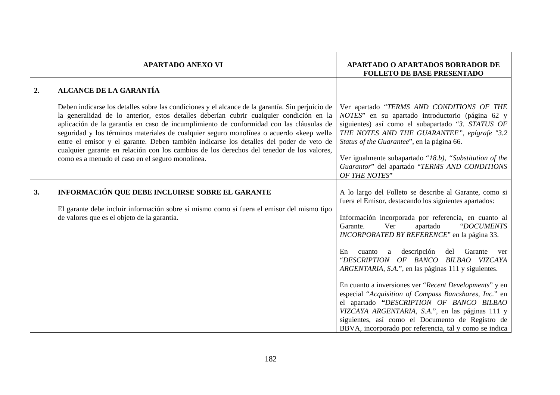|    | <b>APARTADO ANEXO VI</b>                                                                                                                                                                                                                                                                                                                                                                                                                                                                                                                                                                                                                                       | <b>APARTADO O APARTADOS BORRADOR DE</b><br><b>FOLLETO DE BASE PRESENTADO</b>                                                                                                                                                                                                                                                                                                                                                                             |
|----|----------------------------------------------------------------------------------------------------------------------------------------------------------------------------------------------------------------------------------------------------------------------------------------------------------------------------------------------------------------------------------------------------------------------------------------------------------------------------------------------------------------------------------------------------------------------------------------------------------------------------------------------------------------|----------------------------------------------------------------------------------------------------------------------------------------------------------------------------------------------------------------------------------------------------------------------------------------------------------------------------------------------------------------------------------------------------------------------------------------------------------|
| 2. | <b>ALCANCE DE LA GARANTÍA</b><br>Deben indicarse los detalles sobre las condiciones y el alcance de la garantía. Sin perjuicio de<br>la generalidad de lo anterior, estos detalles deberían cubrir cualquier condición en la<br>aplicación de la garantía en caso de incumplimiento de conformidad con las cláusulas de<br>seguridad y los términos materiales de cualquier seguro monolínea o acuerdo «keep well»<br>entre el emisor y el garante. Deben también indicarse los detalles del poder de veto de<br>cualquier garante en relación con los cambios de los derechos del tenedor de los valores,<br>como es a menudo el caso en el seguro monolínea. | Ver apartado "TERMS AND CONDITIONS OF THE<br>NOTES" en su apartado introductorio (página 62 y<br>siguientes) así como el subapartado "3. STATUS OF<br>THE NOTES AND THE GUARANTEE", epígrafe "3.2<br>Status of the Guarantee", en la página 66.<br>Ver igualmente subapartado "18.b), "Substitution of the<br>Guarantor" del apartado "TERMS AND CONDITIONS                                                                                              |
| 3. | INFORMACIÓN QUE DEBE INCLUIRSE SOBRE EL GARANTE<br>El garante debe incluir información sobre sí mismo como si fuera el emisor del mismo tipo<br>de valores que es el objeto de la garantía.                                                                                                                                                                                                                                                                                                                                                                                                                                                                    | OF THE NOTES"<br>A lo largo del Folleto se describe al Garante, como si<br>fuera el Emisor, destacando los siguientes apartados:<br>Información incorporada por referencia, en cuanto al<br>Ver<br>"DOCUMENTS<br>Garante.<br>apartado<br>INCORPORATED BY REFERENCE" en la página 33.<br>descripción<br>En<br>del<br>Garante<br>cuanto<br>a<br>ver<br>"DESCRIPTION OF BANCO BILBAO VIZCAYA<br><i>ARGENTARIA, S.A.</i> ", en las páginas 111 y siguientes. |
|    |                                                                                                                                                                                                                                                                                                                                                                                                                                                                                                                                                                                                                                                                | En cuanto a inversiones ver "Recent Developments" y en<br>especial "Acquisition of Compass Bancshares, Inc." en<br>el apartado "DESCRIPTION OF BANCO BILBAO<br>VIZCAYA ARGENTARIA, S.A.", en las páginas 111 y<br>siguientes, así como el Documento de Registro de<br>BBVA, incorporado por referencia, tal y como se indica                                                                                                                             |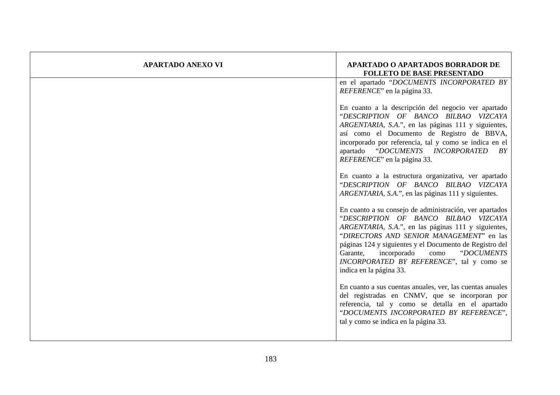| <b>APARTADO ANEXO VI</b> | <b>APARTADO O APARTADOS BORRADOR DE</b><br><b>FOLLETO DE BASE PRESENTADO</b>                                                                                                                                                                                                                                                                                                           |
|--------------------------|----------------------------------------------------------------------------------------------------------------------------------------------------------------------------------------------------------------------------------------------------------------------------------------------------------------------------------------------------------------------------------------|
|                          | en el apartado "DOCUMENTS INCORPORATED BY<br><i>REFERENCE</i> " en la página 33.                                                                                                                                                                                                                                                                                                       |
|                          | En cuanto a la descripción del negocio ver apartado<br>"DESCRIPTION OF BANCO BILBAO VIZCAYA<br>ARGENTARIA, S.A.", en las páginas 111 y siguientes,<br>así como el Documento de Registro de BBVA,<br>incorporado por referencia, tal y como se indica en el<br>apartado "DOCUMENTS INCORPORATED<br>BY<br><i>REFERENCE</i> " en la página 33.                                            |
|                          | En cuanto a la estructura organizativa, ver apartado<br>"DESCRIPTION OF BANCO BILBAO VIZCAYA<br>ARGENTARIA, S.A.", en las páginas 111 y siguientes.                                                                                                                                                                                                                                    |
|                          | En cuanto a su consejo de administración, ver apartados<br>"DESCRIPTION OF BANCO BILBAO VIZCAYA<br>ARGENTARIA, S.A.", en las páginas 111 y siguientes,<br>"DIRECTORS AND SENIOR MANAGEMENT" en las<br>páginas 124 y siguientes y el Documento de Registro del<br>incorporado<br>"DOCUMENTS<br>Garante,<br>como<br>INCORPORATED BY REFERENCE", tal y como se<br>indica en la página 33. |
|                          | En cuanto a sus cuentas anuales, ver, las cuentas anuales<br>del registradas en CNMV, que se incorporan por<br>referencia, tal y como se detalla en el apartado<br>"DOCUMENTS INCORPORATED BY REFERENCE",<br>tal y como se indica en la página 33.                                                                                                                                     |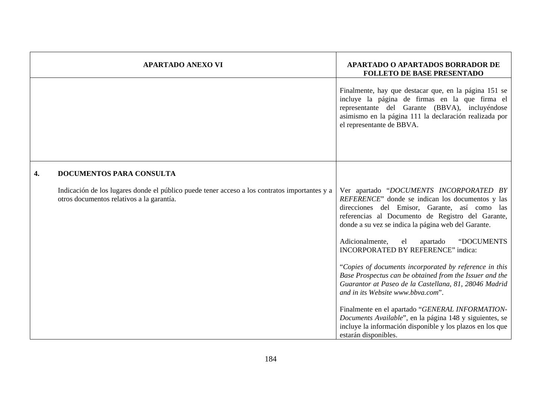|    | <b>APARTADO ANEXO VI</b>                                                                                                                   | <b>APARTADO O APARTADOS BORRADOR DE</b><br><b>FOLLETO DE BASE PRESENTADO</b>                                                                                                                                                                             |
|----|--------------------------------------------------------------------------------------------------------------------------------------------|----------------------------------------------------------------------------------------------------------------------------------------------------------------------------------------------------------------------------------------------------------|
|    |                                                                                                                                            | Finalmente, hay que destacar que, en la página 151 se<br>incluye la página de firmas en la que firma el<br>representante del Garante (BBVA), incluyéndose<br>asimismo en la página 111 la declaración realizada por<br>el representante de BBVA.         |
| 4. | <b>DOCUMENTOS PARA CONSULTA</b>                                                                                                            |                                                                                                                                                                                                                                                          |
|    | Indicación de los lugares donde el público puede tener acceso a los contratos importantes y a<br>otros documentos relativos a la garantía. | Ver apartado "DOCUMENTS INCORPORATED BY<br>REFERENCE" donde se indican los documentos y las<br>direcciones del Emisor, Garante, así como las<br>referencias al Documento de Registro del Garante,<br>donde a su vez se indica la página web del Garante. |
|    |                                                                                                                                            | "DOCUMENTS<br>Adicionalmente,<br>el<br>apartado<br>INCORPORATED BY REFERENCE" indica:                                                                                                                                                                    |
|    |                                                                                                                                            | "Copies of documents incorporated by reference in this<br>Base Prospectus can be obtained from the Issuer and the<br>Guarantor at Paseo de la Castellana, 81, 28046 Madrid<br>and in its Website www.bbva.com".                                          |
|    |                                                                                                                                            | Finalmente en el apartado "GENERAL INFORMATION-<br>Documents Available", en la página 148 y siguientes, se<br>incluye la información disponible y los plazos en los que<br>estarán disponibles.                                                          |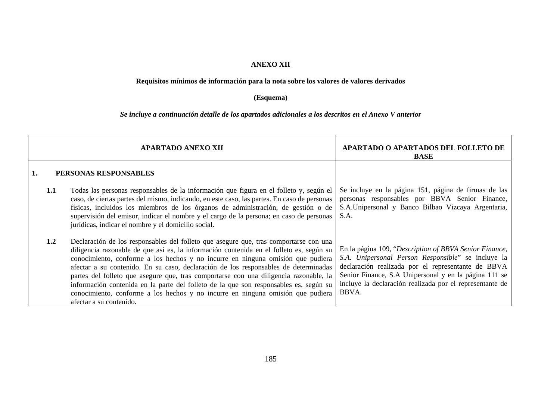#### **ANEXO XII**

## **Requisitos mínimos de información para la nota sobre los valores de valores derivados**

## **(Esquema)**

## *Se incluye a continuación detalle de los apartados adicionales a los descritos en el Anexo V anterior*

|    | <b>APARTADO ANEXO XII</b> |                                                                                                                                                                                                                                                                                                                                                                                                                                                                                                                                                                                                                                                            | APARTADO O APARTADOS DEL FOLLETO DE<br><b>BASE</b>                                                                                                                                                                                                                                               |
|----|---------------------------|------------------------------------------------------------------------------------------------------------------------------------------------------------------------------------------------------------------------------------------------------------------------------------------------------------------------------------------------------------------------------------------------------------------------------------------------------------------------------------------------------------------------------------------------------------------------------------------------------------------------------------------------------------|--------------------------------------------------------------------------------------------------------------------------------------------------------------------------------------------------------------------------------------------------------------------------------------------------|
| 1. | PERSONAS RESPONSABLES     |                                                                                                                                                                                                                                                                                                                                                                                                                                                                                                                                                                                                                                                            |                                                                                                                                                                                                                                                                                                  |
|    | 1.1                       | Todas las personas responsables de la información que figura en el folleto y, según el<br>caso, de ciertas partes del mismo, indicando, en este caso, las partes. En caso de personas<br>físicas, incluidos los miembros de los órganos de administración, de gestión o de<br>supervisión del emisor, indicar el nombre y el cargo de la persona; en caso de personas<br>jurídicas, indicar el nombre y el domicilio social.                                                                                                                                                                                                                               | Se incluye en la página 151, página de firmas de las<br>personas responsables por BBVA Senior Finance,<br>S.A.Unipersonal y Banco Bilbao Vizcaya Argentaria,<br>S.A.                                                                                                                             |
|    | 1.2                       | Declaración de los responsables del folleto que asegure que, tras comportarse con una<br>diligencia razonable de que así es, la información contenida en el folleto es, según su<br>conocimiento, conforme a los hechos y no incurre en ninguna omisión que pudiera<br>afectar a su contenido. En su caso, declaración de los responsables de determinadas<br>partes del folleto que asegure que, tras comportarse con una diligencia razonable, la<br>información contenida en la parte del folleto de la que son responsables es, según su<br>conocimiento, conforme a los hechos y no incurre en ninguna omisión que pudiera<br>afectar a su contenido. | En la página 109, "Description of BBVA Senior Finance,<br>S.A. Unipersonal Person Responsible" se incluye la<br>declaración realizada por el representante de BBVA<br>Senior Finance, S.A Unipersonal y en la página 111 se<br>incluye la declaración realizada por el representante de<br>BBVA. |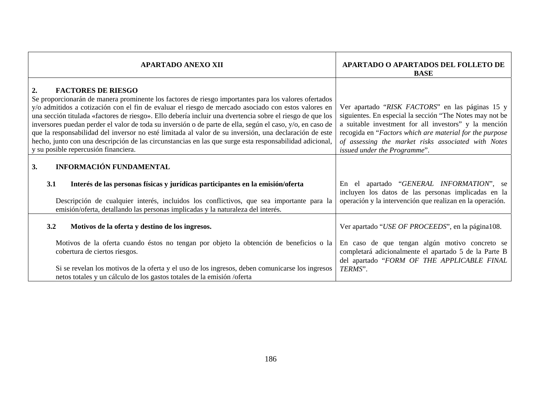| <b>APARTADO ANEXO XII</b>                                                                                                                                                                                                                                                                                                                                                                                                                                                                                                                                                                                                                                                                                                             | APARTADO O APARTADOS DEL FOLLETO DE<br><b>BASE</b>                                                                                                                                                                                                                                                                     |
|---------------------------------------------------------------------------------------------------------------------------------------------------------------------------------------------------------------------------------------------------------------------------------------------------------------------------------------------------------------------------------------------------------------------------------------------------------------------------------------------------------------------------------------------------------------------------------------------------------------------------------------------------------------------------------------------------------------------------------------|------------------------------------------------------------------------------------------------------------------------------------------------------------------------------------------------------------------------------------------------------------------------------------------------------------------------|
| <b>FACTORES DE RIESGO</b><br>2.<br>Se proporcionarán de manera prominente los factores de riesgo importantes para los valores ofertados<br>y/o admitidos a cotización con el fin de evaluar el riesgo de mercado asociado con estos valores en<br>una sección titulada «factores de riesgo». Ello debería incluir una dvertencia sobre el riesgo de que los<br>inversores puedan perder el valor de toda su inversión o de parte de ella, según el caso, y/o, en caso de<br>que la responsabilidad del inversor no esté limitada al valor de su inversión, una declaración de este<br>hecho, junto con una descripción de las circunstancias en las que surge esta responsabilidad adicional,<br>y su posible repercusión financiera. | Ver apartado "RISK FACTORS" en las páginas 15 y<br>siguientes. En especial la sección "The Notes may not be<br>a suitable investment for all investors" y la mención<br>recogida en "Factors which are material for the purpose<br>of assessing the market risks associated with Notes<br>issued under the Programme". |
| <b>INFORMACIÓN FUNDAMENTAL</b><br>3.                                                                                                                                                                                                                                                                                                                                                                                                                                                                                                                                                                                                                                                                                                  |                                                                                                                                                                                                                                                                                                                        |
| 3.1<br>Interés de las personas físicas y jurídicas participantes en la emisión/oferta<br>Descripción de cualquier interés, incluidos los conflictivos, que sea importante para la<br>emisión/oferta, detallando las personas implicadas y la naturaleza del interés.                                                                                                                                                                                                                                                                                                                                                                                                                                                                  | En el apartado "GENERAL INFORMATION", se<br>incluyen los datos de las personas implicadas en la<br>operación y la intervención que realizan en la operación.                                                                                                                                                           |
| 3.2<br>Motivos de la oferta y destino de los ingresos.                                                                                                                                                                                                                                                                                                                                                                                                                                                                                                                                                                                                                                                                                | Ver apartado "USE OF PROCEEDS", en la página108.                                                                                                                                                                                                                                                                       |
| Motivos de la oferta cuando éstos no tengan por objeto la obtención de beneficios o la<br>cobertura de ciertos riesgos.                                                                                                                                                                                                                                                                                                                                                                                                                                                                                                                                                                                                               | En caso de que tengan algún motivo concreto se<br>completará adicionalmente el apartado 5 de la Parte B<br>del apartado "FORM OF THE APPLICABLE FINAL                                                                                                                                                                  |
| Si se revelan los motivos de la oferta y el uso de los ingresos, deben comunicarse los ingresos<br>netos totales y un cálculo de los gastos totales de la emisión /oferta                                                                                                                                                                                                                                                                                                                                                                                                                                                                                                                                                             | TERMS".                                                                                                                                                                                                                                                                                                                |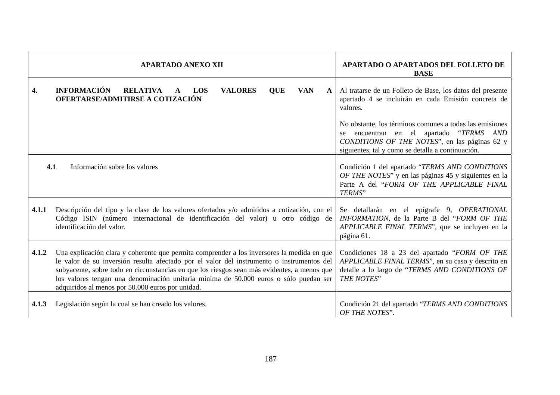| <b>APARTADO ANEXO XII</b>                                                                                                                                                                                                                                                                                                                                                                                                                    | APARTADO O APARTADOS DEL FOLLETO DE<br><b>BASE</b>                                                                                                                                                              |
|----------------------------------------------------------------------------------------------------------------------------------------------------------------------------------------------------------------------------------------------------------------------------------------------------------------------------------------------------------------------------------------------------------------------------------------------|-----------------------------------------------------------------------------------------------------------------------------------------------------------------------------------------------------------------|
| <b>INFORMACIÓN</b><br><b>RELATIVA</b><br>LOS<br><b>VALORES</b><br>QUE<br><b>VAN</b><br>4.<br>A<br>$\mathbf{A}$<br>OFERTARSE/ADMITIRSE A COTIZACIÓN                                                                                                                                                                                                                                                                                           | Al tratarse de un Folleto de Base, los datos del presente<br>apartado 4 se incluirán en cada Emisión concreta de<br>valores.                                                                                    |
|                                                                                                                                                                                                                                                                                                                                                                                                                                              | No obstante, los términos comunes a todas las emisiones<br>encuentran en el apartado "TERMS"<br>AND<br>se<br>CONDITIONS OF THE NOTES", en las páginas 62 y<br>siguientes, tal y como se detalla a continuación. |
| 4.1<br>Información sobre los valores                                                                                                                                                                                                                                                                                                                                                                                                         | Condición 1 del apartado "TERMS AND CONDITIONS<br>OF THE NOTES" y en las páginas 45 y siguientes en la<br>Parte A del "FORM OF THE APPLICABLE FINAL<br>TERMS"                                                   |
| 4.1.1<br>Descripción del tipo y la clase de los valores ofertados y/o admitidos a cotización, con el<br>Código ISIN (número internacional de identificación del valor) u otro código de<br>identificación del valor.                                                                                                                                                                                                                         | Se detallarán en el epígrafe 9, OPERATIONAL<br>INFORMATION, de la Parte B del "FORM OF THE<br>APPLICABLE FINAL TERMS", que se incluyen en la<br>página 61.                                                      |
| 4.1.2<br>Una explicación clara y coherente que permita comprender a los inversores la medida en que<br>le valor de su inversión resulta afectado por el valor del instrumento o instrumentos del<br>subyacente, sobre todo en circunstancias en que los riesgos sean más evidentes, a menos que<br>los valores tengan una denominación unitaria mínima de 50.000 euros o sólo puedan ser<br>adquiridos al menos por 50.000 euros por unidad. | Condiciones 18 a 23 del apartado "FORM OF THE<br>APPLICABLE FINAL TERMS", en su caso y descrito en<br>detaile a lo largo de "TERMS AND CONDITIONS OF<br>THE NOTES"                                              |
| Legislación según la cual se han creado los valores.<br>4.1.3                                                                                                                                                                                                                                                                                                                                                                                | Condición 21 del apartado "TERMS AND CONDITIONS<br>OF THE NOTES".                                                                                                                                               |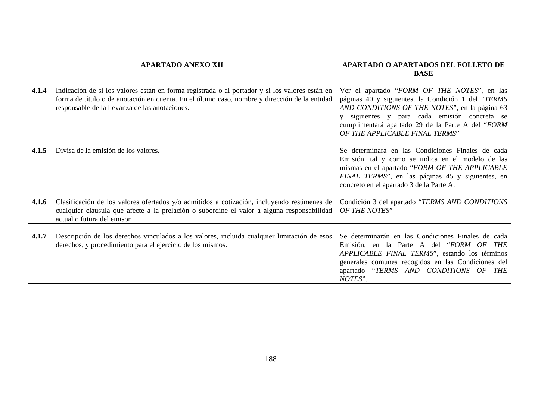|       | <b>APARTADO ANEXO XII</b>                                                                                                                                                                                                                         | <b>APARTADO O APARTADOS DEL FOLLETO DE</b><br><b>BASE</b>                                                                                                                                                                                                                               |
|-------|---------------------------------------------------------------------------------------------------------------------------------------------------------------------------------------------------------------------------------------------------|-----------------------------------------------------------------------------------------------------------------------------------------------------------------------------------------------------------------------------------------------------------------------------------------|
| 4.1.4 | Indicación de si los valores están en forma registrada o al portador y si los valores están en<br>forma de título o de anotación en cuenta. En el último caso, nombre y dirección de la entidad<br>responsable de la llevanza de las anotaciones. | Ver el apartado "FORM OF THE NOTES", en las<br>páginas 40 y siguientes, la Condición 1 del "TERMS<br>AND CONDITIONS OF THE NOTES", en la página 63<br>siguientes y para cada emisión concreta se<br>cumplimentará apartado 29 de la Parte A del "FORM<br>OF THE APPLICABLE FINAL TERMS" |
| 4.1.5 | Divisa de la emisión de los valores.                                                                                                                                                                                                              | Se determinará en las Condiciones Finales de cada<br>Emisión, tal y como se indica en el modelo de las<br>mismas en el apartado "FORM OF THE APPLICABLE<br>FINAL TERMS", en las páginas 45 y siguientes, en<br>concreto en el apartado 3 de la Parte A.                                 |
| 4.1.6 | Clasificación de los valores ofertados y/o admitidos a cotización, incluyendo resúmenes de<br>cualquier cláusula que afecte a la prelación o subordine el valor a alguna responsabilidad<br>actual o futura del emisor                            | Condición 3 del apartado "TERMS AND CONDITIONS<br>OF THE NOTES"                                                                                                                                                                                                                         |
| 4.1.7 | Descripción de los derechos vinculados a los valores, incluida cualquier limitación de esos<br>derechos, y procedimiento para el ejercicio de los mismos.                                                                                         | Se determinarán en las Condiciones Finales de cada<br>Emisión, en la Parte A del "FORM OF<br>THE<br>APPLICABLE FINAL TERMS", estando los términos<br>generales comunes recogidos en las Condiciones del<br>apartado "TERMS AND CONDITIONS OF<br>THE<br>NOTES".                          |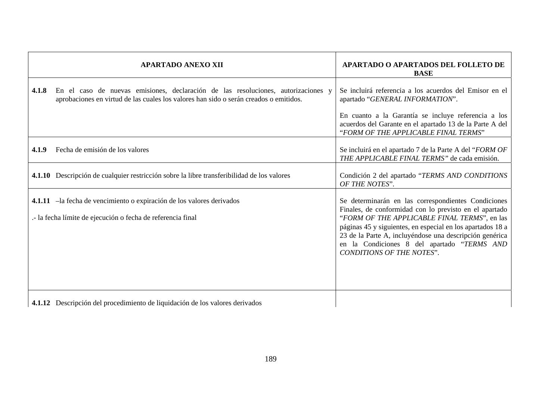|       | <b>APARTADO ANEXO XII</b>                                                                                                                                                  | <b>APARTADO O APARTADOS DEL FOLLETO DE</b><br><b>BASE</b>                                                                                                                                                                                                                                                                                                                 |
|-------|----------------------------------------------------------------------------------------------------------------------------------------------------------------------------|---------------------------------------------------------------------------------------------------------------------------------------------------------------------------------------------------------------------------------------------------------------------------------------------------------------------------------------------------------------------------|
| 4.1.8 | En el caso de nuevas emisiones, declaración de las resoluciones, autorizaciones y<br>aprobaciones en virtud de las cuales los valores han sido o serán creados o emitidos. | Se incluirá referencia a los acuerdos del Emisor en el<br>apartado "GENERAL INFORMATION".                                                                                                                                                                                                                                                                                 |
|       |                                                                                                                                                                            | En cuanto a la Garantía se incluye referencia a los<br>acuerdos del Garante en el apartado 13 de la Parte A del<br>"FORM OF THE APPLICABLE FINAL TERMS"                                                                                                                                                                                                                   |
| 4.1.9 | Fecha de emisión de los valores                                                                                                                                            | Se incluirá en el apartado 7 de la Parte A del "FORM OF<br>THE APPLICABLE FINAL TERMS" de cada emisión.                                                                                                                                                                                                                                                                   |
|       | <b>4.1.10</b> Descripción de cualquier restricción sobre la libre transferibilidad de los valores                                                                          | Condición 2 del apartado "TERMS AND CONDITIONS<br>OF THE NOTES".                                                                                                                                                                                                                                                                                                          |
|       | 4.1.11 -la fecha de vencimiento o expiración de los valores derivados<br>- la fecha límite de ejecución o fecha de referencia final                                        | Se determinarán en las correspondientes Condiciones<br>Finales, de conformidad con lo previsto en el apartado<br>"FORM OF THE APPLICABLE FINAL TERMS", en las<br>páginas 45 y siguientes, en especial en los apartados 18 a<br>23 de la Parte A, incluyéndose una descripción genérica<br>en la Condiciones 8 del apartado "TERMS AND<br><b>CONDITIONS OF THE NOTES".</b> |
|       | 4.1.12 Descripción del procedimiento de liquidación de los valores derivados                                                                                               |                                                                                                                                                                                                                                                                                                                                                                           |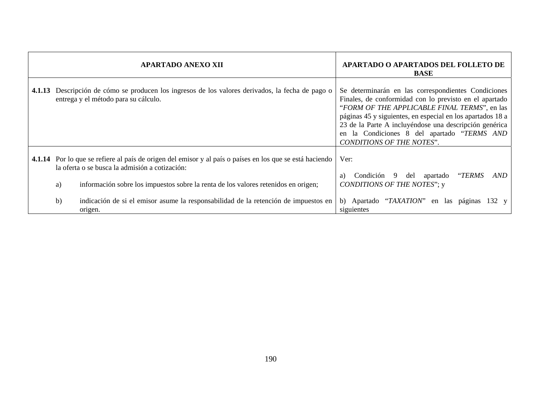|        |          | APARTADO ANEXO XII                                                                                                                                                                                                                                                                                                                      | APARTADO O APARTADOS DEL FOLLETO DE<br><b>BASE</b>                                                                                                                                                                                                                                                                                                                       |
|--------|----------|-----------------------------------------------------------------------------------------------------------------------------------------------------------------------------------------------------------------------------------------------------------------------------------------------------------------------------------------|--------------------------------------------------------------------------------------------------------------------------------------------------------------------------------------------------------------------------------------------------------------------------------------------------------------------------------------------------------------------------|
| 4.1.13 |          | Descripción de cómo se producen los ingresos de los valores derivados, la fecha de pago o<br>entrega y el método para su cálculo.                                                                                                                                                                                                       | Se determinarán en las correspondientes Condiciones<br>Finales, de conformidad con lo previsto en el apartado<br>"FORM OF THE APPLICABLE FINAL TERMS", en las<br>páginas 45 y siguientes, en especial en los apartados 18 a<br>23 de la Parte A incluyéndose una descripción genérica<br>en la Condiciones 8 del apartado "TERMS AND<br><b>CONDITIONS OF THE NOTES".</b> |
|        | a)<br>b) | 4.1.14 Por lo que se refiere al país de origen del emisor y al país o países en los que se está haciendo<br>la oferta o se busca la admisión a cotización:<br>información sobre los impuestos sobre la renta de los valores retenidos en origen;<br>indicación de si el emisor asume la responsabilidad de la retención de impuestos en | Ver:<br>del apartado<br>"TERMS<br>AND<br>Condición 9<br>a)<br><b>CONDITIONS OF THE NOTES"; y</b><br>b) Apartado "TAXATION" en las páginas 132 y                                                                                                                                                                                                                          |
|        | origen.  |                                                                                                                                                                                                                                                                                                                                         | siguientes                                                                                                                                                                                                                                                                                                                                                               |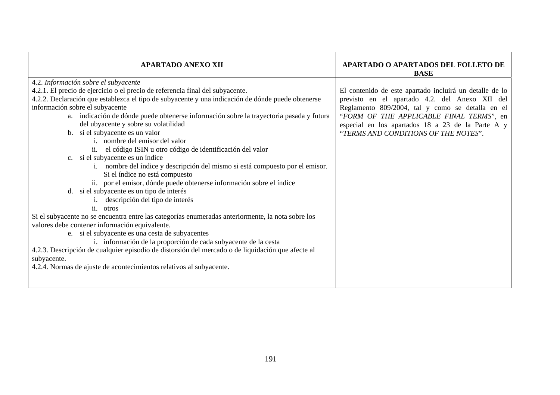| <b>APARTADO ANEXO XII</b>                                                                                                                                                                                                                                                                                                                                                                                                                                                                                                                                                                                                                                                                                                                                                                                                                                                                                                                                                                                                   | <b>APARTADO O APARTADOS DEL FOLLETO DE</b><br><b>BASE</b>                                                                                                                                                                                                                                              |
|-----------------------------------------------------------------------------------------------------------------------------------------------------------------------------------------------------------------------------------------------------------------------------------------------------------------------------------------------------------------------------------------------------------------------------------------------------------------------------------------------------------------------------------------------------------------------------------------------------------------------------------------------------------------------------------------------------------------------------------------------------------------------------------------------------------------------------------------------------------------------------------------------------------------------------------------------------------------------------------------------------------------------------|--------------------------------------------------------------------------------------------------------------------------------------------------------------------------------------------------------------------------------------------------------------------------------------------------------|
| 4.2. Información sobre el subyacente<br>4.2.1. El precio de ejercicio o el precio de referencia final del subyacente.<br>4.2.2. Declaración que establezca el tipo de subyacente y una indicación de dónde puede obtenerse<br>información sobre el subyacente<br>a. indicación de dónde puede obtenerse información sobre la trayectoria pasada y futura<br>del ubyacente y sobre su volatilidad<br>b. si el subyacente es un valor<br>i. nombre del emisor del valor<br>ii. el código ISIN u otro código de identificación del valor<br>c. si el subyacente es un índice<br>i. nombre del índice y descripción del mismo si está compuesto por el emisor.<br>Si el índice no está compuesto<br>ii. por el emisor, dónde puede obtenerse información sobre el índice<br>d. si el subyacente es un tipo de interés<br>i. descripción del tipo de interés<br>ii. otros<br>Si el subyacente no se encuentra entre las categorías enumeradas anteriormente, la nota sobre los<br>valores debe contener información equivalente. | El contenido de este apartado incluirá un detalle de lo<br>previsto en el apartado 4.2. del Anexo XII del<br>Reglamento 809/2004, tal y como se detalla en el<br>"FORM OF THE APPLICABLE FINAL TERMS", en<br>especial en los apartados 18 a 23 de la Parte A y<br>"TERMS AND CONDITIONS OF THE NOTES". |
| e. si el subyacente es una cesta de subyacentes<br>i. información de la proporción de cada subyacente de la cesta<br>4.2.3. Descripción de cualquier episodio de distorsión del mercado o de liquidación que afecte al<br>subyacente.<br>4.2.4. Normas de ajuste de acontecimientos relativos al subyacente.                                                                                                                                                                                                                                                                                                                                                                                                                                                                                                                                                                                                                                                                                                                |                                                                                                                                                                                                                                                                                                        |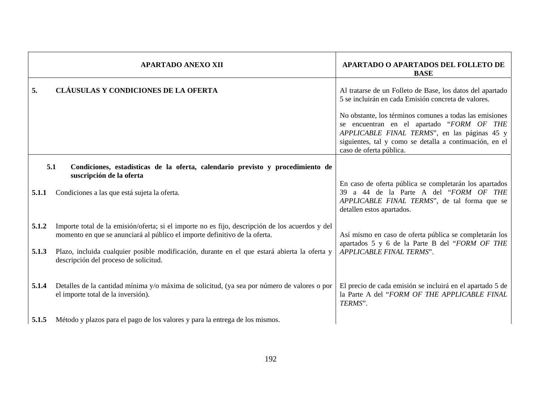| <b>APARTADO ANEXO XII</b> |                                                                                                                                                                               | APARTADO O APARTADOS DEL FOLLETO DE<br><b>BASE</b>                                                                                                                                                                                         |
|---------------------------|-------------------------------------------------------------------------------------------------------------------------------------------------------------------------------|--------------------------------------------------------------------------------------------------------------------------------------------------------------------------------------------------------------------------------------------|
| 5.                        | <b>CLÁUSULAS Y CONDICIONES DE LA OFERTA</b>                                                                                                                                   | Al tratarse de un Folleto de Base, los datos del apartado<br>5 se incluirán en cada Emisión concreta de valores.                                                                                                                           |
|                           |                                                                                                                                                                               | No obstante, los términos comunes a todas las emisiones<br>se encuentran en el apartado "FORM OF THE<br>APPLICABLE FINAL TERMS", en las páginas 45 y<br>siguientes, tal y como se detalla a continuación, en el<br>caso de oferta pública. |
| 5.1.1                     | 5.1<br>Condiciones, estadísticas de la oferta, calendario previsto y procedimiento de<br>suscripción de la oferta<br>Condiciones a las que está sujeta la oferta.             | En caso de oferta pública se completarán los apartados<br>a 44 de la Parte A del "FORM OF THE<br>39<br>APPLICABLE FINAL TERMS", de tal forma que se                                                                                        |
|                           |                                                                                                                                                                               | detallen estos apartados.                                                                                                                                                                                                                  |
| 5.1.2                     | Importe total de la emisión/oferta; si el importe no es fijo, descripción de los acuerdos y del<br>momento en que se anunciará al público el importe definitivo de la oferta. | Así mismo en caso de oferta pública se completarán los<br>apartados 5 y 6 de la Parte B del "FORM OF THE                                                                                                                                   |
| 5.1.3                     | Plazo, incluida cualquier posible modificación, durante en el que estará abierta la oferta y<br>descripción del proceso de solicitud.                                         | APPLICABLE FINAL TERMS".                                                                                                                                                                                                                   |
| 5.1.4                     | Detalles de la cantidad mínima y/o máxima de solicitud, (ya sea por número de valores o por<br>el importe total de la inversión).                                             | El precio de cada emisión se incluirá en el apartado 5 de<br>la Parte A del "FORM OF THE APPLICABLE FINAL<br>TERMS".                                                                                                                       |
| 5.1.5                     | Método y plazos para el pago de los valores y para la entrega de los mismos.                                                                                                  |                                                                                                                                                                                                                                            |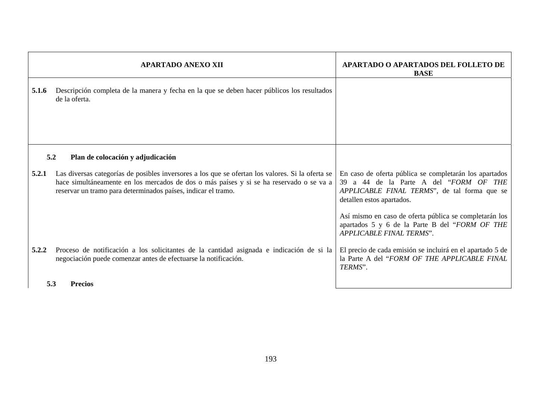|                                          | <b>APARTADO ANEXO XII</b>                                                                                                                                                                                                                                    | APARTADO O APARTADOS DEL FOLLETO DE<br><b>BASE</b>                                                                                                                            |  |
|------------------------------------------|--------------------------------------------------------------------------------------------------------------------------------------------------------------------------------------------------------------------------------------------------------------|-------------------------------------------------------------------------------------------------------------------------------------------------------------------------------|--|
| 5.1.6                                    | Descripción completa de la manera y fecha en la que se deben hacer públicos los resultados<br>de la oferta.                                                                                                                                                  |                                                                                                                                                                               |  |
|                                          |                                                                                                                                                                                                                                                              |                                                                                                                                                                               |  |
| 5.2<br>Plan de colocación y adjudicación |                                                                                                                                                                                                                                                              |                                                                                                                                                                               |  |
| 5.2.1                                    | Las diversas categorías de posibles inversores a los que se ofertan los valores. Si la oferta se<br>hace simultáneamente en los mercados de dos o más países y si se ha reservado o se va a<br>reservar un tramo para determinados países, indicar el tramo. | En caso de oferta pública se completarán los apartados<br>39 a 44 de la Parte A del "FORM OF THE<br>APPLICABLE FINAL TERMS", de tal forma que se<br>detallen estos apartados. |  |
|                                          |                                                                                                                                                                                                                                                              | Así mismo en caso de oferta pública se completarán los<br>apartados 5 y 6 de la Parte B del "FORM OF THE<br>APPLICABLE FINAL TERMS".                                          |  |
| 5.2.2                                    | Proceso de notificación a los solicitantes de la cantidad asignada e indicación de si la<br>negociación puede comenzar antes de efectuarse la notificación.                                                                                                  | El precio de cada emisión se incluirá en el apartado 5 de<br>la Parte A del "FORM OF THE APPLICABLE FINAL<br>TERMS".                                                          |  |
| 5.3                                      | <b>Precios</b>                                                                                                                                                                                                                                               |                                                                                                                                                                               |  |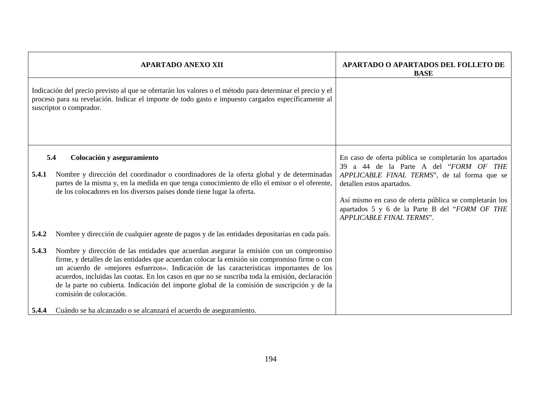| <b>APARTADO ANEXO XII</b>                                                                                                                                                                                                                   |                                                                                                                                                                                                                                                                                                                                                                                                                                                                                                                  | <b>APARTADO O APARTADOS DEL FOLLETO DE</b><br><b>BASE</b>                                                                                                                                                                                                                                                                |
|---------------------------------------------------------------------------------------------------------------------------------------------------------------------------------------------------------------------------------------------|------------------------------------------------------------------------------------------------------------------------------------------------------------------------------------------------------------------------------------------------------------------------------------------------------------------------------------------------------------------------------------------------------------------------------------------------------------------------------------------------------------------|--------------------------------------------------------------------------------------------------------------------------------------------------------------------------------------------------------------------------------------------------------------------------------------------------------------------------|
| Indicación del precio previsto al que se ofertarán los valores o el método para determinar el precio y el<br>proceso para su revelación. Indicar el importe de todo gasto e impuesto cargados específicamente al<br>suscriptor o comprador. |                                                                                                                                                                                                                                                                                                                                                                                                                                                                                                                  |                                                                                                                                                                                                                                                                                                                          |
| 5.4<br>5.4.1                                                                                                                                                                                                                                | Colocación y aseguramiento<br>Nombre y dirección del coordinador o coordinadores de la oferta global y de determinadas<br>partes de la misma y, en la medida en que tenga conocimiento de ello el emisor o el oferente,<br>de los colocadores en los diversos países donde tiene lugar la oferta.                                                                                                                                                                                                                | En caso de oferta pública se completarán los apartados<br>a 44 de la Parte A del "FORM OF THE<br>39<br>APPLICABLE FINAL TERMS", de tal forma que se<br>detallen estos apartados.<br>Así mismo en caso de oferta pública se completarán los<br>apartados 5 y 6 de la Parte B del "FORM OF THE<br>APPLICABLE FINAL TERMS". |
| 5.4.2                                                                                                                                                                                                                                       | Nombre y dirección de cualquier agente de pagos y de las entidades depositarias en cada país.                                                                                                                                                                                                                                                                                                                                                                                                                    |                                                                                                                                                                                                                                                                                                                          |
| 5.4.3                                                                                                                                                                                                                                       | Nombre y dirección de las entidades que acuerdan asegurar la emisión con un compromiso<br>firme, y detalles de las entidades que acuerdan colocar la emisión sin compromiso firme o con<br>un acuerdo de «mejores esfuerzos». Indicación de las características importantes de los<br>acuerdos, incluidas las cuotas. En los casos en que no se suscriba toda la emisión, declaración<br>de la parte no cubierta. Indicación del importe global de la comisión de suscripción y de la<br>comisión de colocación. |                                                                                                                                                                                                                                                                                                                          |
| 5.4.4                                                                                                                                                                                                                                       | Cuándo se ha alcanzado o se alcanzará el acuerdo de aseguramiento.                                                                                                                                                                                                                                                                                                                                                                                                                                               |                                                                                                                                                                                                                                                                                                                          |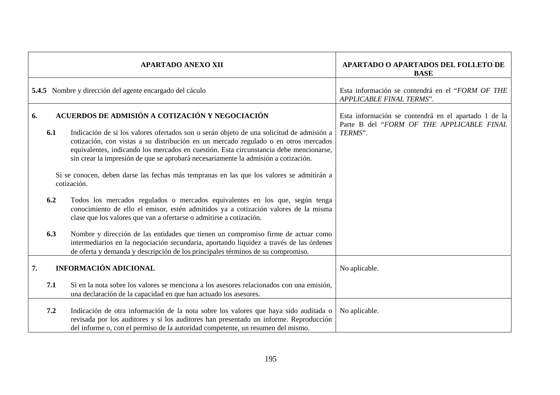| <b>APARTADO ANEXO XII</b>                                |                              |                                                                                                                                                                                                                                                                                                                              | APARTADO O APARTADOS DEL FOLLETO DE<br><b>BASE</b>                                                           |
|----------------------------------------------------------|------------------------------|------------------------------------------------------------------------------------------------------------------------------------------------------------------------------------------------------------------------------------------------------------------------------------------------------------------------------|--------------------------------------------------------------------------------------------------------------|
| 5.4.5 Nombre y dirección del agente encargado del cáculo |                              |                                                                                                                                                                                                                                                                                                                              | Esta información se contendrá en el "FORM OF THE<br>APPLICABLE FINAL TERMS".                                 |
| 6.                                                       | 6.1                          | ACUERDOS DE ADMISIÓN A COTIZACIÓN Y NEGOCIACIÓN<br>Indicación de si los valores ofertados son o serán objeto de una solicitud de admisión a<br>cotización, con vistas a su distribución en un mercado regulado o en otros mercados<br>equivalentes, indicando los mercados en cuestión. Esta circunstancia debe mencionarse, | Esta información se contendrá en el apartado 1 de la<br>Parte B del "FORM OF THE APPLICABLE FINAL<br>TERMS". |
|                                                          |                              | sin crear la impresión de que se aprobará necesariamente la admisión a cotización.<br>Si se conocen, deben darse las fechas más tempranas en las que los valores se admitirán a<br>cotización.                                                                                                                               |                                                                                                              |
|                                                          | 6.2                          | Todos los mercados regulados o mercados equivalentes en los que, según tenga<br>conocimiento de ello el emisor, estén admitidos ya a cotización valores de la misma<br>clase que los valores que van a ofertarse o admitirse a cotización.                                                                                   |                                                                                                              |
|                                                          | 6.3                          | Nombre y dirección de las entidades que tienen un compromiso firme de actuar como<br>intermediarios en la negociación secundaria, aportando liquidez a través de las órdenes<br>de oferta y demanda y descripción de los principales términos de su compromiso.                                                              |                                                                                                              |
| 7.                                                       | <b>INFORMACIÓN ADICIONAL</b> |                                                                                                                                                                                                                                                                                                                              | No aplicable.                                                                                                |
|                                                          | 7.1                          | Si en la nota sobre los valores se menciona a los asesores relacionados con una emisión,<br>una declaración de la capacidad en que han actuado los asesores.                                                                                                                                                                 |                                                                                                              |
|                                                          | 7.2                          | Indicación de otra información de la nota sobre los valores que haya sido auditada o<br>revisada por los auditores y si los auditores han presentado un informe. Reproducción<br>del informe o, con el permiso de la autoridad competente, un resumen del mismo.                                                             | No aplicable.                                                                                                |